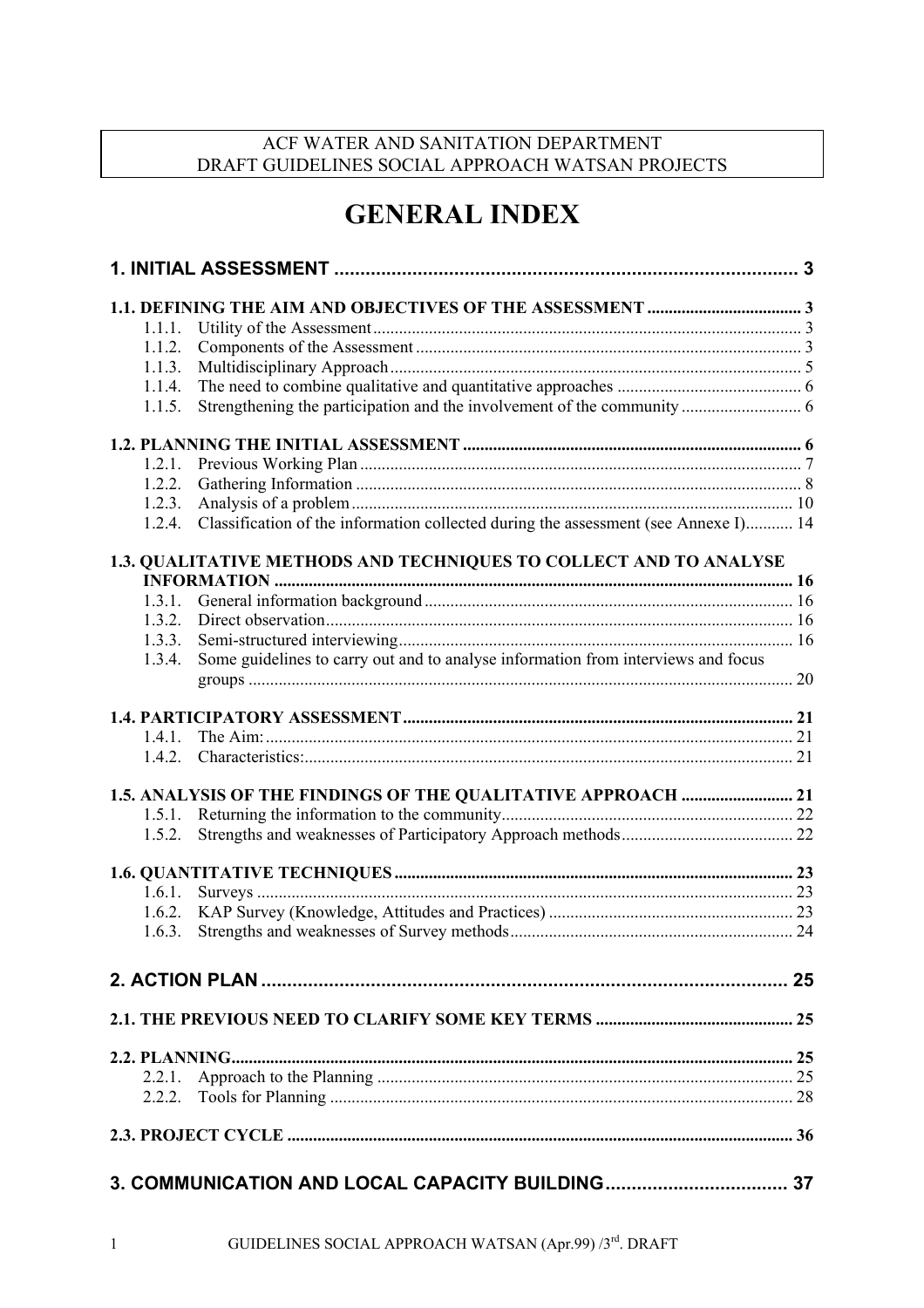# ACF WATER AND SANITATION DEPARTMENT DRAFT GUIDELINES SOCIAL APPROACH WATSAN PROJECTS

# **GENERAL INDEX**

| 1.1.1. |                                                                                     |  |
|--------|-------------------------------------------------------------------------------------|--|
| 1.1.2. |                                                                                     |  |
| 1.1.3. |                                                                                     |  |
| 1.1.4. |                                                                                     |  |
| 1.1.5. |                                                                                     |  |
|        |                                                                                     |  |
| 1.2.1. |                                                                                     |  |
| 1.2.2. |                                                                                     |  |
| 1.2.3. |                                                                                     |  |
| 1.2.4. | Classification of the information collected during the assessment (see Annexe I) 14 |  |
|        | 1.3. QUALITATIVE METHODS AND TECHNIQUES TO COLLECT AND TO ANALYSE                   |  |
|        |                                                                                     |  |
| 1.3.1. |                                                                                     |  |
| 1.3.2. |                                                                                     |  |
| 1.3.3. |                                                                                     |  |
| 1.3.4. | Some guidelines to carry out and to analyse information from interviews and focus   |  |
|        |                                                                                     |  |
| 1.4.1. |                                                                                     |  |
| 1.4.2. |                                                                                     |  |
|        | 1.5. ANALYSIS OF THE FINDINGS OF THE QUALITATIVE APPROACH  21                       |  |
| 1.5.1. |                                                                                     |  |
| 1.5.2. |                                                                                     |  |
|        |                                                                                     |  |
|        |                                                                                     |  |
| 1.6.1. |                                                                                     |  |
| 1.6.2. |                                                                                     |  |
| 1.6.3. |                                                                                     |  |
|        |                                                                                     |  |
|        |                                                                                     |  |
|        |                                                                                     |  |
|        |                                                                                     |  |
| 2.2.1. |                                                                                     |  |
| 2.2.2. |                                                                                     |  |
|        |                                                                                     |  |
|        |                                                                                     |  |
|        |                                                                                     |  |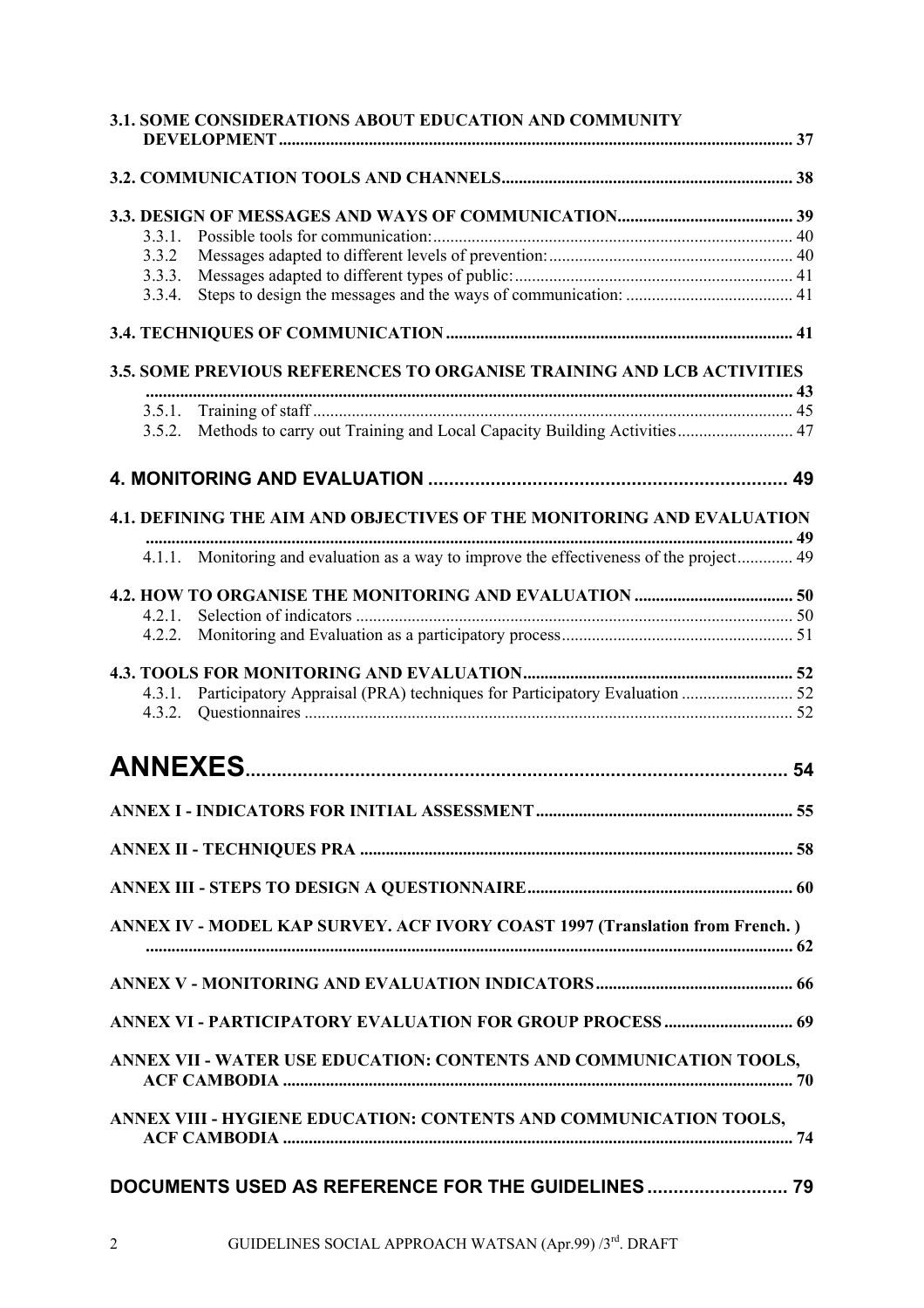|                  | 3.1. SOME CONSIDERATIONS ABOUT EDUCATION AND COMMUNITY                                   |  |
|------------------|------------------------------------------------------------------------------------------|--|
|                  |                                                                                          |  |
|                  |                                                                                          |  |
| 3.3.1.           |                                                                                          |  |
| 3.3.2            |                                                                                          |  |
| 3.3.3.           |                                                                                          |  |
| 3.3.4.           |                                                                                          |  |
|                  |                                                                                          |  |
|                  | 3.5. SOME PREVIOUS REFERENCES TO ORGANISE TRAINING AND LCB ACTIVITIES                    |  |
|                  |                                                                                          |  |
|                  | 3.5.2. Methods to carry out Training and Local Capacity Building Activities 47           |  |
|                  |                                                                                          |  |
|                  |                                                                                          |  |
|                  | 4.1. DEFINING THE AIM AND OBJECTIVES OF THE MONITORING AND EVALUATION                    |  |
|                  | 4.1.1. Monitoring and evaluation as a way to improve the effectiveness of the project 49 |  |
|                  |                                                                                          |  |
| 4.2.1            |                                                                                          |  |
| 4.2.2.           |                                                                                          |  |
|                  |                                                                                          |  |
| 4.3.1.<br>4.3.2. | Participatory Appraisal (PRA) techniques for Participatory Evaluation  52                |  |
|                  | <b>ANNEXES.</b>                                                                          |  |
|                  |                                                                                          |  |
|                  |                                                                                          |  |
|                  |                                                                                          |  |
|                  |                                                                                          |  |
|                  | ANNEX IV - MODEL KAP SURVEY. ACF IVORY COAST 1997 (Translation from French.)             |  |
|                  |                                                                                          |  |
|                  | ANNEX VI - PARTICIPATORY EVALUATION FOR GROUP PROCESS  69                                |  |
|                  | ANNEX VII - WATER USE EDUCATION: CONTENTS AND COMMUNICATION TOOLS,                       |  |
|                  | ANNEX VIII - HYGIENE EDUCATION: CONTENTS AND COMMUNICATION TOOLS,                        |  |
|                  | DOCUMENTS USED AS REFERENCE FOR THE GUIDELINES  79                                       |  |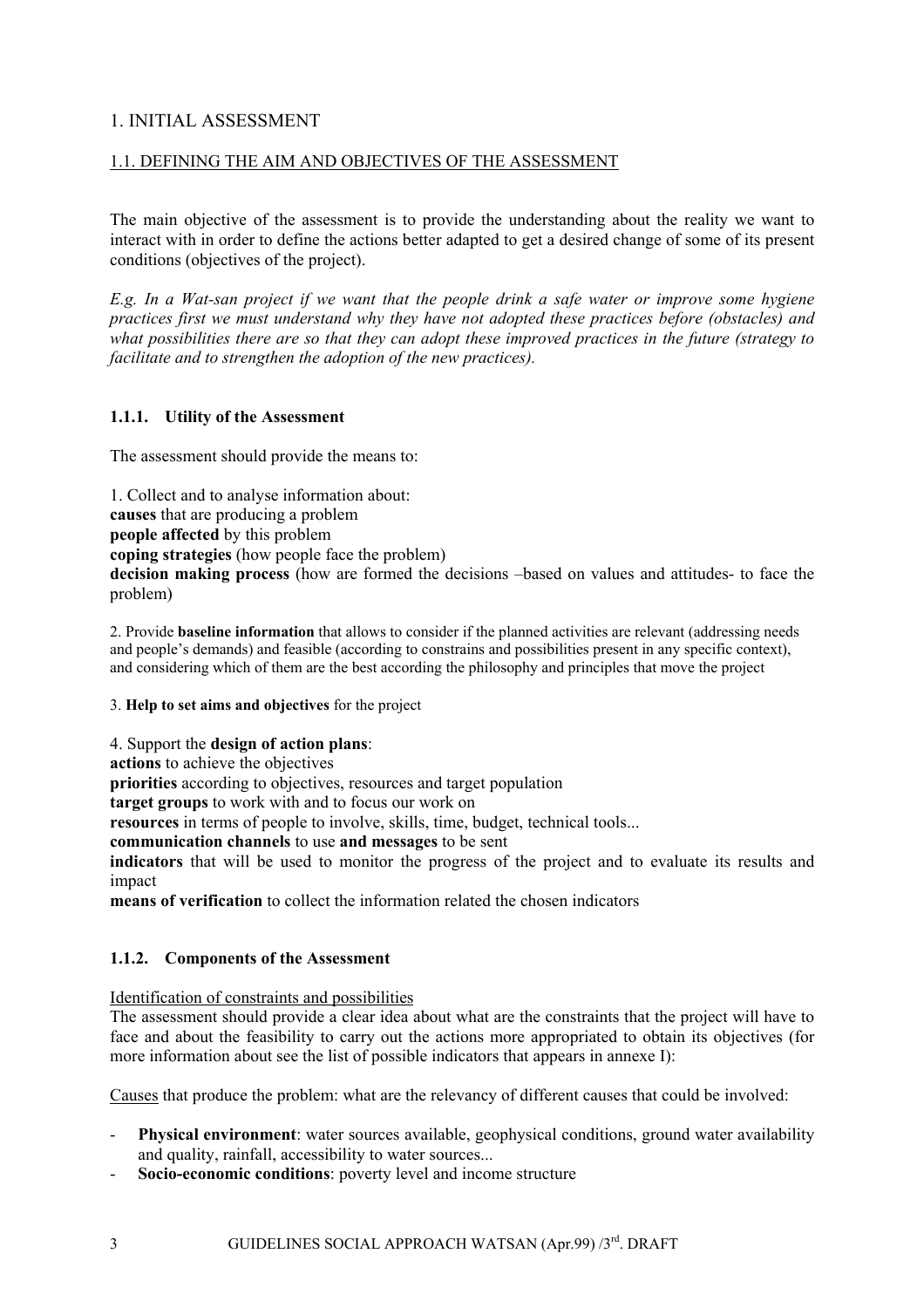# <span id="page-2-0"></span>1. INITIAL ASSESSMENT

### 1.1. DEFINING THE AIM AND OBJECTIVES OF THE ASSESSMENT

The main objective of the assessment is to provide the understanding about the reality we want to interact with in order to define the actions better adapted to get a desired change of some of its present conditions (objectives of the project).

*E.g. In a Wat-san project if we want that the people drink a safe water or improve some hygiene practices first we must understand why they have not adopted these practices before (obstacles) and what possibilities there are so that they can adopt these improved practices in the future (strategy to facilitate and to strengthen the adoption of the new practices).* 

### **1.1.1. Utility of the Assessment**

The assessment should provide the means to:

1. Collect and to analyse information about: **causes** that are producing a problem **people affected** by this problem **coping strategies** (how people face the problem) **decision making process** (how are formed the decisions –based on values and attitudes- to face the problem)

2. Provide **baseline information** that allows to consider if the planned activities are relevant (addressing needs and people's demands) and feasible (according to constrains and possibilities present in any specific context), and considering which of them are the best according the philosophy and principles that move the project

3. **Help to set aims and objectives** for the project

4. Support the **design of action plans**:

**actions** to achieve the objectives

**priorities** according to objectives, resources and target population

**target groups** to work with and to focus our work on

**resources** in terms of people to involve, skills, time, budget, technical tools...

**communication channels** to use **and messages** to be sent

**indicators** that will be used to monitor the progress of the project and to evaluate its results and impact

**means of verification** to collect the information related the chosen indicators

### **1.1.2. Components of the Assessment**

Identification of constraints and possibilities

The assessment should provide a clear idea about what are the constraints that the project will have to face and about the feasibility to carry out the actions more appropriated to obtain its objectives (for more information about see the list of possible indicators that appears in annexe I):

Causes that produce the problem: what are the relevancy of different causes that could be involved:

- Physical environment: water sources available, geophysical conditions, ground water availability and quality, rainfall, accessibility to water sources...
- **Socio-economic conditions**: poverty level and income structure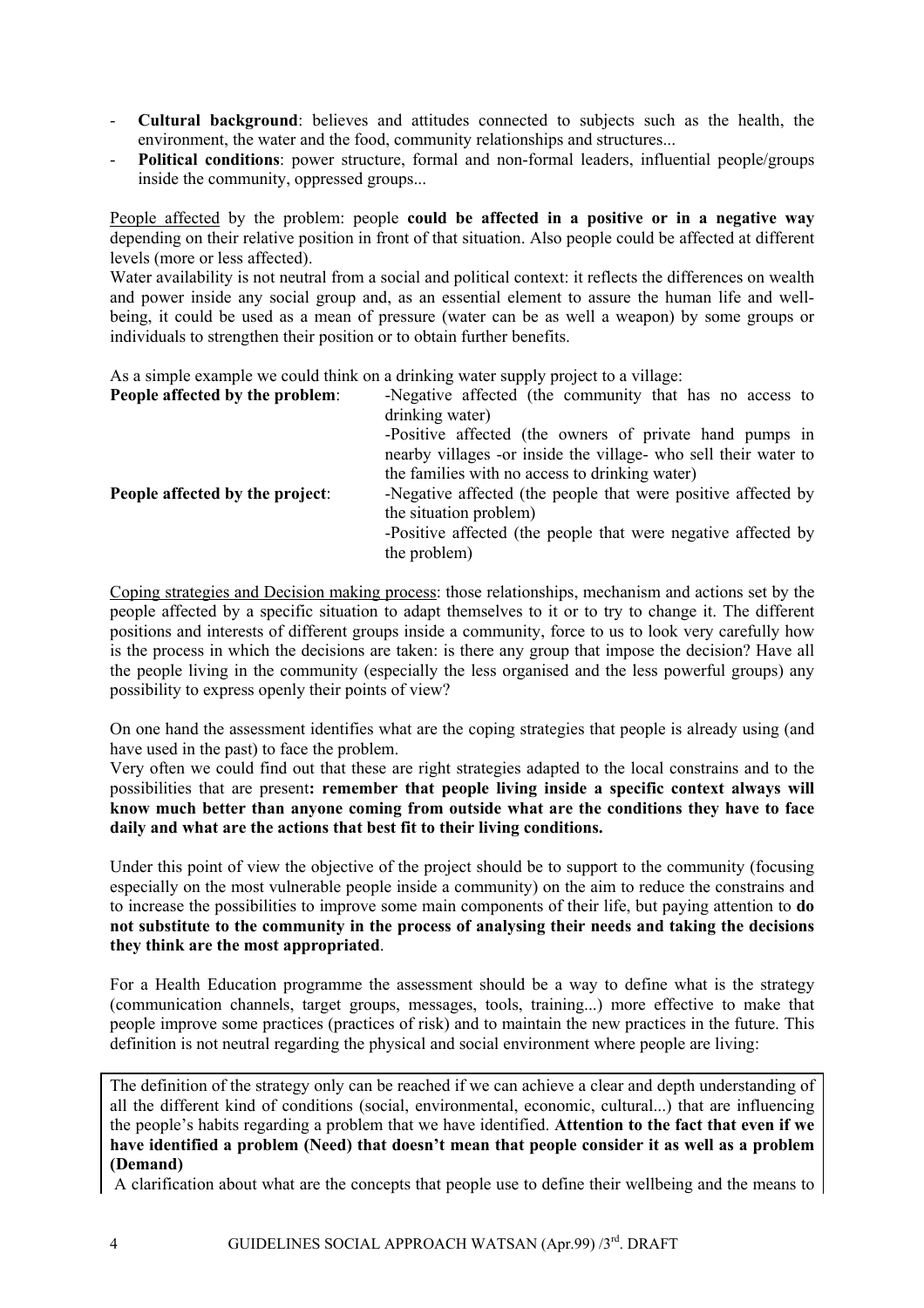- **Cultural background**: believes and attitudes connected to subjects such as the health, the environment, the water and the food, community relationships and structures...
- Political conditions: power structure, formal and non-formal leaders, influential people/groups inside the community, oppressed groups...

People affected by the problem: people **could be affected in a positive or in a negative way** depending on their relative position in front of that situation. Also people could be affected at different levels (more or less affected).

Water availability is not neutral from a social and political context: it reflects the differences on wealth and power inside any social group and, as an essential element to assure the human life and wellbeing, it could be used as a mean of pressure (water can be as well a weapon) by some groups or individuals to strengthen their position or to obtain further benefits.

As a simple example we could think on a drinking water supply project to a village:

| People affected by the problem: | -Negative affected (the community that has no access to         |
|---------------------------------|-----------------------------------------------------------------|
|                                 | drinking water)                                                 |
|                                 | -Positive affected (the owners of private hand pumps in         |
|                                 | nearby villages -or inside the village- who sell their water to |
|                                 | the families with no access to drinking water)                  |
| People affected by the project: | -Negative affected (the people that were positive affected by   |
|                                 | the situation problem)                                          |
|                                 | -Positive affected (the people that were negative affected by   |
|                                 | the problem)                                                    |

Coping strategies and Decision making process: those relationships, mechanism and actions set by the people affected by a specific situation to adapt themselves to it or to try to change it. The different positions and interests of different groups inside a community, force to us to look very carefully how is the process in which the decisions are taken: is there any group that impose the decision? Have all the people living in the community (especially the less organised and the less powerful groups) any possibility to express openly their points of view?

On one hand the assessment identifies what are the coping strategies that people is already using (and have used in the past) to face the problem.

Very often we could find out that these are right strategies adapted to the local constrains and to the possibilities that are present**: remember that people living inside a specific context always will know much better than anyone coming from outside what are the conditions they have to face daily and what are the actions that best fit to their living conditions.** 

Under this point of view the objective of the project should be to support to the community (focusing especially on the most vulnerable people inside a community) on the aim to reduce the constrains and to increase the possibilities to improve some main components of their life, but paying attention to **do not substitute to the community in the process of analysing their needs and taking the decisions they think are the most appropriated**.

For a Health Education programme the assessment should be a way to define what is the strategy (communication channels, target groups, messages, tools, training...) more effective to make that people improve some practices (practices of risk) and to maintain the new practices in the future. This definition is not neutral regarding the physical and social environment where people are living:

The definition of the strategy only can be reached if we can achieve a clear and depth understanding of all the different kind of conditions (social, environmental, economic, cultural...) that are influencing the people's habits regarding a problem that we have identified. **Attention to the fact that even if we have identified a problem (Need) that doesn't mean that people consider it as well as a problem (Demand)**

A clarification about what are the concepts that people use to define their wellbeing and the means to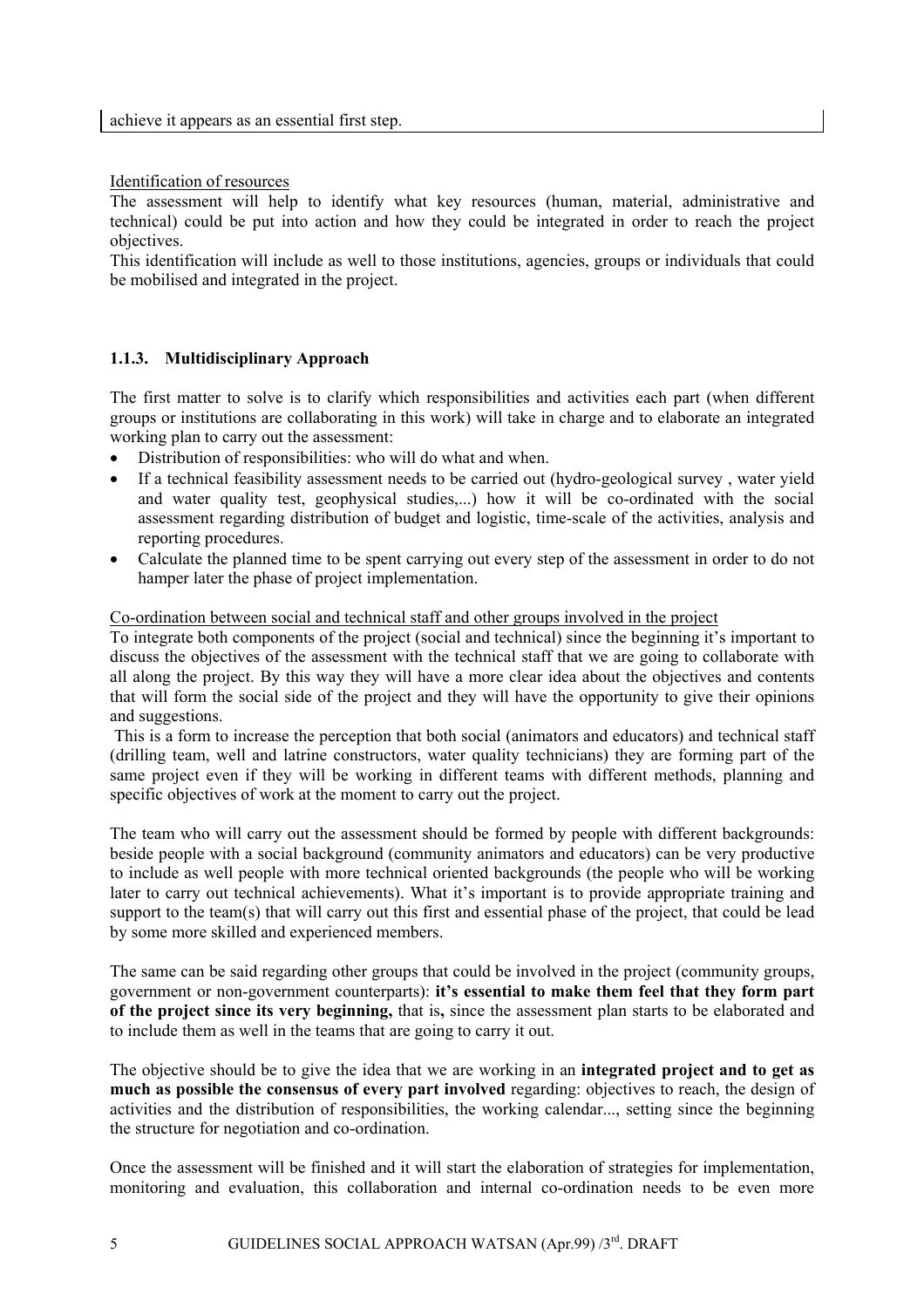#### <span id="page-4-0"></span>Identification of resources

The assessment will help to identify what key resources (human, material, administrative and technical) could be put into action and how they could be integrated in order to reach the project objectives.

This identification will include as well to those institutions, agencies, groups or individuals that could be mobilised and integrated in the project.

### **1.1.3. Multidisciplinary Approach**

The first matter to solve is to clarify which responsibilities and activities each part (when different groups or institutions are collaborating in this work) will take in charge and to elaborate an integrated working plan to carry out the assessment:

- Distribution of responsibilities: who will do what and when.
- If a technical feasibility assessment needs to be carried out (hydro-geological survey , water yield and water quality test, geophysical studies,...) how it will be co-ordinated with the social assessment regarding distribution of budget and logistic, time-scale of the activities, analysis and reporting procedures.
- Calculate the planned time to be spent carrying out every step of the assessment in order to do not hamper later the phase of project implementation.

#### Co-ordination between social and technical staff and other groups involved in the project

To integrate both components of the project (social and technical) since the beginning it's important to discuss the objectives of the assessment with the technical staff that we are going to collaborate with all along the project. By this way they will have a more clear idea about the objectives and contents that will form the social side of the project and they will have the opportunity to give their opinions and suggestions.

This is a form to increase the perception that both social (animators and educators) and technical staff (drilling team, well and latrine constructors, water quality technicians) they are forming part of the same project even if they will be working in different teams with different methods, planning and specific objectives of work at the moment to carry out the project.

The team who will carry out the assessment should be formed by people with different backgrounds: beside people with a social background (community animators and educators) can be very productive to include as well people with more technical oriented backgrounds (the people who will be working later to carry out technical achievements). What it's important is to provide appropriate training and support to the team(s) that will carry out this first and essential phase of the project, that could be lead by some more skilled and experienced members.

The same can be said regarding other groups that could be involved in the project (community groups, government or non-government counterparts): **it's essential to make them feel that they form part of the project since its very beginning,** that is**,** since the assessment plan starts to be elaborated and to include them as well in the teams that are going to carry it out.

The objective should be to give the idea that we are working in an **integrated project and to get as much as possible the consensus of every part involved** regarding: objectives to reach, the design of activities and the distribution of responsibilities, the working calendar..., setting since the beginning the structure for negotiation and co-ordination.

Once the assessment will be finished and it will start the elaboration of strategies for implementation, monitoring and evaluation, this collaboration and internal co-ordination needs to be even more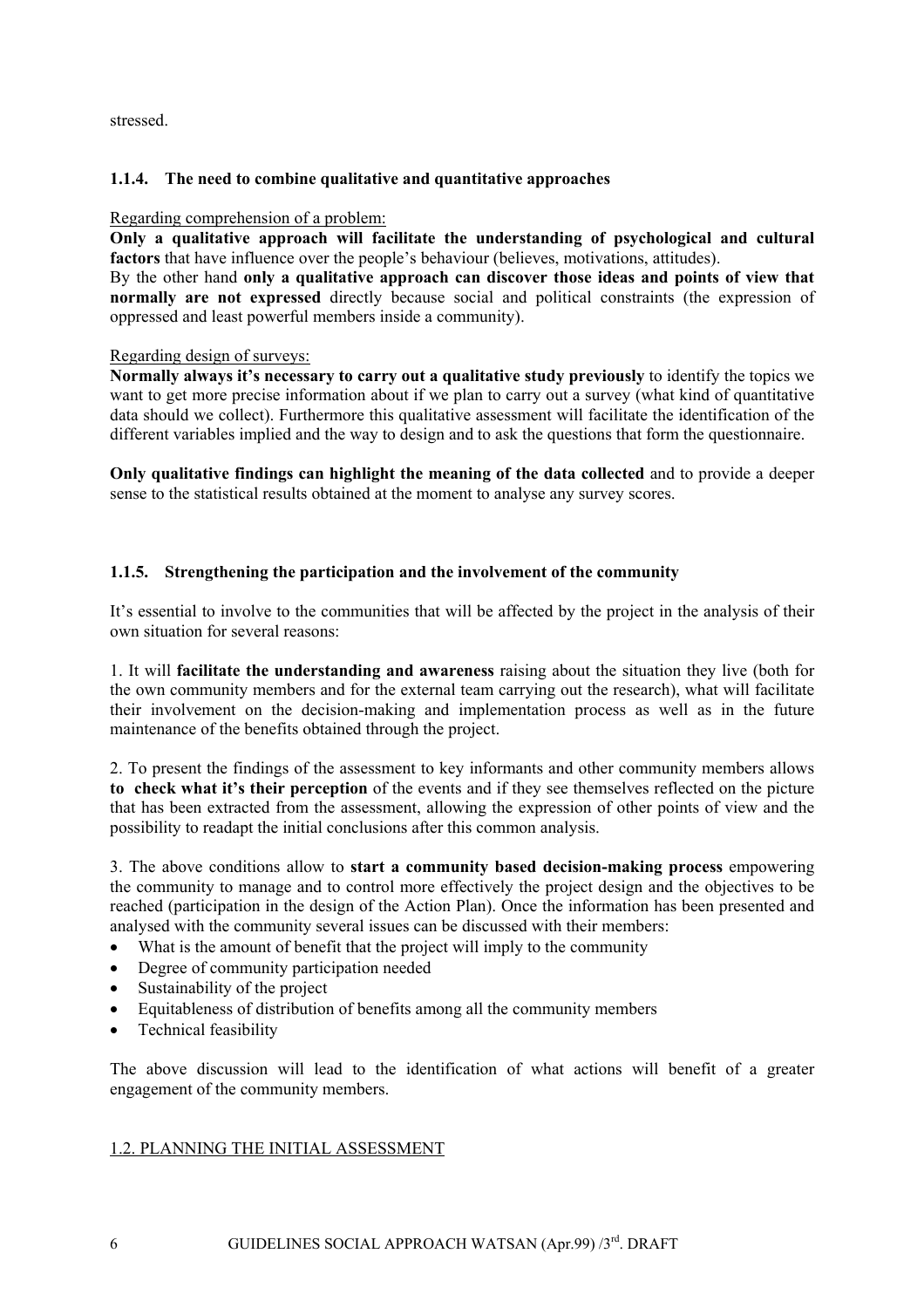<span id="page-5-0"></span>stressed.

# **1.1.4. The need to combine qualitative and quantitative approaches**

### Regarding comprehension of a problem:

**Only a qualitative approach will facilitate the understanding of psychological and cultural factors** that have influence over the people's behaviour (believes, motivations, attitudes).

By the other hand **only a qualitative approach can discover those ideas and points of view that normally are not expressed** directly because social and political constraints (the expression of oppressed and least powerful members inside a community).

### Regarding design of surveys:

**Normally always it's necessary to carry out a qualitative study previously** to identify the topics we want to get more precise information about if we plan to carry out a survey (what kind of quantitative data should we collect). Furthermore this qualitative assessment will facilitate the identification of the different variables implied and the way to design and to ask the questions that form the questionnaire.

**Only qualitative findings can highlight the meaning of the data collected** and to provide a deeper sense to the statistical results obtained at the moment to analyse any survey scores.

### **1.1.5. Strengthening the participation and the involvement of the community**

It's essential to involve to the communities that will be affected by the project in the analysis of their own situation for several reasons:

1. It will **facilitate the understanding and awareness** raising about the situation they live (both for the own community members and for the external team carrying out the research), what will facilitate their involvement on the decision-making and implementation process as well as in the future maintenance of the benefits obtained through the project.

2. To present the findings of the assessment to key informants and other community members allows **to check what it's their perception** of the events and if they see themselves reflected on the picture that has been extracted from the assessment, allowing the expression of other points of view and the possibility to readapt the initial conclusions after this common analysis.

3. The above conditions allow to **start a community based decision-making process** empowering the community to manage and to control more effectively the project design and the objectives to be reached (participation in the design of the Action Plan). Once the information has been presented and analysed with the community several issues can be discussed with their members:

- What is the amount of benefit that the project will imply to the community
- Degree of community participation needed
- Sustainability of the project
- Equitableness of distribution of benefits among all the community members
- Technical feasibility

The above discussion will lead to the identification of what actions will benefit of a greater engagement of the community members.

### 1.2. PLANNING THE INITIAL ASSESSMENT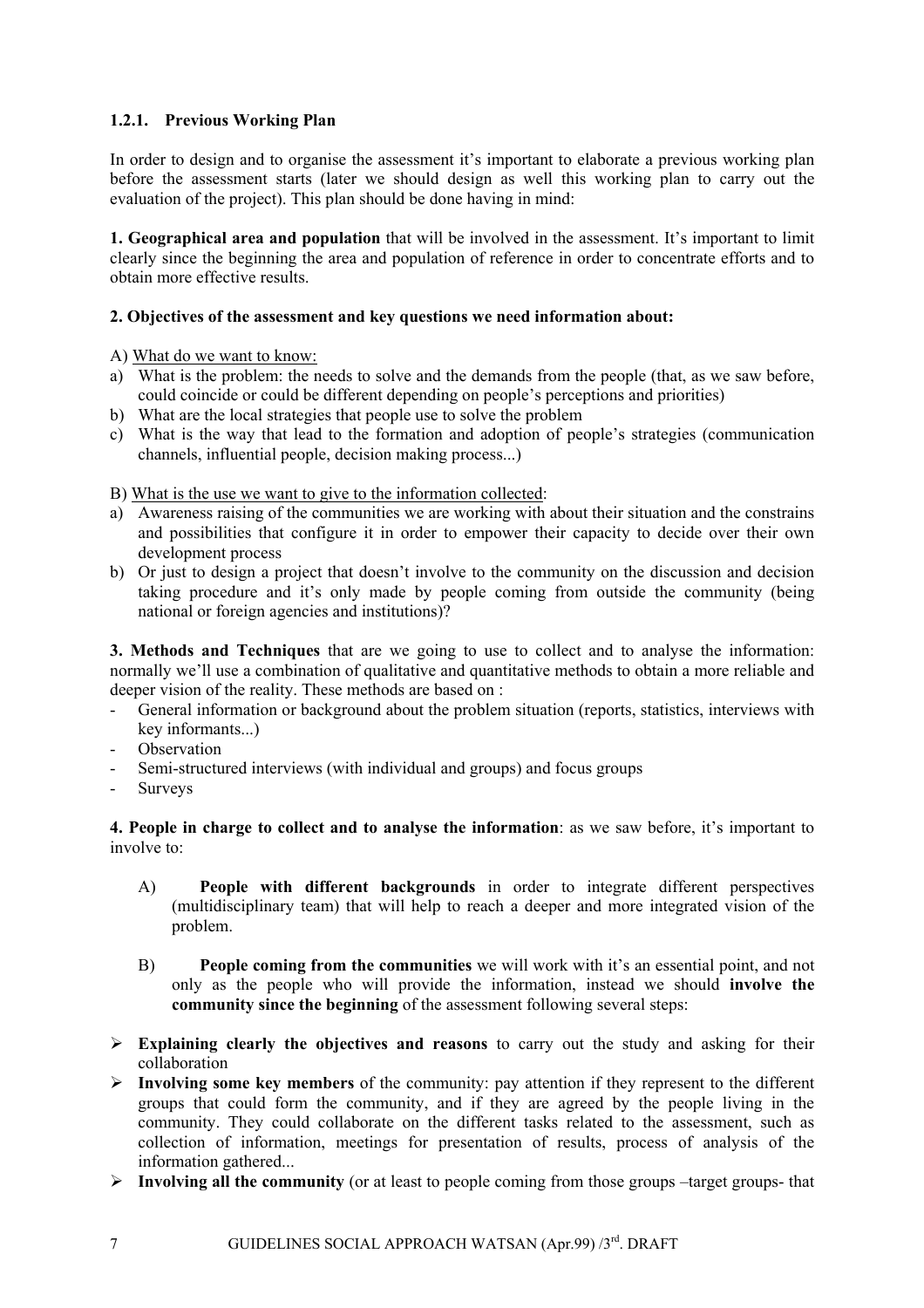# <span id="page-6-0"></span>**1.2.1. Previous Working Plan**

In order to design and to organise the assessment it's important to elaborate a previous working plan before the assessment starts (later we should design as well this working plan to carry out the evaluation of the project). This plan should be done having in mind:

**1. Geographical area and population** that will be involved in the assessment. It's important to limit clearly since the beginning the area and population of reference in order to concentrate efforts and to obtain more effective results.

# **2. Objectives of the assessment and key questions we need information about:**

A) What do we want to know:

- a) What is the problem: the needs to solve and the demands from the people (that, as we saw before, could coincide or could be different depending on people's perceptions and priorities)
- b) What are the local strategies that people use to solve the problem
- c) What is the way that lead to the formation and adoption of people's strategies (communication channels, influential people, decision making process...)

B) What is the use we want to give to the information collected:

- a) Awareness raising of the communities we are working with about their situation and the constrains and possibilities that configure it in order to empower their capacity to decide over their own development process
- b) Or just to design a project that doesn't involve to the community on the discussion and decision taking procedure and it's only made by people coming from outside the community (being national or foreign agencies and institutions)?

**3. Methods and Techniques** that are we going to use to collect and to analyse the information: normally we'll use a combination of qualitative and quantitative methods to obtain a more reliable and deeper vision of the reality. These methods are based on :

- General information or background about the problem situation (reports, statistics, interviews with key informants...)
- **Observation**
- Semi-structured interviews (with individual and groups) and focus groups
- Surveys

**4. People in charge to collect and to analyse the information**: as we saw before, it's important to involve to:

- A) **People with different backgrounds** in order to integrate different perspectives (multidisciplinary team) that will help to reach a deeper and more integrated vision of the problem.
- B) **People coming from the communities** we will work with it's an essential point, and not only as the people who will provide the information, instead we should **involve the community since the beginning** of the assessment following several steps:
- ¾ **Explaining clearly the objectives and reasons** to carry out the study and asking for their collaboration
- ¾ **Involving some key members** of the community: pay attention if they represent to the different groups that could form the community, and if they are agreed by the people living in the community. They could collaborate on the different tasks related to the assessment, such as collection of information, meetings for presentation of results, process of analysis of the information gathered...
- ¾ **Involving all the community** (or at least to people coming from those groups –target groups- that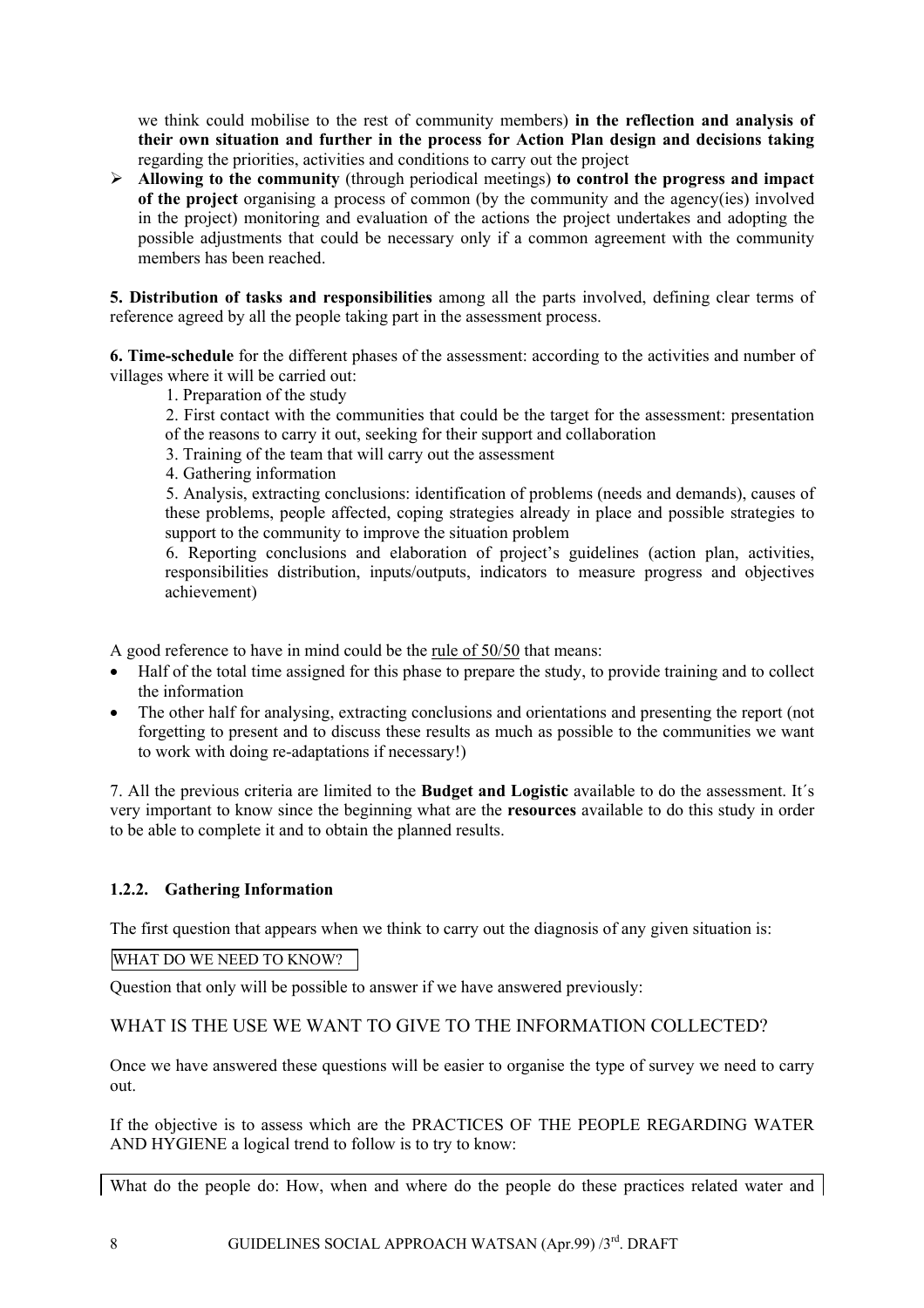<span id="page-7-0"></span>we think could mobilise to the rest of community members) **in the reflection and analysis of their own situation and further in the process for Action Plan design and decisions taking** regarding the priorities, activities and conditions to carry out the project

¾ **Allowing to the community** (through periodical meetings) **to control the progress and impact of the project** organising a process of common (by the community and the agency(ies) involved in the project) monitoring and evaluation of the actions the project undertakes and adopting the possible adjustments that could be necessary only if a common agreement with the community members has been reached.

**5. Distribution of tasks and responsibilities** among all the parts involved, defining clear terms of reference agreed by all the people taking part in the assessment process.

**6. Time-schedule** for the different phases of the assessment: according to the activities and number of villages where it will be carried out:

- 1. Preparation of the study
- 2. First contact with the communities that could be the target for the assessment: presentation of the reasons to carry it out, seeking for their support and collaboration
- 3. Training of the team that will carry out the assessment
- 4. Gathering information

5. Analysis, extracting conclusions: identification of problems (needs and demands), causes of these problems, people affected, coping strategies already in place and possible strategies to support to the community to improve the situation problem

6. Reporting conclusions and elaboration of project's guidelines (action plan, activities, responsibilities distribution, inputs/outputs, indicators to measure progress and objectives achievement)

A good reference to have in mind could be the rule of 50/50 that means:

- Half of the total time assigned for this phase to prepare the study, to provide training and to collect the information
- The other half for analysing, extracting conclusions and orientations and presenting the report (not forgetting to present and to discuss these results as much as possible to the communities we want to work with doing re-adaptations if necessary!)

7. All the previous criteria are limited to the **Budget and Logistic** available to do the assessment. It´s very important to know since the beginning what are the **resources** available to do this study in order to be able to complete it and to obtain the planned results.

# **1.2.2. Gathering Information**

The first question that appears when we think to carry out the diagnosis of any given situation is:

WHAT DO WE NEED TO KNOW?

Question that only will be possible to answer if we have answered previously:

# WHAT IS THE USE WE WANT TO GIVE TO THE INFORMATION COLLECTED?

Once we have answered these questions will be easier to organise the type of survey we need to carry out.

If the objective is to assess which are the PRACTICES OF THE PEOPLE REGARDING WATER AND HYGIENE a logical trend to follow is to try to know:

What do the people do: How, when and where do the people do these practices related water and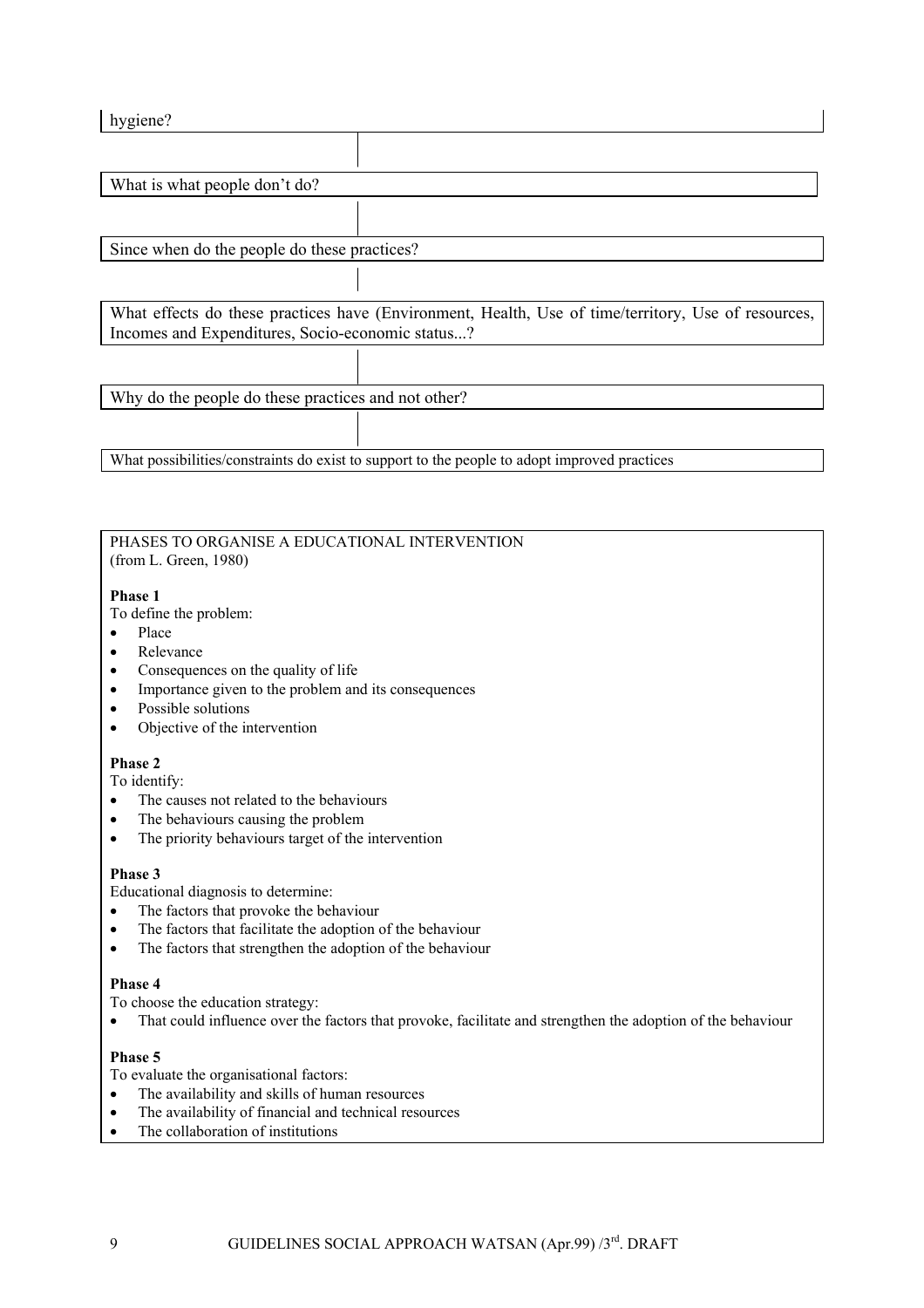| hygiene?                                            |                                                                                                     |  |
|-----------------------------------------------------|-----------------------------------------------------------------------------------------------------|--|
|                                                     |                                                                                                     |  |
| What is what people don't do?                       |                                                                                                     |  |
|                                                     |                                                                                                     |  |
|                                                     |                                                                                                     |  |
| Since when do the people do these practices?        |                                                                                                     |  |
|                                                     |                                                                                                     |  |
|                                                     | What effects do these practices have (Environment, Health, Use of time/territory, Use of resources, |  |
| Incomes and Expenditures, Socio-economic status?    |                                                                                                     |  |
|                                                     |                                                                                                     |  |
| Why do the people do these practices and not other? |                                                                                                     |  |
|                                                     |                                                                                                     |  |

#### PHASES TO ORGANISE A EDUCATIONAL INTERVENTION (from L. Green, 1980)

What possibilities/constraints do exist to support to the people to adopt improved practices

#### **Phase 1**

To define the problem:

- Place
- Relevance
- Consequences on the quality of life
- Importance given to the problem and its consequences
- Possible solutions
- Objective of the intervention

### **Phase 2**

To identify:

- The causes not related to the behaviours
- The behaviours causing the problem
- The priority behaviours target of the intervention

### **Phase 3**

Educational diagnosis to determine:

- The factors that provoke the behaviour
- The factors that facilitate the adoption of the behaviour
- The factors that strengthen the adoption of the behaviour

#### **Phase 4**

To choose the education strategy:

• That could influence over the factors that provoke, facilitate and strengthen the adoption of the behaviour

### **Phase 5**

To evaluate the organisational factors:

- The availability and skills of human resources
- The availability of financial and technical resources
- The collaboration of institutions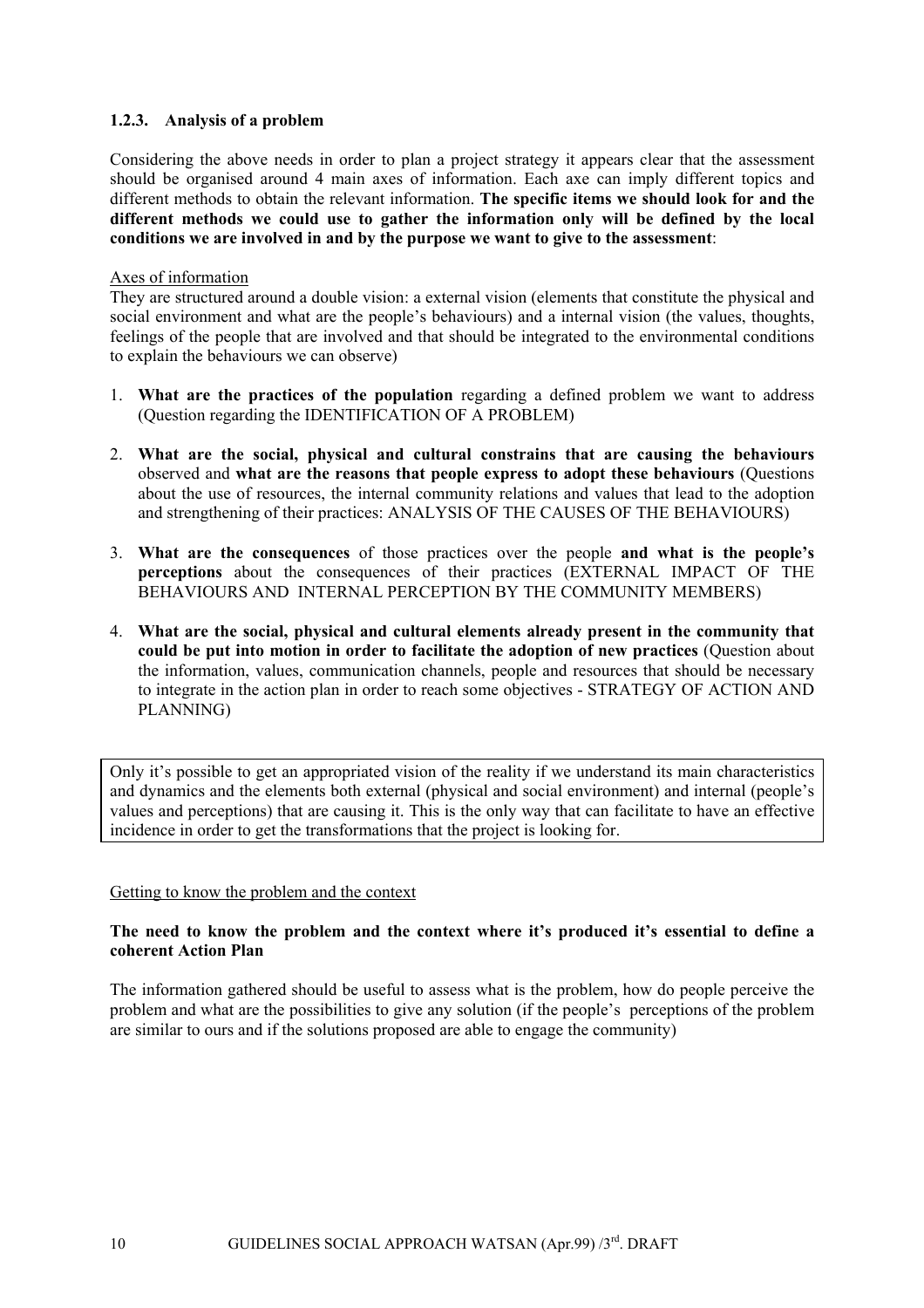### <span id="page-9-0"></span>**1.2.3. Analysis of a problem**

Considering the above needs in order to plan a project strategy it appears clear that the assessment should be organised around 4 main axes of information. Each axe can imply different topics and different methods to obtain the relevant information. **The specific items we should look for and the different methods we could use to gather the information only will be defined by the local conditions we are involved in and by the purpose we want to give to the assessment**:

#### Axes of information

They are structured around a double vision: a external vision (elements that constitute the physical and social environment and what are the people's behaviours) and a internal vision (the values, thoughts, feelings of the people that are involved and that should be integrated to the environmental conditions to explain the behaviours we can observe)

- 1. **What are the practices of the population** regarding a defined problem we want to address (Question regarding the IDENTIFICATION OF A PROBLEM)
- 2. **What are the social, physical and cultural constrains that are causing the behaviours**  observed and **what are the reasons that people express to adopt these behaviours** (Questions about the use of resources, the internal community relations and values that lead to the adoption and strengthening of their practices: ANALYSIS OF THE CAUSES OF THE BEHAVIOURS)
- 3. **What are the consequences** of those practices over the people **and what is the people's perceptions** about the consequences of their practices (EXTERNAL IMPACT OF THE BEHAVIOURS AND INTERNAL PERCEPTION BY THE COMMUNITY MEMBERS)
- 4. **What are the social, physical and cultural elements already present in the community that could be put into motion in order to facilitate the adoption of new practices** (Question about the information, values, communication channels, people and resources that should be necessary to integrate in the action plan in order to reach some objectives - STRATEGY OF ACTION AND PLANNING)

Only it's possible to get an appropriated vision of the reality if we understand its main characteristics and dynamics and the elements both external (physical and social environment) and internal (people's values and perceptions) that are causing it. This is the only way that can facilitate to have an effective incidence in order to get the transformations that the project is looking for.

### Getting to know the problem and the context

### **The need to know the problem and the context where it's produced it's essential to define a coherent Action Plan**

The information gathered should be useful to assess what is the problem, how do people perceive the problem and what are the possibilities to give any solution (if the people's perceptions of the problem are similar to ours and if the solutions proposed are able to engage the community)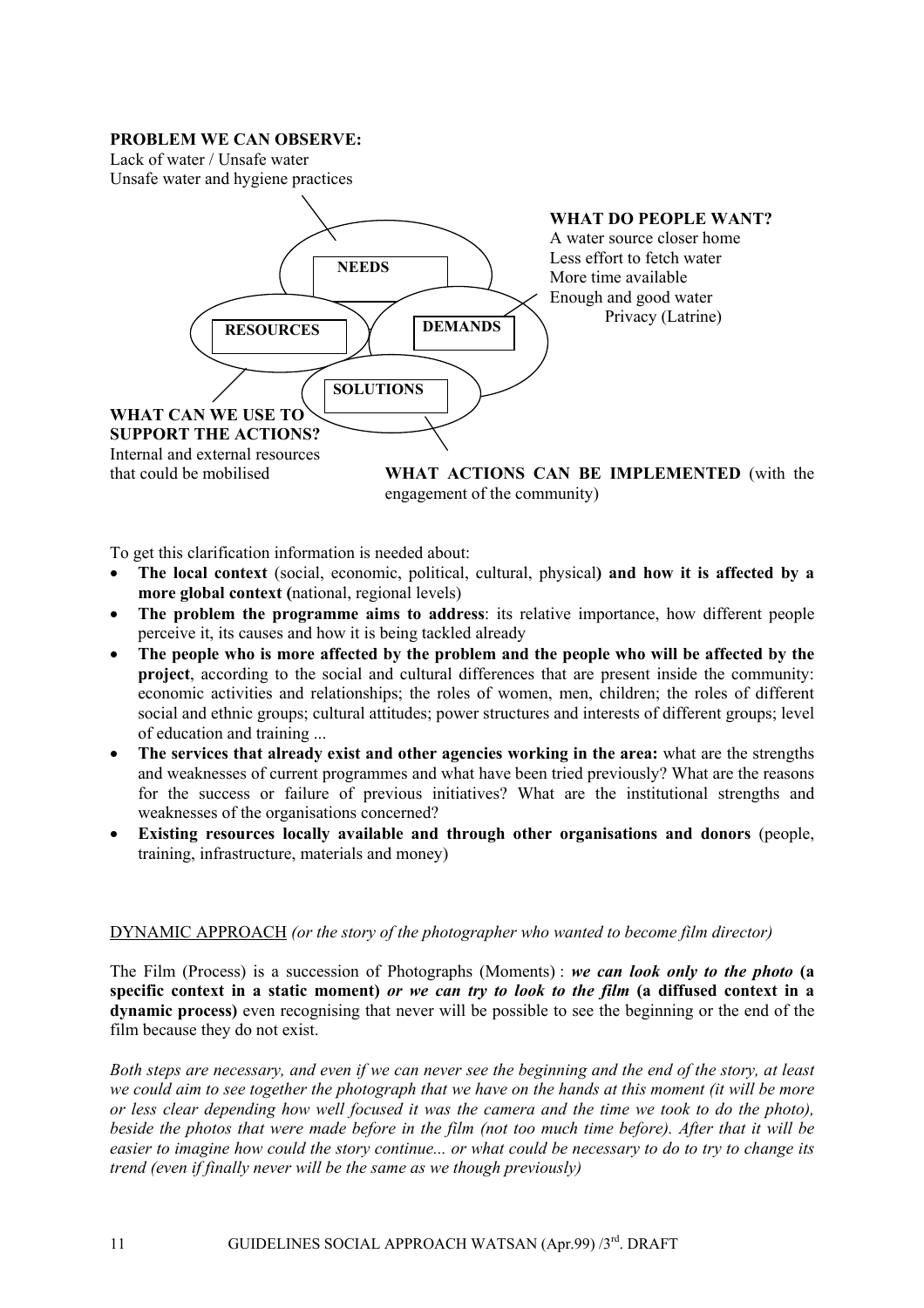### **PROBLEM WE CAN OBSERVE:**

Lack of water / Unsafe water

Unsafe water and hygiene practices



engagement of the community)

To get this clarification information is needed about:

- **The local context** (social, economic, political, cultural, physical**) and how it is affected by a more global context (**national, regional levels)
- **The problem the programme aims to address**: its relative importance, how different people perceive it, its causes and how it is being tackled already
- **The people who is more affected by the problem and the people who will be affected by the project**, according to the social and cultural differences that are present inside the community: economic activities and relationships; the roles of women, men, children; the roles of different social and ethnic groups; cultural attitudes; power structures and interests of different groups; level of education and training ...
- **The services that already exist and other agencies working in the area:** what are the strengths and weaknesses of current programmes and what have been tried previously? What are the reasons for the success or failure of previous initiatives? What are the institutional strengths and weaknesses of the organisations concerned?
- **Existing resources locally available and through other organisations and donors** (people, training, infrastructure, materials and money)

# DYNAMIC APPROACH *(or the story of the photographer who wanted to become film director)*

The Film (Process) is a succession of Photographs (Moments) : *we can look only to the photo* **(a specific context in a static moment)** *or we can try to look to the film* **(a diffused context in a dynamic process)** even recognising that never will be possible to see the beginning or the end of the film because they do not exist.

*Both steps are necessary, and even if we can never see the beginning and the end of the story, at least we could aim to see together the photograph that we have on the hands at this moment (it will be more or less clear depending how well focused it was the camera and the time we took to do the photo), beside the photos that were made before in the film (not too much time before). After that it will be easier to imagine how could the story continue... or what could be necessary to do to try to change its trend (even if finally never will be the same as we though previously)*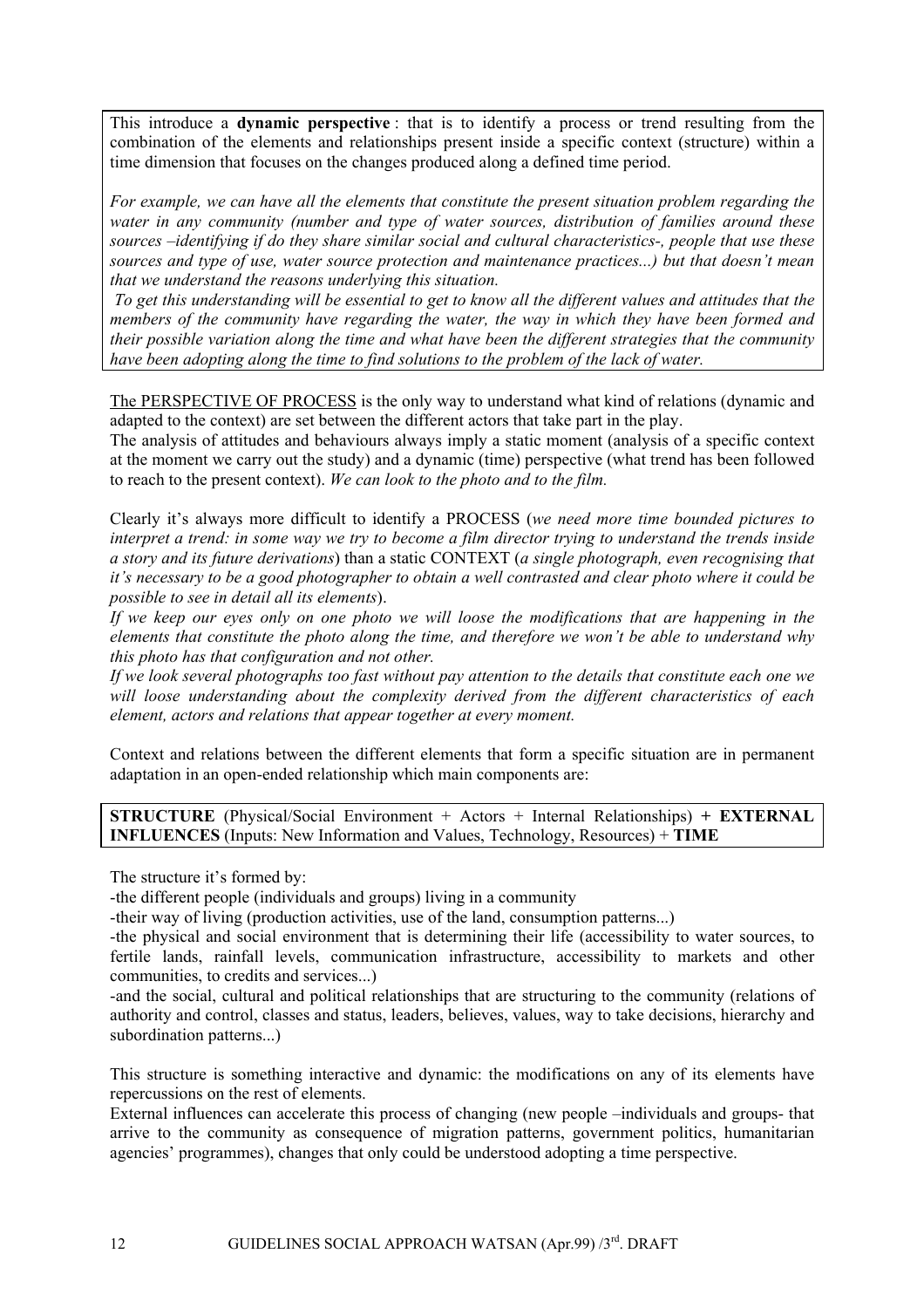This introduce a **dynamic perspective** : that is to identify a process or trend resulting from the combination of the elements and relationships present inside a specific context (structure) within a time dimension that focuses on the changes produced along a defined time period.

*For example, we can have all the elements that constitute the present situation problem regarding the water in any community (number and type of water sources, distribution of families around these sources –identifying if do they share similar social and cultural characteristics-, people that use these sources and type of use, water source protection and maintenance practices...) but that doesn't mean that we understand the reasons underlying this situation.* 

*To get this understanding will be essential to get to know all the different values and attitudes that the members of the community have regarding the water, the way in which they have been formed and their possible variation along the time and what have been the different strategies that the community have been adopting along the time to find solutions to the problem of the lack of water.* 

The PERSPECTIVE OF PROCESS is the only way to understand what kind of relations (dynamic and adapted to the context) are set between the different actors that take part in the play.

The analysis of attitudes and behaviours always imply a static moment (analysis of a specific context at the moment we carry out the study) and a dynamic (time) perspective (what trend has been followed to reach to the present context). *We can look to the photo and to the film.* 

Clearly it's always more difficult to identify a PROCESS (*we need more time bounded pictures to interpret a trend: in some way we try to become a film director trying to understand the trends inside a story and its future derivations*) than a static CONTEXT (*a single photograph, even recognising that it's necessary to be a good photographer to obtain a well contrasted and clear photo where it could be possible to see in detail all its elements*).

*If we keep our eyes only on one photo we will loose the modifications that are happening in the elements that constitute the photo along the time, and therefore we won't be able to understand why this photo has that configuration and not other.* 

*If we look several photographs too fast without pay attention to the details that constitute each one we will loose understanding about the complexity derived from the different characteristics of each element, actors and relations that appear together at every moment.* 

Context and relations between the different elements that form a specific situation are in permanent adaptation in an open-ended relationship which main components are:

**STRUCTURE** (Physical/Social Environment + Actors + Internal Relationships) **+ EXTERNAL INFLUENCES** (Inputs: New Information and Values, Technology, Resources) + **TIME**

The structure it's formed by:

-the different people (individuals and groups) living in a community

-their way of living (production activities, use of the land, consumption patterns...)

-the physical and social environment that is determining their life (accessibility to water sources, to fertile lands, rainfall levels, communication infrastructure, accessibility to markets and other communities, to credits and services...)

-and the social, cultural and political relationships that are structuring to the community (relations of authority and control, classes and status, leaders, believes, values, way to take decisions, hierarchy and subordination patterns...)

This structure is something interactive and dynamic: the modifications on any of its elements have repercussions on the rest of elements.

External influences can accelerate this process of changing (new people –individuals and groups- that arrive to the community as consequence of migration patterns, government politics, humanitarian agencies' programmes), changes that only could be understood adopting a time perspective.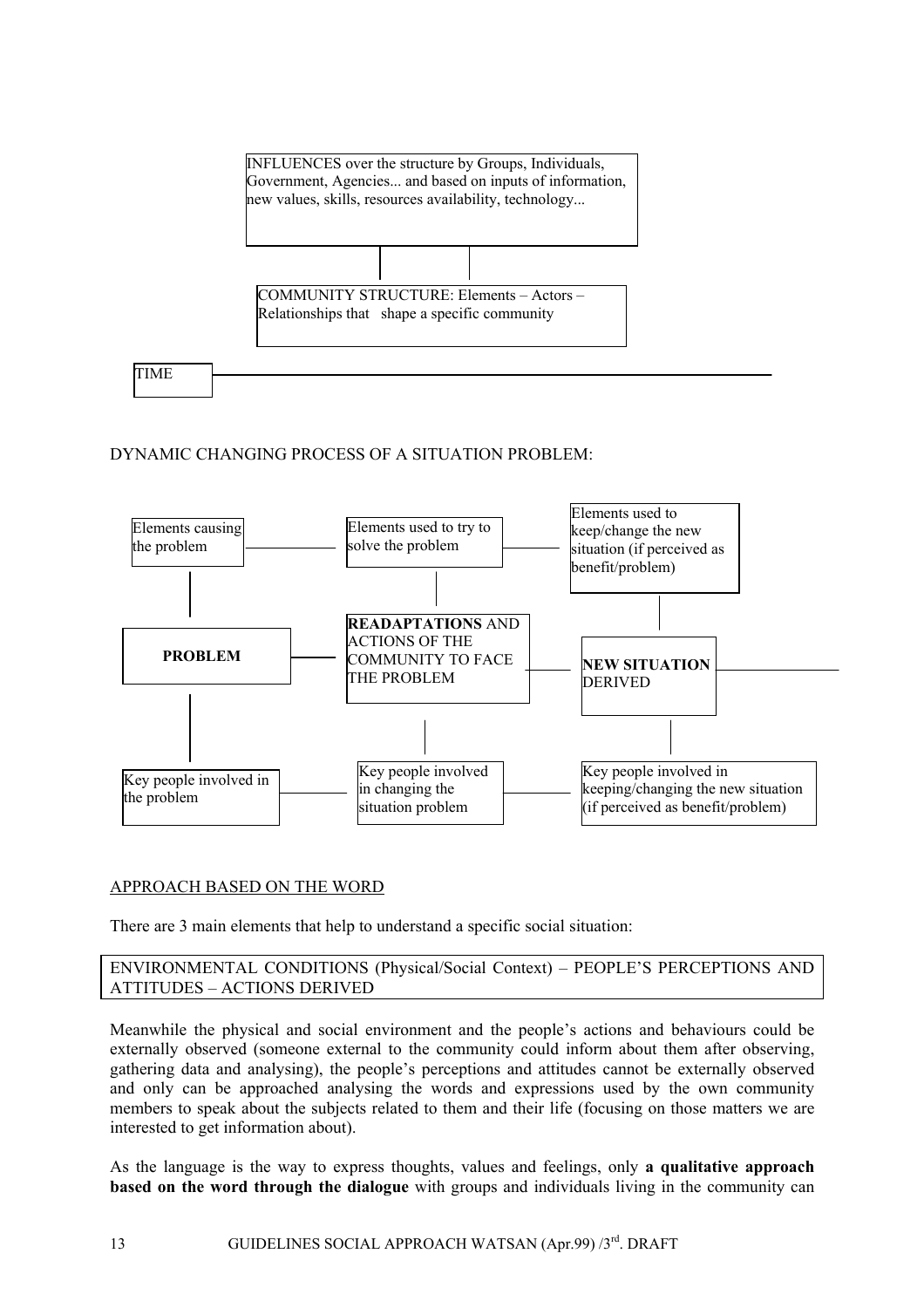

# DYNAMIC CHANGING PROCESS OF A SITUATION PROBLEM:



# APPROACH BASED ON THE WORD

There are 3 main elements that help to understand a specific social situation:

### ENVIRONMENTAL CONDITIONS (Physical/Social Context) – PEOPLE'S PERCEPTIONS AND ATTITUDES – ACTIONS DERIVED

Meanwhile the physical and social environment and the people's actions and behaviours could be externally observed (someone external to the community could inform about them after observing, gathering data and analysing), the people's perceptions and attitudes cannot be externally observed and only can be approached analysing the words and expressions used by the own community members to speak about the subjects related to them and their life (focusing on those matters we are interested to get information about).

As the language is the way to express thoughts, values and feelings, only **a qualitative approach based on the word through the dialogue** with groups and individuals living in the community can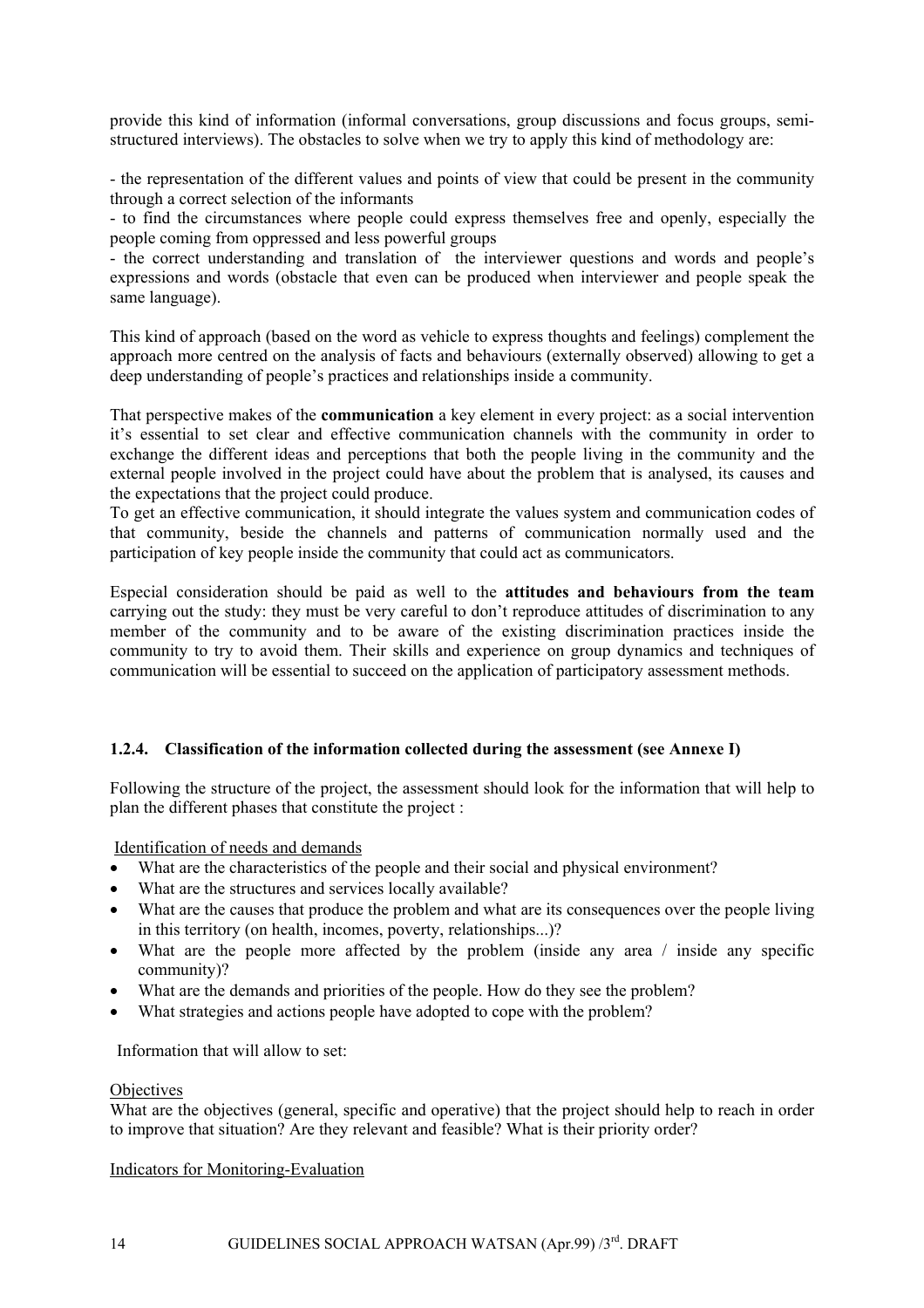<span id="page-13-0"></span>provide this kind of information (informal conversations, group discussions and focus groups, semistructured interviews). The obstacles to solve when we try to apply this kind of methodology are:

- the representation of the different values and points of view that could be present in the community through a correct selection of the informants

- to find the circumstances where people could express themselves free and openly, especially the people coming from oppressed and less powerful groups

- the correct understanding and translation of the interviewer questions and words and people's expressions and words (obstacle that even can be produced when interviewer and people speak the same language).

This kind of approach (based on the word as vehicle to express thoughts and feelings) complement the approach more centred on the analysis of facts and behaviours (externally observed) allowing to get a deep understanding of people's practices and relationships inside a community.

That perspective makes of the **communication** a key element in every project: as a social intervention it's essential to set clear and effective communication channels with the community in order to exchange the different ideas and perceptions that both the people living in the community and the external people involved in the project could have about the problem that is analysed, its causes and the expectations that the project could produce.

To get an effective communication, it should integrate the values system and communication codes of that community, beside the channels and patterns of communication normally used and the participation of key people inside the community that could act as communicators.

Especial consideration should be paid as well to the **attitudes and behaviours from the team** carrying out the study: they must be very careful to don't reproduce attitudes of discrimination to any member of the community and to be aware of the existing discrimination practices inside the community to try to avoid them. Their skills and experience on group dynamics and techniques of communication will be essential to succeed on the application of participatory assessment methods.

# **1.2.4. Classification of the information collected during the assessment (see Annexe I)**

Following the structure of the project, the assessment should look for the information that will help to plan the different phases that constitute the project :

Identification of needs and demands

- What are the characteristics of the people and their social and physical environment?
- What are the structures and services locally available?
- What are the causes that produce the problem and what are its consequences over the people living in this territory (on health, incomes, poverty, relationships...)?
- What are the people more affected by the problem (inside any area / inside any specific community)?
- What are the demands and priorities of the people. How do they see the problem?
- What strategies and actions people have adopted to cope with the problem?

Information that will allow to set:

### **Objectives**

What are the objectives (general, specific and operative) that the project should help to reach in order to improve that situation? Are they relevant and feasible? What is their priority order?

Indicators for Monitoring-Evaluation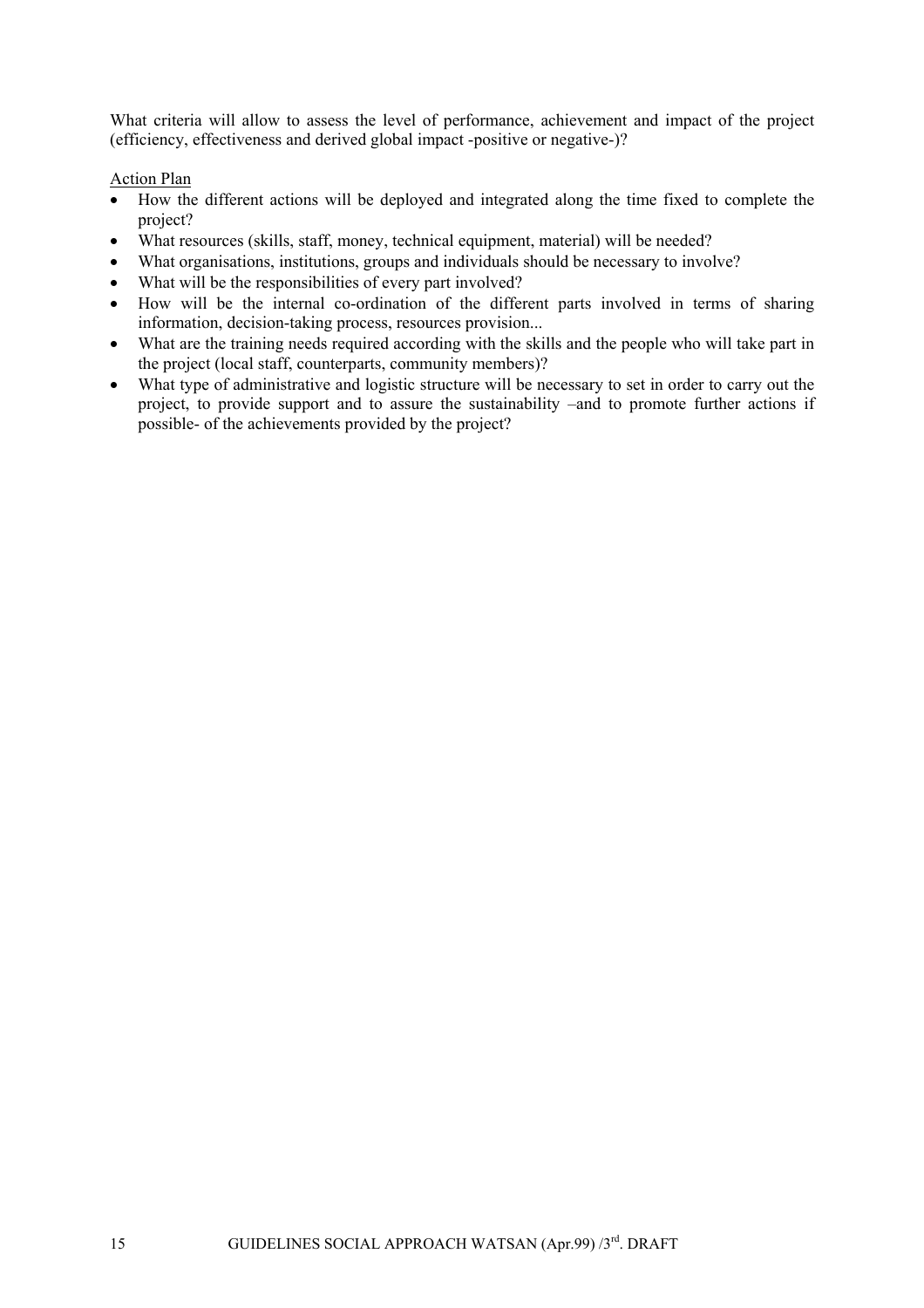What criteria will allow to assess the level of performance, achievement and impact of the project (efficiency, effectiveness and derived global impact -positive or negative-)?

### Action Plan

- How the different actions will be deployed and integrated along the time fixed to complete the project?
- What resources (skills, staff, money, technical equipment, material) will be needed?
- What organisations, institutions, groups and individuals should be necessary to involve?
- What will be the responsibilities of every part involved?
- How will be the internal co-ordination of the different parts involved in terms of sharing information, decision-taking process, resources provision...
- What are the training needs required according with the skills and the people who will take part in the project (local staff, counterparts, community members)?
- What type of administrative and logistic structure will be necessary to set in order to carry out the project, to provide support and to assure the sustainability –and to promote further actions if possible- of the achievements provided by the project?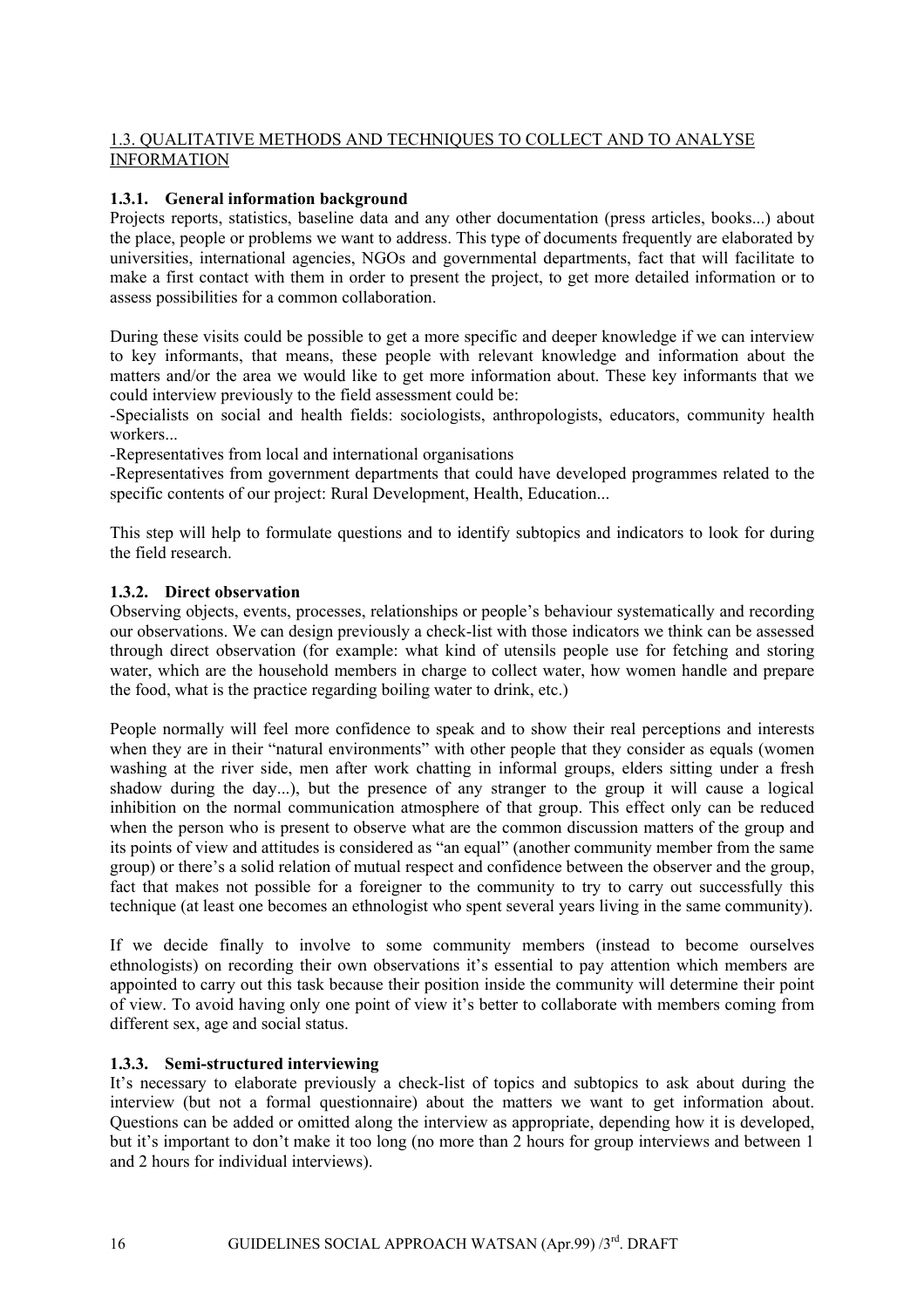# <span id="page-15-0"></span>1.3. QUALITATIVE METHODS AND TECHNIQUES TO COLLECT AND TO ANALYSE INFORMATION

### **1.3.1. General information background**

Projects reports, statistics, baseline data and any other documentation (press articles, books...) about the place, people or problems we want to address. This type of documents frequently are elaborated by universities, international agencies, NGOs and governmental departments, fact that will facilitate to make a first contact with them in order to present the project, to get more detailed information or to assess possibilities for a common collaboration.

During these visits could be possible to get a more specific and deeper knowledge if we can interview to key informants, that means, these people with relevant knowledge and information about the matters and/or the area we would like to get more information about. These key informants that we could interview previously to the field assessment could be:

-Specialists on social and health fields: sociologists, anthropologists, educators, community health workers...

-Representatives from local and international organisations

-Representatives from government departments that could have developed programmes related to the specific contents of our project: Rural Development, Health, Education...

This step will help to formulate questions and to identify subtopics and indicators to look for during the field research.

### **1.3.2. Direct observation**

Observing objects, events, processes, relationships or people's behaviour systematically and recording our observations. We can design previously a check-list with those indicators we think can be assessed through direct observation (for example: what kind of utensils people use for fetching and storing water, which are the household members in charge to collect water, how women handle and prepare the food, what is the practice regarding boiling water to drink, etc.)

People normally will feel more confidence to speak and to show their real perceptions and interests when they are in their "natural environments" with other people that they consider as equals (women washing at the river side, men after work chatting in informal groups, elders sitting under a fresh shadow during the day...), but the presence of any stranger to the group it will cause a logical inhibition on the normal communication atmosphere of that group. This effect only can be reduced when the person who is present to observe what are the common discussion matters of the group and its points of view and attitudes is considered as "an equal" (another community member from the same group) or there's a solid relation of mutual respect and confidence between the observer and the group, fact that makes not possible for a foreigner to the community to try to carry out successfully this technique (at least one becomes an ethnologist who spent several years living in the same community).

If we decide finally to involve to some community members (instead to become ourselves ethnologists) on recording their own observations it's essential to pay attention which members are appointed to carry out this task because their position inside the community will determine their point of view. To avoid having only one point of view it's better to collaborate with members coming from different sex, age and social status.

### **1.3.3. Semi-structured interviewing**

It's necessary to elaborate previously a check-list of topics and subtopics to ask about during the interview (but not a formal questionnaire) about the matters we want to get information about. Questions can be added or omitted along the interview as appropriate, depending how it is developed, but it's important to don't make it too long (no more than 2 hours for group interviews and between 1 and 2 hours for individual interviews).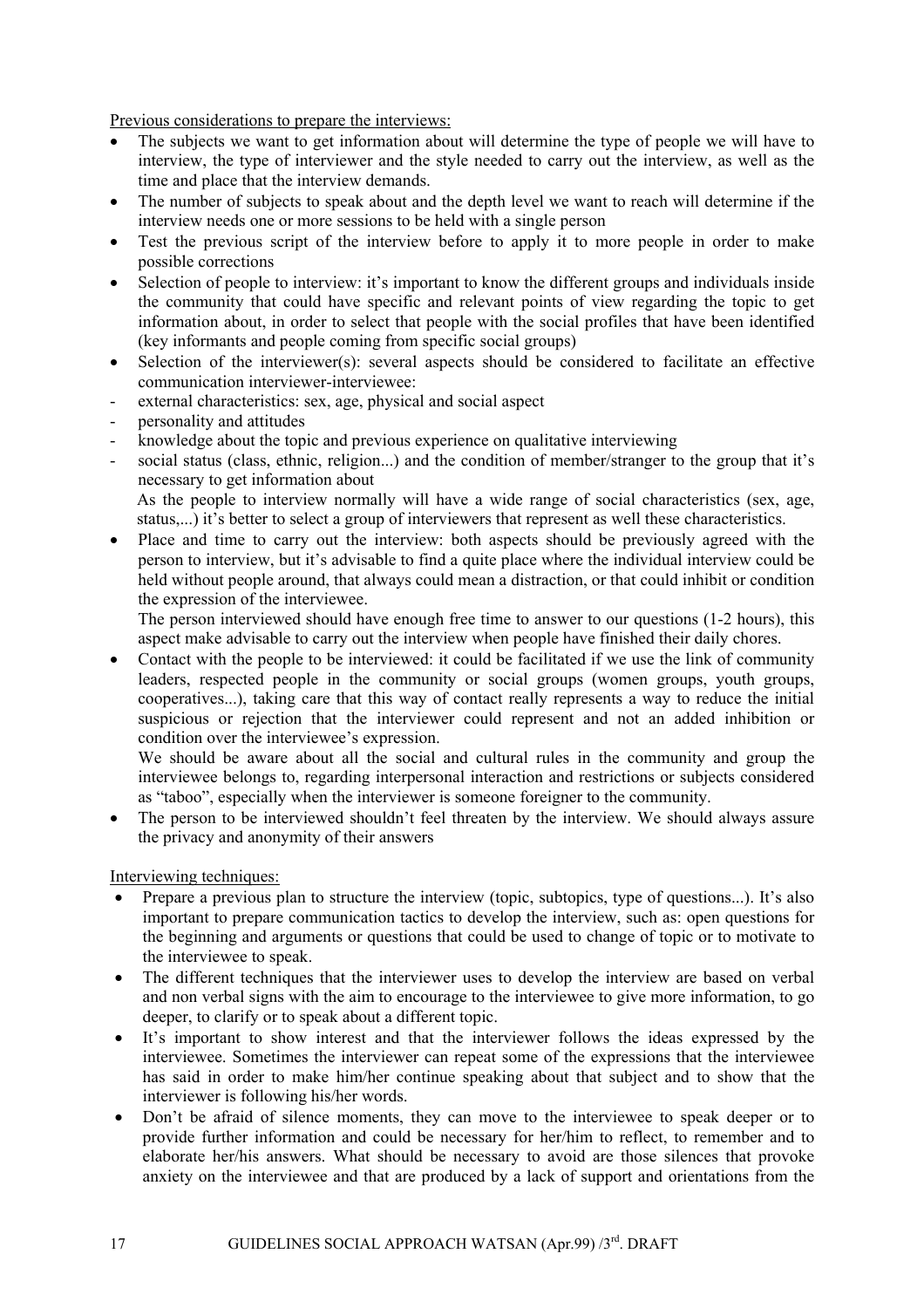Previous considerations to prepare the interviews:

- The subjects we want to get information about will determine the type of people we will have to interview, the type of interviewer and the style needed to carry out the interview, as well as the time and place that the interview demands.
- The number of subjects to speak about and the depth level we want to reach will determine if the interview needs one or more sessions to be held with a single person
- Test the previous script of the interview before to apply it to more people in order to make possible corrections
- Selection of people to interview: it's important to know the different groups and individuals inside the community that could have specific and relevant points of view regarding the topic to get information about, in order to select that people with the social profiles that have been identified (key informants and people coming from specific social groups)
- Selection of the interviewer(s): several aspects should be considered to facilitate an effective communication interviewer-interviewee:
- external characteristics: sex, age, physical and social aspect
- personality and attitudes
- knowledge about the topic and previous experience on qualitative interviewing
- social status (class, ethnic, religion...) and the condition of member/stranger to the group that it's necessary to get information about

As the people to interview normally will have a wide range of social characteristics (sex, age, status,...) it's better to select a group of interviewers that represent as well these characteristics.

• Place and time to carry out the interview: both aspects should be previously agreed with the person to interview, but it's advisable to find a quite place where the individual interview could be held without people around, that always could mean a distraction, or that could inhibit or condition the expression of the interviewee.

The person interviewed should have enough free time to answer to our questions (1-2 hours), this aspect make advisable to carry out the interview when people have finished their daily chores.

• Contact with the people to be interviewed: it could be facilitated if we use the link of community leaders, respected people in the community or social groups (women groups, youth groups, cooperatives...), taking care that this way of contact really represents a way to reduce the initial suspicious or rejection that the interviewer could represent and not an added inhibition or condition over the interviewee's expression.

We should be aware about all the social and cultural rules in the community and group the interviewee belongs to, regarding interpersonal interaction and restrictions or subjects considered as "taboo", especially when the interviewer is someone foreigner to the community.

The person to be interviewed shouldn't feel threaten by the interview. We should always assure the privacy and anonymity of their answers

Interviewing techniques:

- Prepare a previous plan to structure the interview (topic, subtopics, type of questions...). It's also important to prepare communication tactics to develop the interview, such as: open questions for the beginning and arguments or questions that could be used to change of topic or to motivate to the interviewee to speak.
- The different techniques that the interviewer uses to develop the interview are based on verbal and non verbal signs with the aim to encourage to the interviewee to give more information, to go deeper, to clarify or to speak about a different topic.
- It's important to show interest and that the interviewer follows the ideas expressed by the interviewee. Sometimes the interviewer can repeat some of the expressions that the interviewee has said in order to make him/her continue speaking about that subject and to show that the interviewer is following his/her words.
- Don't be afraid of silence moments, they can move to the interviewee to speak deeper or to provide further information and could be necessary for her/him to reflect, to remember and to elaborate her/his answers. What should be necessary to avoid are those silences that provoke anxiety on the interviewee and that are produced by a lack of support and orientations from the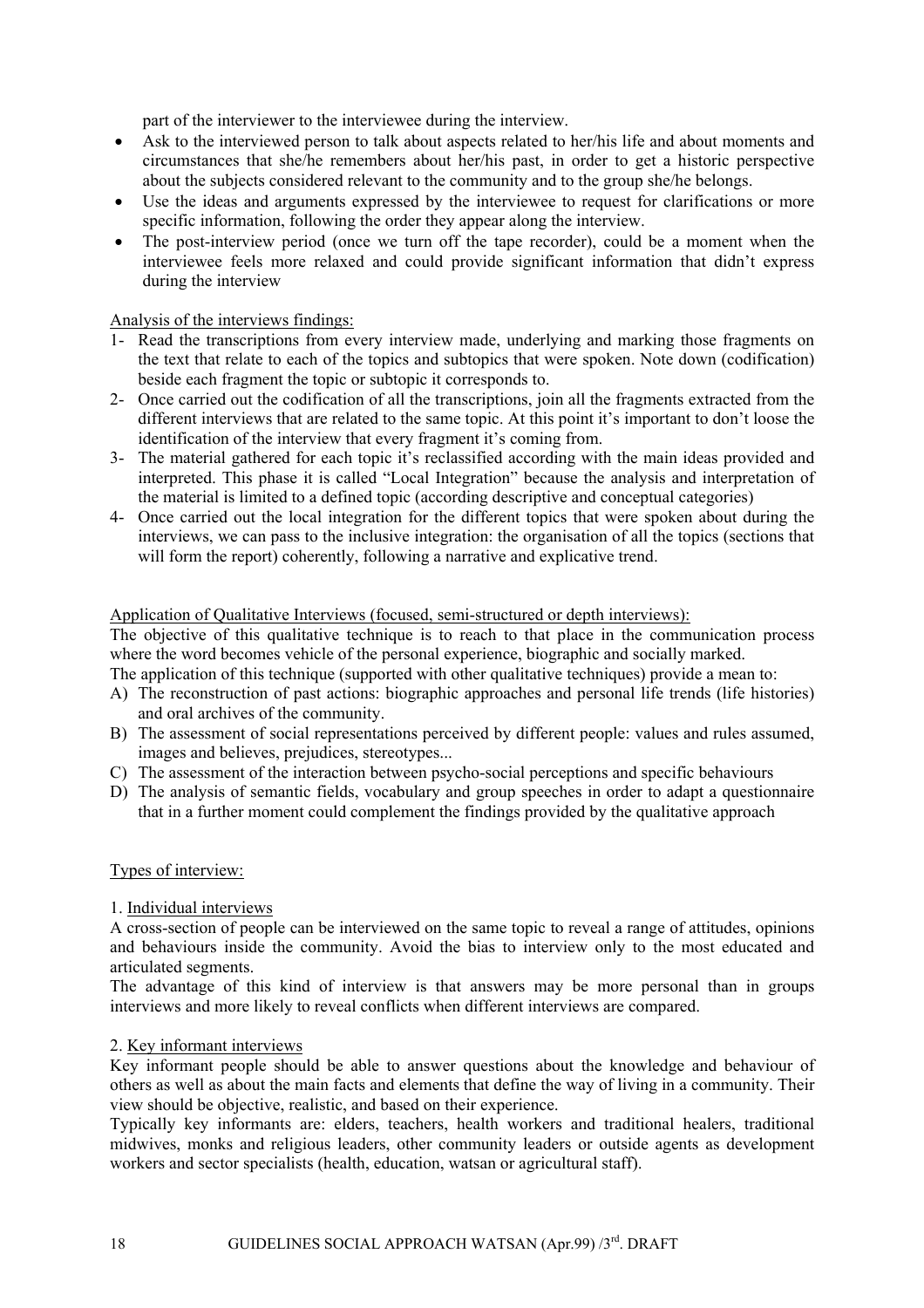part of the interviewer to the interviewee during the interview.

- Ask to the interviewed person to talk about aspects related to her/his life and about moments and circumstances that she/he remembers about her/his past, in order to get a historic perspective about the subjects considered relevant to the community and to the group she/he belongs.
- Use the ideas and arguments expressed by the interviewee to request for clarifications or more specific information, following the order they appear along the interview.
- The post-interview period (once we turn off the tape recorder), could be a moment when the interviewee feels more relaxed and could provide significant information that didn't express during the interview

### Analysis of the interviews findings:

- 1- Read the transcriptions from every interview made, underlying and marking those fragments on the text that relate to each of the topics and subtopics that were spoken. Note down (codification) beside each fragment the topic or subtopic it corresponds to.
- 2- Once carried out the codification of all the transcriptions, join all the fragments extracted from the different interviews that are related to the same topic. At this point it's important to don't loose the identification of the interview that every fragment it's coming from.
- 3- The material gathered for each topic it's reclassified according with the main ideas provided and interpreted. This phase it is called "Local Integration" because the analysis and interpretation of the material is limited to a defined topic (according descriptive and conceptual categories)
- 4- Once carried out the local integration for the different topics that were spoken about during the interviews, we can pass to the inclusive integration: the organisation of all the topics (sections that will form the report) coherently, following a narrative and explicative trend.

#### Application of Qualitative Interviews (focused, semi-structured or depth interviews):

The objective of this qualitative technique is to reach to that place in the communication process where the word becomes vehicle of the personal experience, biographic and socially marked.

The application of this technique (supported with other qualitative techniques) provide a mean to:

- A) The reconstruction of past actions: biographic approaches and personal life trends (life histories) and oral archives of the community.
- B) The assessment of social representations perceived by different people: values and rules assumed, images and believes, prejudices, stereotypes...
- C) The assessment of the interaction between psycho-social perceptions and specific behaviours
- D) The analysis of semantic fields, vocabulary and group speeches in order to adapt a questionnaire that in a further moment could complement the findings provided by the qualitative approach

### Types of interview:

### 1. Individual interviews

A cross-section of people can be interviewed on the same topic to reveal a range of attitudes, opinions and behaviours inside the community. Avoid the bias to interview only to the most educated and articulated segments.

The advantage of this kind of interview is that answers may be more personal than in groups interviews and more likely to reveal conflicts when different interviews are compared.

#### 2. Key informant interviews

Key informant people should be able to answer questions about the knowledge and behaviour of others as well as about the main facts and elements that define the way of living in a community. Their view should be objective, realistic, and based on their experience.

Typically key informants are: elders, teachers, health workers and traditional healers, traditional midwives, monks and religious leaders, other community leaders or outside agents as development workers and sector specialists (health, education, watsan or agricultural staff).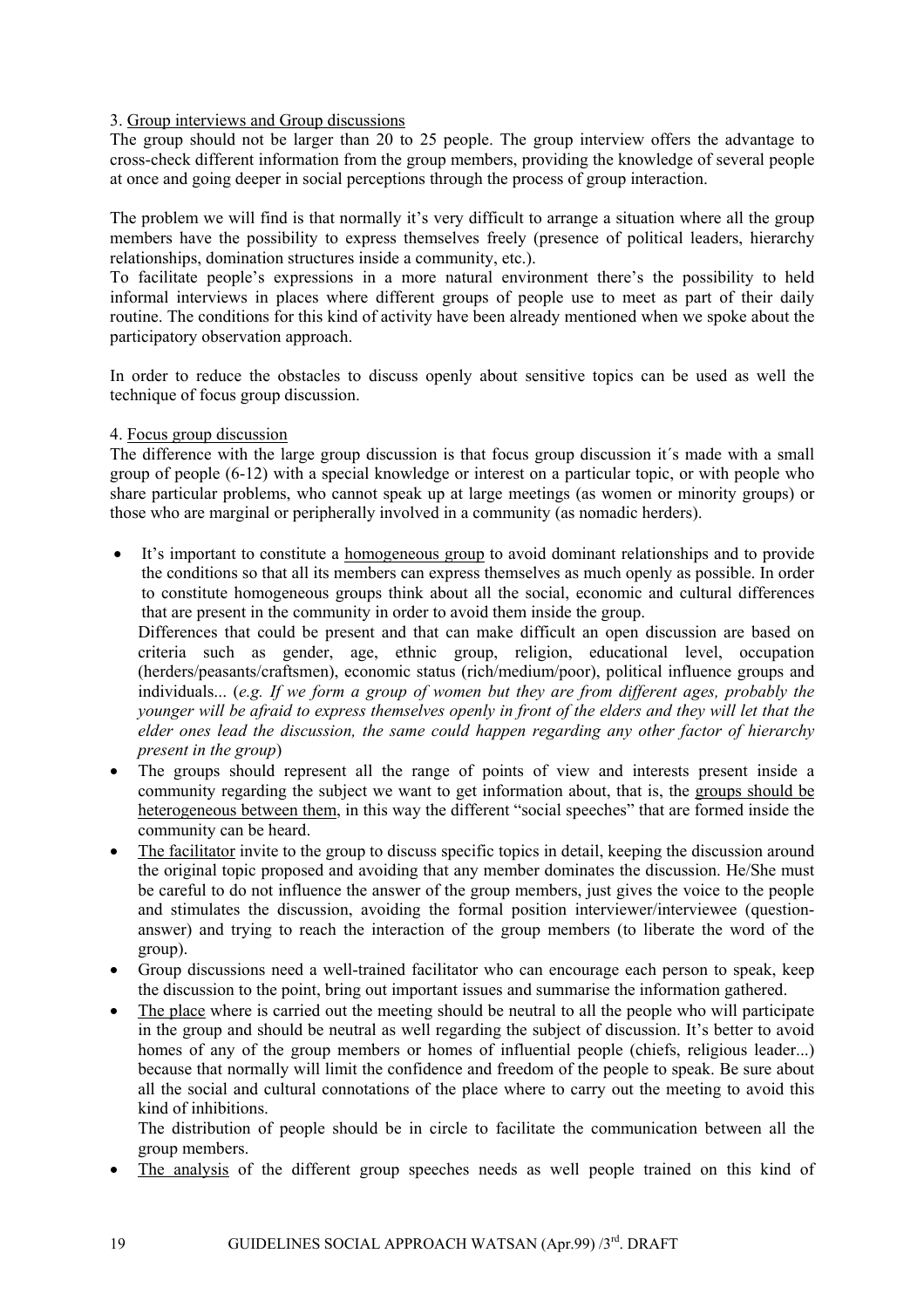### 3. Group interviews and Group discussions

The group should not be larger than 20 to 25 people. The group interview offers the advantage to cross-check different information from the group members, providing the knowledge of several people at once and going deeper in social perceptions through the process of group interaction.

The problem we will find is that normally it's very difficult to arrange a situation where all the group members have the possibility to express themselves freely (presence of political leaders, hierarchy relationships, domination structures inside a community, etc.).

To facilitate people's expressions in a more natural environment there's the possibility to held informal interviews in places where different groups of people use to meet as part of their daily routine. The conditions for this kind of activity have been already mentioned when we spoke about the participatory observation approach.

In order to reduce the obstacles to discuss openly about sensitive topics can be used as well the technique of focus group discussion.

### 4. Focus group discussion

The difference with the large group discussion is that focus group discussion it´s made with a small group of people (6-12) with a special knowledge or interest on a particular topic, or with people who share particular problems, who cannot speak up at large meetings (as women or minority groups) or those who are marginal or peripherally involved in a community (as nomadic herders).

• It's important to constitute a homogeneous group to avoid dominant relationships and to provide the conditions so that all its members can express themselves as much openly as possible. In order to constitute homogeneous groups think about all the social, economic and cultural differences that are present in the community in order to avoid them inside the group.

Differences that could be present and that can make difficult an open discussion are based on criteria such as gender, age, ethnic group, religion, educational level, occupation (herders/peasants/craftsmen), economic status (rich/medium/poor), political influence groups and individuals... (*e.g. If we form a group of women but they are from different ages, probably the younger will be afraid to express themselves openly in front of the elders and they will let that the elder ones lead the discussion, the same could happen regarding any other factor of hierarchy present in the group*)

- The groups should represent all the range of points of view and interests present inside a community regarding the subject we want to get information about, that is, the groups should be heterogeneous between them, in this way the different "social speeches" that are formed inside the community can be heard.
- The facilitator invite to the group to discuss specific topics in detail, keeping the discussion around the original topic proposed and avoiding that any member dominates the discussion. He/She must be careful to do not influence the answer of the group members, just gives the voice to the people and stimulates the discussion, avoiding the formal position interviewer/interviewee (questionanswer) and trying to reach the interaction of the group members (to liberate the word of the group).
- Group discussions need a well-trained facilitator who can encourage each person to speak, keep the discussion to the point, bring out important issues and summarise the information gathered.
- The place where is carried out the meeting should be neutral to all the people who will participate in the group and should be neutral as well regarding the subject of discussion. It's better to avoid homes of any of the group members or homes of influential people (chiefs, religious leader...) because that normally will limit the confidence and freedom of the people to speak. Be sure about all the social and cultural connotations of the place where to carry out the meeting to avoid this kind of inhibitions.

The distribution of people should be in circle to facilitate the communication between all the group members.

• The analysis of the different group speeches needs as well people trained on this kind of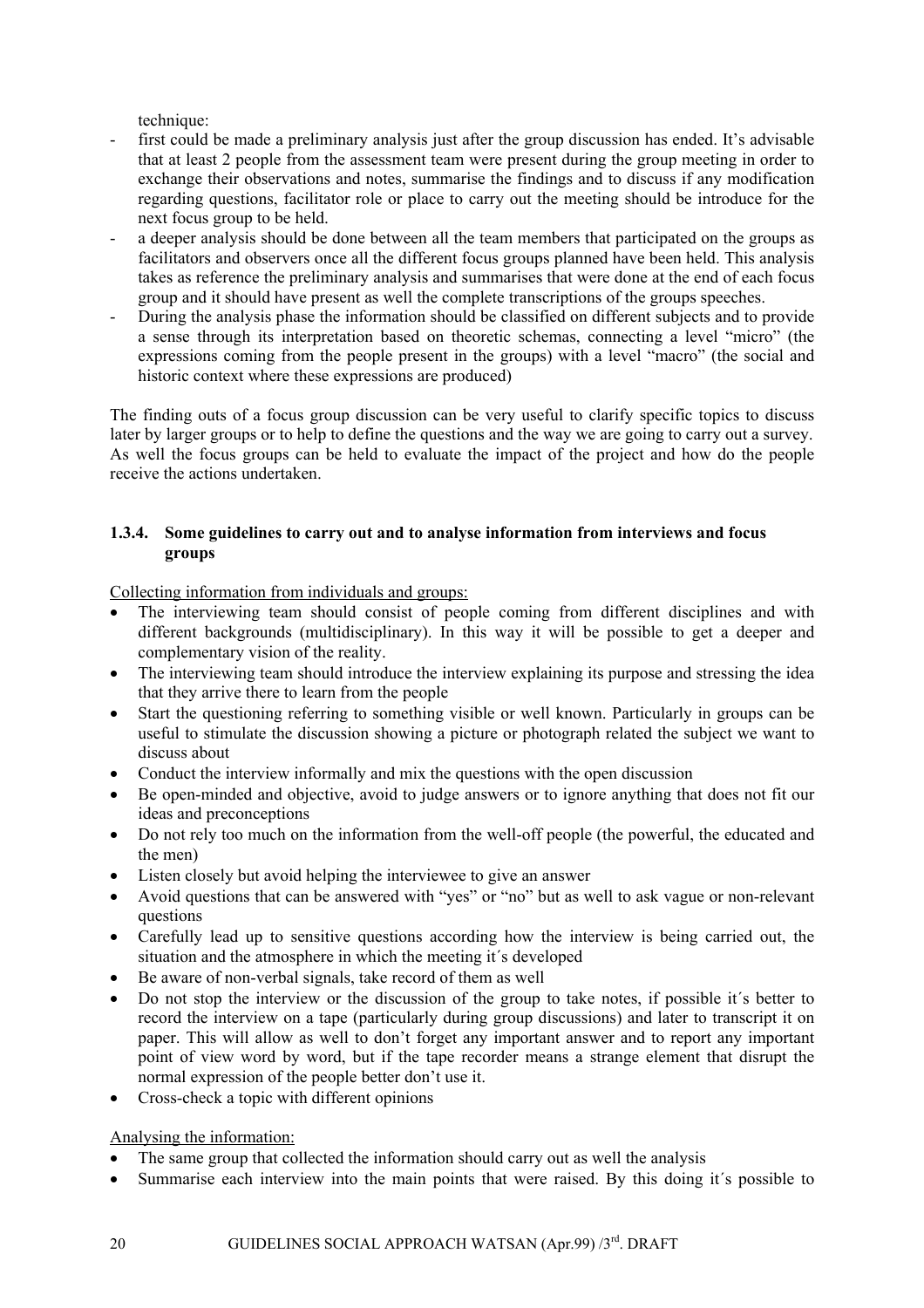technique:

- <span id="page-19-0"></span>first could be made a preliminary analysis just after the group discussion has ended. It's advisable that at least 2 people from the assessment team were present during the group meeting in order to exchange their observations and notes, summarise the findings and to discuss if any modification regarding questions, facilitator role or place to carry out the meeting should be introduce for the next focus group to be held.
- a deeper analysis should be done between all the team members that participated on the groups as facilitators and observers once all the different focus groups planned have been held. This analysis takes as reference the preliminary analysis and summarises that were done at the end of each focus group and it should have present as well the complete transcriptions of the groups speeches.
- During the analysis phase the information should be classified on different subjects and to provide a sense through its interpretation based on theoretic schemas, connecting a level "micro" (the expressions coming from the people present in the groups) with a level "macro" (the social and historic context where these expressions are produced)

The finding outs of a focus group discussion can be very useful to clarify specific topics to discuss later by larger groups or to help to define the questions and the way we are going to carry out a survey. As well the focus groups can be held to evaluate the impact of the project and how do the people receive the actions undertaken.

### **1.3.4. Some guidelines to carry out and to analyse information from interviews and focus groups**

Collecting information from individuals and groups:

- The interviewing team should consist of people coming from different disciplines and with different backgrounds (multidisciplinary). In this way it will be possible to get a deeper and complementary vision of the reality.
- The interviewing team should introduce the interview explaining its purpose and stressing the idea that they arrive there to learn from the people
- Start the questioning referring to something visible or well known. Particularly in groups can be useful to stimulate the discussion showing a picture or photograph related the subject we want to discuss about
- Conduct the interview informally and mix the questions with the open discussion
- Be open-minded and objective, avoid to judge answers or to ignore anything that does not fit our ideas and preconceptions
- Do not rely too much on the information from the well-off people (the powerful, the educated and the men)
- Listen closely but avoid helping the interviewee to give an answer
- Avoid questions that can be answered with "yes" or "no" but as well to ask vague or non-relevant questions
- Carefully lead up to sensitive questions according how the interview is being carried out, the situation and the atmosphere in which the meeting it´s developed
- Be aware of non-verbal signals, take record of them as well
- Do not stop the interview or the discussion of the group to take notes, if possible it´s better to record the interview on a tape (particularly during group discussions) and later to transcript it on paper. This will allow as well to don't forget any important answer and to report any important point of view word by word, but if the tape recorder means a strange element that disrupt the normal expression of the people better don't use it.
- Cross-check a topic with different opinions

Analysing the information:

- The same group that collected the information should carry out as well the analysis
- Summarise each interview into the main points that were raised. By this doing it's possible to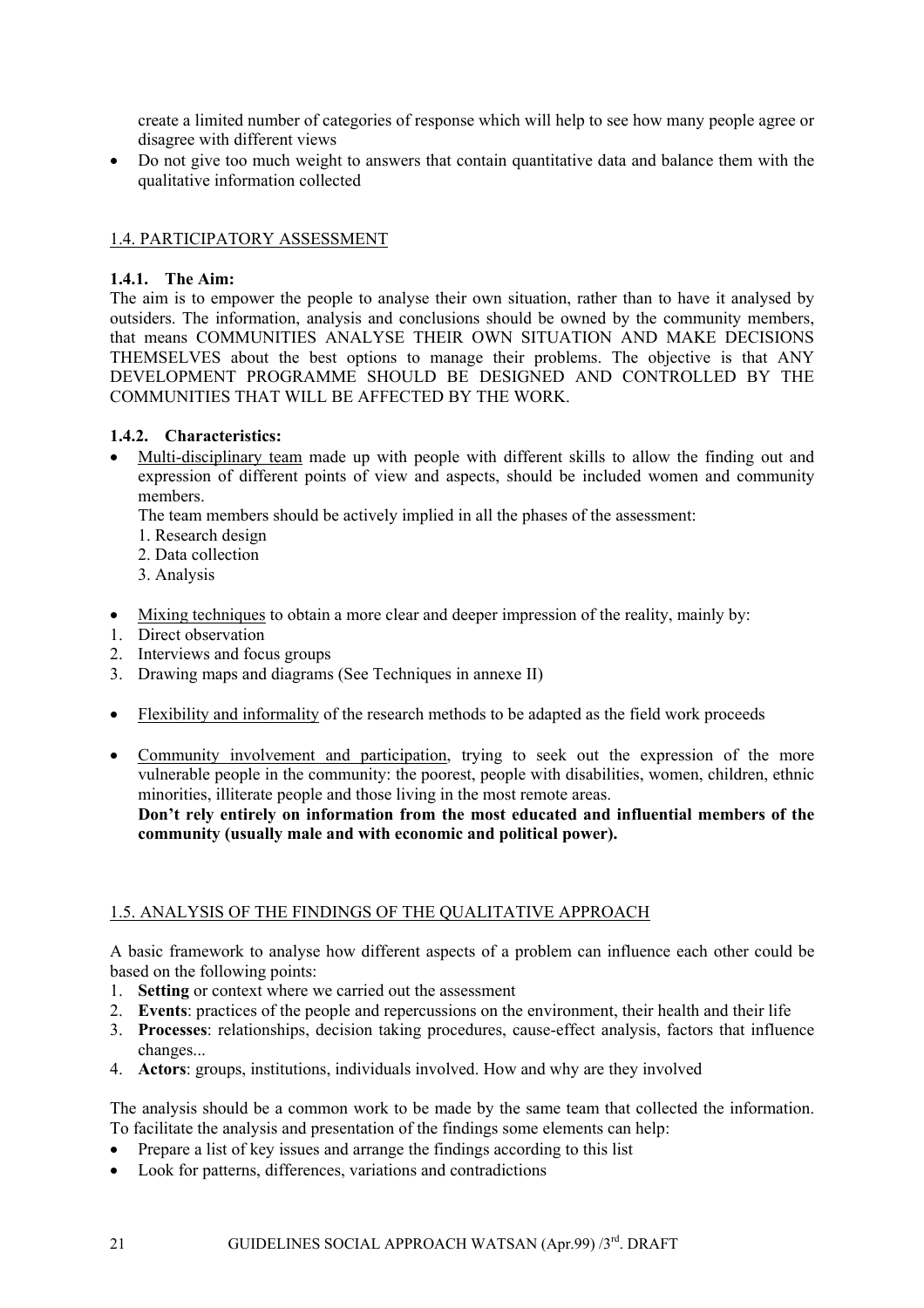<span id="page-20-0"></span>create a limited number of categories of response which will help to see how many people agree or disagree with different views

• Do not give too much weight to answers that contain quantitative data and balance them with the qualitative information collected

### 1.4. PARTICIPATORY ASSESSMENT

### **1.4.1. The Aim:**

The aim is to empower the people to analyse their own situation, rather than to have it analysed by outsiders. The information, analysis and conclusions should be owned by the community members, that means COMMUNITIES ANALYSE THEIR OWN SITUATION AND MAKE DECISIONS THEMSELVES about the best options to manage their problems. The objective is that ANY DEVELOPMENT PROGRAMME SHOULD BE DESIGNED AND CONTROLLED BY THE COMMUNITIES THAT WILL BE AFFECTED BY THE WORK.

### **1.4.2. Characteristics:**

• Multi-disciplinary team made up with people with different skills to allow the finding out and expression of different points of view and aspects, should be included women and community members.

The team members should be actively implied in all the phases of the assessment:

- 1. Research design
- 2. Data collection
- 3. Analysis
- Mixing techniques to obtain a more clear and deeper impression of the reality, mainly by:
- 1. Direct observation
- 2. Interviews and focus groups
- 3. Drawing maps and diagrams (See Techniques in annexe II)
- Flexibility and informality of the research methods to be adapted as the field work proceeds
- Community involvement and participation, trying to seek out the expression of the more vulnerable people in the community: the poorest, people with disabilities, women, children, ethnic minorities, illiterate people and those living in the most remote areas. **Don't rely entirely on information from the most educated and influential members of the community (usually male and with economic and political power).**

# 1.5. ANALYSIS OF THE FINDINGS OF THE QUALITATIVE APPROACH

A basic framework to analyse how different aspects of a problem can influence each other could be based on the following points:

- 1. **Setting** or context where we carried out the assessment
- 2. **Events**: practices of the people and repercussions on the environment, their health and their life
- 3. **Processes**: relationships, decision taking procedures, cause-effect analysis, factors that influence changes...
- 4. **Actors**: groups, institutions, individuals involved. How and why are they involved

The analysis should be a common work to be made by the same team that collected the information. To facilitate the analysis and presentation of the findings some elements can help:

- Prepare a list of key issues and arrange the findings according to this list
- Look for patterns, differences, variations and contradictions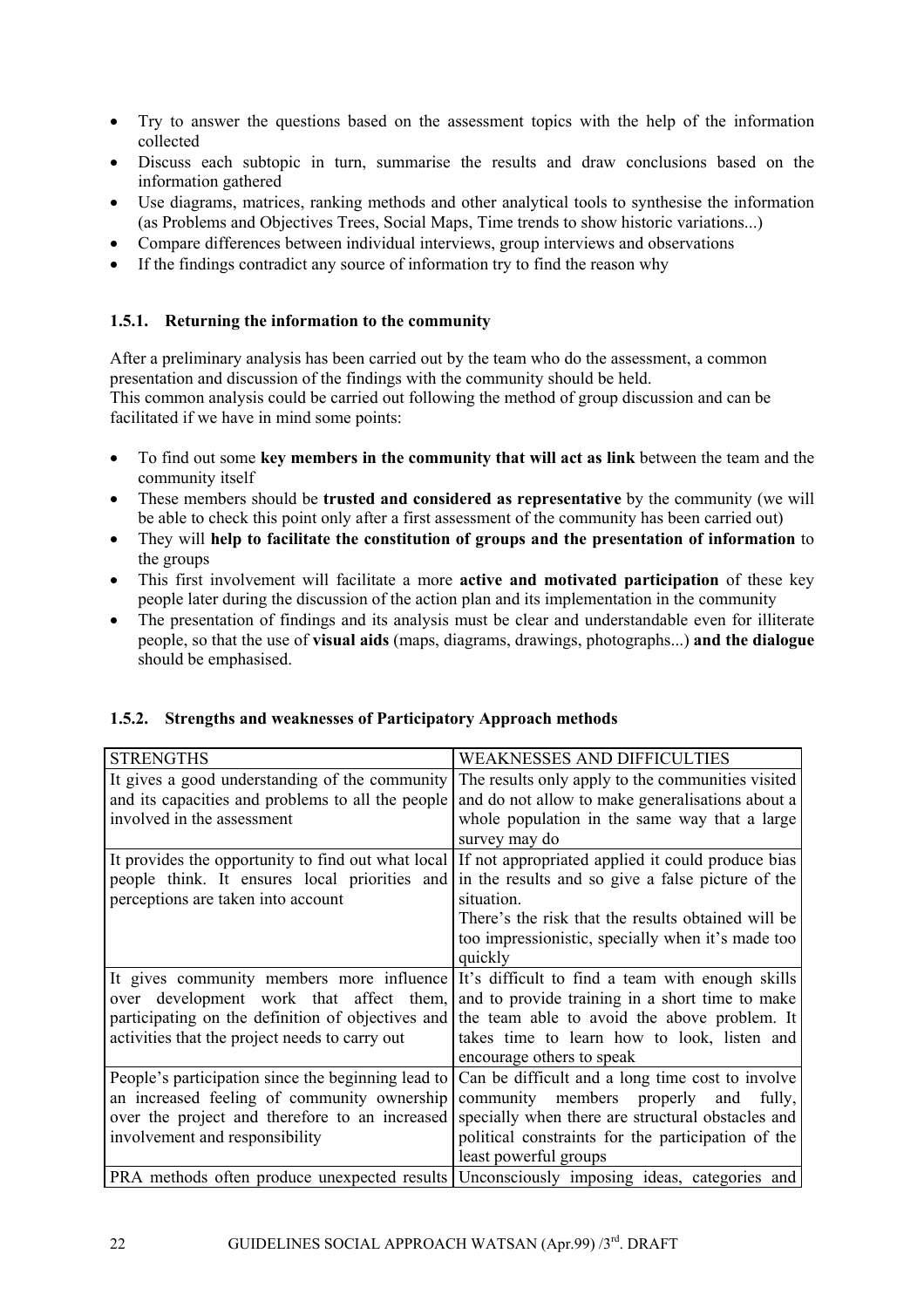- <span id="page-21-0"></span>• Try to answer the questions based on the assessment topics with the help of the information collected
- Discuss each subtopic in turn, summarise the results and draw conclusions based on the information gathered
- Use diagrams, matrices, ranking methods and other analytical tools to synthesise the information (as Problems and Objectives Trees, Social Maps, Time trends to show historic variations...)
- Compare differences between individual interviews, group interviews and observations
- If the findings contradict any source of information try to find the reason why

### **1.5.1. Returning the information to the community**

After a preliminary analysis has been carried out by the team who do the assessment, a common presentation and discussion of the findings with the community should be held. This common analysis could be carried out following the method of group discussion and can be facilitated if we have in mind some points:

- To find out some **key members in the community that will act as link** between the team and the community itself
- These members should be **trusted and considered as representative** by the community (we will be able to check this point only after a first assessment of the community has been carried out)
- They will **help to facilitate the constitution of groups and the presentation of information** to the groups
- This first involvement will facilitate a more **active and motivated participation** of these key people later during the discussion of the action plan and its implementation in the community
- The presentation of findings and its analysis must be clear and understandable even for illiterate people, so that the use of **visual aids** (maps, diagrams, drawings, photographs...) **and the dialogue**  should be emphasised.

| <b>STRENGTHS</b>                                   | WEAKNESSES AND DIFFICULTIES                        |
|----------------------------------------------------|----------------------------------------------------|
| It gives a good understanding of the community     | The results only apply to the communities visited  |
| and its capacities and problems to all the people  | and do not allow to make generalisations about a   |
| involved in the assessment                         | whole population in the same way that a large      |
|                                                    | survey may do                                      |
| It provides the opportunity to find out what local | If not appropriated applied it could produce bias  |
| people think. It ensures local priorities and      | in the results and so give a false picture of the  |
| perceptions are taken into account                 | situation.                                         |
|                                                    | There's the risk that the results obtained will be |
|                                                    | too impressionistic, specially when it's made too  |
|                                                    | quickly                                            |
| It gives community members more influence          | It's difficult to find a team with enough skills   |
| over development work that affect them,            | and to provide training in a short time to make    |
| participating on the definition of objectives and  | the team able to avoid the above problem. It       |
| activities that the project needs to carry out     | takes time to learn how to look, listen and        |
|                                                    | encourage others to speak                          |
| People's participation since the beginning lead to | Can be difficult and a long time cost to involve   |
| an increased feeling of community ownership        | community members properly and<br>fully,           |
| over the project and therefore to an increased     | specially when there are structural obstacles and  |
| involvement and responsibility                     | political constraints for the participation of the |
|                                                    | least powerful groups                              |
| PRA methods often produce unexpected results       | Unconsciously imposing ideas, categories and       |

### **1.5.2. Strengths and weaknesses of Participatory Approach methods**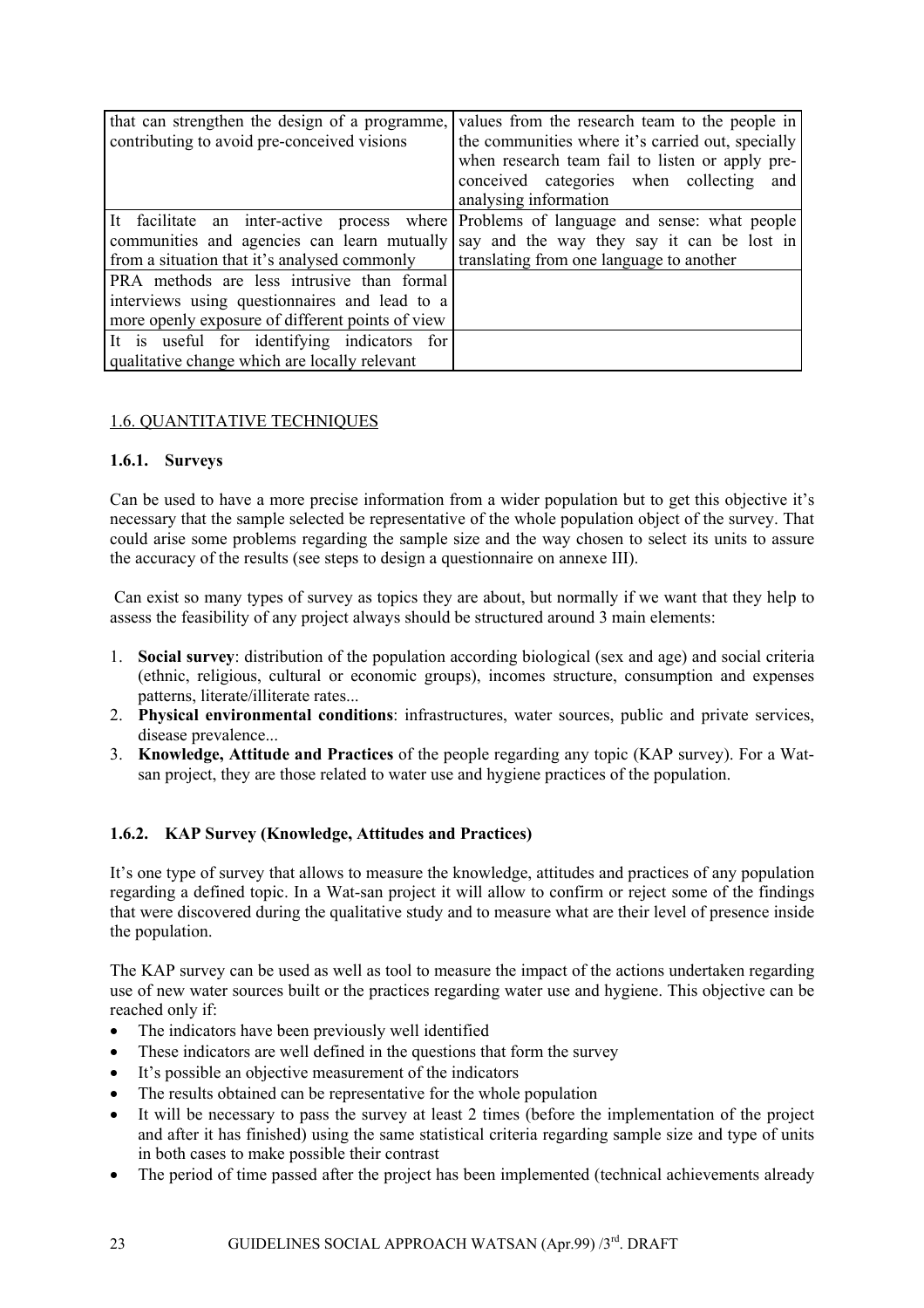<span id="page-22-0"></span>

| that can strengthen the design of a programme,   | values from the research team to the people in                                          |
|--------------------------------------------------|-----------------------------------------------------------------------------------------|
| contributing to avoid pre-conceived visions      | the communities where it's carried out, specially                                       |
|                                                  | when research team fail to listen or apply pre-                                         |
|                                                  | conceived categories when collecting<br>and                                             |
|                                                  | analysing information                                                                   |
|                                                  | It facilitate an inter-active process where Problems of language and sense: what people |
| communities and agencies can learn mutually      | say and the way they say it can be lost in                                              |
| from a situation that it's analysed commonly     | translating from one language to another                                                |
| PRA methods are less intrusive than formal       |                                                                                         |
| interviews using questionnaires and lead to a    |                                                                                         |
| more openly exposure of different points of view |                                                                                         |
| It is useful for identifying indicators for      |                                                                                         |
| qualitative change which are locally relevant    |                                                                                         |

# 1.6. QUANTITATIVE TECHNIQUES

### **1.6.1. Surveys**

Can be used to have a more precise information from a wider population but to get this objective it's necessary that the sample selected be representative of the whole population object of the survey. That could arise some problems regarding the sample size and the way chosen to select its units to assure the accuracy of the results (see steps to design a questionnaire on annexe III).

Can exist so many types of survey as topics they are about, but normally if we want that they help to assess the feasibility of any project always should be structured around 3 main elements:

- 1. **Social survey**: distribution of the population according biological (sex and age) and social criteria (ethnic, religious, cultural or economic groups), incomes structure, consumption and expenses patterns, literate/illiterate rates...
- 2. **Physical environmental conditions**: infrastructures, water sources, public and private services, disease prevalence...
- 3. **Knowledge, Attitude and Practices** of the people regarding any topic (KAP survey). For a Watsan project, they are those related to water use and hygiene practices of the population.

# **1.6.2. KAP Survey (Knowledge, Attitudes and Practices)**

It's one type of survey that allows to measure the knowledge, attitudes and practices of any population regarding a defined topic. In a Wat-san project it will allow to confirm or reject some of the findings that were discovered during the qualitative study and to measure what are their level of presence inside the population.

The KAP survey can be used as well as tool to measure the impact of the actions undertaken regarding use of new water sources built or the practices regarding water use and hygiene. This objective can be reached only if:

- The indicators have been previously well identified
- These indicators are well defined in the questions that form the survey
- It's possible an objective measurement of the indicators
- The results obtained can be representative for the whole population
- It will be necessary to pass the survey at least 2 times (before the implementation of the project and after it has finished) using the same statistical criteria regarding sample size and type of units in both cases to make possible their contrast
- The period of time passed after the project has been implemented (technical achievements already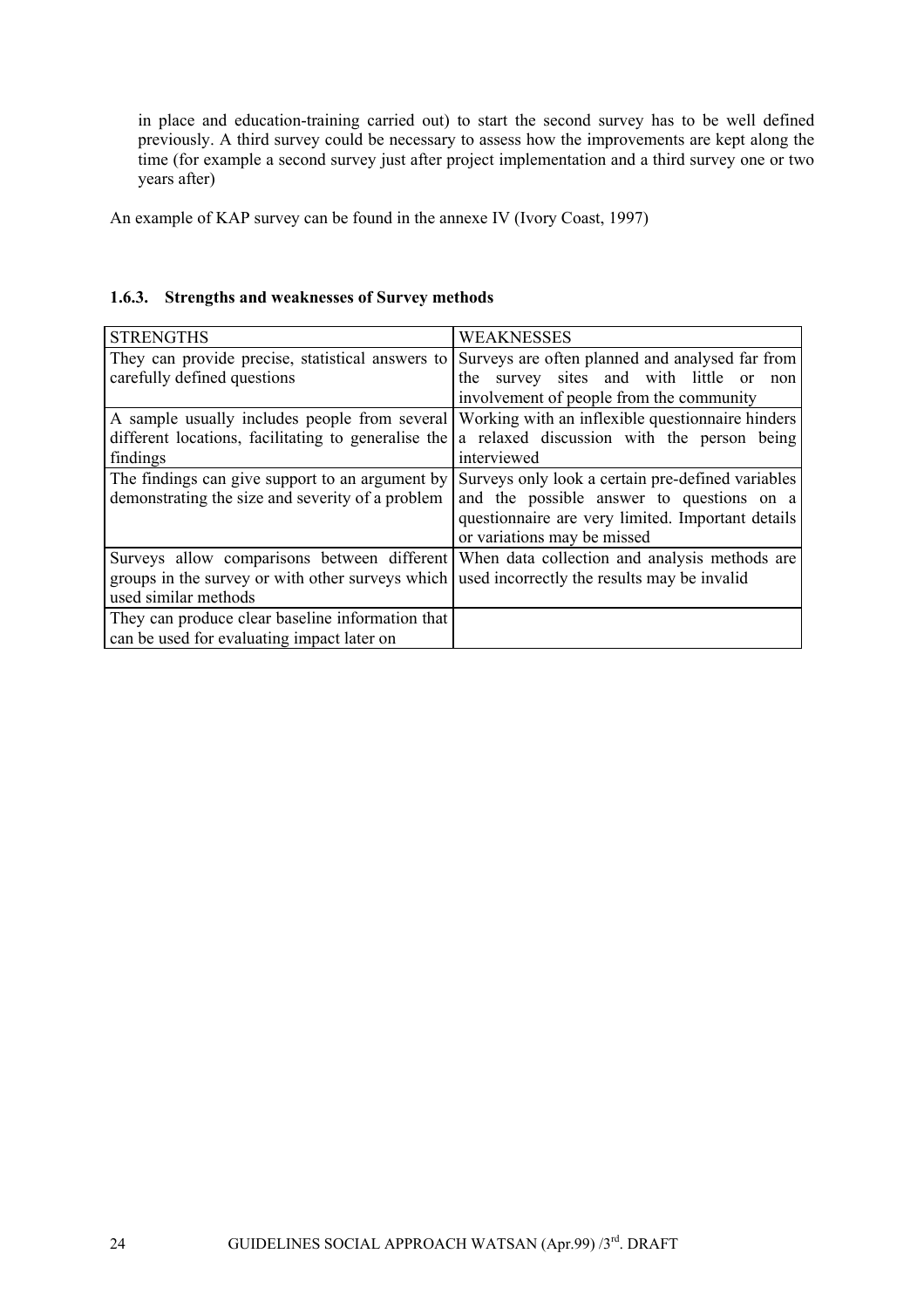<span id="page-23-0"></span>in place and education-training carried out) to start the second survey has to be well defined previously. A third survey could be necessary to assess how the improvements are kept along the time (for example a second survey just after project implementation and a third survey one or two years after)

An example of KAP survey can be found in the annexe IV (Ivory Coast, 1997)

# **1.6.3. Strengths and weaknesses of Survey methods**

| <b>STRENGTHS</b>                                                                             | <b>WEAKNESSES</b>                                                                         |
|----------------------------------------------------------------------------------------------|-------------------------------------------------------------------------------------------|
| They can provide precise, statistical answers to                                             | Surveys are often planned and analysed far from                                           |
| carefully defined questions                                                                  | the survey sites and with little or<br>non                                                |
|                                                                                              | involvement of people from the community                                                  |
| A sample usually includes people from several                                                | Working with an inflexible question aire hinders                                          |
| different locations, facilitating to generalise the                                          | a relaxed discussion with the person being                                                |
| findings                                                                                     | interviewed                                                                               |
| The findings can give support to an argument by                                              | Surveys only look a certain pre-defined variables                                         |
| demonstrating the size and severity of a problem                                             | and the possible answer to questions on a                                                 |
|                                                                                              | questionnaire are very limited. Important details                                         |
|                                                                                              | or variations may be missed                                                               |
|                                                                                              | Surveys allow comparisons between different When data collection and analysis methods are |
| groups in the survey or with other surveys which used incorrectly the results may be invalid |                                                                                           |
| used similar methods                                                                         |                                                                                           |
| They can produce clear baseline information that                                             |                                                                                           |
| can be used for evaluating impact later on                                                   |                                                                                           |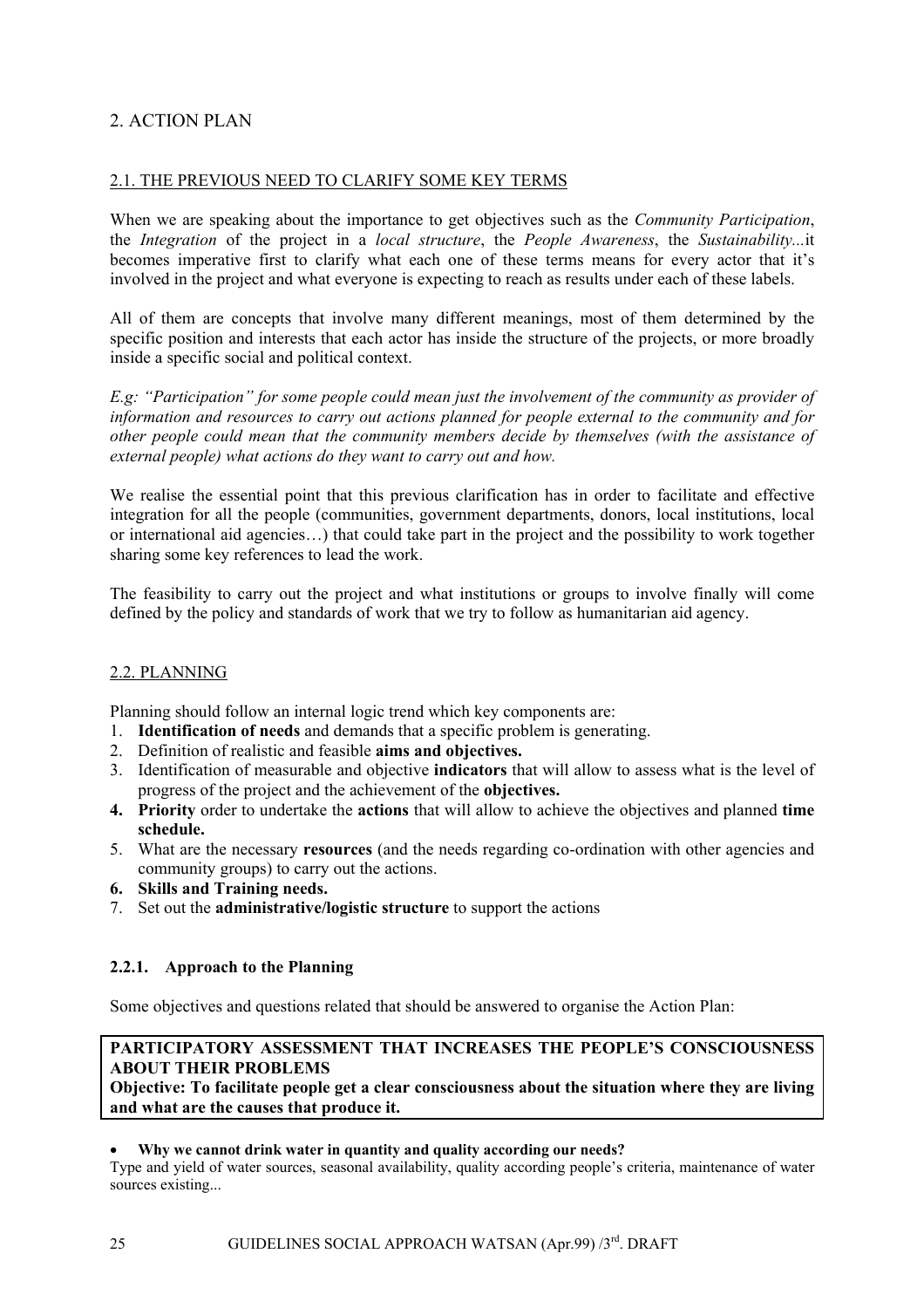# <span id="page-24-0"></span>2. ACTION PLAN

# 2.1. THE PREVIOUS NEED TO CLARIFY SOME KEY TERMS

When we are speaking about the importance to get objectives such as the *Community Participation*, the *Integration* of the project in a *local structure*, the *People Awareness*, the *Sustainability...*it becomes imperative first to clarify what each one of these terms means for every actor that it's involved in the project and what everyone is expecting to reach as results under each of these labels.

All of them are concepts that involve many different meanings, most of them determined by the specific position and interests that each actor has inside the structure of the projects, or more broadly inside a specific social and political context.

*E.g: "Participation" for some people could mean just the involvement of the community as provider of information and resources to carry out actions planned for people external to the community and for other people could mean that the community members decide by themselves (with the assistance of external people) what actions do they want to carry out and how.* 

We realise the essential point that this previous clarification has in order to facilitate and effective integration for all the people (communities, government departments, donors, local institutions, local or international aid agencies…) that could take part in the project and the possibility to work together sharing some key references to lead the work.

The feasibility to carry out the project and what institutions or groups to involve finally will come defined by the policy and standards of work that we try to follow as humanitarian aid agency.

# 2.2. PLANNING

Planning should follow an internal logic trend which key components are:

- 1. **Identification of needs** and demands that a specific problem is generating.
- 2. Definition of realistic and feasible **aims and objectives.**
- 3. Identification of measurable and objective **indicators** that will allow to assess what is the level of progress of the project and the achievement of the **objectives.**
- **4. Priority** order to undertake the **actions** that will allow to achieve the objectives and planned **time schedule.**
- 5. What are the necessary **resources** (and the needs regarding co-ordination with other agencies and community groups) to carry out the actions.
- **6. Skills and Training needs.**
- 7. Set out the **administrative/logistic structure** to support the actions

# **2.2.1. Approach to the Planning**

Some objectives and questions related that should be answered to organise the Action Plan:

# **PARTICIPATORY ASSESSMENT THAT INCREASES THE PEOPLE'S CONSCIOUSNESS ABOUT THEIR PROBLEMS**

**Objective: To facilitate people get a clear consciousness about the situation where they are living and what are the causes that produce it.** 

### • **Why we cannot drink water in quantity and quality according our needs?**

Type and yield of water sources, seasonal availability, quality according people's criteria, maintenance of water sources existing...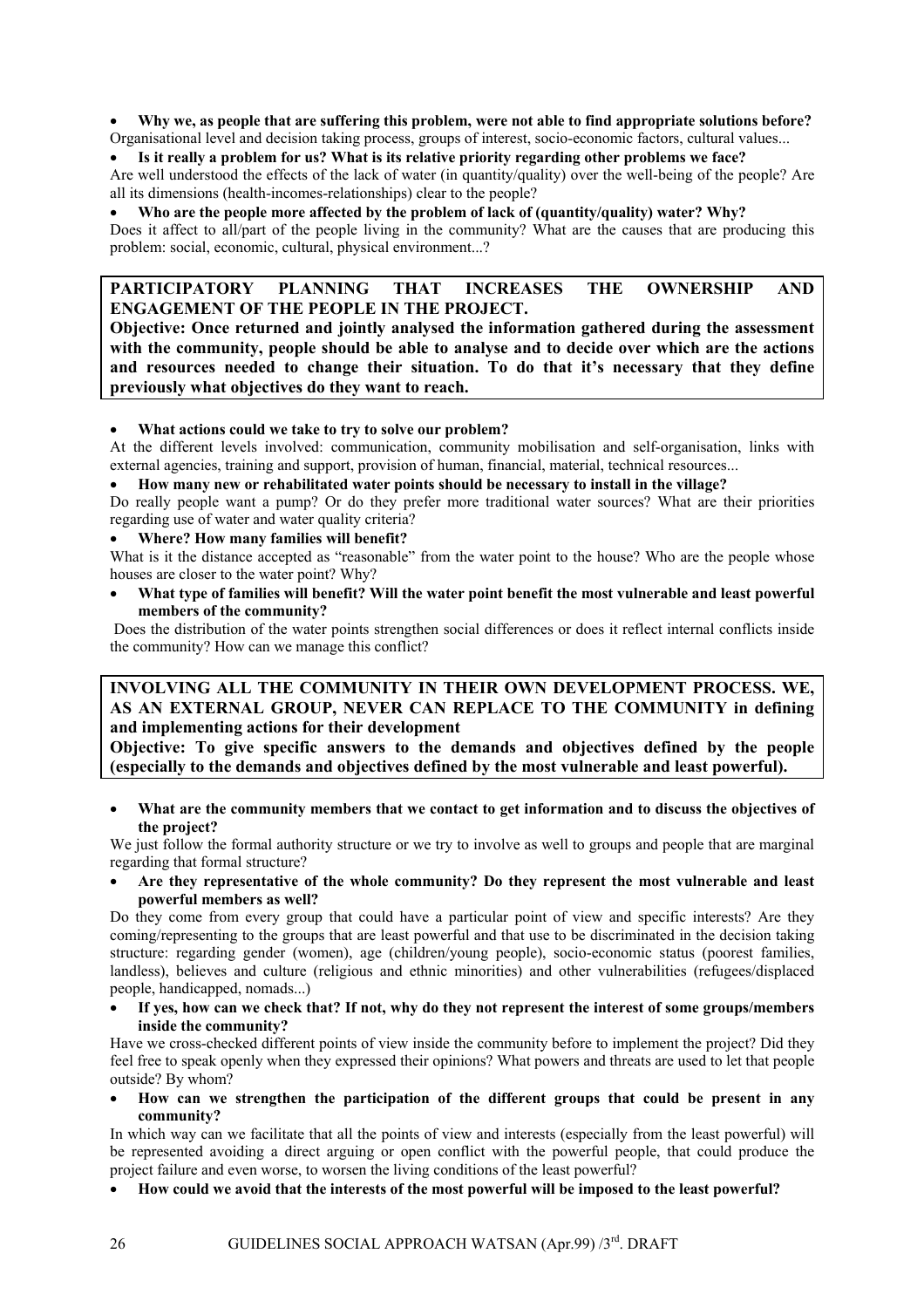• **Why we, as people that are suffering this problem, were not able to find appropriate solutions before?**  Organisational level and decision taking process, groups of interest, socio-economic factors, cultural values...

• **Is it really a problem for us? What is its relative priority regarding other problems we face?** 

Are well understood the effects of the lack of water (in quantity/quality) over the well-being of the people? Are all its dimensions (health-incomes-relationships) clear to the people?

• **Who are the people more affected by the problem of lack of (quantity/quality) water? Why?**

Does it affect to all/part of the people living in the community? What are the causes that are producing this problem: social, economic, cultural, physical environment...?

### **PARTICIPATORY PLANNING THAT INCREASES THE OWNERSHIP AND ENGAGEMENT OF THE PEOPLE IN THE PROJECT.**

**Objective: Once returned and jointly analysed the information gathered during the assessment with the community, people should be able to analyse and to decide over which are the actions and resources needed to change their situation. To do that it's necessary that they define previously what objectives do they want to reach.** 

#### • **What actions could we take to try to solve our problem?**

At the different levels involved: communication, community mobilisation and self-organisation, links with external agencies, training and support, provision of human, financial, material, technical resources...

• **How many new or rehabilitated water points should be necessary to install in the village?** 

Do really people want a pump? Or do they prefer more traditional water sources? What are their priorities regarding use of water and water quality criteria?

### • **Where? How many families will benefit?**

What is it the distance accepted as "reasonable" from the water point to the house? Who are the people whose houses are closer to the water point? Why?

• **What type of families will benefit? Will the water point benefit the most vulnerable and least powerful members of the community?** 

Does the distribution of the water points strengthen social differences or does it reflect internal conflicts inside the community? How can we manage this conflict?

### **INVOLVING ALL THE COMMUNITY IN THEIR OWN DEVELOPMENT PROCESS. WE, AS AN EXTERNAL GROUP, NEVER CAN REPLACE TO THE COMMUNITY in defining and implementing actions for their development**

**Objective: To give specific answers to the demands and objectives defined by the people (especially to the demands and objectives defined by the most vulnerable and least powerful).** 

• **What are the community members that we contact to get information and to discuss the objectives of the project?** 

We just follow the formal authority structure or we try to involve as well to groups and people that are marginal regarding that formal structure?

• **Are they representative of the whole community? Do they represent the most vulnerable and least powerful members as well?** 

Do they come from every group that could have a particular point of view and specific interests? Are they coming/representing to the groups that are least powerful and that use to be discriminated in the decision taking structure: regarding gender (women), age (children/young people), socio-economic status (poorest families, landless), believes and culture (religious and ethnic minorities) and other vulnerabilities (refugees/displaced people, handicapped, nomads...)

• **If yes, how can we check that? If not, why do they not represent the interest of some groups/members inside the community?** 

Have we cross-checked different points of view inside the community before to implement the project? Did they feel free to speak openly when they expressed their opinions? What powers and threats are used to let that people outside? By whom?

• **How can we strengthen the participation of the different groups that could be present in any community?** 

In which way can we facilitate that all the points of view and interests (especially from the least powerful) will be represented avoiding a direct arguing or open conflict with the powerful people, that could produce the project failure and even worse, to worsen the living conditions of the least powerful?

• **How could we avoid that the interests of the most powerful will be imposed to the least powerful?**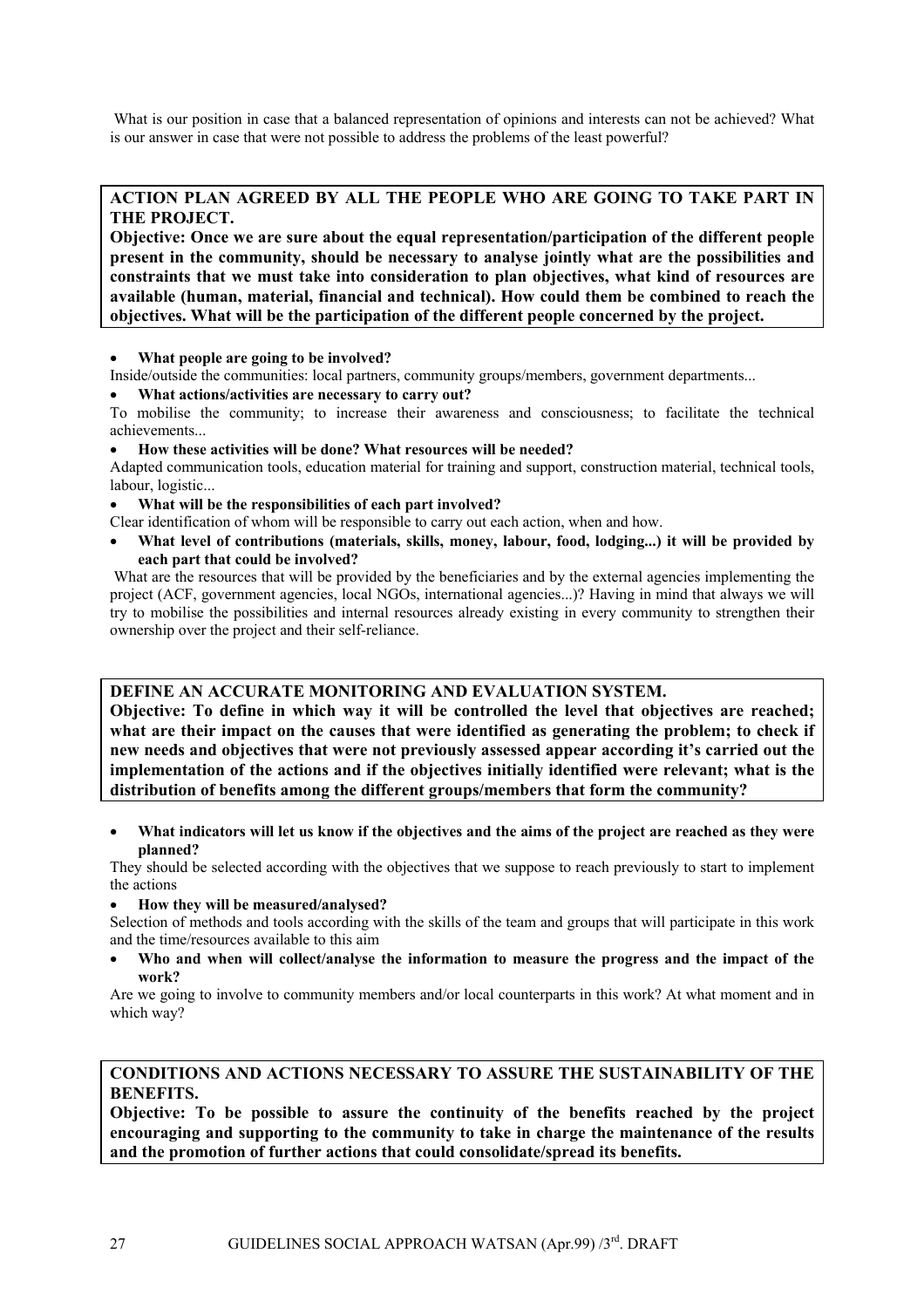What is our position in case that a balanced representation of opinions and interests can not be achieved? What is our answer in case that were not possible to address the problems of the least powerful?

### **ACTION PLAN AGREED BY ALL THE PEOPLE WHO ARE GOING TO TAKE PART IN THE PROJECT.**

**Objective: Once we are sure about the equal representation/participation of the different people present in the community, should be necessary to analyse jointly what are the possibilities and constraints that we must take into consideration to plan objectives, what kind of resources are available (human, material, financial and technical). How could them be combined to reach the objectives. What will be the participation of the different people concerned by the project.** 

• **What people are going to be involved?** 

Inside/outside the communities: local partners, community groups/members, government departments...

• **What actions/activities are necessary to carry out?** 

To mobilise the community; to increase their awareness and consciousness; to facilitate the technical achievements...

• **How these activities will be done? What resources will be needed?** 

Adapted communication tools, education material for training and support, construction material, technical tools, labour, logistic...

• **What will be the responsibilities of each part involved?** 

Clear identification of whom will be responsible to carry out each action, when and how.

• **What level of contributions (materials, skills, money, labour, food, lodging...) it will be provided by each part that could be involved?** 

What are the resources that will be provided by the beneficiaries and by the external agencies implementing the project (ACF, government agencies, local NGOs, international agencies...)? Having in mind that always we will try to mobilise the possibilities and internal resources already existing in every community to strengthen their ownership over the project and their self-reliance.

### **DEFINE AN ACCURATE MONITORING AND EVALUATION SYSTEM.**

**Objective: To define in which way it will be controlled the level that objectives are reached; what are their impact on the causes that were identified as generating the problem; to check if new needs and objectives that were not previously assessed appear according it's carried out the implementation of the actions and if the objectives initially identified were relevant; what is the distribution of benefits among the different groups/members that form the community?** 

• **What indicators will let us know if the objectives and the aims of the project are reached as they were planned?** 

They should be selected according with the objectives that we suppose to reach previously to start to implement the actions

#### • **How they will be measured/analysed?**

Selection of methods and tools according with the skills of the team and groups that will participate in this work and the time/resources available to this aim

• **Who and when will collect/analyse the information to measure the progress and the impact of the work?**

Are we going to involve to community members and/or local counterparts in this work? At what moment and in which way?

### **CONDITIONS AND ACTIONS NECESSARY TO ASSURE THE SUSTAINABILITY OF THE BENEFITS.**

**Objective: To be possible to assure the continuity of the benefits reached by the project encouraging and supporting to the community to take in charge the maintenance of the results and the promotion of further actions that could consolidate/spread its benefits.**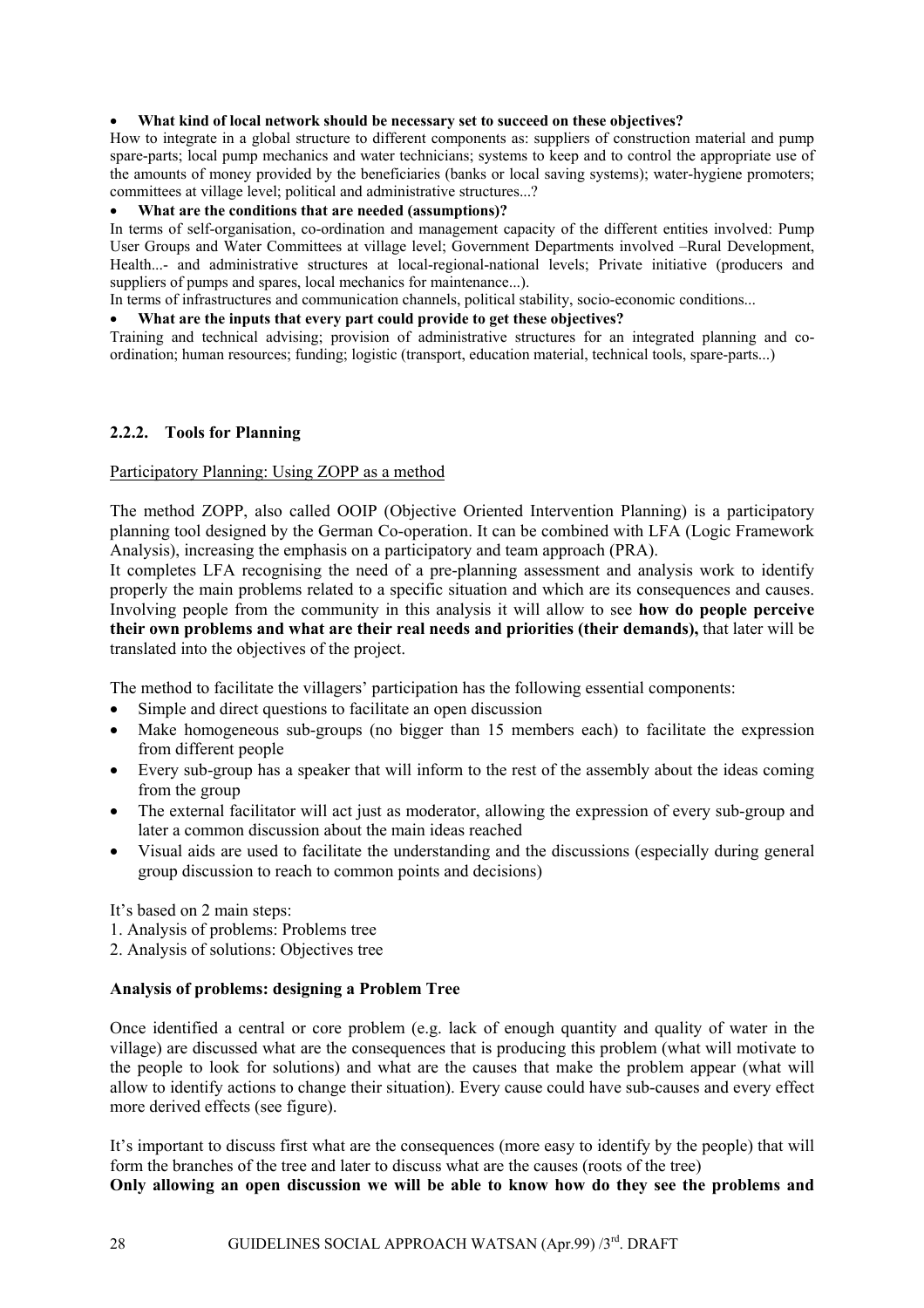#### <span id="page-27-0"></span>• **What kind of local network should be necessary set to succeed on these objectives?**

How to integrate in a global structure to different components as: suppliers of construction material and pump spare-parts; local pump mechanics and water technicians; systems to keep and to control the appropriate use of the amounts of money provided by the beneficiaries (banks or local saving systems); water-hygiene promoters; committees at village level; political and administrative structures...?

#### • **What are the conditions that are needed (assumptions)?**

In terms of self-organisation, co-ordination and management capacity of the different entities involved: Pump User Groups and Water Committees at village level; Government Departments involved –Rural Development, Health...- and administrative structures at local-regional-national levels; Private initiative (producers and suppliers of pumps and spares, local mechanics for maintenance...).

In terms of infrastructures and communication channels, political stability, socio-economic conditions...

#### • **What are the inputs that every part could provide to get these objectives?**

Training and technical advising; provision of administrative structures for an integrated planning and coordination; human resources; funding; logistic (transport, education material, technical tools, spare-parts...)

#### **2.2.2. Tools for Planning**

#### Participatory Planning: Using ZOPP as a method

The method ZOPP, also called OOIP (Objective Oriented Intervention Planning) is a participatory planning tool designed by the German Co-operation. It can be combined with LFA (Logic Framework Analysis), increasing the emphasis on a participatory and team approach (PRA).

It completes LFA recognising the need of a pre-planning assessment and analysis work to identify properly the main problems related to a specific situation and which are its consequences and causes. Involving people from the community in this analysis it will allow to see **how do people perceive their own problems and what are their real needs and priorities (their demands),** that later will be translated into the objectives of the project.

The method to facilitate the villagers' participation has the following essential components:

- Simple and direct questions to facilitate an open discussion
- Make homogeneous sub-groups (no bigger than 15 members each) to facilitate the expression from different people
- Every sub-group has a speaker that will inform to the rest of the assembly about the ideas coming from the group
- The external facilitator will act just as moderator, allowing the expression of every sub-group and later a common discussion about the main ideas reached
- Visual aids are used to facilitate the understanding and the discussions (especially during general group discussion to reach to common points and decisions)

It's based on 2 main steps:

- 1. Analysis of problems: Problems tree
- 2. Analysis of solutions: Objectives tree

### **Analysis of problems: designing a Problem Tree**

Once identified a central or core problem (e.g. lack of enough quantity and quality of water in the village) are discussed what are the consequences that is producing this problem (what will motivate to the people to look for solutions) and what are the causes that make the problem appear (what will allow to identify actions to change their situation). Every cause could have sub-causes and every effect more derived effects (see figure).

It's important to discuss first what are the consequences (more easy to identify by the people) that will form the branches of the tree and later to discuss what are the causes (roots of the tree)

**Only allowing an open discussion we will be able to know how do they see the problems and**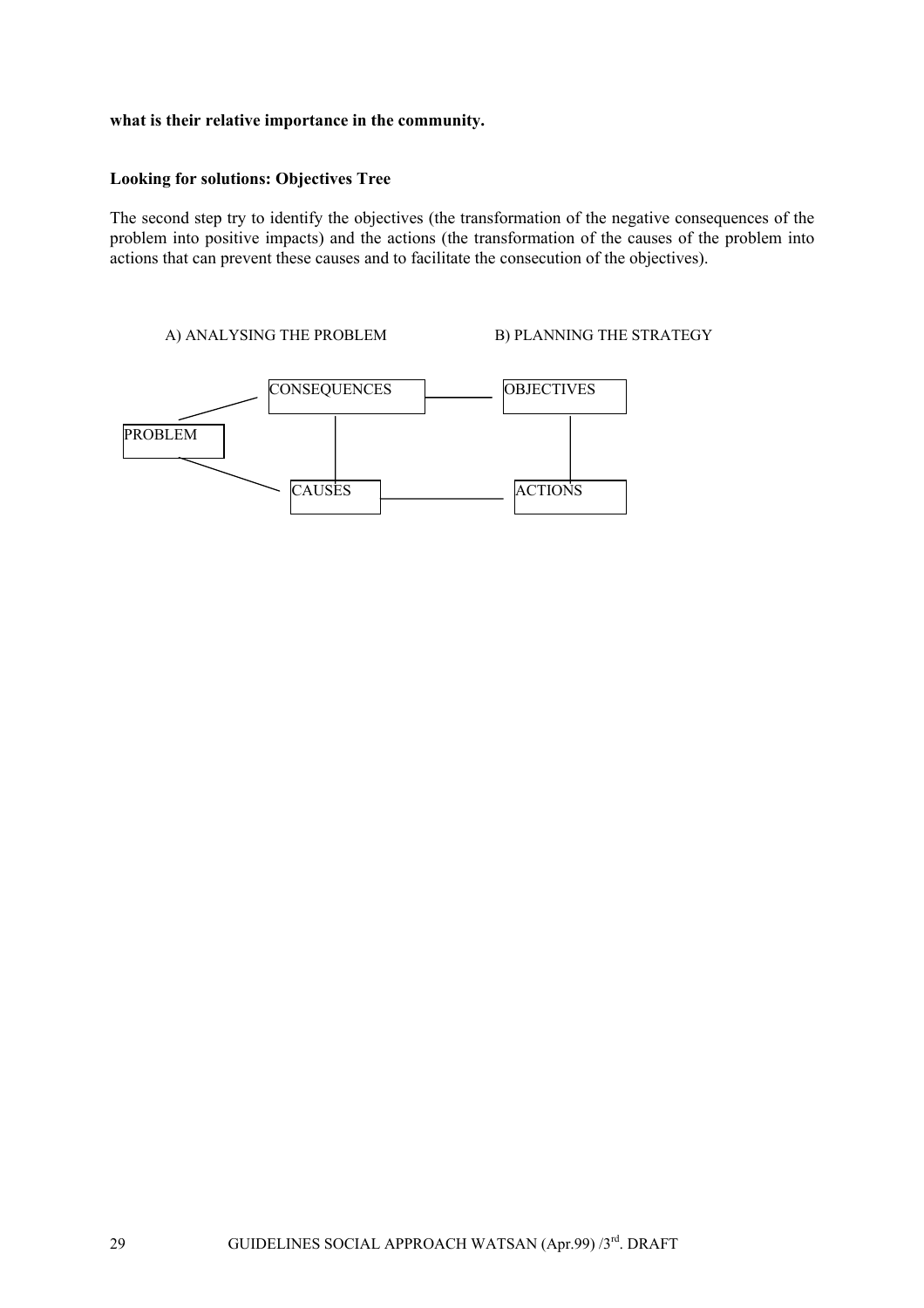#### **what is their relative importance in the community.**

### **Looking for solutions: Objectives Tree**

The second step try to identify the objectives (the transformation of the negative consequences of the problem into positive impacts) and the actions (the transformation of the causes of the problem into actions that can prevent these causes and to facilitate the consecution of the objectives).

A) ANALYSING THE PROBLEM B) PLANNING THE STRATEGY

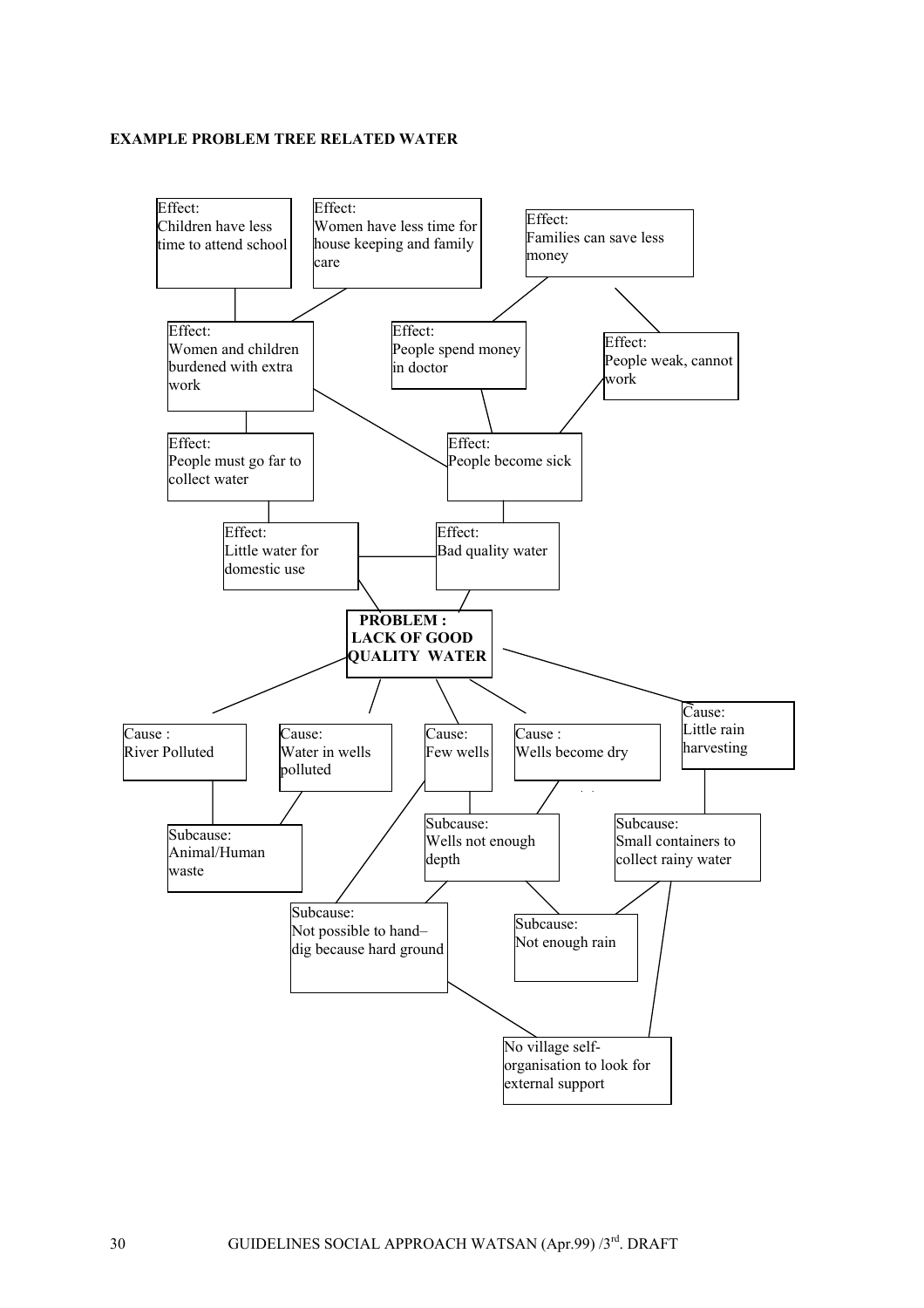#### **EXAMPLE PROBLEM TREE RELATED WATER**

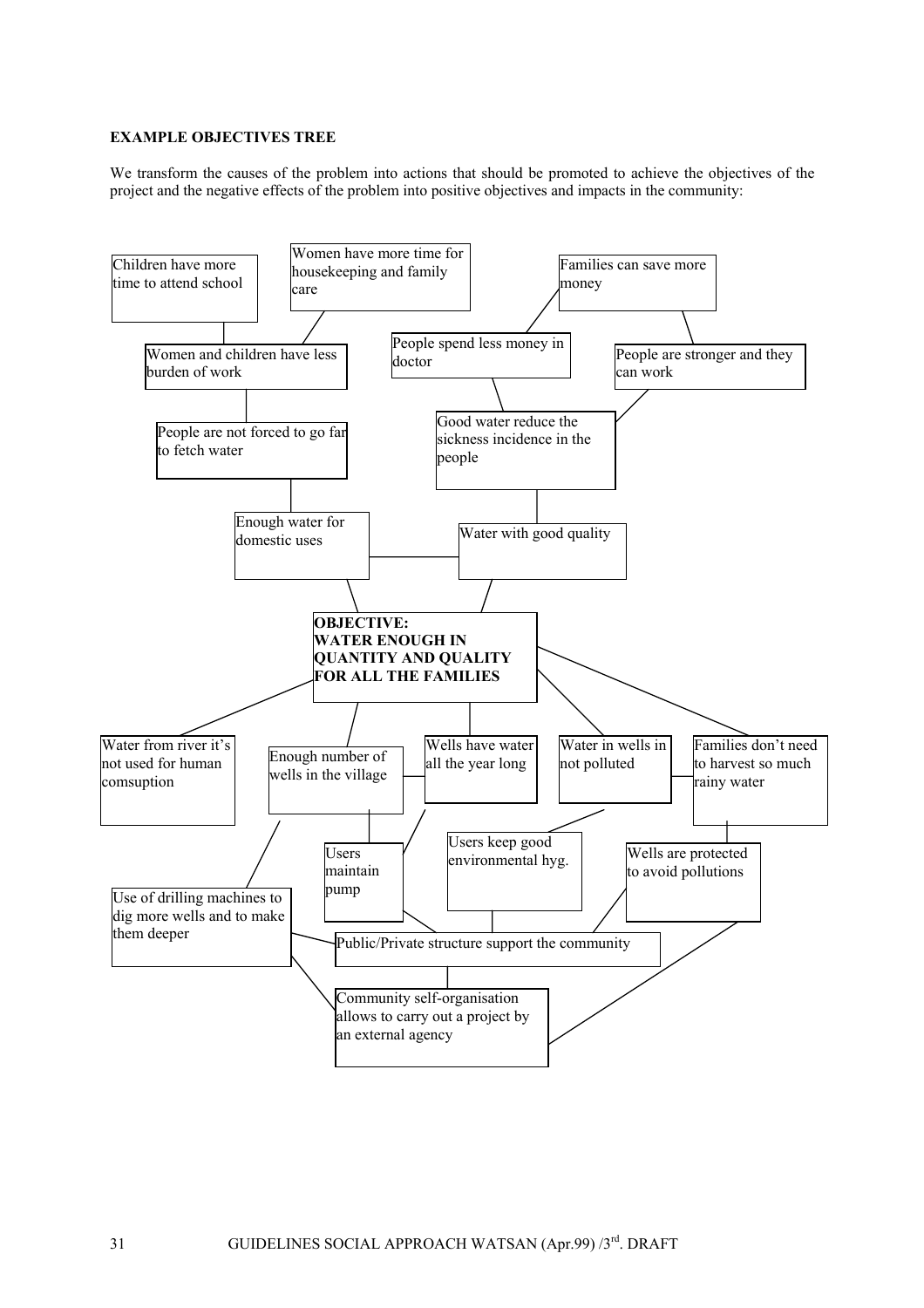#### **EXAMPLE OBJECTIVES TREE**

We transform the causes of the problem into actions that should be promoted to achieve the objectives of the project and the negative effects of the problem into positive objectives and impacts in the community:

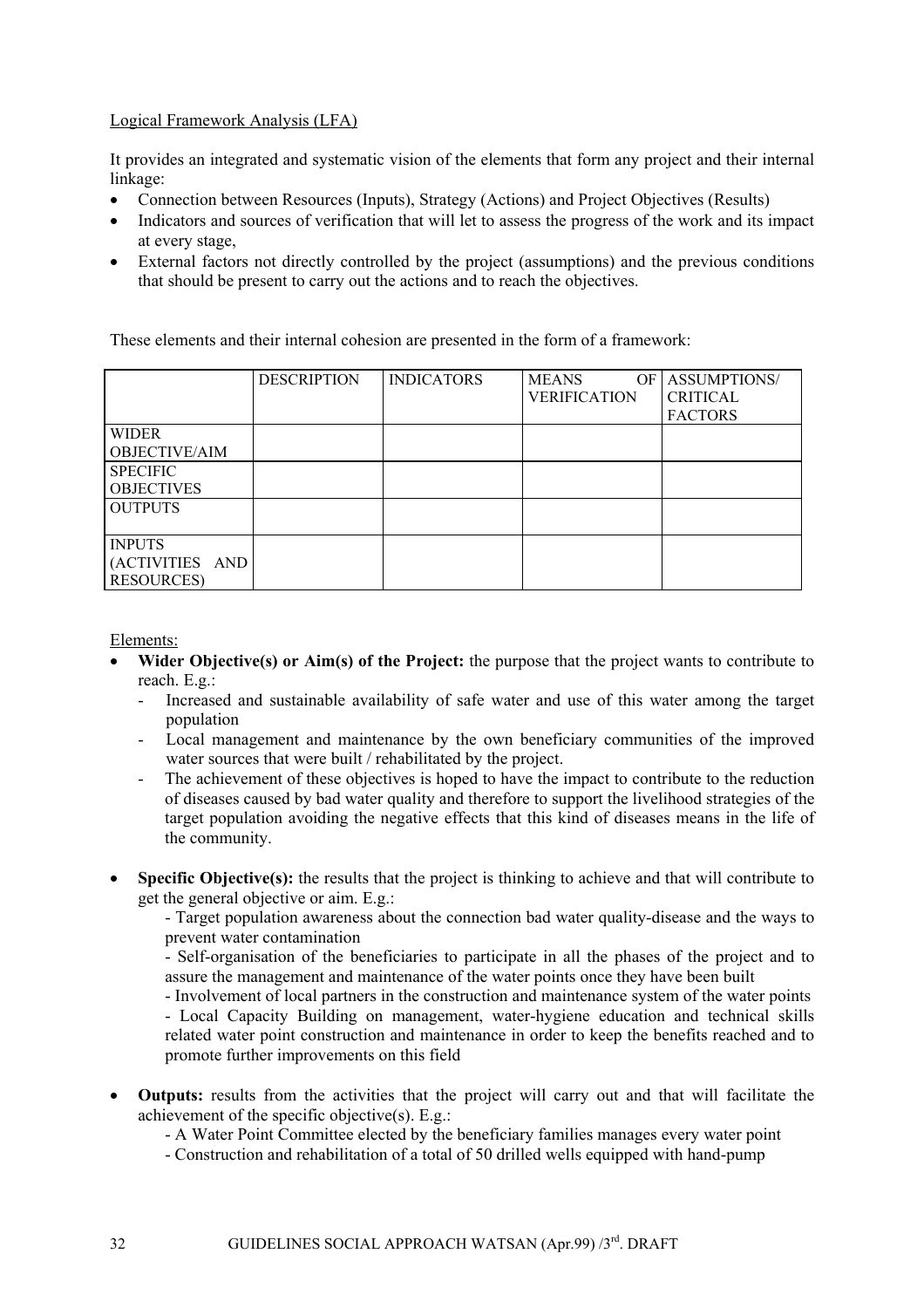### Logical Framework Analysis (LFA)

It provides an integrated and systematic vision of the elements that form any project and their internal linkage:

- Connection between Resources (Inputs), Strategy (Actions) and Project Objectives (Results)
- Indicators and sources of verification that will let to assess the progress of the work and its impact at every stage,
- External factors not directly controlled by the project (assumptions) and the previous conditions that should be present to carry out the actions and to reach the objectives.

These elements and their internal cohesion are presented in the form of a framework:

|                      | <b>DESCRIPTION</b> | <b>INDICATORS</b> | <b>MEANS</b><br>OF<br><b>VERIFICATION</b> | <b>ASSUMPTIONS/</b><br><b>CRITICAL</b><br><b>FACTORS</b> |
|----------------------|--------------------|-------------------|-------------------------------------------|----------------------------------------------------------|
| <b>WIDER</b>         |                    |                   |                                           |                                                          |
| <b>OBJECTIVE/AIM</b> |                    |                   |                                           |                                                          |
| <b>SPECIFIC</b>      |                    |                   |                                           |                                                          |
| <b>OBJECTIVES</b>    |                    |                   |                                           |                                                          |
| <b>OUTPUTS</b>       |                    |                   |                                           |                                                          |
|                      |                    |                   |                                           |                                                          |
| <b>INPUTS</b>        |                    |                   |                                           |                                                          |
| (ACTIVITIES AND      |                    |                   |                                           |                                                          |
| <b>RESOURCES</b> )   |                    |                   |                                           |                                                          |

### Elements:

- **Wider Objective(s) or Aim(s) of the Project:** the purpose that the project wants to contribute to reach. E.g.:
	- Increased and sustainable availability of safe water and use of this water among the target population
	- Local management and maintenance by the own beneficiary communities of the improved water sources that were built / rehabilitated by the project.
	- The achievement of these objectives is hoped to have the impact to contribute to the reduction of diseases caused by bad water quality and therefore to support the livelihood strategies of the target population avoiding the negative effects that this kind of diseases means in the life of the community.
- **Specific Objective(s):** the results that the project is thinking to achieve and that will contribute to get the general objective or aim. E.g.:

- Target population awareness about the connection bad water quality-disease and the ways to prevent water contamination

- Self-organisation of the beneficiaries to participate in all the phases of the project and to assure the management and maintenance of the water points once they have been built

- Involvement of local partners in the construction and maintenance system of the water points - Local Capacity Building on management, water-hygiene education and technical skills

related water point construction and maintenance in order to keep the benefits reached and to promote further improvements on this field

- **Outputs:** results from the activities that the project will carry out and that will facilitate the achievement of the specific objective(s). E.g.:
	- A Water Point Committee elected by the beneficiary families manages every water point
	- Construction and rehabilitation of a total of 50 drilled wells equipped with hand-pump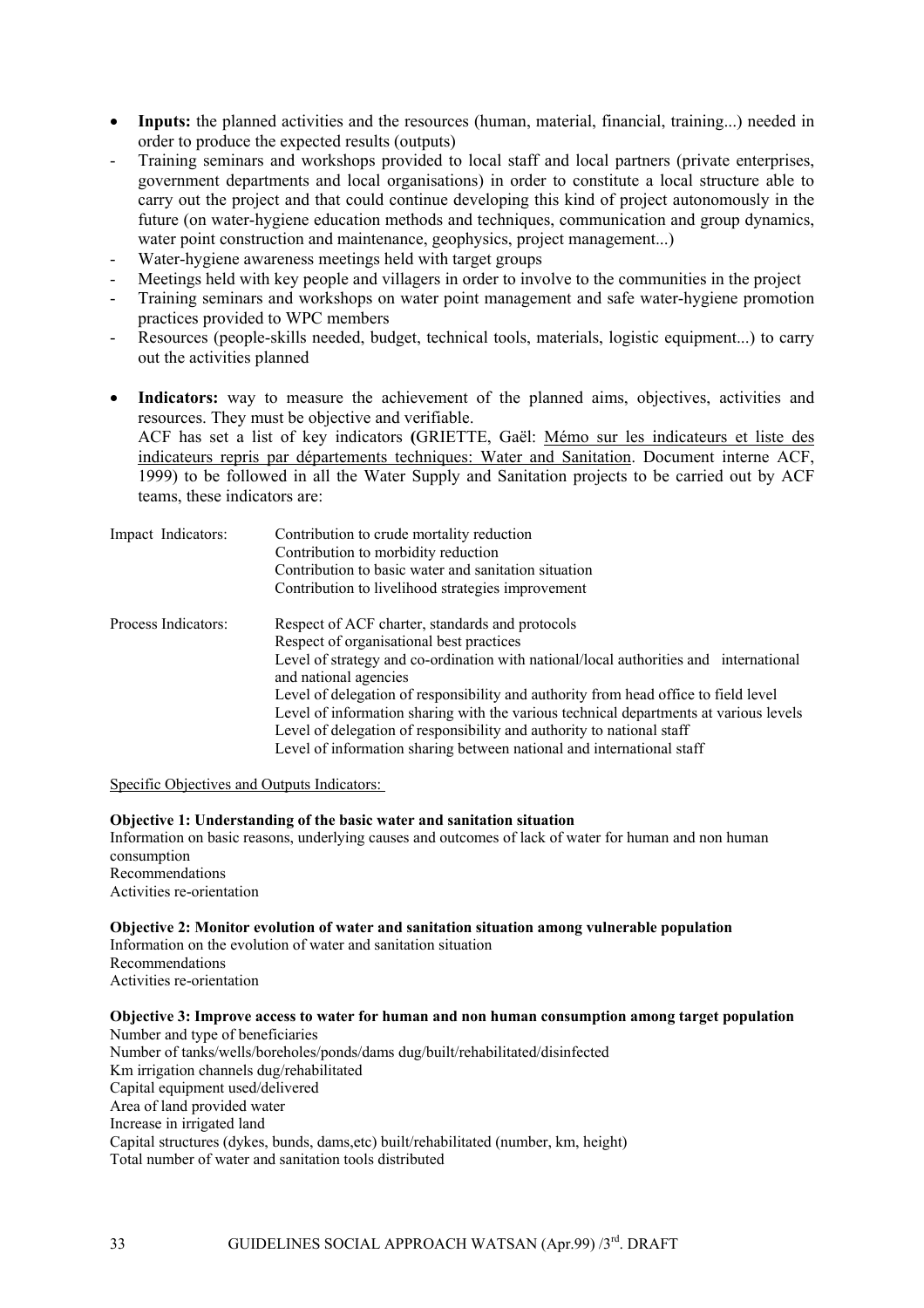- **Inputs:** the planned activities and the resources (human, material, financial, training...) needed in order to produce the expected results (outputs)
- Training seminars and workshops provided to local staff and local partners (private enterprises, government departments and local organisations) in order to constitute a local structure able to carry out the project and that could continue developing this kind of project autonomously in the future (on water-hygiene education methods and techniques, communication and group dynamics, water point construction and maintenance, geophysics, project management...)
- Water-hygiene awareness meetings held with target groups
- Meetings held with key people and villagers in order to involve to the communities in the project
- Training seminars and workshops on water point management and safe water-hygiene promotion practices provided to WPC members
- Resources (people-skills needed, budget, technical tools, materials, logistic equipment...) to carry out the activities planned
- **Indicators:** way to measure the achievement of the planned aims, objectives, activities and resources. They must be objective and verifiable.

ACF has set a list of key indicators **(**GRIETTE, Gaël: Mémo sur les indicateurs et liste des indicateurs repris par départements techniques: Water and Sanitation. Document interne ACF, 1999) to be followed in all the Water Supply and Sanitation projects to be carried out by ACF teams, these indicators are:

| Impact Indicators:  | Contribution to crude mortality reduction<br>Contribution to morbidity reduction                               |  |  |
|---------------------|----------------------------------------------------------------------------------------------------------------|--|--|
|                     |                                                                                                                |  |  |
|                     | Contribution to basic water and sanitation situation                                                           |  |  |
|                     | Contribution to livelihood strategies improvement                                                              |  |  |
| Process Indicators: | Respect of ACF charter, standards and protocols                                                                |  |  |
|                     | Respect of organisational best practices                                                                       |  |  |
|                     | Level of strategy and co-ordination with national/local authorities and international<br>and national agencies |  |  |
|                     | Level of delegation of responsibility and authority from head office to field level                            |  |  |
|                     | Level of information sharing with the various technical departments at various levels                          |  |  |
|                     | Level of delegation of responsibility and authority to national staff                                          |  |  |
|                     | Level of information sharing between national and international staff                                          |  |  |

Specific Objectives and Outputs Indicators:

#### **Objective 1: Understanding of the basic water and sanitation situation**

Information on basic reasons, underlying causes and outcomes of lack of water for human and non human consumption Recommendations

Activities re-orientation

#### **Objective 2: Monitor evolution of water and sanitation situation among vulnerable population**  Information on the evolution of water and sanitation situation

Recommendations Activities re-orientation

#### **Objective 3: Improve access to water for human and non human consumption among target population**

Number and type of beneficiaries Number of tanks/wells/boreholes/ponds/dams dug/built/rehabilitated/disinfected Km irrigation channels dug/rehabilitated Capital equipment used/delivered Area of land provided water Increase in irrigated land Capital structures (dykes, bunds, dams,etc) built/rehabilitated (number, km, height) Total number of water and sanitation tools distributed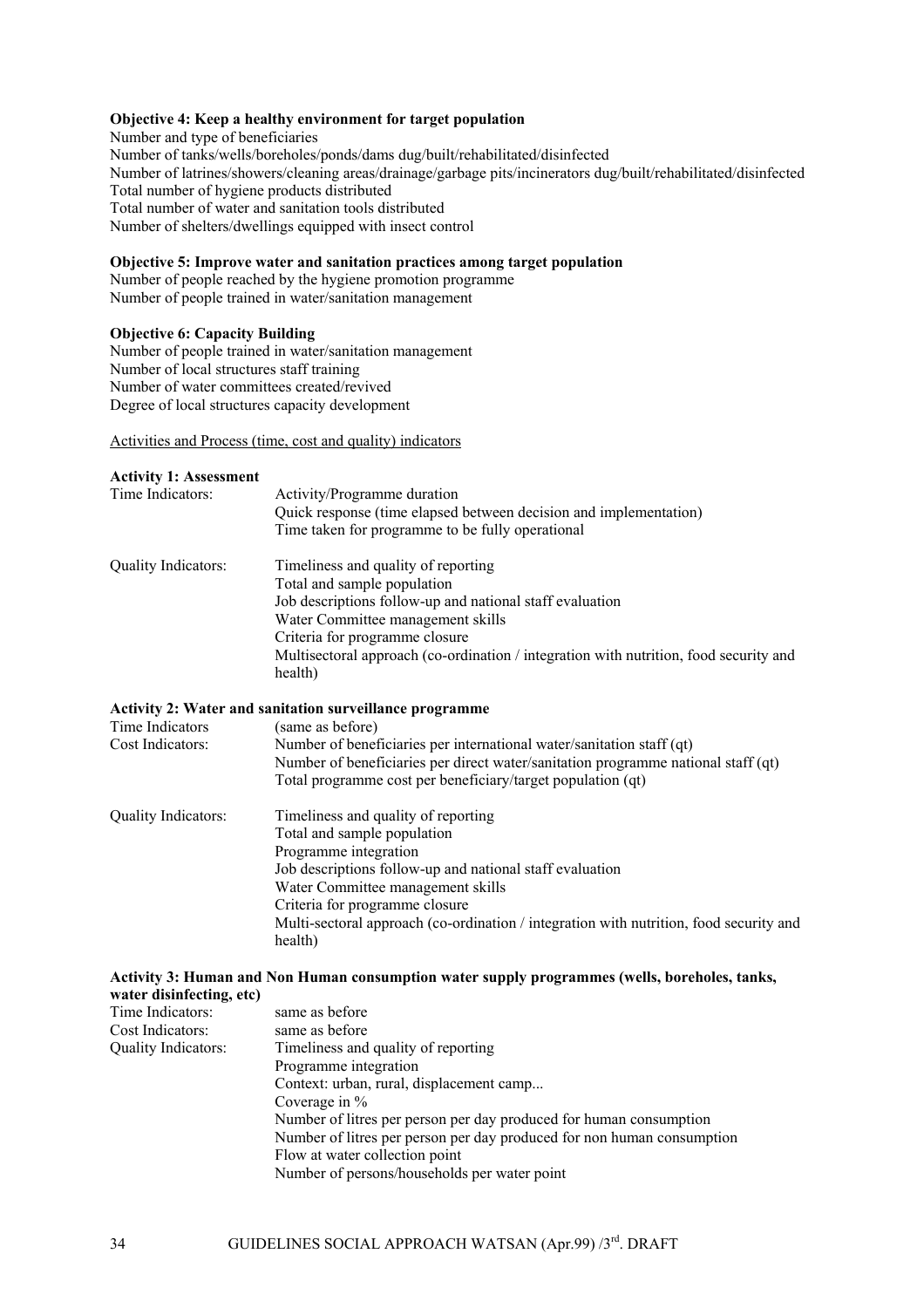#### **Objective 4: Keep a healthy environment for target population**

Number and type of beneficiaries Number of tanks/wells/boreholes/ponds/dams dug/built/rehabilitated/disinfected Number of latrines/showers/cleaning areas/drainage/garbage pits/incinerators dug/built/rehabilitated/disinfected Total number of hygiene products distributed Total number of water and sanitation tools distributed Number of shelters/dwellings equipped with insect control

#### **Objective 5: Improve water and sanitation practices among target population**

Number of people reached by the hygiene promotion programme Number of people trained in water/sanitation management

#### **Objective 6: Capacity Building**

Number of people trained in water/sanitation management Number of local structures staff training Number of water committees created/revived Degree of local structures capacity development

Activities and Process (time, cost and quality) indicators

#### **Activity 1: Assessment**

| Time Indicators:    | Activity/Programme duration<br>Quick response (time elapsed between decision and implementation)<br>Time taken for programme to be fully operational                                                                                                                                                                                |  |  |
|---------------------|-------------------------------------------------------------------------------------------------------------------------------------------------------------------------------------------------------------------------------------------------------------------------------------------------------------------------------------|--|--|
| Quality Indicators: | Timeliness and quality of reporting<br>Total and sample population<br>Job descriptions follow-up and national staff evaluation<br>Water Committee management skills<br>Criteria for programme closure<br>Multisectoral approach (co-ordination / integration with nutrition, food security and<br>health)                           |  |  |
| Time Indicators     | <b>Activity 2: Water and sanitation surveillance programme</b><br>(same as before)                                                                                                                                                                                                                                                  |  |  |
| Cost Indicators:    | Number of beneficiaries per international water/sanitation staff (qt)<br>Number of beneficiaries per direct water/sanitation programme national staff (qt)<br>Total programme cost per beneficiary/target population (qt)                                                                                                           |  |  |
| Quality Indicators: | Timeliness and quality of reporting<br>Total and sample population<br>Programme integration<br>Job descriptions follow-up and national staff evaluation<br>Water Committee management skills<br>Criteria for programme closure<br>Multi-sectoral approach (co-ordination / integration with nutrition, food security and<br>health) |  |  |

#### **Activity 3: Human and Non Human consumption water supply programmes (wells, boreholes, tanks, water disinfecting, etc)**

| same as before                                                         |
|------------------------------------------------------------------------|
| same as before                                                         |
| Timeliness and quality of reporting                                    |
| Programme integration                                                  |
| Context: urban, rural, displacement camp                               |
| Coverage in $%$                                                        |
| Number of litres per person per day produced for human consumption     |
| Number of litres per person per day produced for non human consumption |
| Flow at water collection point                                         |
| Number of persons/households per water point                           |
|                                                                        |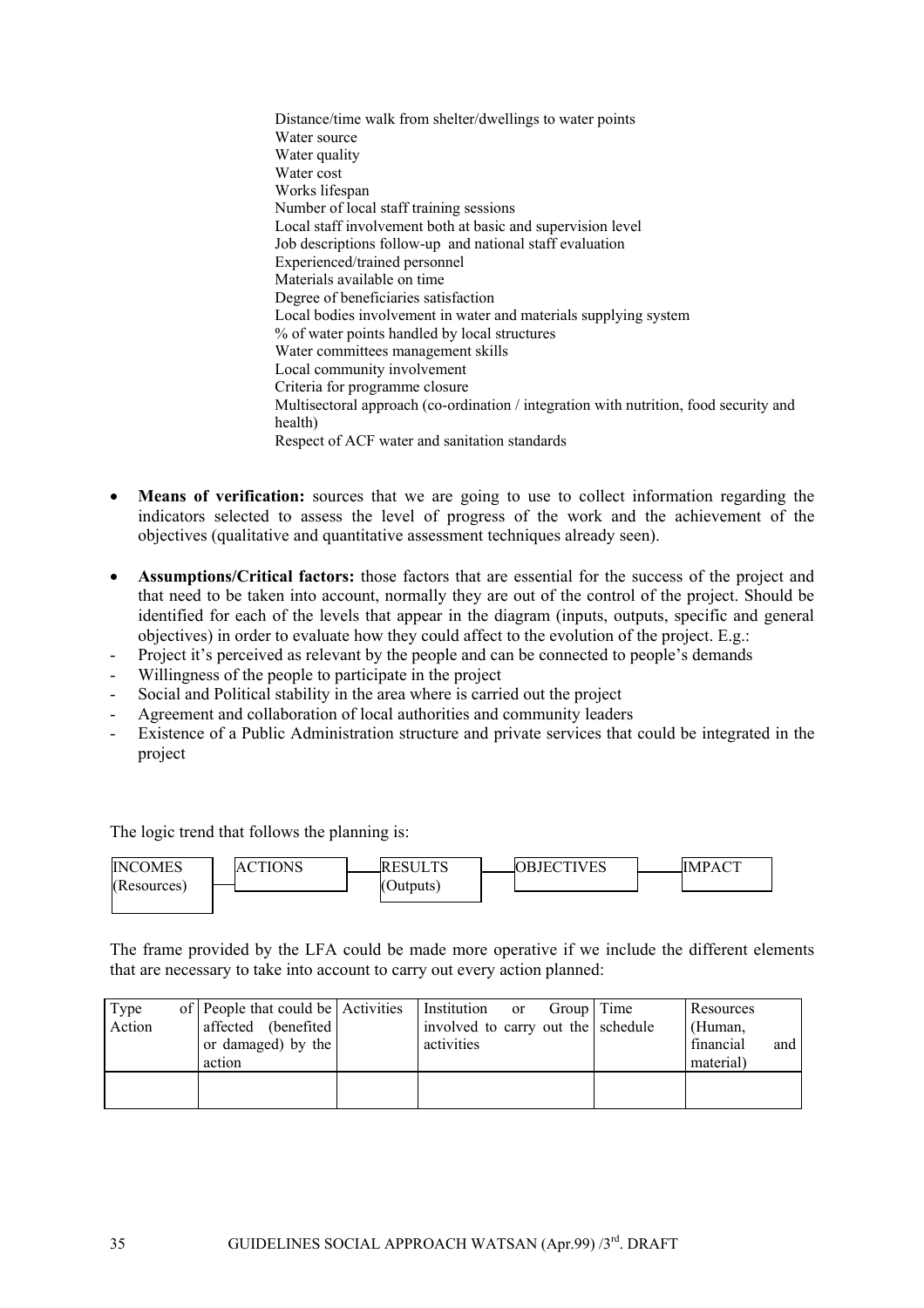Distance/time walk from shelter/dwellings to water points Water source Water quality Water cost Works lifespan Number of local staff training sessions Local staff involvement both at basic and supervision level Job descriptions follow-up and national staff evaluation Experienced/trained personnel Materials available on time Degree of beneficiaries satisfaction Local bodies involvement in water and materials supplying system % of water points handled by local structures Water committees management skills Local community involvement Criteria for programme closure Multisectoral approach (co-ordination / integration with nutrition, food security and health) Respect of ACF water and sanitation standards

- **Means of verification:** sources that we are going to use to collect information regarding the indicators selected to assess the level of progress of the work and the achievement of the objectives (qualitative and quantitative assessment techniques already seen).
- **Assumptions/Critical factors:** those factors that are essential for the success of the project and that need to be taken into account, normally they are out of the control of the project. Should be identified for each of the levels that appear in the diagram (inputs, outputs, specific and general objectives) in order to evaluate how they could affect to the evolution of the project. E.g.:
- Project it's perceived as relevant by the people and can be connected to people's demands
- Willingness of the people to participate in the project
- Social and Political stability in the area where is carried out the project
- Agreement and collaboration of local authorities and community leaders
- Existence of a Public Administration structure and private services that could be integrated in the project

The logic trend that follows the planning is:

| <b>INCOMES</b> | CTIONS | IRESULTS  | <b>OBJECTIVES</b> | IMPACT |
|----------------|--------|-----------|-------------------|--------|
| (Resource)     |        | (Outputs) |                   |        |
|                |        |           |                   |        |

The frame provided by the LFA could be made more operative if we include the different elements that are necessary to take into account to carry out every action planned:

| Type<br>Action | of People that could be Activities<br>affected (benefited)<br>or damaged) by the<br>action | Institution<br><sub>or</sub><br>involved to carry out the schedule<br>activities | Group   Time | Resources<br>(Human,<br>financial<br>and<br>material) |
|----------------|--------------------------------------------------------------------------------------------|----------------------------------------------------------------------------------|--------------|-------------------------------------------------------|
|                |                                                                                            |                                                                                  |              |                                                       |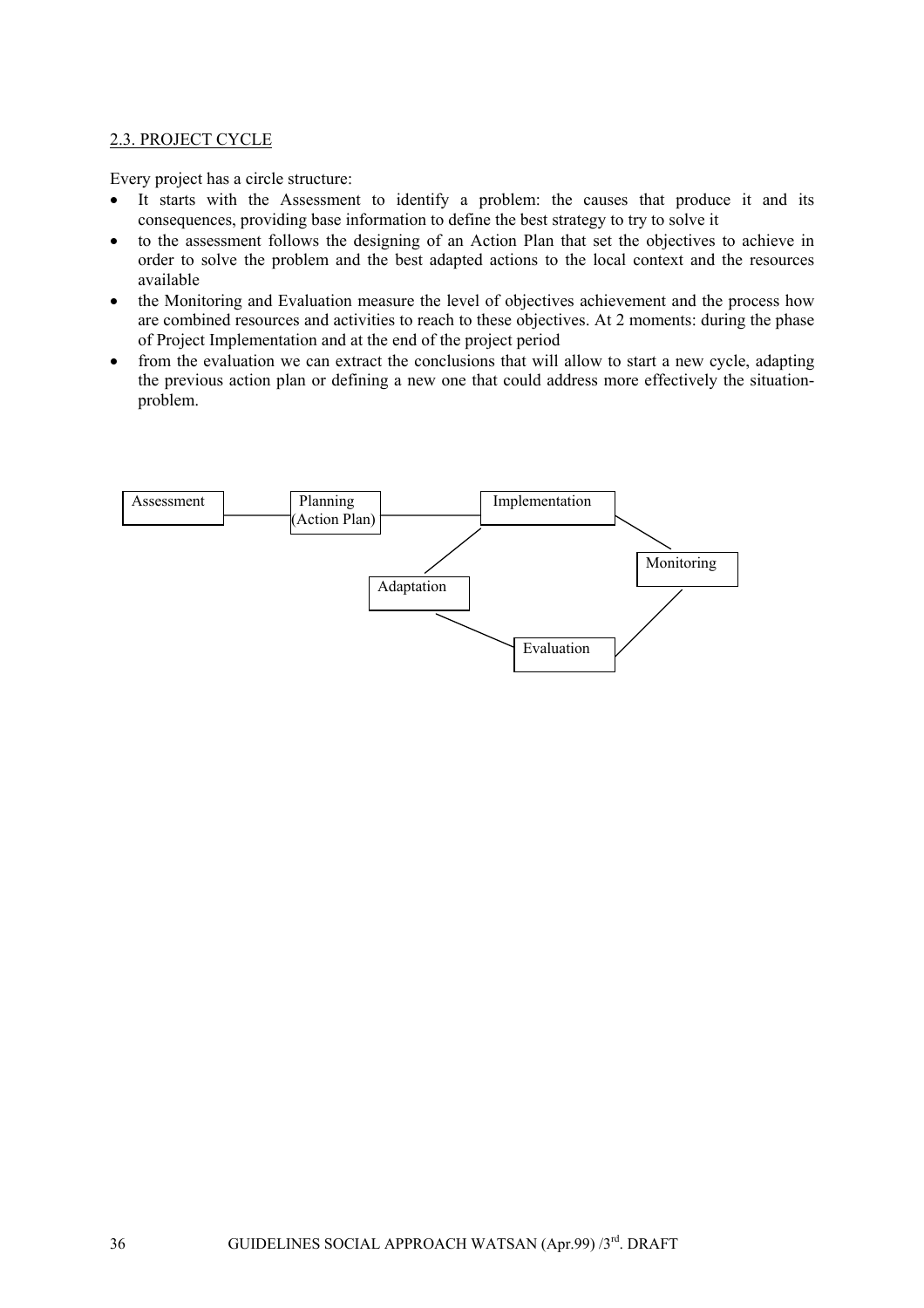### <span id="page-35-0"></span>2.3. PROJECT CYCLE

Every project has a circle structure:

- It starts with the Assessment to identify a problem: the causes that produce it and its consequences, providing base information to define the best strategy to try to solve it
- to the assessment follows the designing of an Action Plan that set the objectives to achieve in order to solve the problem and the best adapted actions to the local context and the resources available
- the Monitoring and Evaluation measure the level of objectives achievement and the process how are combined resources and activities to reach to these objectives. At 2 moments: during the phase of Project Implementation and at the end of the project period
- from the evaluation we can extract the conclusions that will allow to start a new cycle, adapting the previous action plan or defining a new one that could address more effectively the situationproblem.

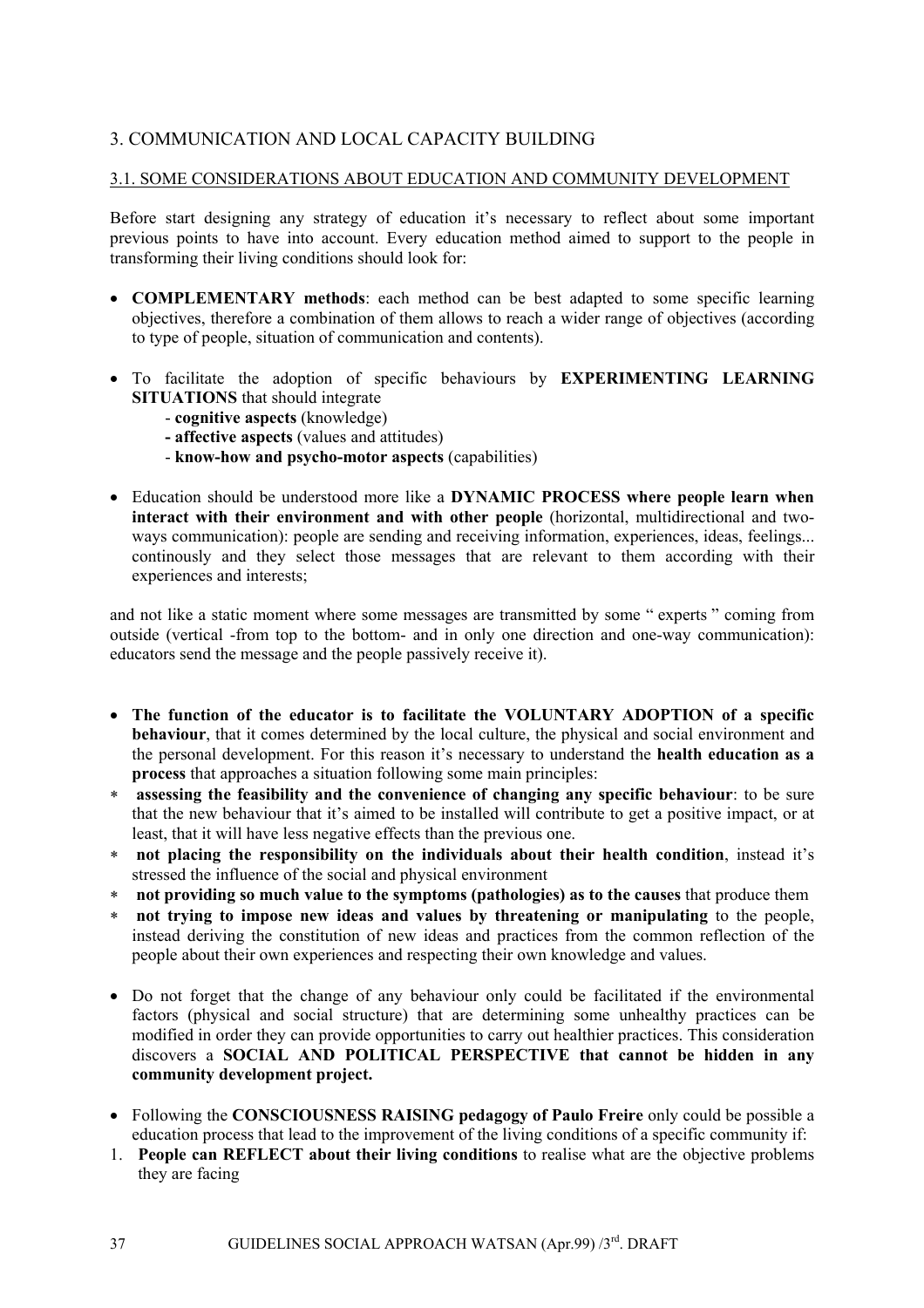## 3. COMMUNICATION AND LOCAL CAPACITY BUILDING

## 3.1. SOME CONSIDERATIONS ABOUT EDUCATION AND COMMUNITY DEVELOPMENT

Before start designing any strategy of education it's necessary to reflect about some important previous points to have into account. Every education method aimed to support to the people in transforming their living conditions should look for:

- **COMPLEMENTARY methods**: each method can be best adapted to some specific learning objectives, therefore a combination of them allows to reach a wider range of objectives (according to type of people, situation of communication and contents).
- To facilitate the adoption of specific behaviours by **EXPERIMENTING LEARNING SITUATIONS** that should integrate
	- **cognitive aspects** (knowledge)
	- **affective aspects** (values and attitudes)
	- **know-how and psycho-motor aspects** (capabilities)
- Education should be understood more like a **DYNAMIC PROCESS where people learn when interact with their environment and with other people** (horizontal, multidirectional and twoways communication): people are sending and receiving information, experiences, ideas, feelings... continously and they select those messages that are relevant to them according with their experiences and interests;

and not like a static moment where some messages are transmitted by some " experts " coming from outside (vertical -from top to the bottom- and in only one direction and one-way communication): educators send the message and the people passively receive it).

- **The function of the educator is to facilitate the VOLUNTARY ADOPTION of a specific behaviour**, that it comes determined by the local culture, the physical and social environment and the personal development. For this reason it's necessary to understand the **health education as a process** that approaches a situation following some main principles:
- ∗ **assessing the feasibility and the convenience of changing any specific behaviour**: to be sure that the new behaviour that it's aimed to be installed will contribute to get a positive impact, or at least, that it will have less negative effects than the previous one.
- ∗ **not placing the responsibility on the individuals about their health condition**, instead it's stressed the influence of the social and physical environment
- ∗ **not providing so much value to the symptoms (pathologies) as to the causes** that produce them
- ∗ **not trying to impose new ideas and values by threatening or manipulating** to the people, instead deriving the constitution of new ideas and practices from the common reflection of the people about their own experiences and respecting their own knowledge and values.
- Do not forget that the change of any behaviour only could be facilitated if the environmental factors (physical and social structure) that are determining some unhealthy practices can be modified in order they can provide opportunities to carry out healthier practices. This consideration discovers a **SOCIAL AND POLITICAL PERSPECTIVE that cannot be hidden in any community development project.**
- Following the **CONSCIOUSNESS RAISING pedagogy of Paulo Freire** only could be possible a education process that lead to the improvement of the living conditions of a specific community if:
- 1. **People can REFLECT about their living conditions** to realise what are the objective problems they are facing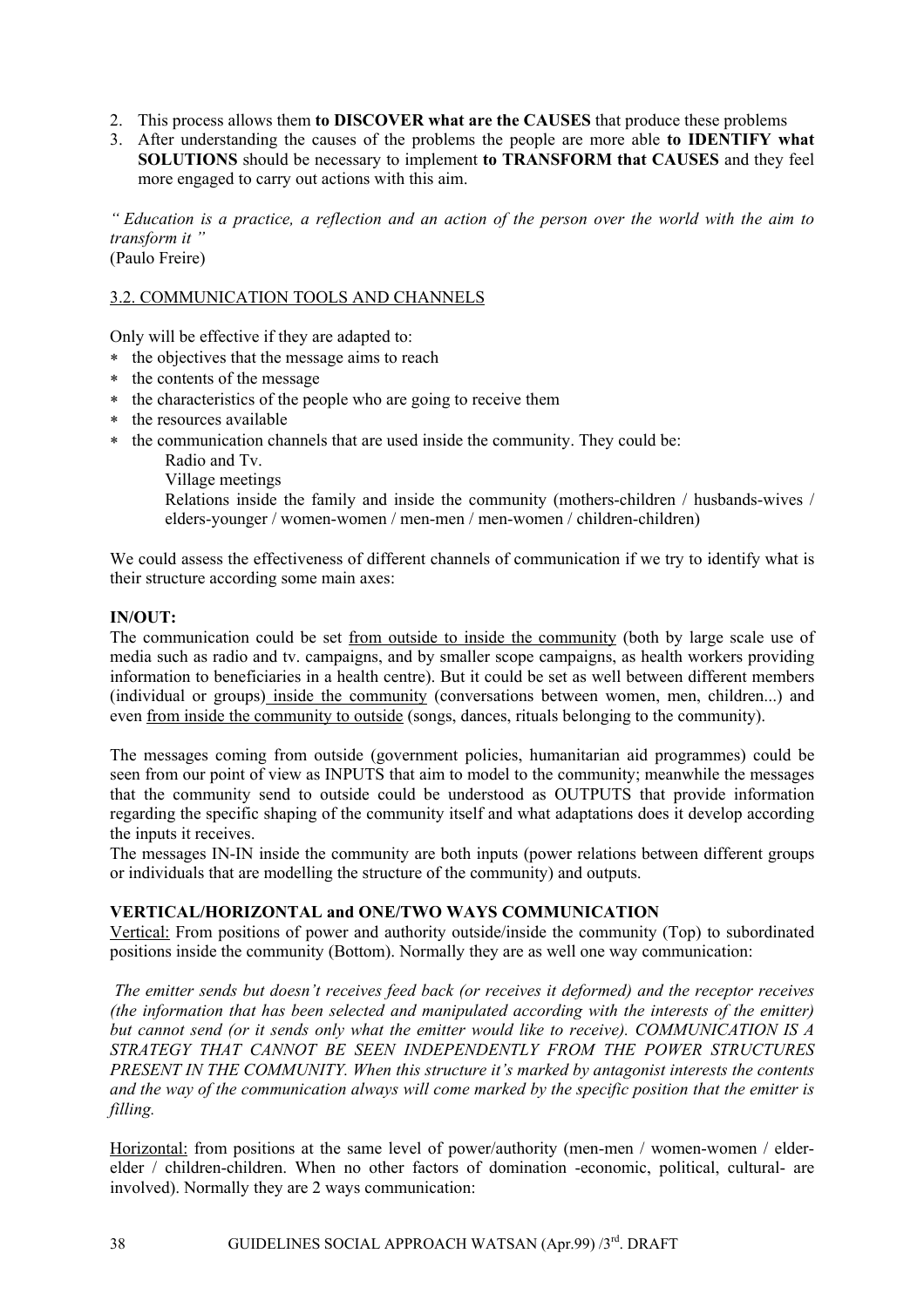- 2. This process allows them **to DISCOVER what are the CAUSES** that produce these problems
- 3. After understanding the causes of the problems the people are more able **to IDENTIFY what SOLUTIONS** should be necessary to implement **to TRANSFORM that CAUSES** and they feel more engaged to carry out actions with this aim.

*" Education is a practice, a reflection and an action of the person over the world with the aim to transform it "*  (Paulo Freire)

#### 3.2. COMMUNICATION TOOLS AND CHANNELS

Only will be effective if they are adapted to:

- ∗ the objectives that the message aims to reach
- ∗ the contents of the message
- ∗ the characteristics of the people who are going to receive them
- ∗ the resources available
- ∗ the communication channels that are used inside the community. They could be:
	- Radio and Tv.
	- Village meetings

Relations inside the family and inside the community (mothers-children / husbands-wives / elders-younger / women-women / men-men / men-women / children-children)

We could assess the effectiveness of different channels of communication if we try to identify what is their structure according some main axes:

## **IN/OUT:**

The communication could be set from outside to inside the community (both by large scale use of media such as radio and tv. campaigns, and by smaller scope campaigns, as health workers providing information to beneficiaries in a health centre). But it could be set as well between different members (individual or groups) inside the community (conversations between women, men, children...) and even from inside the community to outside (songs, dances, rituals belonging to the community).

The messages coming from outside (government policies, humanitarian aid programmes) could be seen from our point of view as INPUTS that aim to model to the community; meanwhile the messages that the community send to outside could be understood as OUTPUTS that provide information regarding the specific shaping of the community itself and what adaptations does it develop according the inputs it receives.

The messages IN-IN inside the community are both inputs (power relations between different groups or individuals that are modelling the structure of the community) and outputs.

#### **VERTICAL/HORIZONTAL and ONE/TWO WAYS COMMUNICATION**

Vertical: From positions of power and authority outside/inside the community (Top) to subordinated positions inside the community (Bottom). Normally they are as well one way communication:

*The emitter sends but doesn't receives feed back (or receives it deformed) and the receptor receives (the information that has been selected and manipulated according with the interests of the emitter) but cannot send (or it sends only what the emitter would like to receive). COMMUNICATION IS A STRATEGY THAT CANNOT BE SEEN INDEPENDENTLY FROM THE POWER STRUCTURES PRESENT IN THE COMMUNITY. When this structure it's marked by antagonist interests the contents and the way of the communication always will come marked by the specific position that the emitter is filling.* 

Horizontal: from positions at the same level of power/authority (men-men / women-women / elderelder / children-children. When no other factors of domination -economic, political, cultural- are involved). Normally they are 2 ways communication: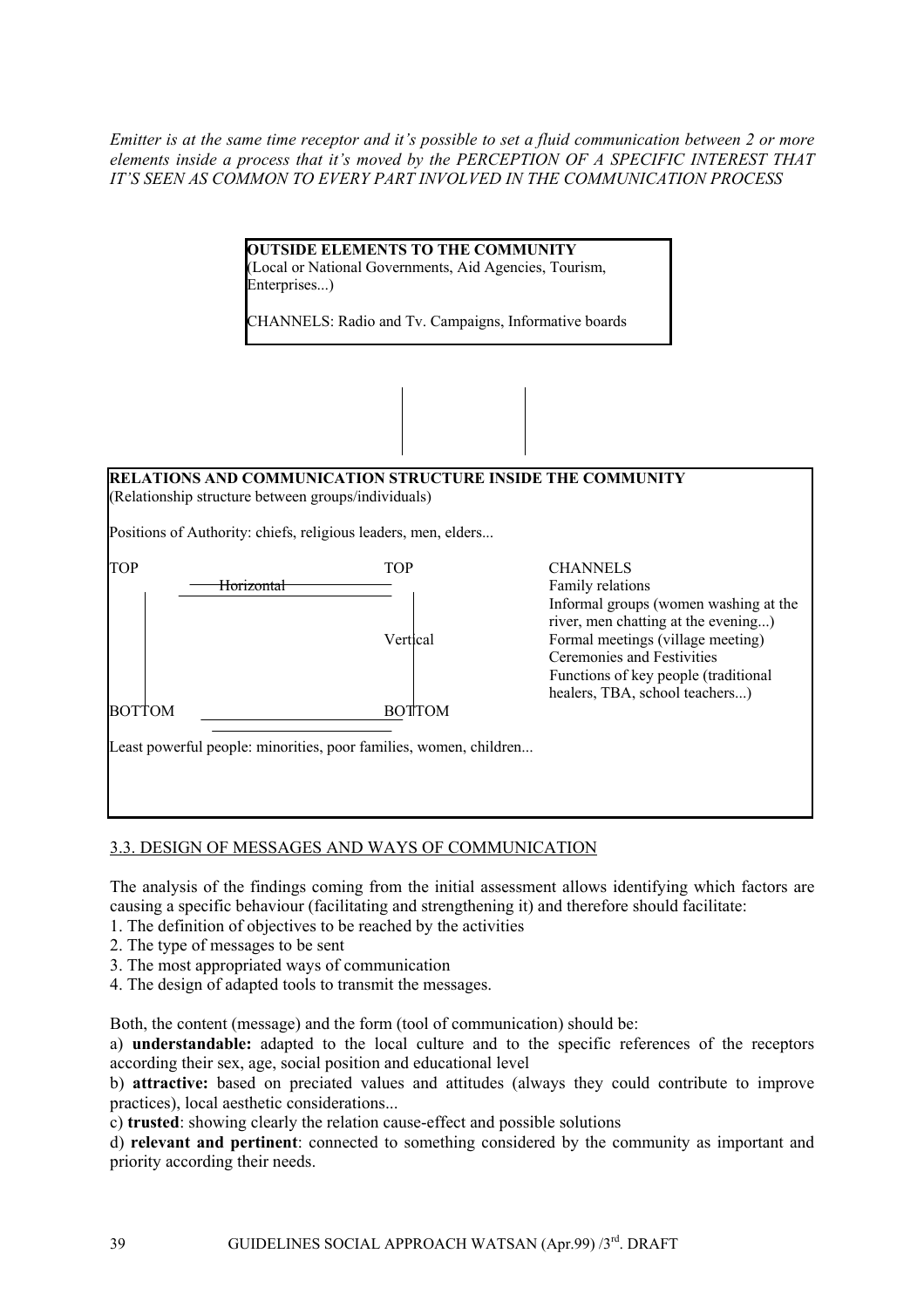*Emitter is at the same time receptor and it's possible to set a fluid communication between 2 or more elements inside a process that it's moved by the PERCEPTION OF A SPECIFIC INTEREST THAT IT'S SEEN AS COMMON TO EVERY PART INVOLVED IN THE COMMUNICATION PROCESS* 

| <b>OUTSIDE ELEMENTS TO THE COMMUNITY</b>               |
|--------------------------------------------------------|
| (Local or National Governments, Aid Agencies, Tourism, |
| Enterprises)                                           |

CHANNELS: Radio and Tv. Campaigns, Informative boards



## 3.3. DESIGN OF MESSAGES AND WAYS OF COMMUNICATION

The analysis of the findings coming from the initial assessment allows identifying which factors are causing a specific behaviour (facilitating and strengthening it) and therefore should facilitate:

- 1. The definition of objectives to be reached by the activities
- 2. The type of messages to be sent
- 3. The most appropriated ways of communication
- 4. The design of adapted tools to transmit the messages.

Both, the content (message) and the form (tool of communication) should be:

a) **understandable:** adapted to the local culture and to the specific references of the receptors according their sex, age, social position and educational level

b) **attractive:** based on preciated values and attitudes (always they could contribute to improve practices), local aesthetic considerations...

c) **trusted**: showing clearly the relation cause-effect and possible solutions

d) **relevant and pertinent**: connected to something considered by the community as important and priority according their needs.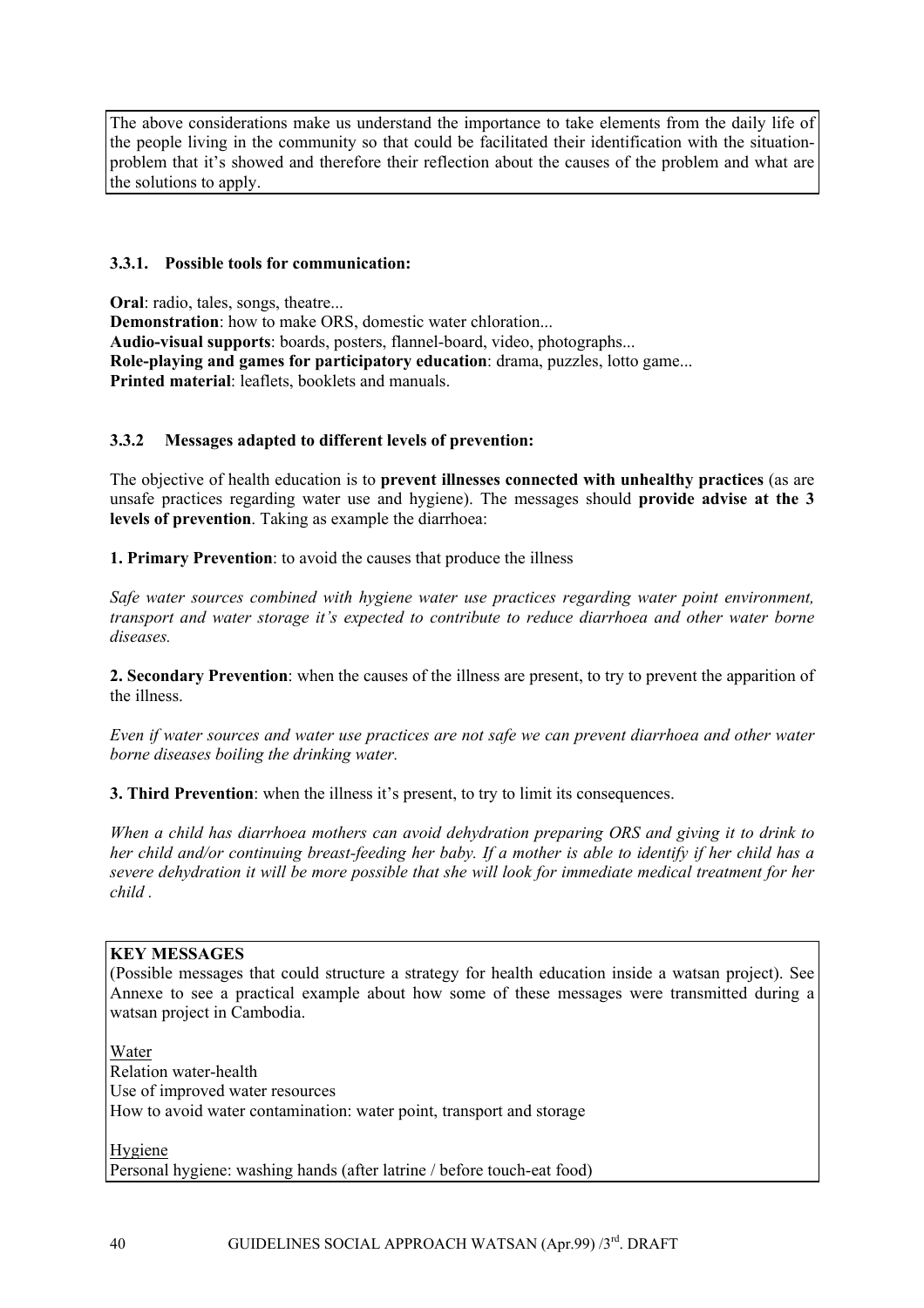The above considerations make us understand the importance to take elements from the daily life of the people living in the community so that could be facilitated their identification with the situationproblem that it's showed and therefore their reflection about the causes of the problem and what are the solutions to apply.

## **3.3.1. Possible tools for communication:**

**Oral**: radio, tales, songs, theatre... **Demonstration**: how to make ORS, domestic water chloration... **Audio-visual supports**: boards, posters, flannel-board, video, photographs... **Role-playing and games for participatory education**: drama, puzzles, lotto game... **Printed material**: leaflets, booklets and manuals.

## **3.3.2 Messages adapted to different levels of prevention:**

The objective of health education is to **prevent illnesses connected with unhealthy practices** (as are unsafe practices regarding water use and hygiene). The messages should **provide advise at the 3 levels of prevention**. Taking as example the diarrhoea:

**1. Primary Prevention**: to avoid the causes that produce the illness

*Safe water sources combined with hygiene water use practices regarding water point environment, transport and water storage it's expected to contribute to reduce diarrhoea and other water borne diseases.* 

**2. Secondary Prevention**: when the causes of the illness are present, to try to prevent the apparition of the illness.

*Even if water sources and water use practices are not safe we can prevent diarrhoea and other water borne diseases boiling the drinking water.* 

**3. Third Prevention**: when the illness it's present, to try to limit its consequences.

*When a child has diarrhoea mothers can avoid dehydration preparing ORS and giving it to drink to her child and/or continuing breast-feeding her baby. If a mother is able to identify if her child has a severe dehydration it will be more possible that she will look for immediate medical treatment for her child .* 

## **KEY MESSAGES**

(Possible messages that could structure a strategy for health education inside a watsan project). See Annexe to see a practical example about how some of these messages were transmitted during a watsan project in Cambodia.

Water Relation water-health Use of improved water resources How to avoid water contamination: water point, transport and storage

Hygiene Personal hygiene: washing hands (after latrine / before touch-eat food)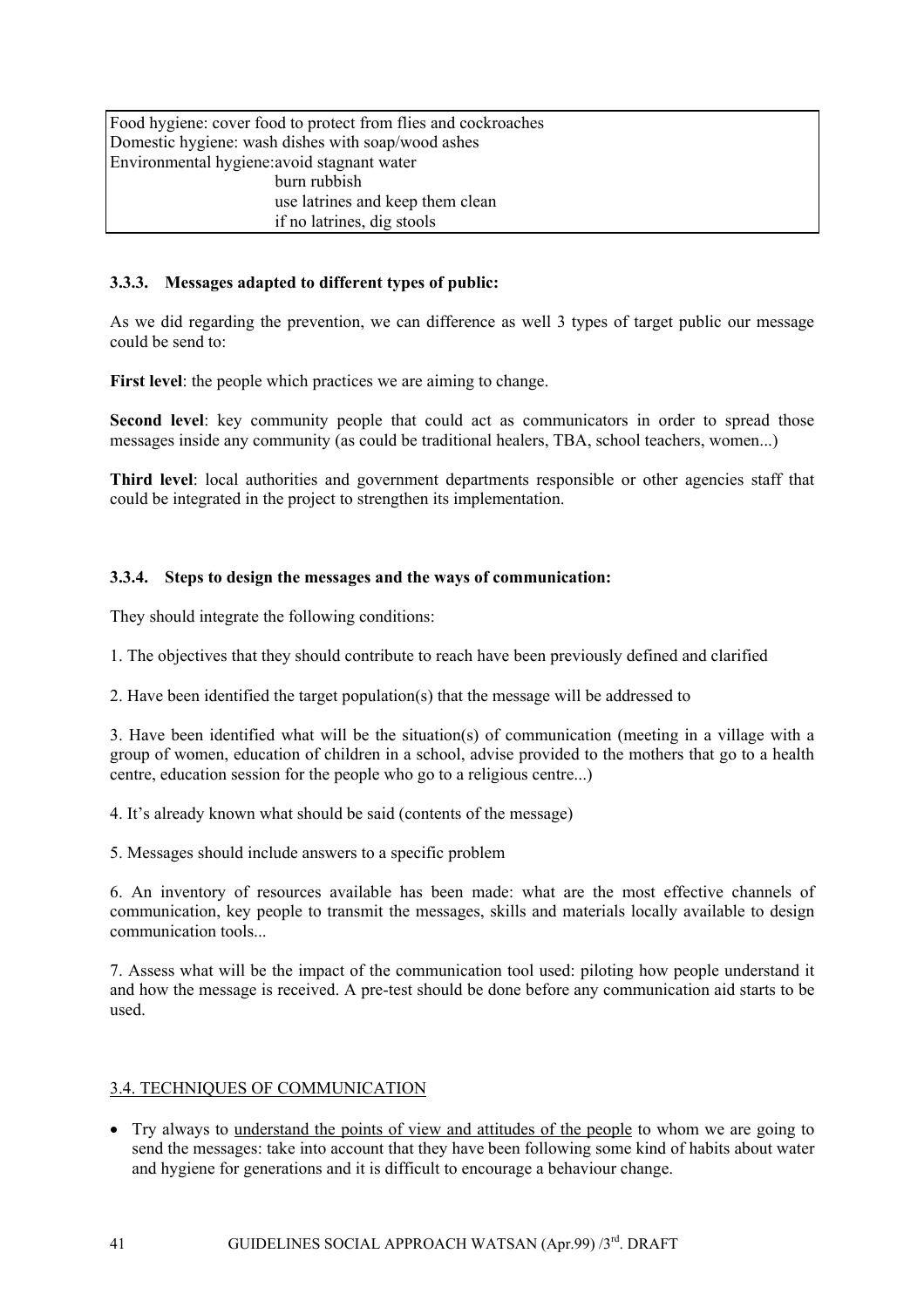Food hygiene: cover food to protect from flies and cockroaches Domestic hygiene: wash dishes with soap/wood ashes Environmental hygiene:avoid stagnant water burn rubbish use latrines and keep them clean if no latrines, dig stools

## **3.3.3. Messages adapted to different types of public:**

As we did regarding the prevention, we can difference as well 3 types of target public our message could be send to:

**First level**: the people which practices we are aiming to change.

Second level: key community people that could act as communicators in order to spread those messages inside any community (as could be traditional healers, TBA, school teachers, women...)

**Third level**: local authorities and government departments responsible or other agencies staff that could be integrated in the project to strengthen its implementation.

#### **3.3.4. Steps to design the messages and the ways of communication:**

They should integrate the following conditions:

1. The objectives that they should contribute to reach have been previously defined and clarified

2. Have been identified the target population(s) that the message will be addressed to

3. Have been identified what will be the situation(s) of communication (meeting in a village with a group of women, education of children in a school, advise provided to the mothers that go to a health centre, education session for the people who go to a religious centre...)

4. It's already known what should be said (contents of the message)

5. Messages should include answers to a specific problem

6. An inventory of resources available has been made: what are the most effective channels of communication, key people to transmit the messages, skills and materials locally available to design communication tools...

7. Assess what will be the impact of the communication tool used: piloting how people understand it and how the message is received. A pre-test should be done before any communication aid starts to be used.

#### 3.4. TECHNIQUES OF COMMUNICATION

• Try always to understand the points of view and attitudes of the people to whom we are going to send the messages: take into account that they have been following some kind of habits about water and hygiene for generations and it is difficult to encourage a behaviour change.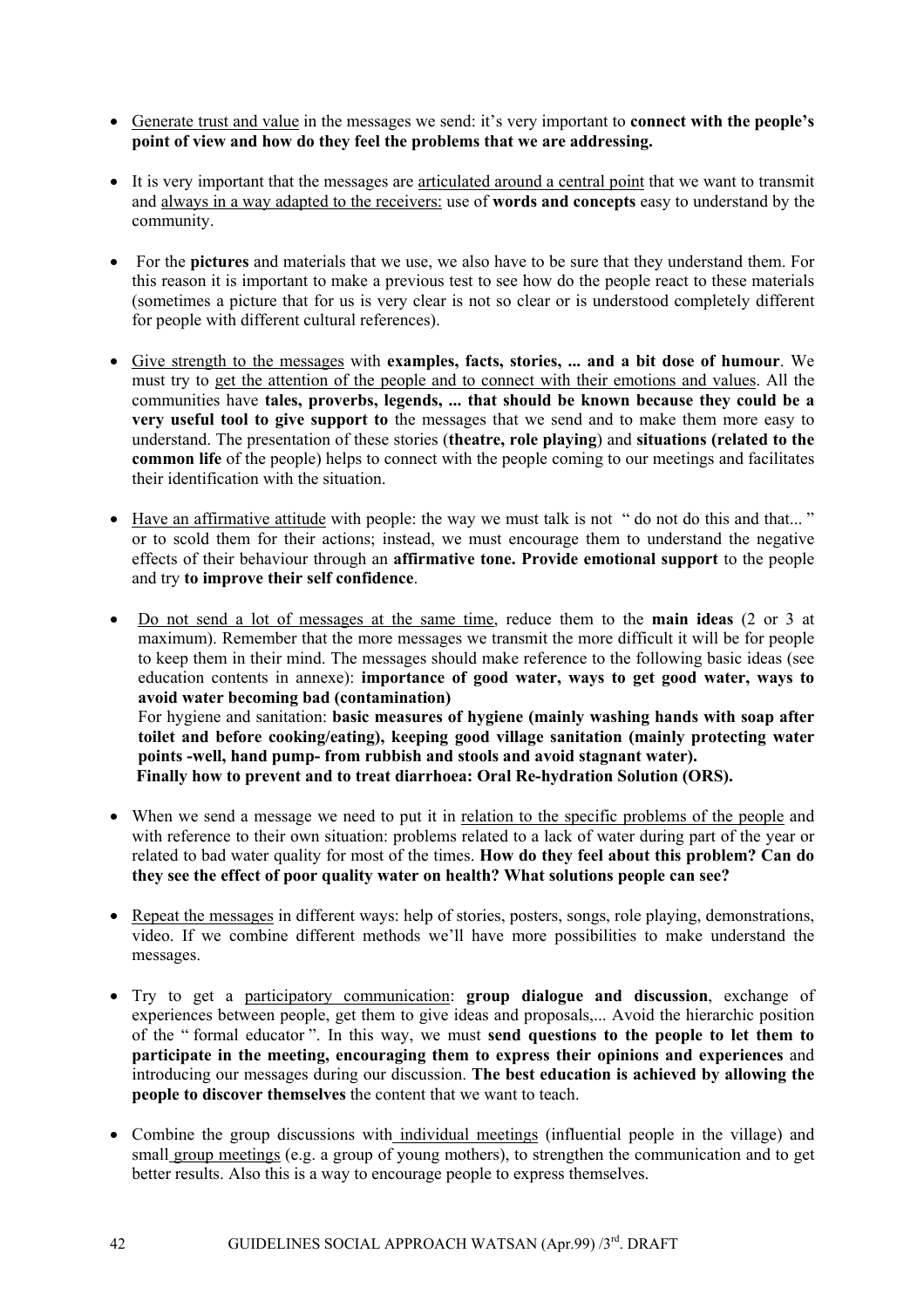- Generate trust and value in the messages we send: it's very important to **connect with the people's point of view and how do they feel the problems that we are addressing.**
- It is very important that the messages are articulated around a central point that we want to transmit and always in a way adapted to the receivers: use of **words and concepts** easy to understand by the community.
- For the **pictures** and materials that we use, we also have to be sure that they understand them. For this reason it is important to make a previous test to see how do the people react to these materials (sometimes a picture that for us is very clear is not so clear or is understood completely different for people with different cultural references).
- Give strength to the messages with **examples, facts, stories, ... and a bit dose of humour**. We must try to get the attention of the people and to connect with their emotions and values. All the communities have **tales, proverbs, legends, ... that should be known because they could be a very useful tool to give support to** the messages that we send and to make them more easy to understand. The presentation of these stories (**theatre, role playing**) and **situations (related to the common life** of the people) helps to connect with the people coming to our meetings and facilitates their identification with the situation.
- Have an affirmative attitude with people: the way we must talk is not " do not do this and that..." or to scold them for their actions; instead, we must encourage them to understand the negative effects of their behaviour through an **affirmative tone. Provide emotional support** to the people and try **to improve their self confidence**.
- Do not send a lot of messages at the same time, reduce them to the **main ideas** (2 or 3 at maximum). Remember that the more messages we transmit the more difficult it will be for people to keep them in their mind. The messages should make reference to the following basic ideas (see education contents in annexe): **importance of good water, ways to get good water, ways to avoid water becoming bad (contamination)**  For hygiene and sanitation: **basic measures of hygiene (mainly washing hands with soap after toilet and before cooking/eating), keeping good village sanitation (mainly protecting water points -well, hand pump- from rubbish and stools and avoid stagnant water). Finally how to prevent and to treat diarrhoea: Oral Re-hydration Solution (ORS).**
- When we send a message we need to put it in relation to the specific problems of the people and with reference to their own situation: problems related to a lack of water during part of the year or related to bad water quality for most of the times. **How do they feel about this problem? Can do they see the effect of poor quality water on health? What solutions people can see?**
- Repeat the messages in different ways: help of stories, posters, songs, role playing, demonstrations, video. If we combine different methods we'll have more possibilities to make understand the messages.
- Try to get a participatory communication: **group dialogue and discussion**, exchange of experiences between people, get them to give ideas and proposals,... Avoid the hierarchic position of the " formal educator ". In this way, we must **send questions to the people to let them to participate in the meeting, encouraging them to express their opinions and experiences** and introducing our messages during our discussion. **The best education is achieved by allowing the people to discover themselves** the content that we want to teach.
- Combine the group discussions with individual meetings (influential people in the village) and small group meetings (e.g. a group of young mothers), to strengthen the communication and to get better results. Also this is a way to encourage people to express themselves.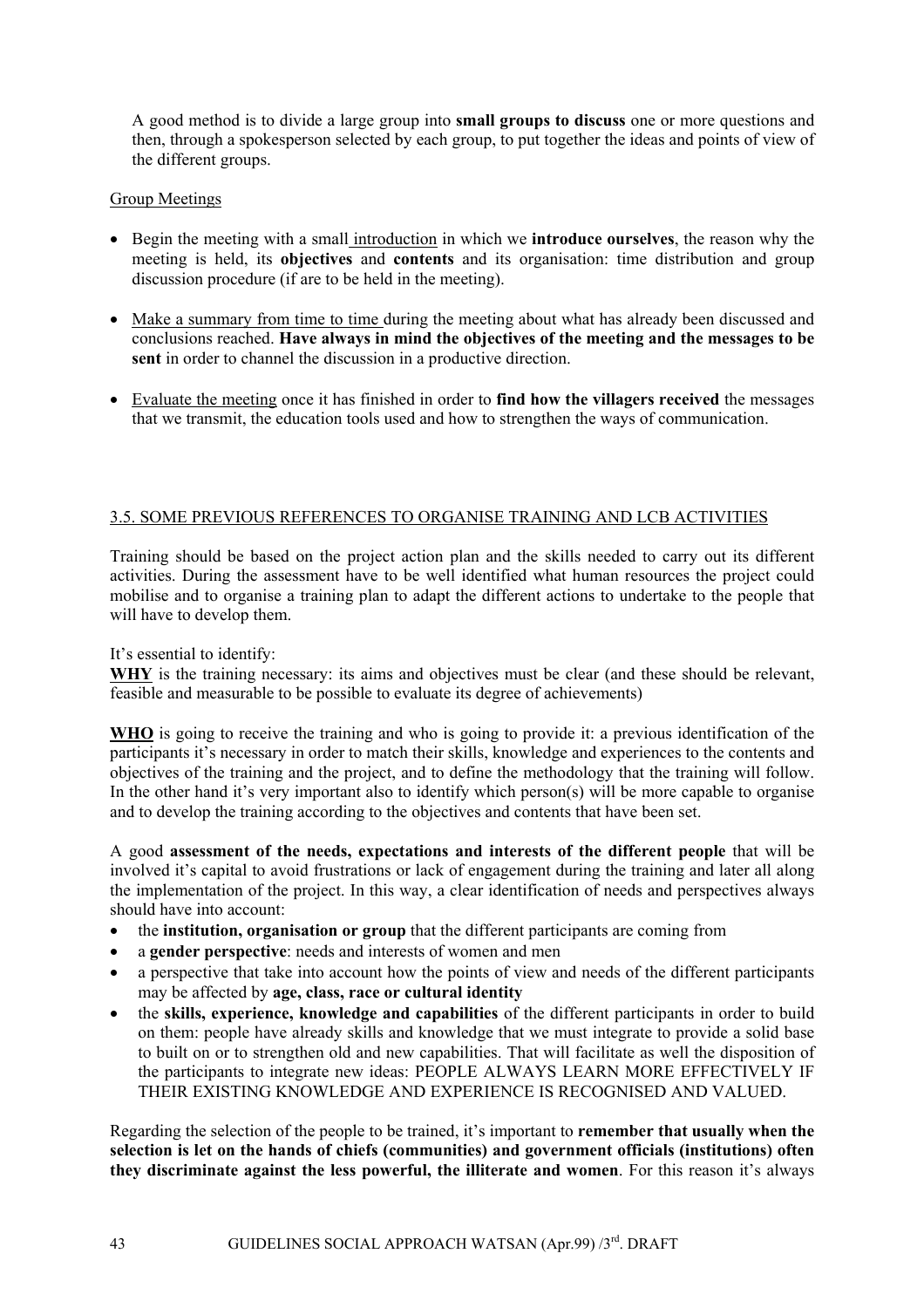A good method is to divide a large group into **small groups to discuss** one or more questions and then, through a spokesperson selected by each group, to put together the ideas and points of view of the different groups.

## Group Meetings

- Begin the meeting with a small introduction in which we **introduce ourselves**, the reason why the meeting is held, its **objectives** and **contents** and its organisation: time distribution and group discussion procedure (if are to be held in the meeting).
- Make a summary from time to time during the meeting about what has already been discussed and conclusions reached. **Have always in mind the objectives of the meeting and the messages to be sent** in order to channel the discussion in a productive direction.
- Evaluate the meeting once it has finished in order to **find how the villagers received** the messages that we transmit, the education tools used and how to strengthen the ways of communication.

## 3.5. SOME PREVIOUS REFERENCES TO ORGANISE TRAINING AND LCB ACTIVITIES

Training should be based on the project action plan and the skills needed to carry out its different activities. During the assessment have to be well identified what human resources the project could mobilise and to organise a training plan to adapt the different actions to undertake to the people that will have to develop them.

It's essential to identify:

WHY is the training necessary: its aims and objectives must be clear (and these should be relevant, feasible and measurable to be possible to evaluate its degree of achievements)

**WHO** is going to receive the training and who is going to provide it: a previous identification of the participants it's necessary in order to match their skills, knowledge and experiences to the contents and objectives of the training and the project, and to define the methodology that the training will follow. In the other hand it's very important also to identify which person(s) will be more capable to organise and to develop the training according to the objectives and contents that have been set.

A good **assessment of the needs, expectations and interests of the different people** that will be involved it's capital to avoid frustrations or lack of engagement during the training and later all along the implementation of the project. In this way, a clear identification of needs and perspectives always should have into account:

- the **institution, organisation or group** that the different participants are coming from
- a **gender perspective**: needs and interests of women and men
- a perspective that take into account how the points of view and needs of the different participants may be affected by **age, class, race or cultural identity**
- the **skills, experience, knowledge and capabilities** of the different participants in order to build on them: people have already skills and knowledge that we must integrate to provide a solid base to built on or to strengthen old and new capabilities. That will facilitate as well the disposition of the participants to integrate new ideas: PEOPLE ALWAYS LEARN MORE EFFECTIVELY IF THEIR EXISTING KNOWLEDGE AND EXPERIENCE IS RECOGNISED AND VALUED.

Regarding the selection of the people to be trained, it's important to **remember that usually when the selection is let on the hands of chiefs (communities) and government officials (institutions) often they discriminate against the less powerful, the illiterate and women**. For this reason it's always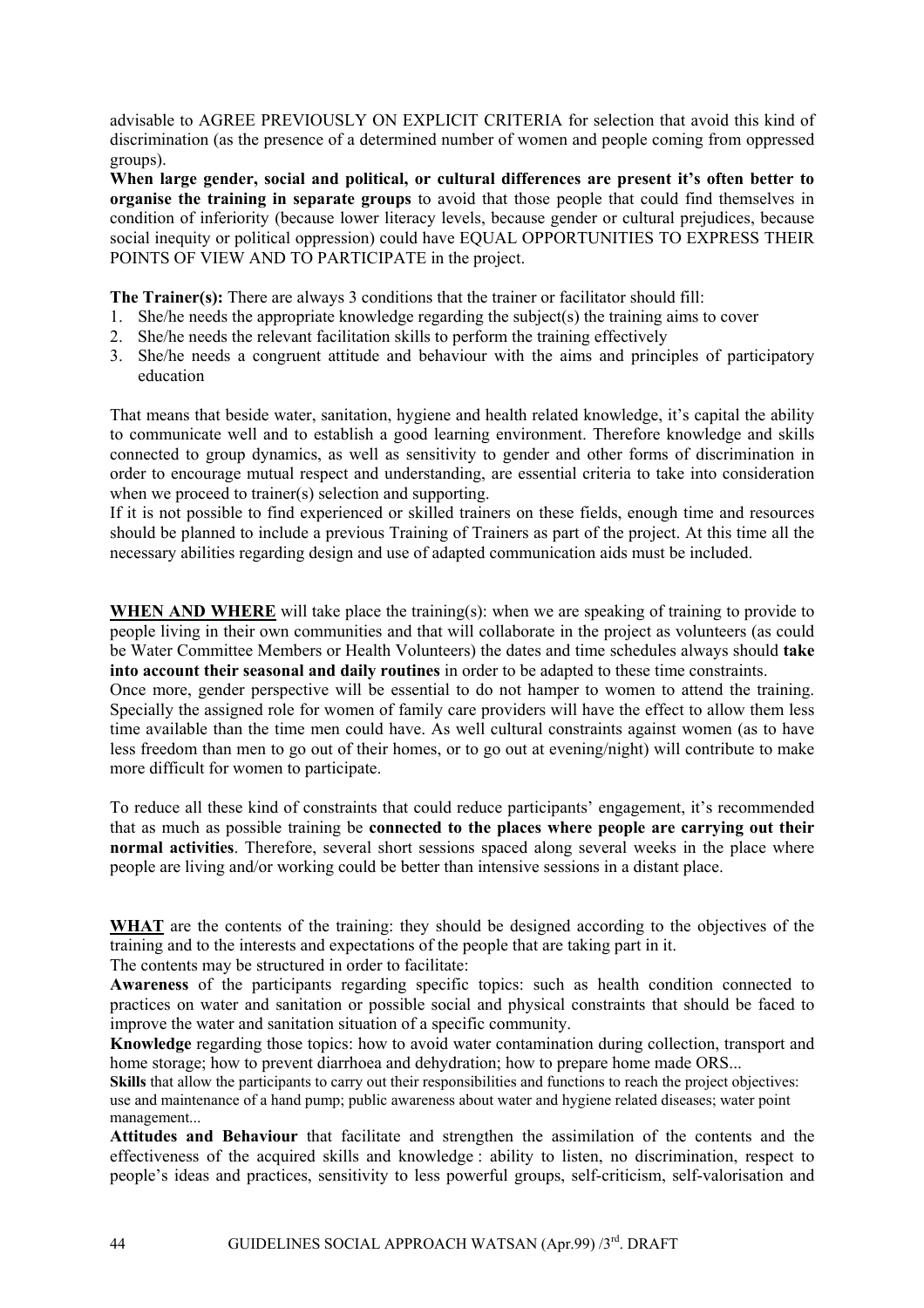advisable to AGREE PREVIOUSLY ON EXPLICIT CRITERIA for selection that avoid this kind of discrimination (as the presence of a determined number of women and people coming from oppressed groups).

**When large gender, social and political, or cultural differences are present it's often better to organise the training in separate groups** to avoid that those people that could find themselves in condition of inferiority (because lower literacy levels, because gender or cultural prejudices, because social inequity or political oppression) could have EQUAL OPPORTUNITIES TO EXPRESS THEIR POINTS OF VIEW AND TO PARTICIPATE in the project.

**The Trainer(s):** There are always 3 conditions that the trainer or facilitator should fill:

- 1. She/he needs the appropriate knowledge regarding the subject(s) the training aims to cover
- 2. She/he needs the relevant facilitation skills to perform the training effectively
- 3. She/he needs a congruent attitude and behaviour with the aims and principles of participatory education

That means that beside water, sanitation, hygiene and health related knowledge, it's capital the ability to communicate well and to establish a good learning environment. Therefore knowledge and skills connected to group dynamics, as well as sensitivity to gender and other forms of discrimination in order to encourage mutual respect and understanding, are essential criteria to take into consideration when we proceed to trainer(s) selection and supporting.

If it is not possible to find experienced or skilled trainers on these fields, enough time and resources should be planned to include a previous Training of Trainers as part of the project. At this time all the necessary abilities regarding design and use of adapted communication aids must be included.

WHEN AND WHERE will take place the training(s): when we are speaking of training to provide to people living in their own communities and that will collaborate in the project as volunteers (as could be Water Committee Members or Health Volunteers) the dates and time schedules always should **take into account their seasonal and daily routines** in order to be adapted to these time constraints.

Once more, gender perspective will be essential to do not hamper to women to attend the training. Specially the assigned role for women of family care providers will have the effect to allow them less time available than the time men could have. As well cultural constraints against women (as to have less freedom than men to go out of their homes, or to go out at evening/night) will contribute to make more difficult for women to participate.

To reduce all these kind of constraints that could reduce participants' engagement, it's recommended that as much as possible training be **connected to the places where people are carrying out their normal activities**. Therefore, several short sessions spaced along several weeks in the place where people are living and/or working could be better than intensive sessions in a distant place.

**WHAT** are the contents of the training: they should be designed according to the objectives of the training and to the interests and expectations of the people that are taking part in it.

The contents may be structured in order to facilitate:

**Awareness** of the participants regarding specific topics: such as health condition connected to practices on water and sanitation or possible social and physical constraints that should be faced to improve the water and sanitation situation of a specific community.

**Knowledge** regarding those topics: how to avoid water contamination during collection, transport and home storage; how to prevent diarrhoea and dehydration; how to prepare home made ORS...

**Skills** that allow the participants to carry out their responsibilities and functions to reach the project objectives: use and maintenance of a hand pump; public awareness about water and hygiene related diseases; water point management...

**Attitudes and Behaviour** that facilitate and strengthen the assimilation of the contents and the effectiveness of the acquired skills and knowledge : ability to listen, no discrimination, respect to people's ideas and practices, sensitivity to less powerful groups, self-criticism, self-valorisation and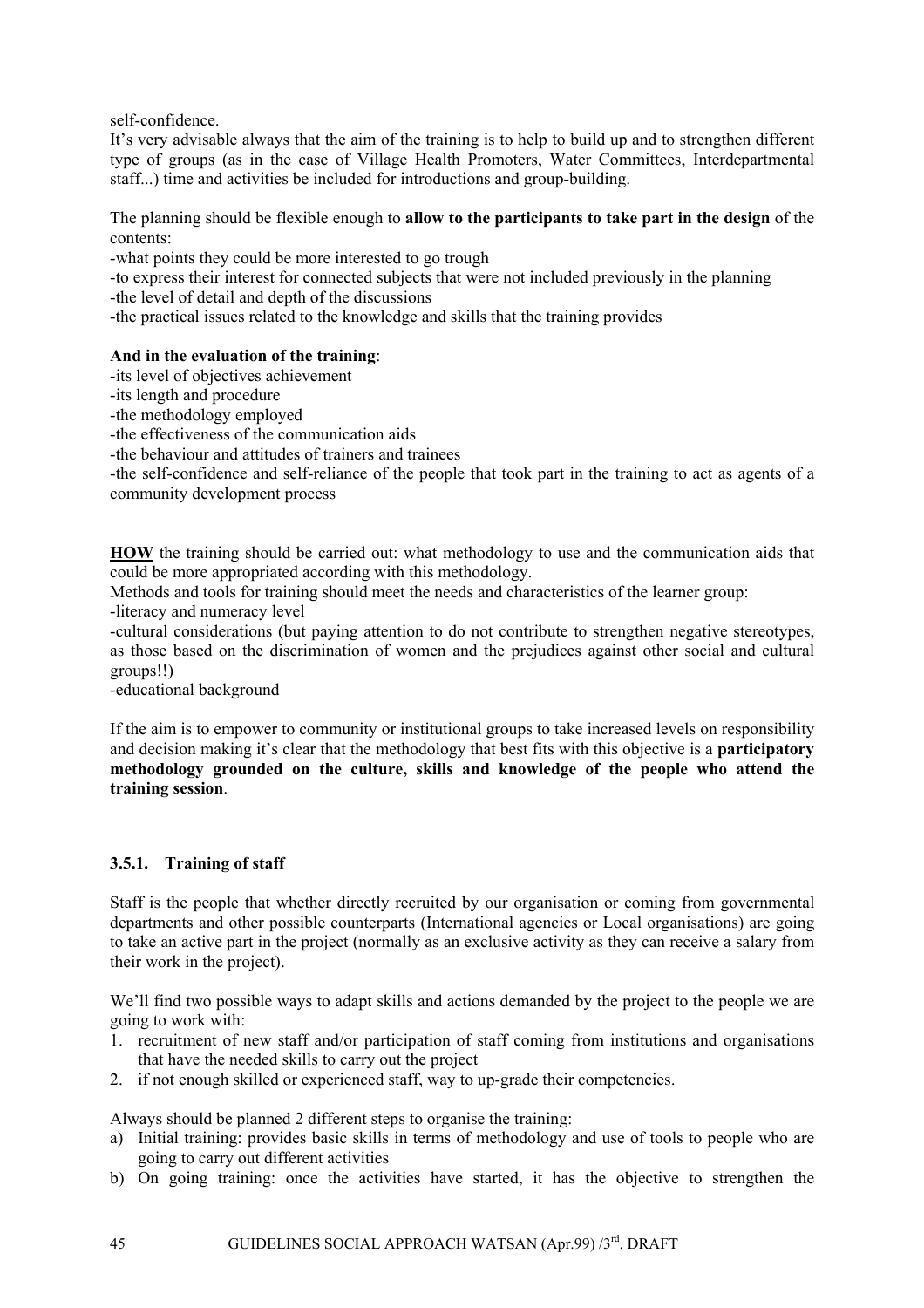self-confidence.

It's very advisable always that the aim of the training is to help to build up and to strengthen different type of groups (as in the case of Village Health Promoters, Water Committees, Interdepartmental staff...) time and activities be included for introductions and group-building.

The planning should be flexible enough to **allow to the participants to take part in the design** of the contents:

-what points they could be more interested to go trough

-to express their interest for connected subjects that were not included previously in the planning

-the level of detail and depth of the discussions

-the practical issues related to the knowledge and skills that the training provides

## **And in the evaluation of the training**:

-its level of objectives achievement

-its length and procedure

-the methodology employed

-the effectiveness of the communication aids

-the behaviour and attitudes of trainers and trainees

-the self-confidence and self-reliance of the people that took part in the training to act as agents of a community development process

**HOW** the training should be carried out: what methodology to use and the communication aids that could be more appropriated according with this methodology.

Methods and tools for training should meet the needs and characteristics of the learner group: -literacy and numeracy level

-cultural considerations (but paying attention to do not contribute to strengthen negative stereotypes, as those based on the discrimination of women and the prejudices against other social and cultural groups!!)

-educational background

If the aim is to empower to community or institutional groups to take increased levels on responsibility and decision making it's clear that the methodology that best fits with this objective is a **participatory methodology grounded on the culture, skills and knowledge of the people who attend the training session**.

## **3.5.1. Training of staff**

Staff is the people that whether directly recruited by our organisation or coming from governmental departments and other possible counterparts (International agencies or Local organisations) are going to take an active part in the project (normally as an exclusive activity as they can receive a salary from their work in the project).

We'll find two possible ways to adapt skills and actions demanded by the project to the people we are going to work with:

- 1. recruitment of new staff and/or participation of staff coming from institutions and organisations that have the needed skills to carry out the project
- 2. if not enough skilled or experienced staff, way to up-grade their competencies.

Always should be planned 2 different steps to organise the training:

- a) Initial training: provides basic skills in terms of methodology and use of tools to people who are going to carry out different activities
- b) On going training: once the activities have started, it has the objective to strengthen the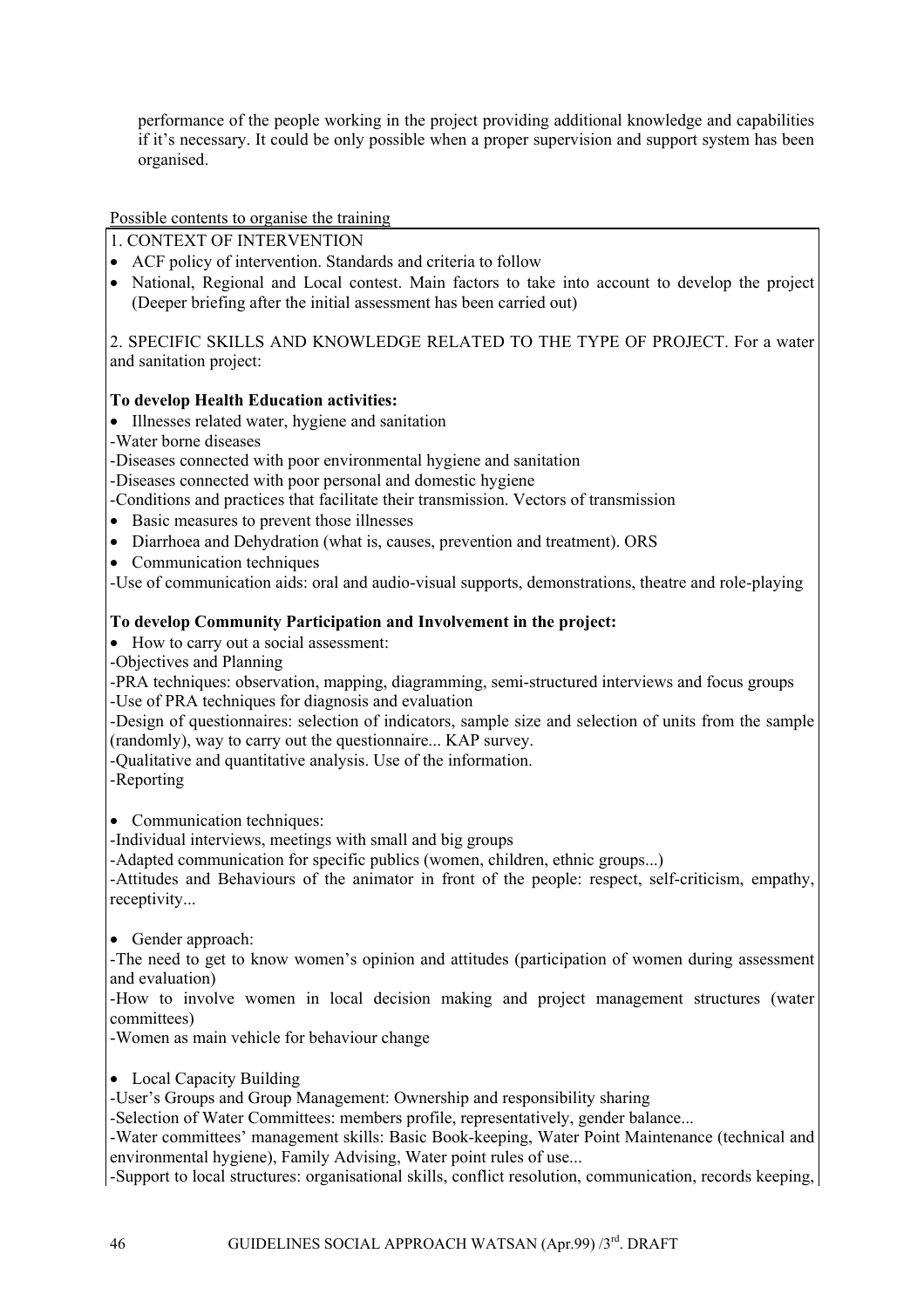performance of the people working in the project providing additional knowledge and capabilities if it's necessary. It could be only possible when a proper supervision and support system has been organised.

Possible contents to organise the training

- 1. CONTEXT OF INTERVENTION
- ACF policy of intervention. Standards and criteria to follow
- National, Regional and Local contest. Main factors to take into account to develop the project (Deeper briefing after the initial assessment has been carried out)

2. SPECIFIC SKILLS AND KNOWLEDGE RELATED TO THE TYPE OF PROJECT. For a water and sanitation project:

## **To develop Health Education activities:**

- Illnesses related water, hygiene and sanitation
- -Water borne diseases

-Diseases connected with poor environmental hygiene and sanitation

-Diseases connected with poor personal and domestic hygiene

-Conditions and practices that facilitate their transmission. Vectors of transmission

• Basic measures to prevent those illnesses

• Diarrhoea and Dehydration (what is, causes, prevention and treatment). ORS

• Communication techniques

-Use of communication aids: oral and audio-visual supports, demonstrations, theatre and role-playing

## **To develop Community Participation and Involvement in the project:**

• How to carry out a social assessment:

-Objectives and Planning

-PRA techniques: observation, mapping, diagramming, semi-structured interviews and focus groups -Use of PRA techniques for diagnosis and evaluation

-Design of questionnaires: selection of indicators, sample size and selection of units from the sample (randomly), way to carry out the questionnaire... KAP survey.

-Qualitative and quantitative analysis. Use of the information.

-Reporting

• Communication techniques:

-Individual interviews, meetings with small and big groups

-Adapted communication for specific publics (women, children, ethnic groups...)

-Attitudes and Behaviours of the animator in front of the people: respect, self-criticism, empathy, receptivity...

• Gender approach:

-The need to get to know women's opinion and attitudes (participation of women during assessment and evaluation)

-How to involve women in local decision making and project management structures (water committees)

-Women as main vehicle for behaviour change

• Local Capacity Building

-User's Groups and Group Management: Ownership and responsibility sharing

-Selection of Water Committees: members profile, representatively, gender balance...

-Water committees' management skills: Basic Book-keeping, Water Point Maintenance (technical and environmental hygiene), Family Advising, Water point rules of use...

-Support to local structures: organisational skills, conflict resolution, communication, records keeping,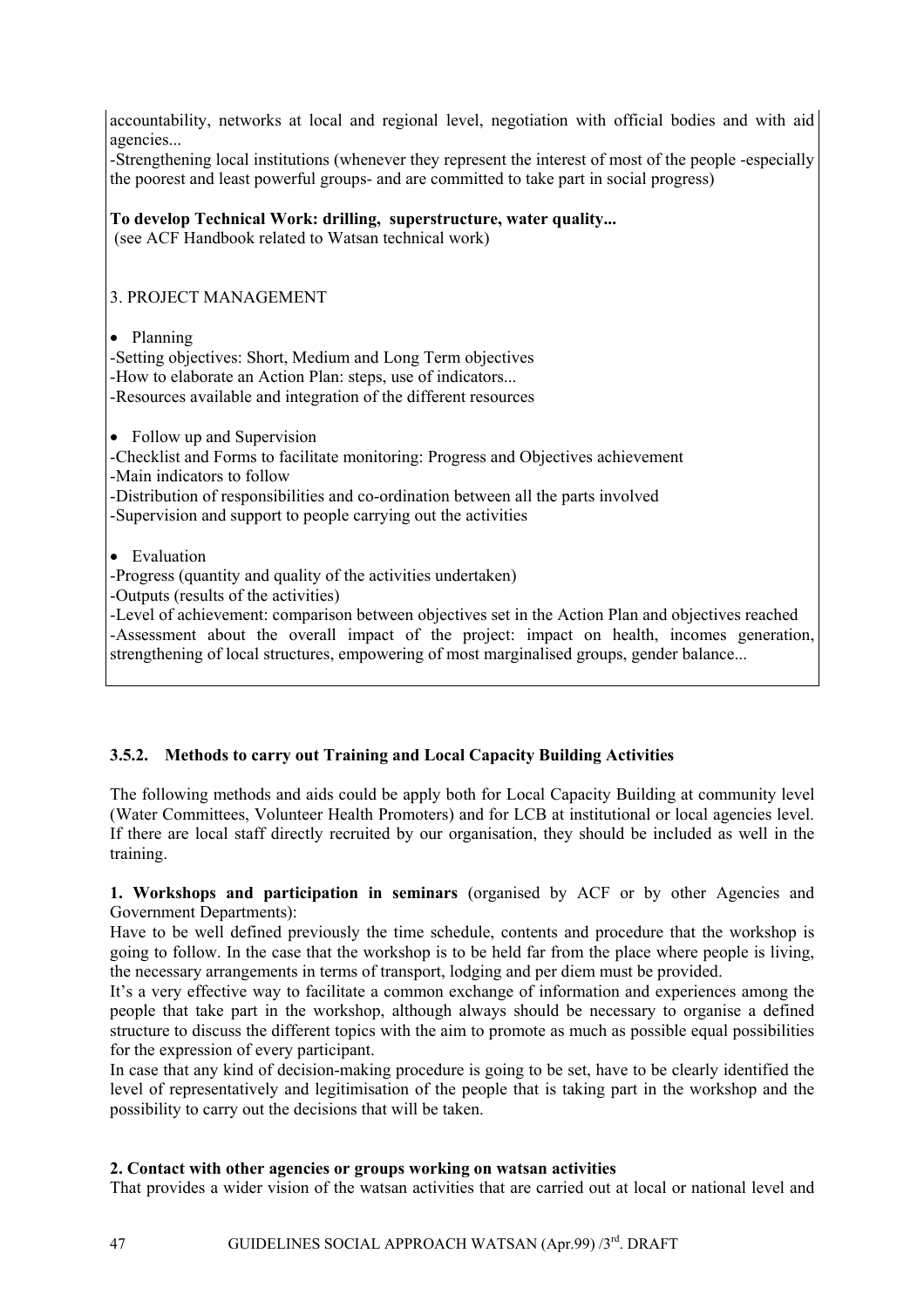accountability, networks at local and regional level, negotiation with official bodies and with aid agencies...

-Strengthening local institutions (whenever they represent the interest of most of the people -especially the poorest and least powerful groups- and are committed to take part in social progress)

## **To develop Technical Work: drilling, superstructure, water quality...**

(see ACF Handbook related to Watsan technical work)

## 3. PROJECT MANAGEMENT

## • Planning

-Setting objectives: Short, Medium and Long Term objectives -How to elaborate an Action Plan: steps, use of indicators... -Resources available and integration of the different resources

• Follow up and Supervision

-Checklist and Forms to facilitate monitoring: Progress and Objectives achievement -Main indicators to follow

-Distribution of responsibilities and co-ordination between all the parts involved

-Supervision and support to people carrying out the activities

• Evaluation

-Progress (quantity and quality of the activities undertaken)

-Outputs (results of the activities)

-Level of achievement: comparison between objectives set in the Action Plan and objectives reached -Assessment about the overall impact of the project: impact on health, incomes generation, strengthening of local structures, empowering of most marginalised groups, gender balance...

## **3.5.2. Methods to carry out Training and Local Capacity Building Activities**

The following methods and aids could be apply both for Local Capacity Building at community level (Water Committees, Volunteer Health Promoters) and for LCB at institutional or local agencies level. If there are local staff directly recruited by our organisation, they should be included as well in the training.

#### **1. Workshops and participation in seminars** (organised by ACF or by other Agencies and Government Departments):

Have to be well defined previously the time schedule, contents and procedure that the workshop is going to follow. In the case that the workshop is to be held far from the place where people is living, the necessary arrangements in terms of transport, lodging and per diem must be provided.

It's a very effective way to facilitate a common exchange of information and experiences among the people that take part in the workshop, although always should be necessary to organise a defined structure to discuss the different topics with the aim to promote as much as possible equal possibilities for the expression of every participant.

In case that any kind of decision-making procedure is going to be set, have to be clearly identified the level of representatively and legitimisation of the people that is taking part in the workshop and the possibility to carry out the decisions that will be taken.

## **2. Contact with other agencies or groups working on watsan activities**

That provides a wider vision of the watsan activities that are carried out at local or national level and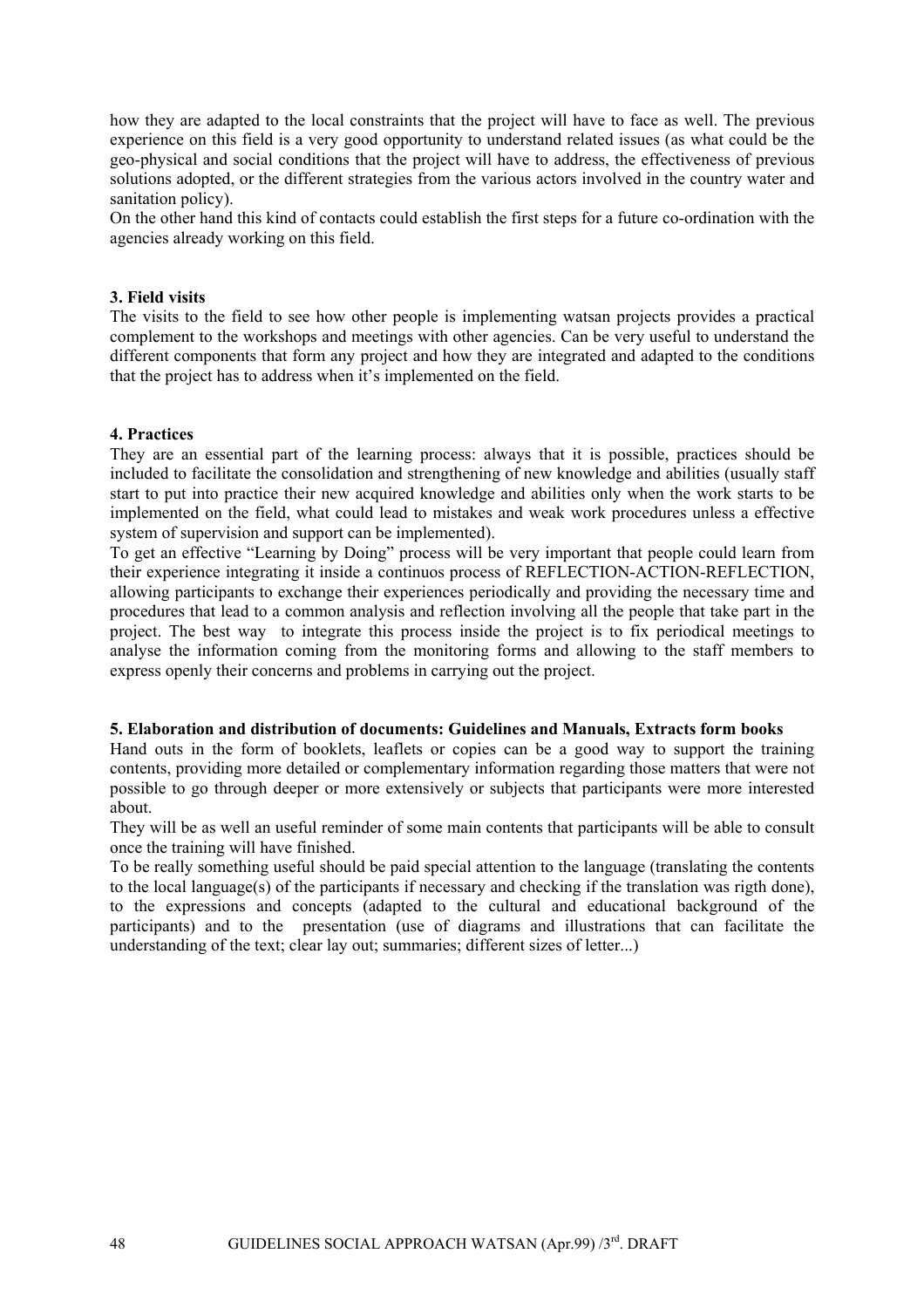how they are adapted to the local constraints that the project will have to face as well. The previous experience on this field is a very good opportunity to understand related issues (as what could be the geo-physical and social conditions that the project will have to address, the effectiveness of previous solutions adopted, or the different strategies from the various actors involved in the country water and sanitation policy).

On the other hand this kind of contacts could establish the first steps for a future co-ordination with the agencies already working on this field.

#### **3. Field visits**

The visits to the field to see how other people is implementing watsan projects provides a practical complement to the workshops and meetings with other agencies. Can be very useful to understand the different components that form any project and how they are integrated and adapted to the conditions that the project has to address when it's implemented on the field.

#### **4. Practices**

They are an essential part of the learning process: always that it is possible, practices should be included to facilitate the consolidation and strengthening of new knowledge and abilities (usually staff start to put into practice their new acquired knowledge and abilities only when the work starts to be implemented on the field, what could lead to mistakes and weak work procedures unless a effective system of supervision and support can be implemented).

To get an effective "Learning by Doing" process will be very important that people could learn from their experience integrating it inside a continuos process of REFLECTION-ACTION-REFLECTION, allowing participants to exchange their experiences periodically and providing the necessary time and procedures that lead to a common analysis and reflection involving all the people that take part in the project. The best way to integrate this process inside the project is to fix periodical meetings to analyse the information coming from the monitoring forms and allowing to the staff members to express openly their concerns and problems in carrying out the project.

#### **5. Elaboration and distribution of documents: Guidelines and Manuals, Extracts form books**

Hand outs in the form of booklets, leaflets or copies can be a good way to support the training contents, providing more detailed or complementary information regarding those matters that were not possible to go through deeper or more extensively or subjects that participants were more interested about.

They will be as well an useful reminder of some main contents that participants will be able to consult once the training will have finished.

To be really something useful should be paid special attention to the language (translating the contents to the local language(s) of the participants if necessary and checking if the translation was rigth done), to the expressions and concepts (adapted to the cultural and educational background of the participants) and to the presentation (use of diagrams and illustrations that can facilitate the understanding of the text; clear lay out; summaries; different sizes of letter...)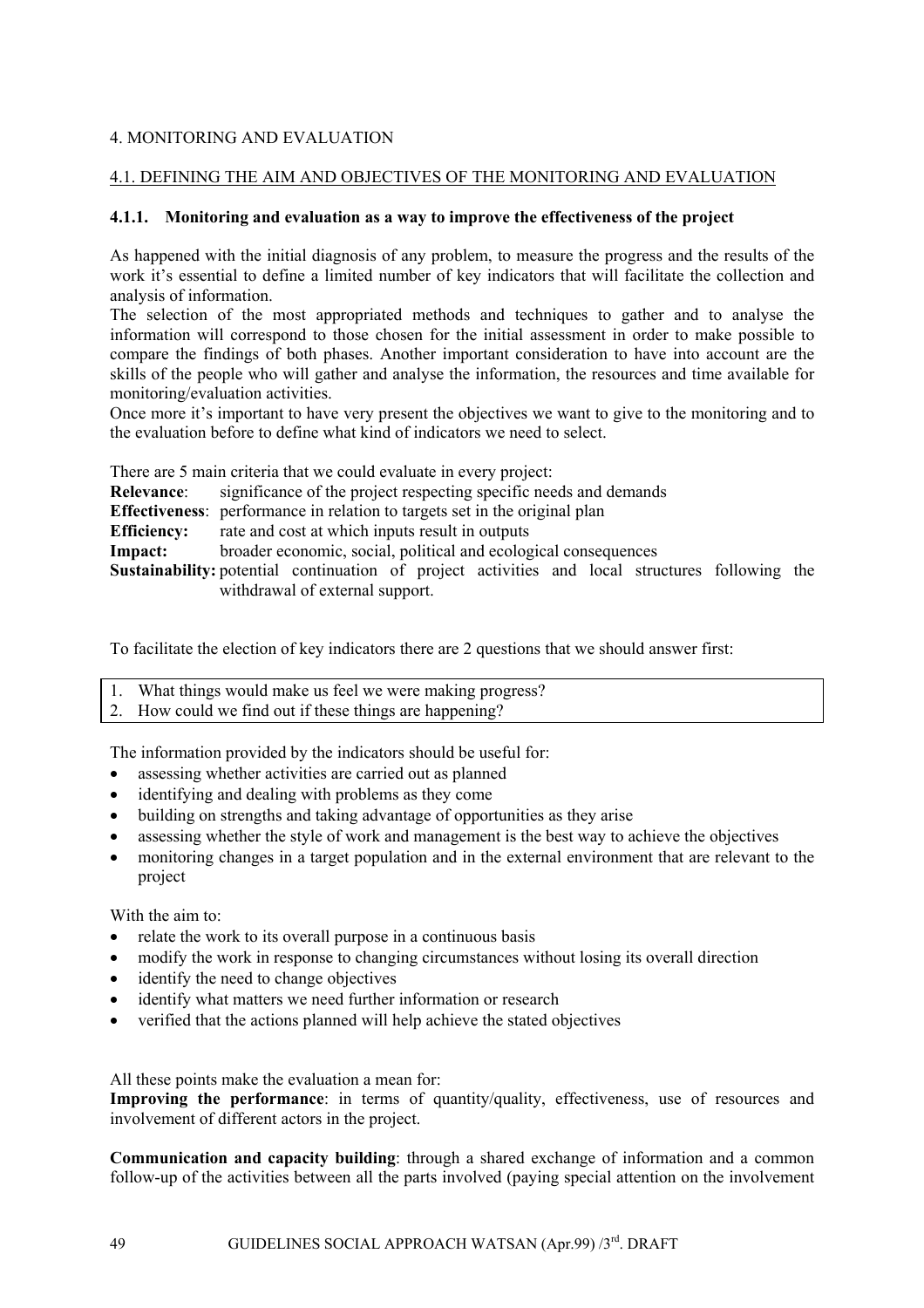## 4. MONITORING AND EVALUATION

## 4.1. DEFINING THE AIM AND OBJECTIVES OF THE MONITORING AND EVALUATION

#### **4.1.1. Monitoring and evaluation as a way to improve the effectiveness of the project**

As happened with the initial diagnosis of any problem, to measure the progress and the results of the work it's essential to define a limited number of key indicators that will facilitate the collection and analysis of information.

The selection of the most appropriated methods and techniques to gather and to analyse the information will correspond to those chosen for the initial assessment in order to make possible to compare the findings of both phases. Another important consideration to have into account are the skills of the people who will gather and analyse the information, the resources and time available for monitoring/evaluation activities.

Once more it's important to have very present the objectives we want to give to the monitoring and to the evaluation before to define what kind of indicators we need to select.

There are 5 main criteria that we could evaluate in every project: **Relevance:** significance of the project respecting specific needs and demands **Effectiveness**: performance in relation to targets set in the original plan **Efficiency:** rate and cost at which inputs result in outputs **Impact:** broader economic, social, political and ecological consequences

**Sustainability:** potential continuation of project activities and local structures following the withdrawal of external support.

To facilitate the election of key indicators there are 2 questions that we should answer first:

- 1. What things would make us feel we were making progress?
- 2. How could we find out if these things are happening?

The information provided by the indicators should be useful for:

- assessing whether activities are carried out as planned
- identifying and dealing with problems as they come
- building on strengths and taking advantage of opportunities as they arise
- assessing whether the style of work and management is the best way to achieve the objectives
- monitoring changes in a target population and in the external environment that are relevant to the project

With the aim to:

- relate the work to its overall purpose in a continuous basis
- modify the work in response to changing circumstances without losing its overall direction
- identify the need to change objectives
- identify what matters we need further information or research
- verified that the actions planned will help achieve the stated objectives

All these points make the evaluation a mean for:

**Improving the performance**: in terms of quantity/quality, effectiveness, use of resources and involvement of different actors in the project.

**Communication and capacity building**: through a shared exchange of information and a common follow-up of the activities between all the parts involved (paying special attention on the involvement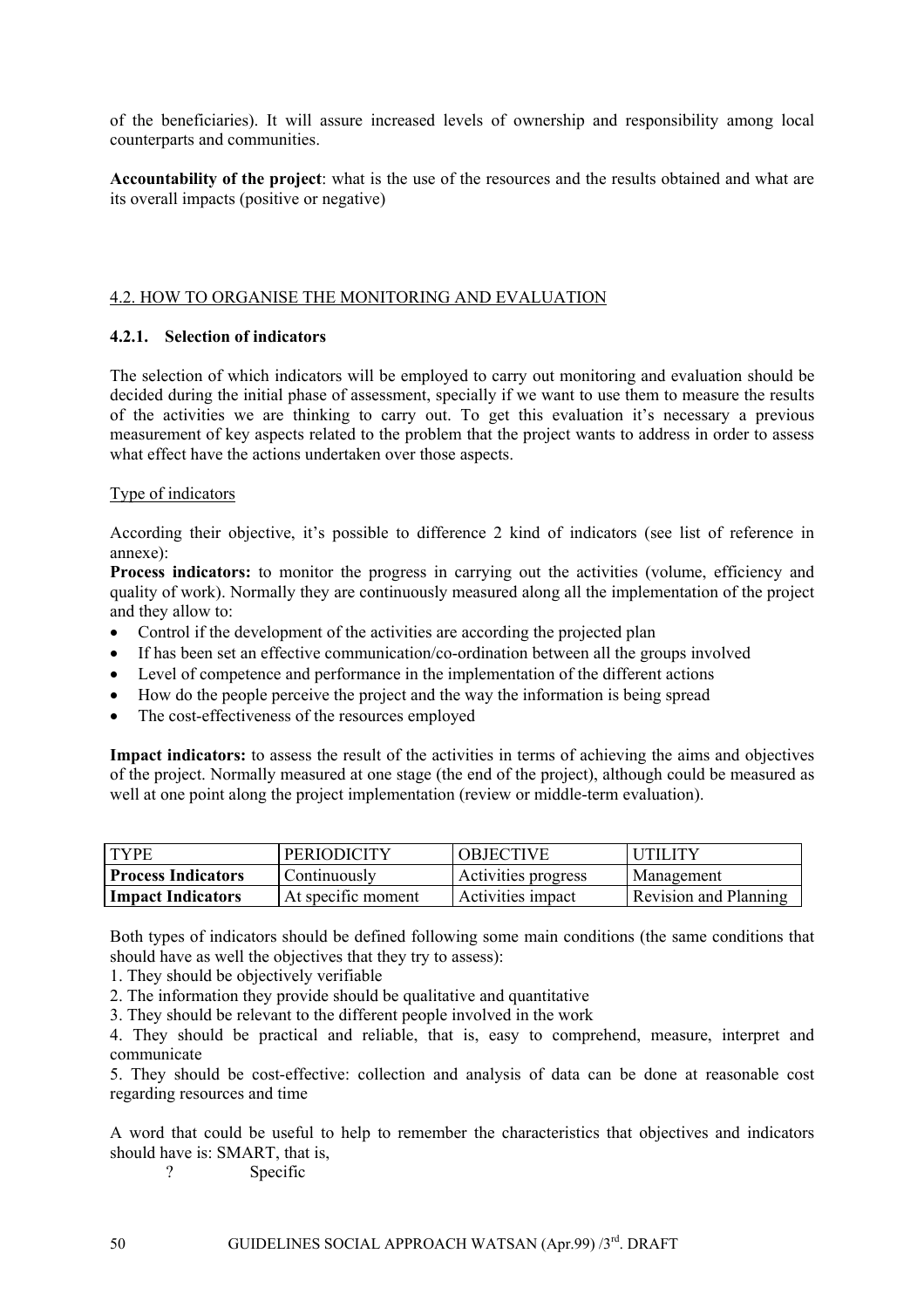of the beneficiaries). It will assure increased levels of ownership and responsibility among local counterparts and communities.

**Accountability of the project**: what is the use of the resources and the results obtained and what are its overall impacts (positive or negative)

#### 4.2. HOW TO ORGANISE THE MONITORING AND EVALUATION

## **4.2.1. Selection of indicators**

The selection of which indicators will be employed to carry out monitoring and evaluation should be decided during the initial phase of assessment, specially if we want to use them to measure the results of the activities we are thinking to carry out. To get this evaluation it's necessary a previous measurement of key aspects related to the problem that the project wants to address in order to assess what effect have the actions undertaken over those aspects.

## Type of indicators

According their objective, it's possible to difference 2 kind of indicators (see list of reference in annexe):

**Process indicators:** to monitor the progress in carrying out the activities (volume, efficiency and quality of work). Normally they are continuously measured along all the implementation of the project and they allow to:

- Control if the development of the activities are according the projected plan
- If has been set an effective communication/co-ordination between all the groups involved
- Level of competence and performance in the implementation of the different actions
- How do the people perceive the project and the way the information is being spread
- The cost-effectiveness of the resources employed

**Impact indicators:** to assess the result of the activities in terms of achieving the aims and objectives of the project. Normally measured at one stage (the end of the project), although could be measured as well at one point along the project implementation (review or middle-term evaluation).

| <b>TYPE</b>               | <b>PERIODICITY</b> | <b>OBJECTIVE</b>    | UTILITY               |
|---------------------------|--------------------|---------------------|-----------------------|
| <b>Process Indicators</b> | Continuously       | Activities progress | Management            |
| <b>Impact Indicators</b>  | At specific moment | Activities impact   | Revision and Planning |

Both types of indicators should be defined following some main conditions (the same conditions that should have as well the objectives that they try to assess):

1. They should be objectively verifiable

2. The information they provide should be qualitative and quantitative

3. They should be relevant to the different people involved in the work

4. They should be practical and reliable, that is, easy to comprehend, measure, interpret and communicate

5. They should be cost-effective: collection and analysis of data can be done at reasonable cost regarding resources and time

A word that could be useful to help to remember the characteristics that objectives and indicators should have is: SMART, that is,

? Specific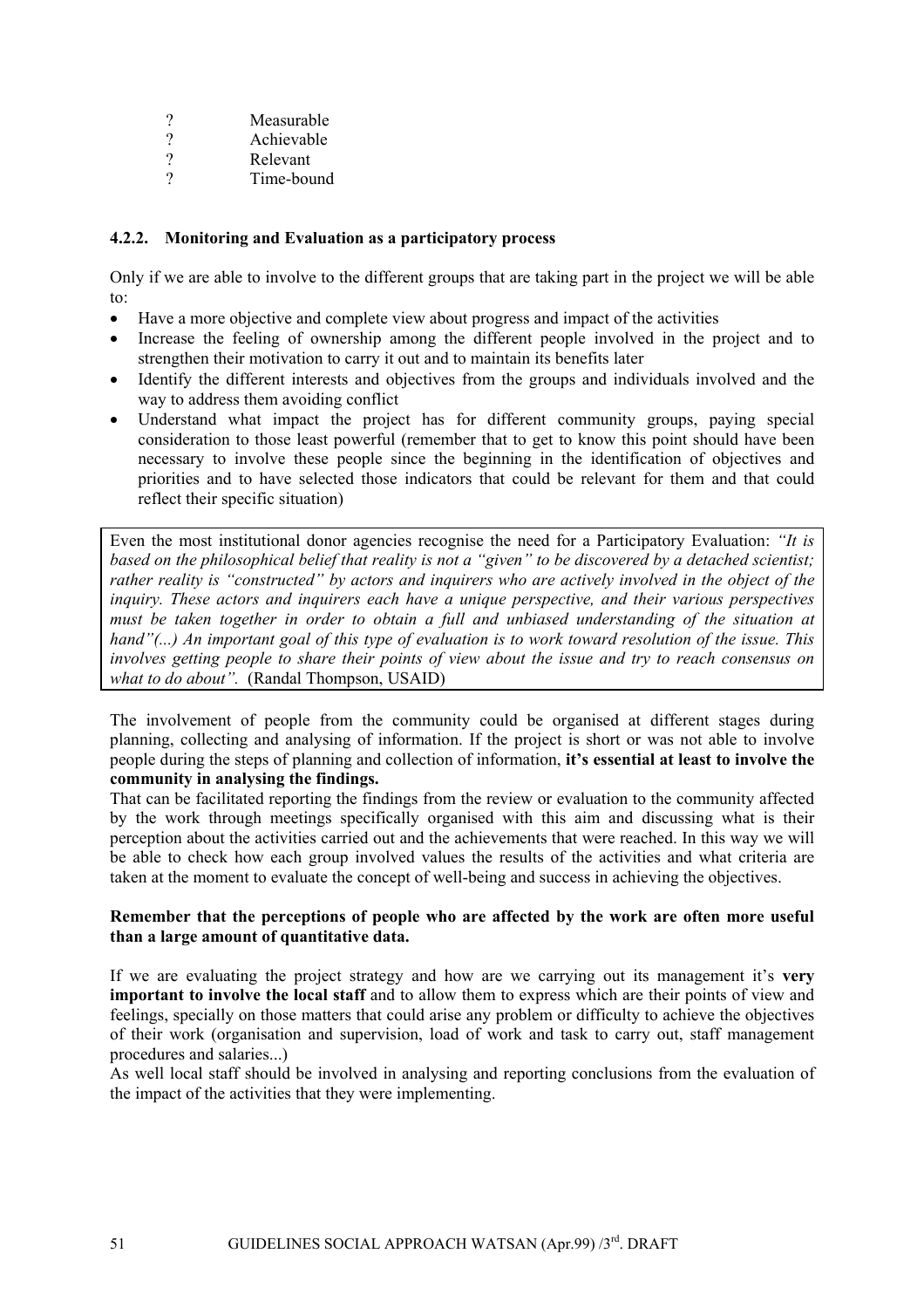- ? Measurable<br>? Achievable
- Achievable
- ? Relevant
- ? Time-bound

## **4.2.2. Monitoring and Evaluation as a participatory process**

Only if we are able to involve to the different groups that are taking part in the project we will be able to:

- Have a more objective and complete view about progress and impact of the activities
- Increase the feeling of ownership among the different people involved in the project and to strengthen their motivation to carry it out and to maintain its benefits later
- Identify the different interests and objectives from the groups and individuals involved and the way to address them avoiding conflict
- Understand what impact the project has for different community groups, paying special consideration to those least powerful (remember that to get to know this point should have been necessary to involve these people since the beginning in the identification of objectives and priorities and to have selected those indicators that could be relevant for them and that could reflect their specific situation)

Even the most institutional donor agencies recognise the need for a Participatory Evaluation: *"It is based on the philosophical belief that reality is not a "given" to be discovered by a detached scientist; rather reality is "constructed" by actors and inquirers who are actively involved in the object of the inquiry. These actors and inquirers each have a unique perspective, and their various perspectives must be taken together in order to obtain a full and unbiased understanding of the situation at hand"(...) An important goal of this type of evaluation is to work toward resolution of the issue. This involves getting people to share their points of view about the issue and try to reach consensus on what to do about".* (Randal Thompson, USAID)

The involvement of people from the community could be organised at different stages during planning, collecting and analysing of information. If the project is short or was not able to involve people during the steps of planning and collection of information, **it's essential at least to involve the community in analysing the findings.** 

That can be facilitated reporting the findings from the review or evaluation to the community affected by the work through meetings specifically organised with this aim and discussing what is their perception about the activities carried out and the achievements that were reached. In this way we will be able to check how each group involved values the results of the activities and what criteria are taken at the moment to evaluate the concept of well-being and success in achieving the objectives.

## **Remember that the perceptions of people who are affected by the work are often more useful than a large amount of quantitative data.**

If we are evaluating the project strategy and how are we carrying out its management it's **very important to involve the local staff** and to allow them to express which are their points of view and feelings, specially on those matters that could arise any problem or difficulty to achieve the objectives of their work (organisation and supervision, load of work and task to carry out, staff management procedures and salaries...)

As well local staff should be involved in analysing and reporting conclusions from the evaluation of the impact of the activities that they were implementing.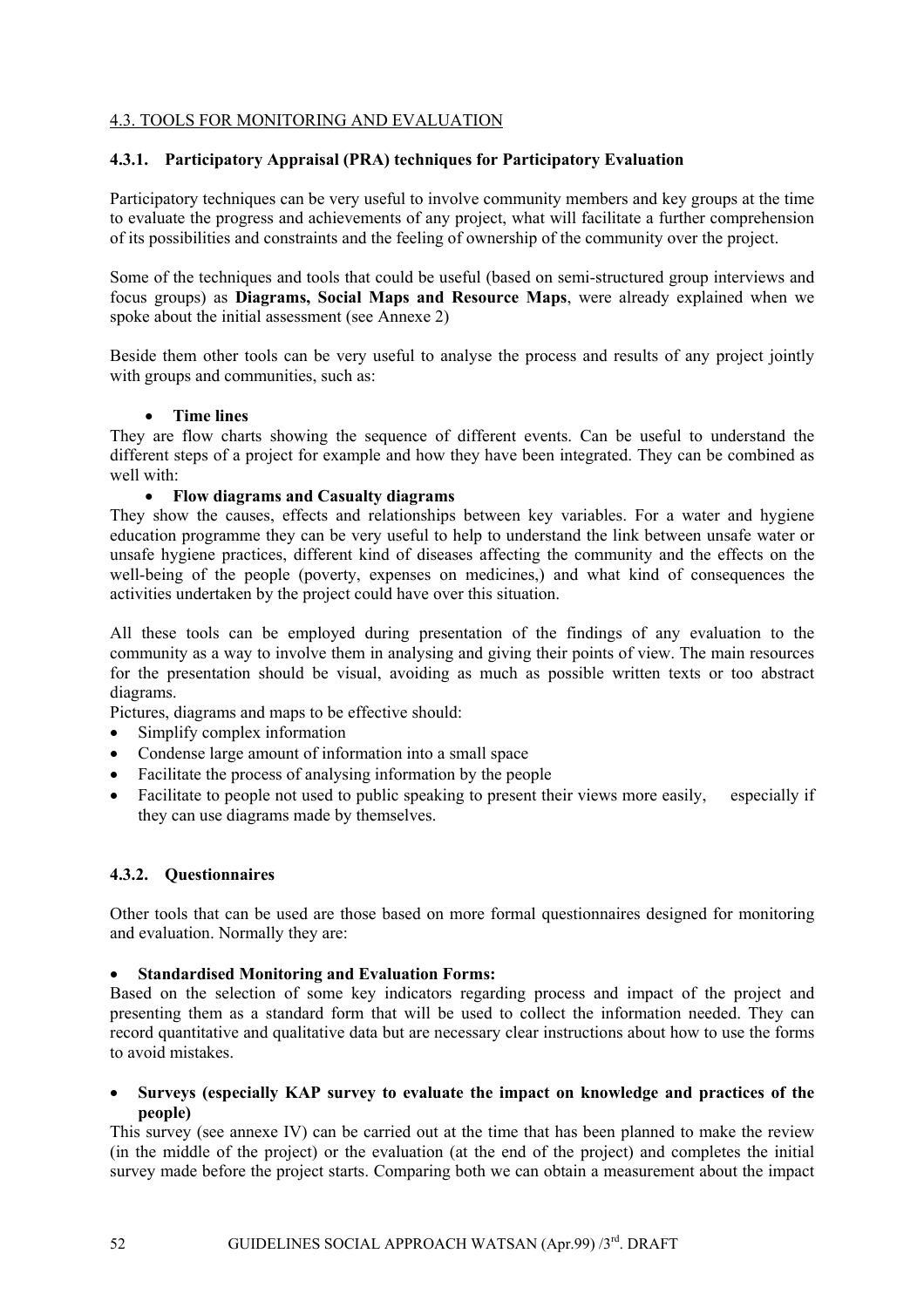## 4.3. TOOLS FOR MONITORING AND EVALUATION

#### **4.3.1. Participatory Appraisal (PRA) techniques for Participatory Evaluation**

Participatory techniques can be very useful to involve community members and key groups at the time to evaluate the progress and achievements of any project, what will facilitate a further comprehension of its possibilities and constraints and the feeling of ownership of the community over the project.

Some of the techniques and tools that could be useful (based on semi-structured group interviews and focus groups) as **Diagrams, Social Maps and Resource Maps**, were already explained when we spoke about the initial assessment (see Annexe 2)

Beside them other tools can be very useful to analyse the process and results of any project jointly with groups and communities, such as:

#### • **Time lines**

They are flow charts showing the sequence of different events. Can be useful to understand the different steps of a project for example and how they have been integrated. They can be combined as well with:

#### • **Flow diagrams and Casualty diagrams**

They show the causes, effects and relationships between key variables. For a water and hygiene education programme they can be very useful to help to understand the link between unsafe water or unsafe hygiene practices, different kind of diseases affecting the community and the effects on the well-being of the people (poverty, expenses on medicines,) and what kind of consequences the activities undertaken by the project could have over this situation.

All these tools can be employed during presentation of the findings of any evaluation to the community as a way to involve them in analysing and giving their points of view. The main resources for the presentation should be visual, avoiding as much as possible written texts or too abstract diagrams.

Pictures, diagrams and maps to be effective should:

- Simplify complex information
- Condense large amount of information into a small space
- Facilitate the process of analysing information by the people
- Facilitate to people not used to public speaking to present their views more easily, especially if they can use diagrams made by themselves.

## **4.3.2. Questionnaires**

Other tools that can be used are those based on more formal questionnaires designed for monitoring and evaluation. Normally they are:

#### • **Standardised Monitoring and Evaluation Forms:**

Based on the selection of some key indicators regarding process and impact of the project and presenting them as a standard form that will be used to collect the information needed. They can record quantitative and qualitative data but are necessary clear instructions about how to use the forms to avoid mistakes.

• **Surveys (especially KAP survey to evaluate the impact on knowledge and practices of the people)** 

This survey (see annexe IV) can be carried out at the time that has been planned to make the review (in the middle of the project) or the evaluation (at the end of the project) and completes the initial survey made before the project starts. Comparing both we can obtain a measurement about the impact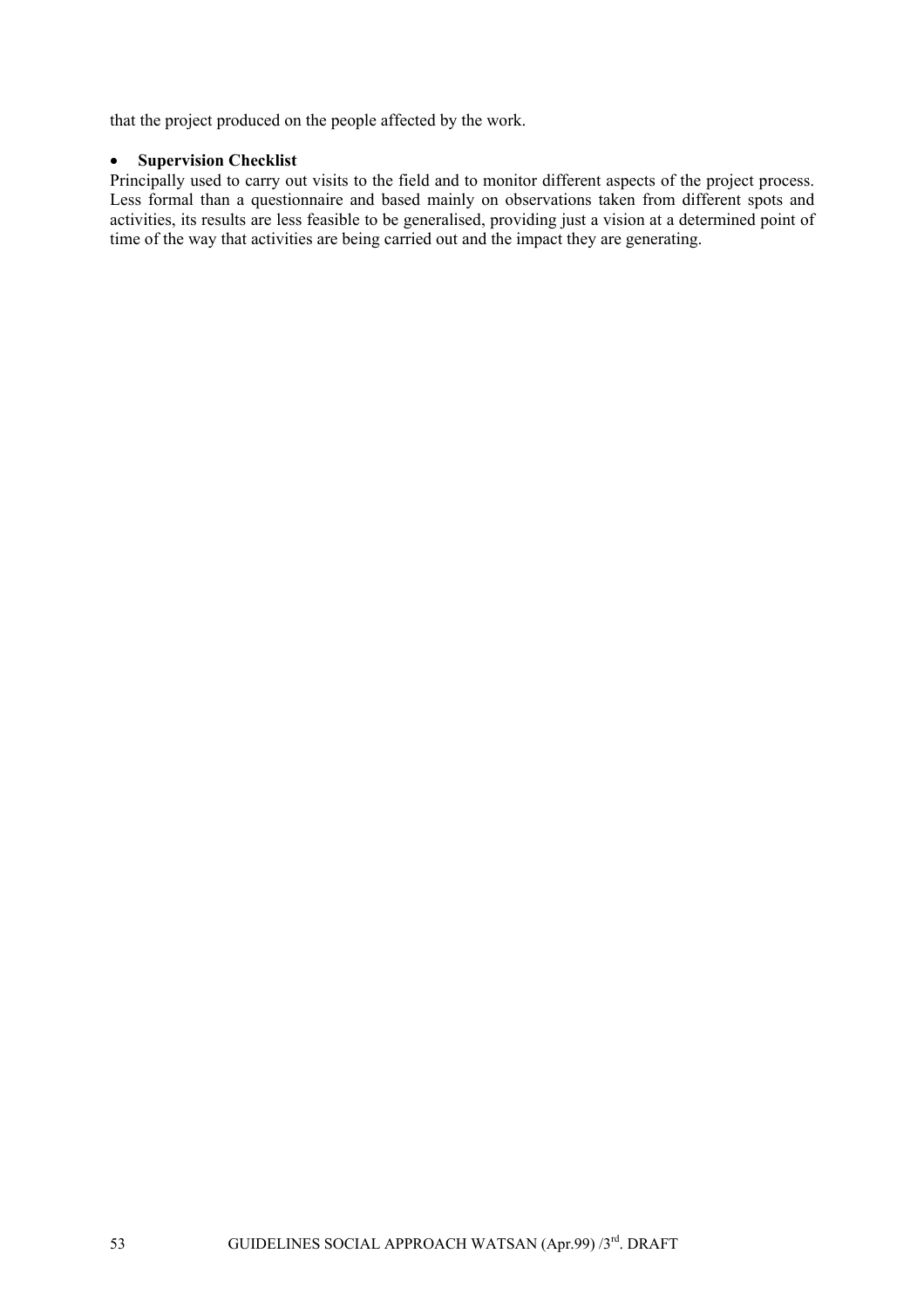that the project produced on the people affected by the work.

#### • **Supervision Checklist**

Principally used to carry out visits to the field and to monitor different aspects of the project process. Less formal than a questionnaire and based mainly on observations taken from different spots and activities, its results are less feasible to be generalised, providing just a vision at a determined point of time of the way that activities are being carried out and the impact they are generating.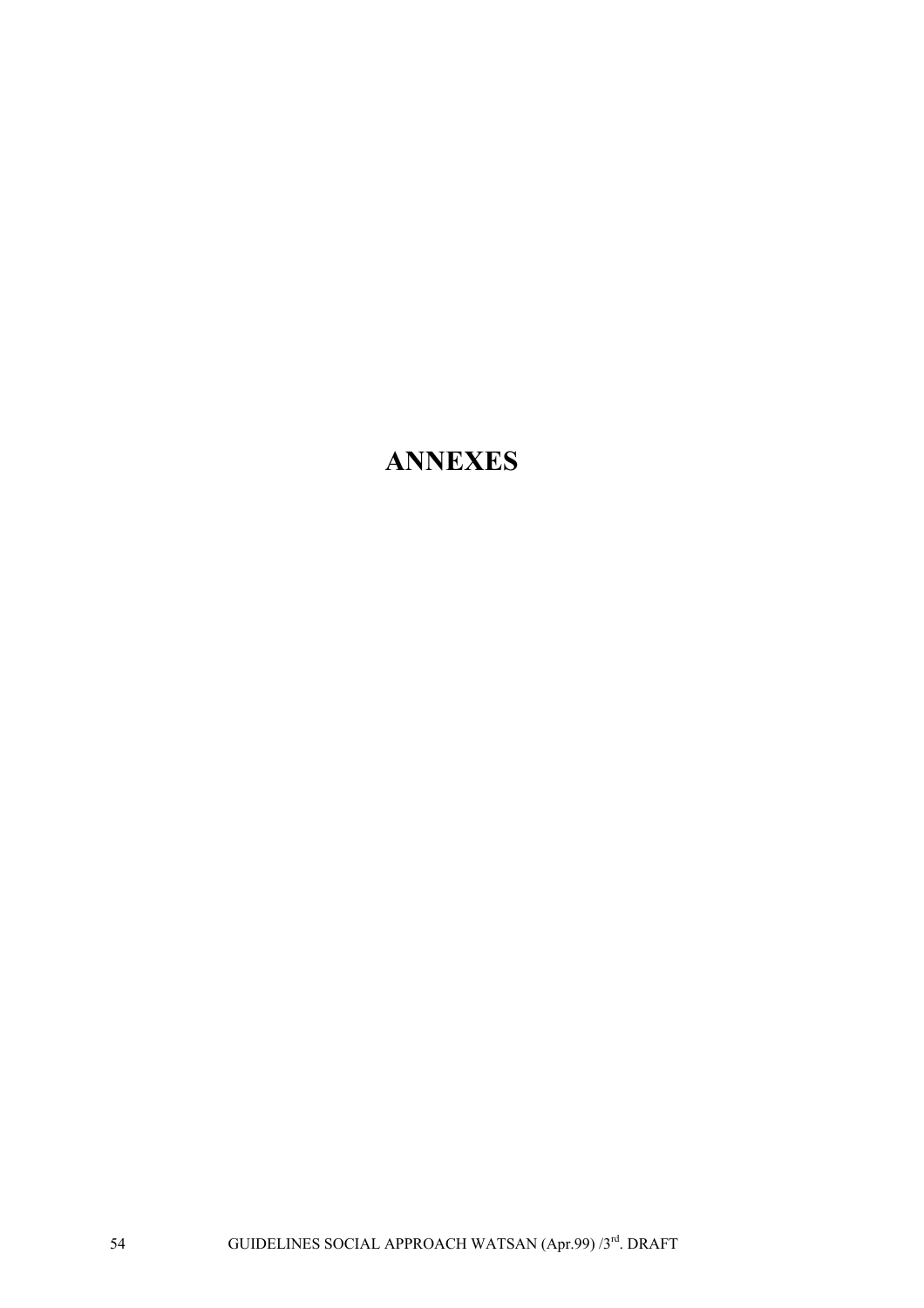# **ANNEXES**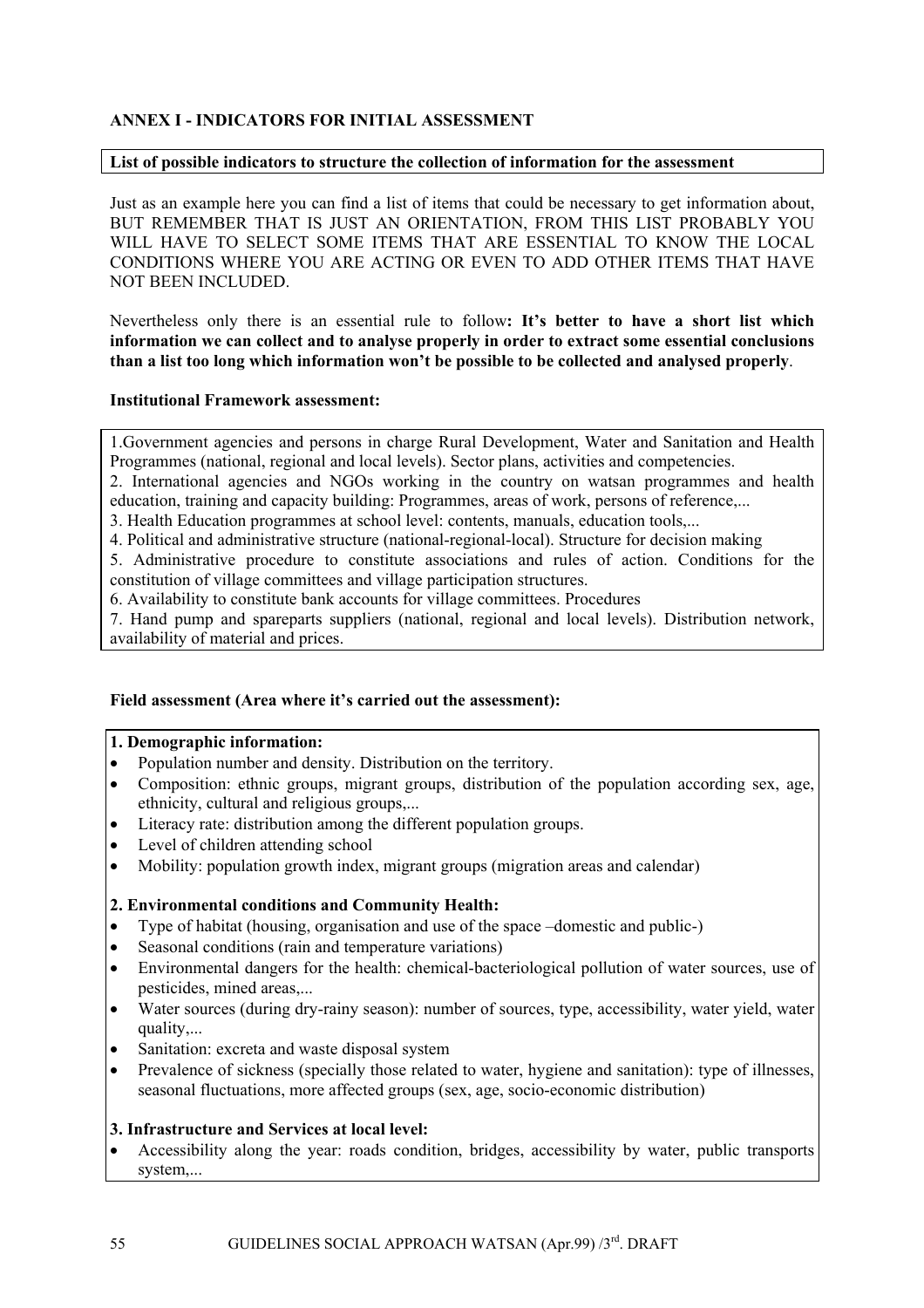## **ANNEX I - INDICATORS FOR INITIAL ASSESSMENT**

#### **List of possible indicators to structure the collection of information for the assessment**

Just as an example here you can find a list of items that could be necessary to get information about, BUT REMEMBER THAT IS JUST AN ORIENTATION, FROM THIS LIST PROBABLY YOU WILL HAVE TO SELECT SOME ITEMS THAT ARE ESSENTIAL TO KNOW THE LOCAL CONDITIONS WHERE YOU ARE ACTING OR EVEN TO ADD OTHER ITEMS THAT HAVE NOT BEEN INCLUDED.

Nevertheless only there is an essential rule to follow**: It's better to have a short list which information we can collect and to analyse properly in order to extract some essential conclusions than a list too long which information won't be possible to be collected and analysed properly**.

#### **Institutional Framework assessment:**

1.Government agencies and persons in charge Rural Development, Water and Sanitation and Health Programmes (national, regional and local levels). Sector plans, activities and competencies.

2. International agencies and NGOs working in the country on watsan programmes and health education, training and capacity building: Programmes, areas of work, persons of reference,...

3. Health Education programmes at school level: contents, manuals, education tools,...

4. Political and administrative structure (national-regional-local). Structure for decision making

5. Administrative procedure to constitute associations and rules of action. Conditions for the constitution of village committees and village participation structures.

6. Availability to constitute bank accounts for village committees. Procedures

7. Hand pump and spareparts suppliers (national, regional and local levels). Distribution network, availability of material and prices.

#### **Field assessment (Area where it's carried out the assessment):**

#### **1. Demographic information:**

- Population number and density. Distribution on the territory.
- Composition: ethnic groups, migrant groups, distribution of the population according sex, age, ethnicity, cultural and religious groups,...
- Literacy rate: distribution among the different population groups.
- Level of children attending school
- Mobility: population growth index, migrant groups (migration areas and calendar)

#### **2. Environmental conditions and Community Health:**

- Type of habitat (housing, organisation and use of the space –domestic and public-)
- Seasonal conditions (rain and temperature variations)
- Environmental dangers for the health: chemical-bacteriological pollution of water sources, use of pesticides, mined areas,...
- Water sources (during dry-rainy season): number of sources, type, accessibility, water yield, water quality,...
- Sanitation: excreta and waste disposal system
- Prevalence of sickness (specially those related to water, hygiene and sanitation): type of illnesses, seasonal fluctuations, more affected groups (sex, age, socio-economic distribution)

## **3. Infrastructure and Services at local level:**

• Accessibility along the year: roads condition, bridges, accessibility by water, public transports system,...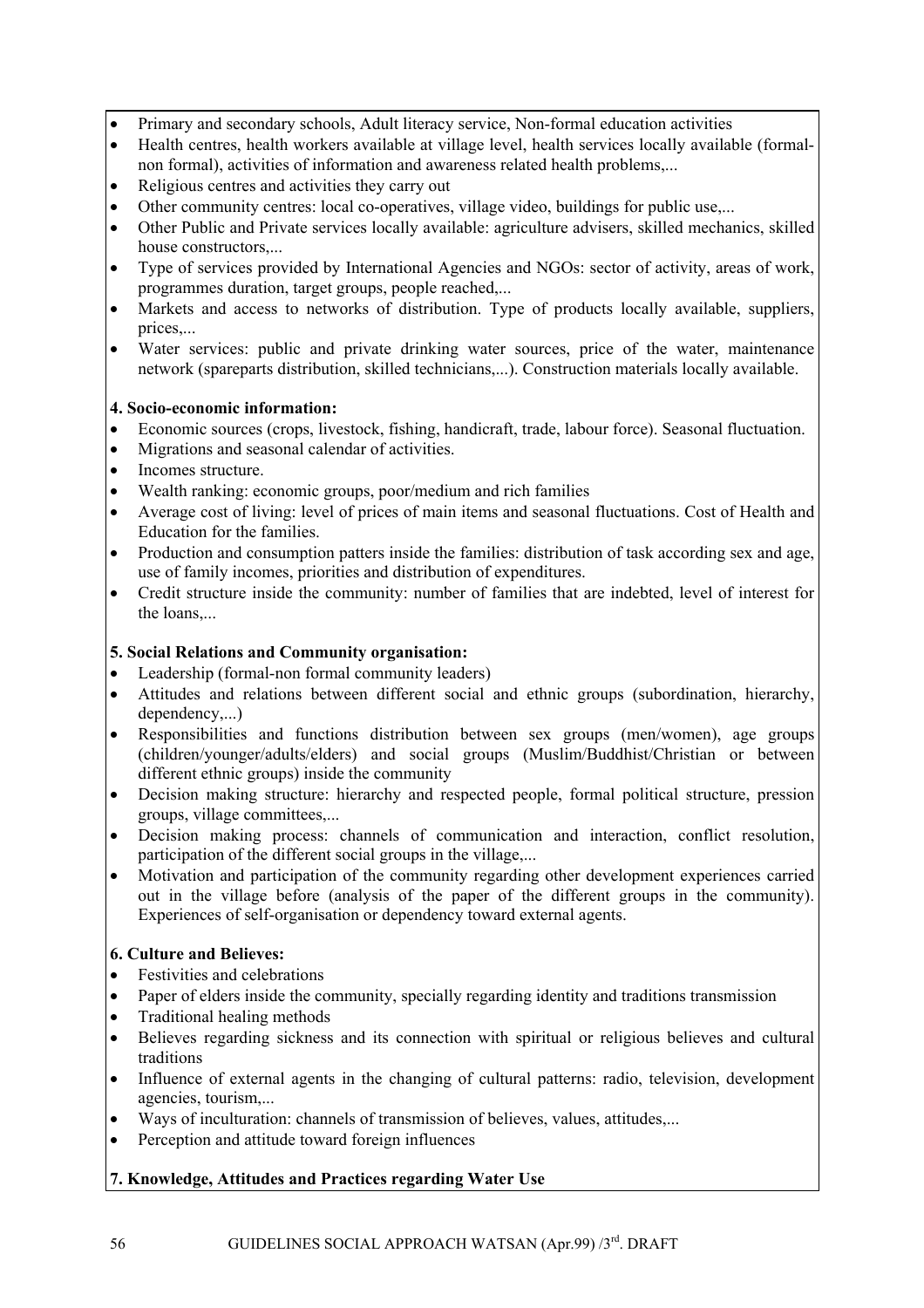- Primary and secondary schools, Adult literacy service, Non-formal education activities
- Health centres, health workers available at village level, health services locally available (formalnon formal), activities of information and awareness related health problems,...
- Religious centres and activities they carry out
- Other community centres: local co-operatives, village video, buildings for public use,...
- Other Public and Private services locally available: agriculture advisers, skilled mechanics, skilled house constructors,...
- Type of services provided by International Agencies and NGOs: sector of activity, areas of work, programmes duration, target groups, people reached,...
- Markets and access to networks of distribution. Type of products locally available, suppliers, prices,...
- Water services: public and private drinking water sources, price of the water, maintenance network (spareparts distribution, skilled technicians,...). Construction materials locally available.

## **4. Socio-economic information:**

- Economic sources (crops, livestock, fishing, handicraft, trade, labour force). Seasonal fluctuation.
- Migrations and seasonal calendar of activities.
- Incomes structure.
- Wealth ranking: economic groups, poor/medium and rich families
- Average cost of living: level of prices of main items and seasonal fluctuations. Cost of Health and Education for the families.
- Production and consumption patters inside the families: distribution of task according sex and age, use of family incomes, priorities and distribution of expenditures.
- Credit structure inside the community: number of families that are indebted, level of interest for the loans,...

## **5. Social Relations and Community organisation:**

- Leadership (formal-non formal community leaders)
- Attitudes and relations between different social and ethnic groups (subordination, hierarchy, dependency,...)
- Responsibilities and functions distribution between sex groups (men/women), age groups (children/younger/adults/elders) and social groups (Muslim/Buddhist/Christian or between different ethnic groups) inside the community
- Decision making structure: hierarchy and respected people, formal political structure, pression groups, village committees,...
- Decision making process: channels of communication and interaction, conflict resolution, participation of the different social groups in the village,...
- Motivation and participation of the community regarding other development experiences carried out in the village before (analysis of the paper of the different groups in the community). Experiences of self-organisation or dependency toward external agents.

## **6. Culture and Believes:**

- Festivities and celebrations
- Paper of elders inside the community, specially regarding identity and traditions transmission
- Traditional healing methods
- Believes regarding sickness and its connection with spiritual or religious believes and cultural traditions
- Influence of external agents in the changing of cultural patterns: radio, television, development agencies, tourism,...
- Ways of inculturation: channels of transmission of believes, values, attitudes,...
- Perception and attitude toward foreign influences

## **7. Knowledge, Attitudes and Practices regarding Water Use**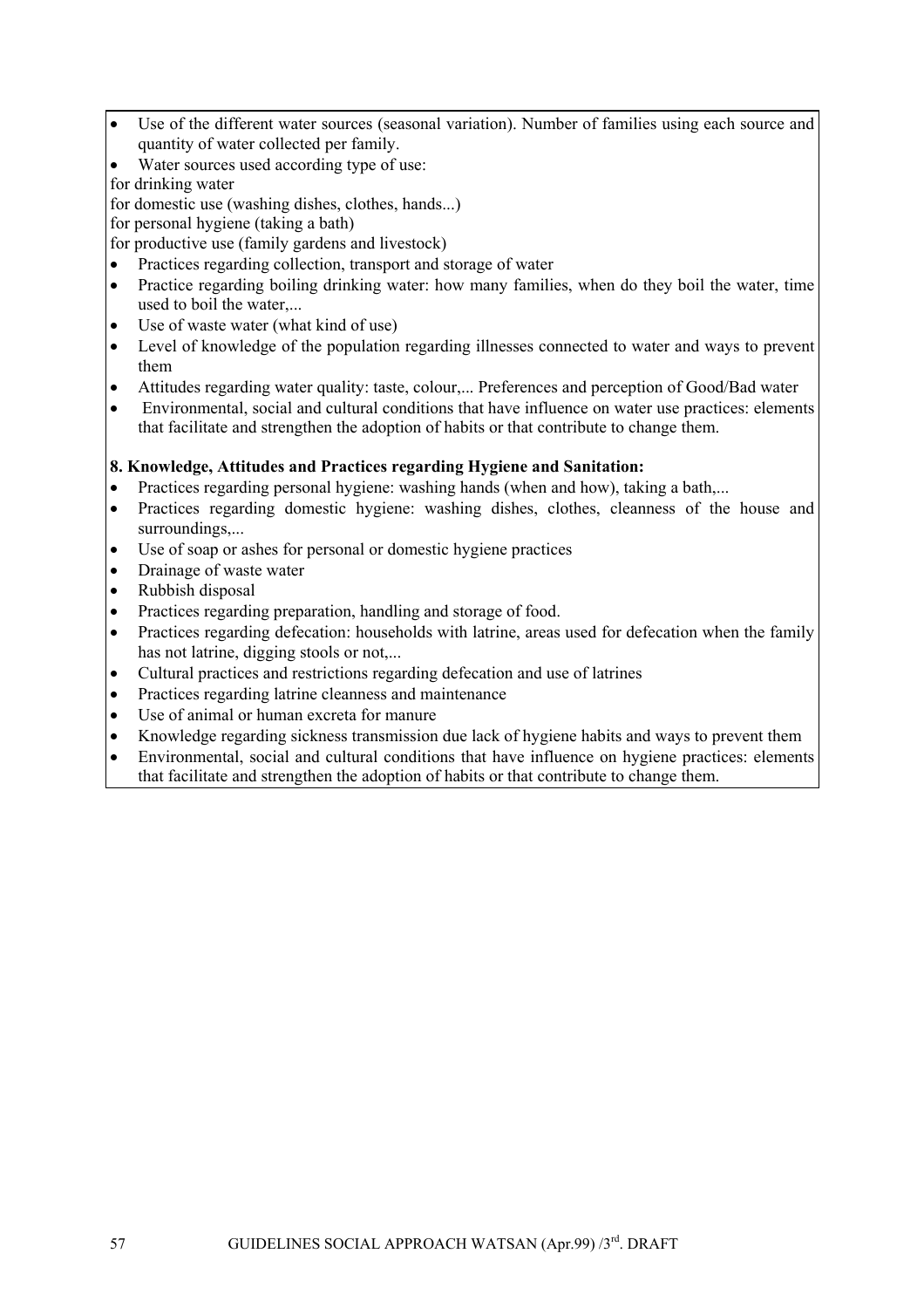- Use of the different water sources (seasonal variation). Number of families using each source and quantity of water collected per family.
- Water sources used according type of use:
- for drinking water

for domestic use (washing dishes, clothes, hands...)

for personal hygiene (taking a bath)

for productive use (family gardens and livestock)

- Practices regarding collection, transport and storage of water
- Practice regarding boiling drinking water: how many families, when do they boil the water, time used to boil the water,...
- Use of waste water (what kind of use)
- Level of knowledge of the population regarding illnesses connected to water and ways to prevent them
- Attitudes regarding water quality: taste, colour,... Preferences and perception of Good/Bad water
- Environmental, social and cultural conditions that have influence on water use practices: elements that facilitate and strengthen the adoption of habits or that contribute to change them.

## **8. Knowledge, Attitudes and Practices regarding Hygiene and Sanitation:**

- Practices regarding personal hygiene: washing hands (when and how), taking a bath,...
- Practices regarding domestic hygiene: washing dishes, clothes, cleanness of the house and surroundings,...
- Use of soap or ashes for personal or domestic hygiene practices
- Drainage of waste water
- Rubbish disposal
- Practices regarding preparation, handling and storage of food.
- Practices regarding defecation: households with latrine, areas used for defecation when the family has not latrine, digging stools or not,...
- Cultural practices and restrictions regarding defecation and use of latrines
- Practices regarding latrine cleanness and maintenance
- Use of animal or human excreta for manure
- Knowledge regarding sickness transmission due lack of hygiene habits and ways to prevent them
- Environmental, social and cultural conditions that have influence on hygiene practices: elements that facilitate and strengthen the adoption of habits or that contribute to change them.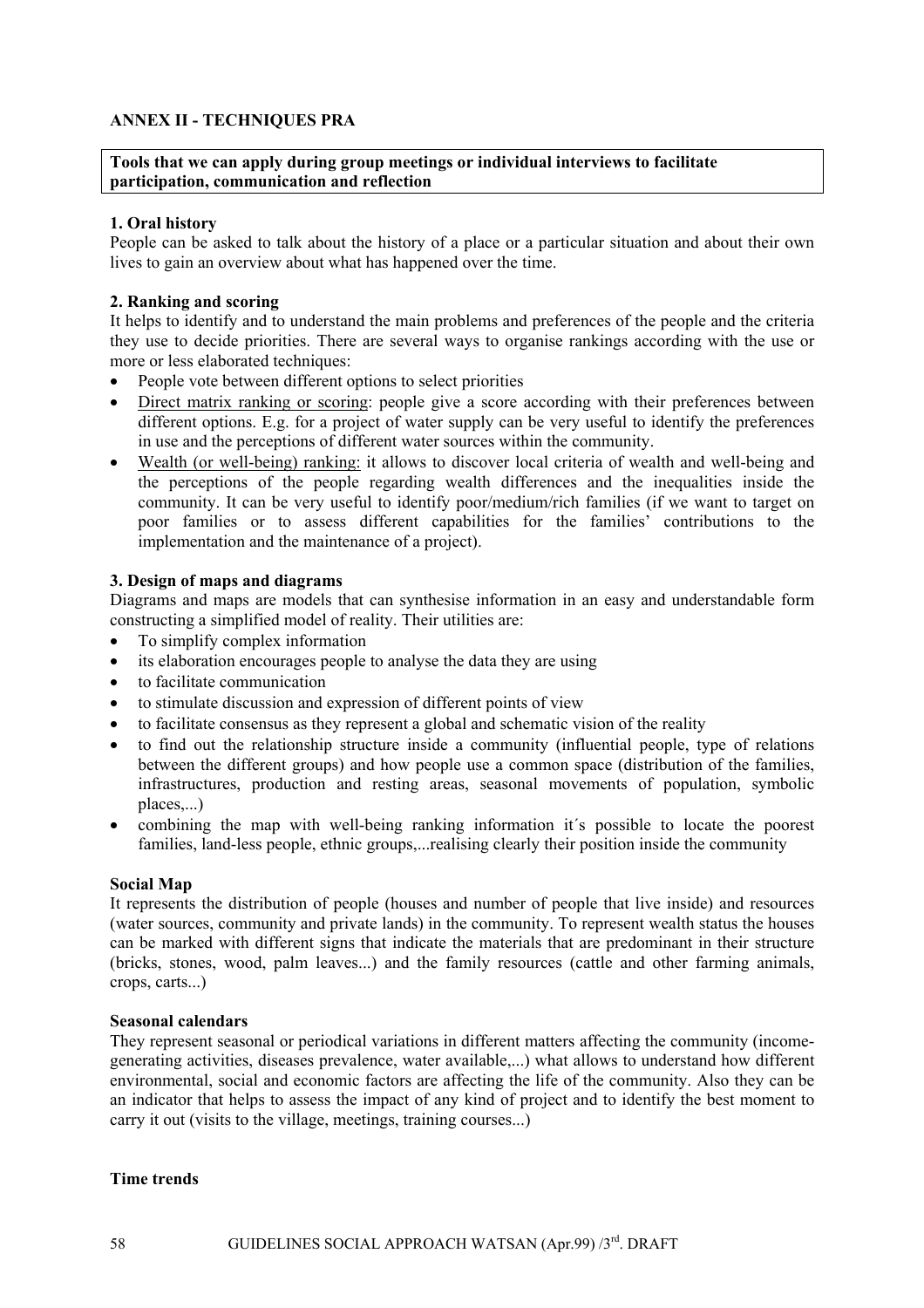## **ANNEX II - TECHNIQUES PRA**

**Tools that we can apply during group meetings or individual interviews to facilitate participation, communication and reflection** 

## **1. Oral history**

People can be asked to talk about the history of a place or a particular situation and about their own lives to gain an overview about what has happened over the time.

#### **2. Ranking and scoring**

It helps to identify and to understand the main problems and preferences of the people and the criteria they use to decide priorities. There are several ways to organise rankings according with the use or more or less elaborated techniques:

- People vote between different options to select priorities
- Direct matrix ranking or scoring: people give a score according with their preferences between different options. E.g. for a project of water supply can be very useful to identify the preferences in use and the perceptions of different water sources within the community.
- Wealth (or well-being) ranking: it allows to discover local criteria of wealth and well-being and the perceptions of the people regarding wealth differences and the inequalities inside the community. It can be very useful to identify poor/medium/rich families (if we want to target on poor families or to assess different capabilities for the families' contributions to the implementation and the maintenance of a project).

## **3. Design of maps and diagrams**

Diagrams and maps are models that can synthesise information in an easy and understandable form constructing a simplified model of reality. Their utilities are:

- To simplify complex information
- its elaboration encourages people to analyse the data they are using
- to facilitate communication
- to stimulate discussion and expression of different points of view
- to facilitate consensus as they represent a global and schematic vision of the reality
- to find out the relationship structure inside a community (influential people, type of relations between the different groups) and how people use a common space (distribution of the families, infrastructures, production and resting areas, seasonal movements of population, symbolic places,...)
- combining the map with well-being ranking information it´s possible to locate the poorest families, land-less people, ethnic groups,....realising clearly their position inside the community

#### **Social Map**

It represents the distribution of people (houses and number of people that live inside) and resources (water sources, community and private lands) in the community. To represent wealth status the houses can be marked with different signs that indicate the materials that are predominant in their structure (bricks, stones, wood, palm leaves...) and the family resources (cattle and other farming animals, crops, carts...)

#### **Seasonal calendars**

They represent seasonal or periodical variations in different matters affecting the community (incomegenerating activities, diseases prevalence, water available,...) what allows to understand how different environmental, social and economic factors are affecting the life of the community. Also they can be an indicator that helps to assess the impact of any kind of project and to identify the best moment to carry it out (visits to the village, meetings, training courses...)

#### **Time trends**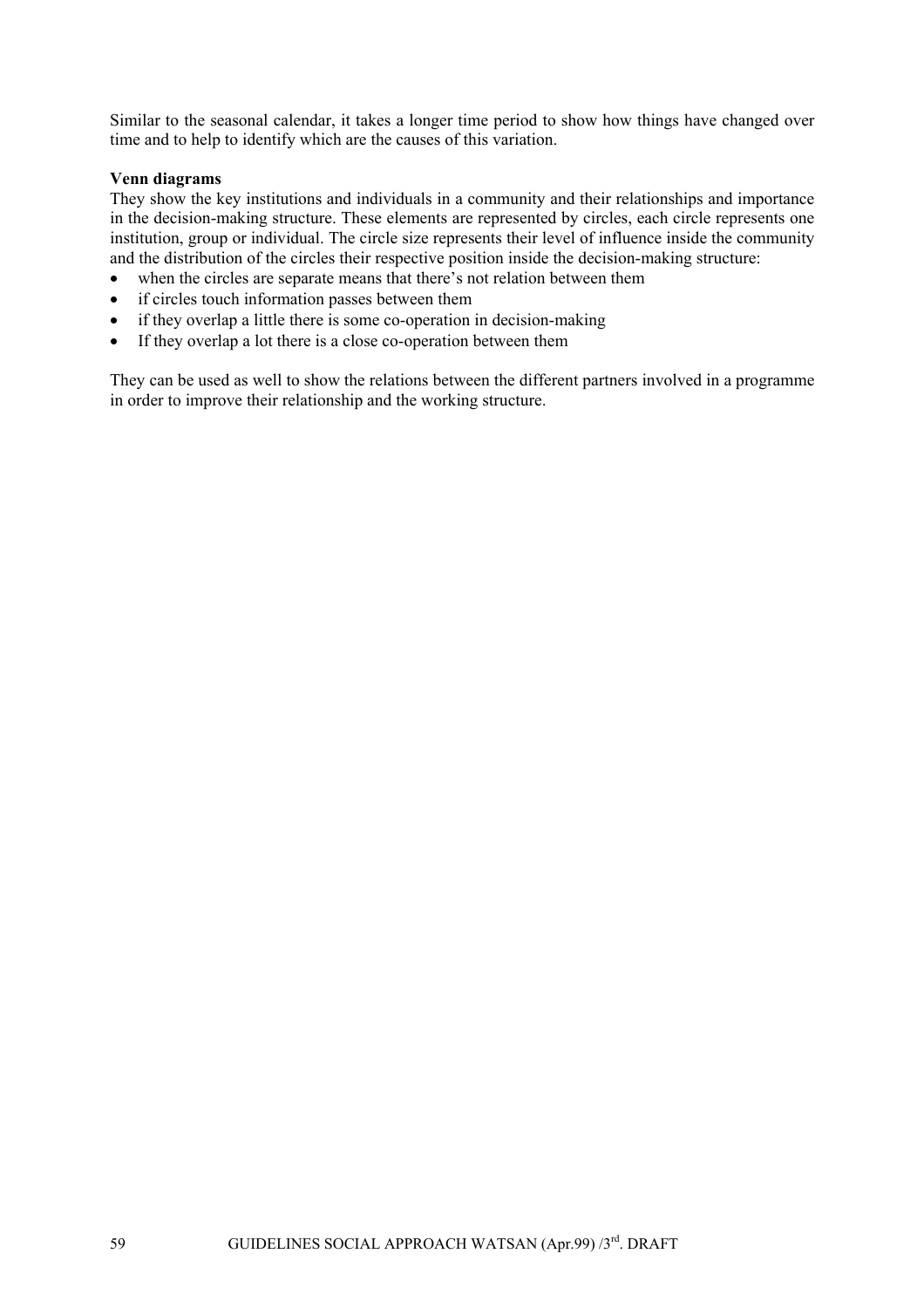Similar to the seasonal calendar, it takes a longer time period to show how things have changed over time and to help to identify which are the causes of this variation.

#### **Venn diagrams**

They show the key institutions and individuals in a community and their relationships and importance in the decision-making structure. These elements are represented by circles, each circle represents one institution, group or individual. The circle size represents their level of influence inside the community and the distribution of the circles their respective position inside the decision-making structure:

- when the circles are separate means that there's not relation between them
- if circles touch information passes between them
- if they overlap a little there is some co-operation in decision-making
- If they overlap a lot there is a close co-operation between them

They can be used as well to show the relations between the different partners involved in a programme in order to improve their relationship and the working structure.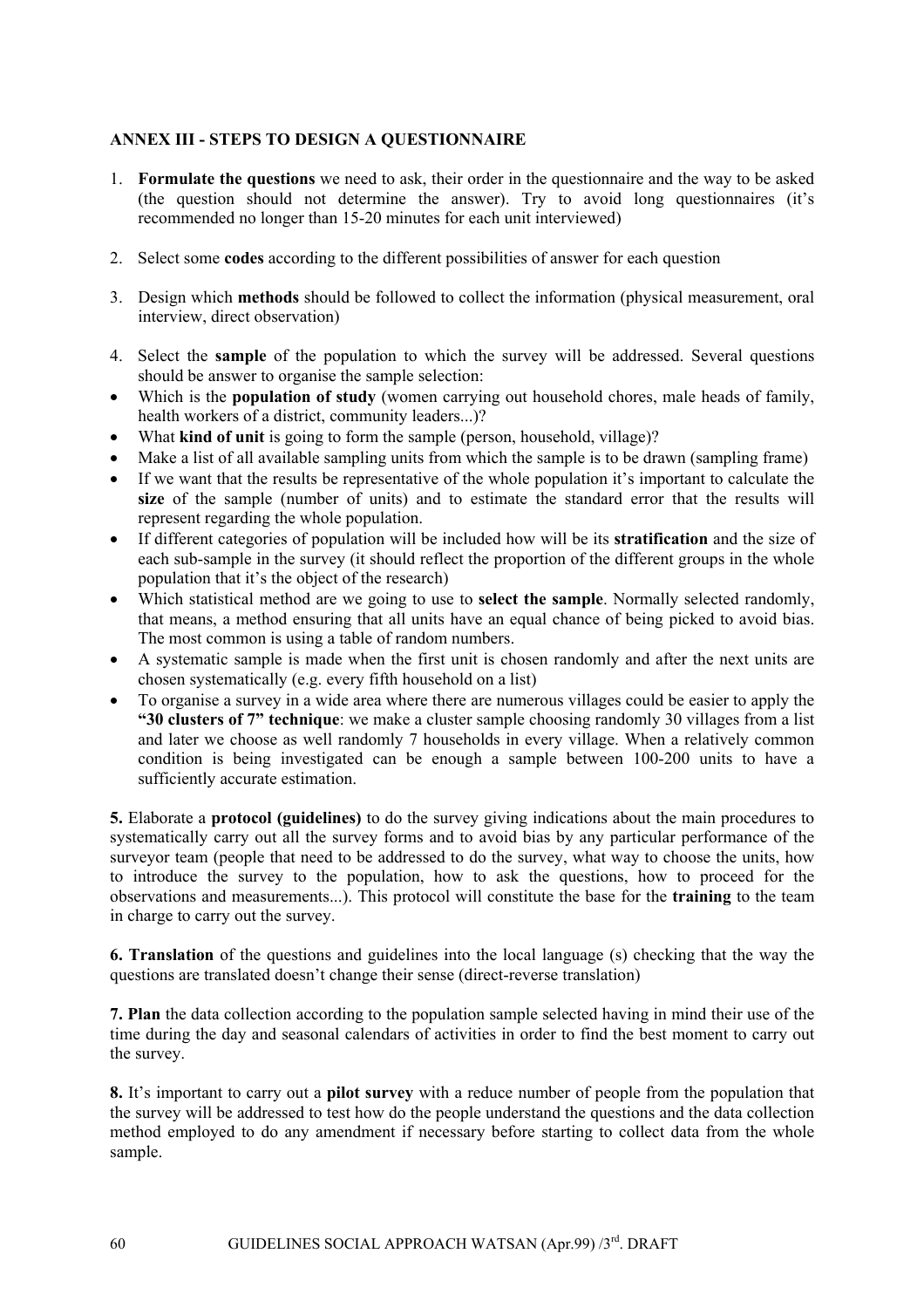## **ANNEX III - STEPS TO DESIGN A QUESTIONNAIRE**

- 1. **Formulate the questions** we need to ask, their order in the questionnaire and the way to be asked (the question should not determine the answer). Try to avoid long questionnaires (it's recommended no longer than 15-20 minutes for each unit interviewed)
- 2. Select some **codes** according to the different possibilities of answer for each question
- 3. Design which **methods** should be followed to collect the information (physical measurement, oral interview, direct observation)
- 4. Select the **sample** of the population to which the survey will be addressed. Several questions should be answer to organise the sample selection:
- Which is the **population of study** (women carrying out household chores, male heads of family, health workers of a district, community leaders...)?
- What **kind of unit** is going to form the sample (person, household, village)?
- Make a list of all available sampling units from which the sample is to be drawn (sampling frame)
- If we want that the results be representative of the whole population it's important to calculate the **size** of the sample (number of units) and to estimate the standard error that the results will represent regarding the whole population.
- If different categories of population will be included how will be its **stratification** and the size of each sub-sample in the survey (it should reflect the proportion of the different groups in the whole population that it's the object of the research)
- Which statistical method are we going to use to **select the sample**. Normally selected randomly, that means, a method ensuring that all units have an equal chance of being picked to avoid bias. The most common is using a table of random numbers.
- A systematic sample is made when the first unit is chosen randomly and after the next units are chosen systematically (e.g. every fifth household on a list)
- To organise a survey in a wide area where there are numerous villages could be easier to apply the **"30 clusters of 7" technique**: we make a cluster sample choosing randomly 30 villages from a list and later we choose as well randomly 7 households in every village. When a relatively common condition is being investigated can be enough a sample between 100-200 units to have a sufficiently accurate estimation.

**5.** Elaborate a **protocol (guidelines)** to do the survey giving indications about the main procedures to systematically carry out all the survey forms and to avoid bias by any particular performance of the surveyor team (people that need to be addressed to do the survey, what way to choose the units, how to introduce the survey to the population, how to ask the questions, how to proceed for the observations and measurements...). This protocol will constitute the base for the **training** to the team in charge to carry out the survey.

**6. Translation** of the questions and guidelines into the local language (s) checking that the way the questions are translated doesn't change their sense (direct-reverse translation)

**7. Plan** the data collection according to the population sample selected having in mind their use of the time during the day and seasonal calendars of activities in order to find the best moment to carry out the survey.

**8.** It's important to carry out a **pilot survey** with a reduce number of people from the population that the survey will be addressed to test how do the people understand the questions and the data collection method employed to do any amendment if necessary before starting to collect data from the whole sample.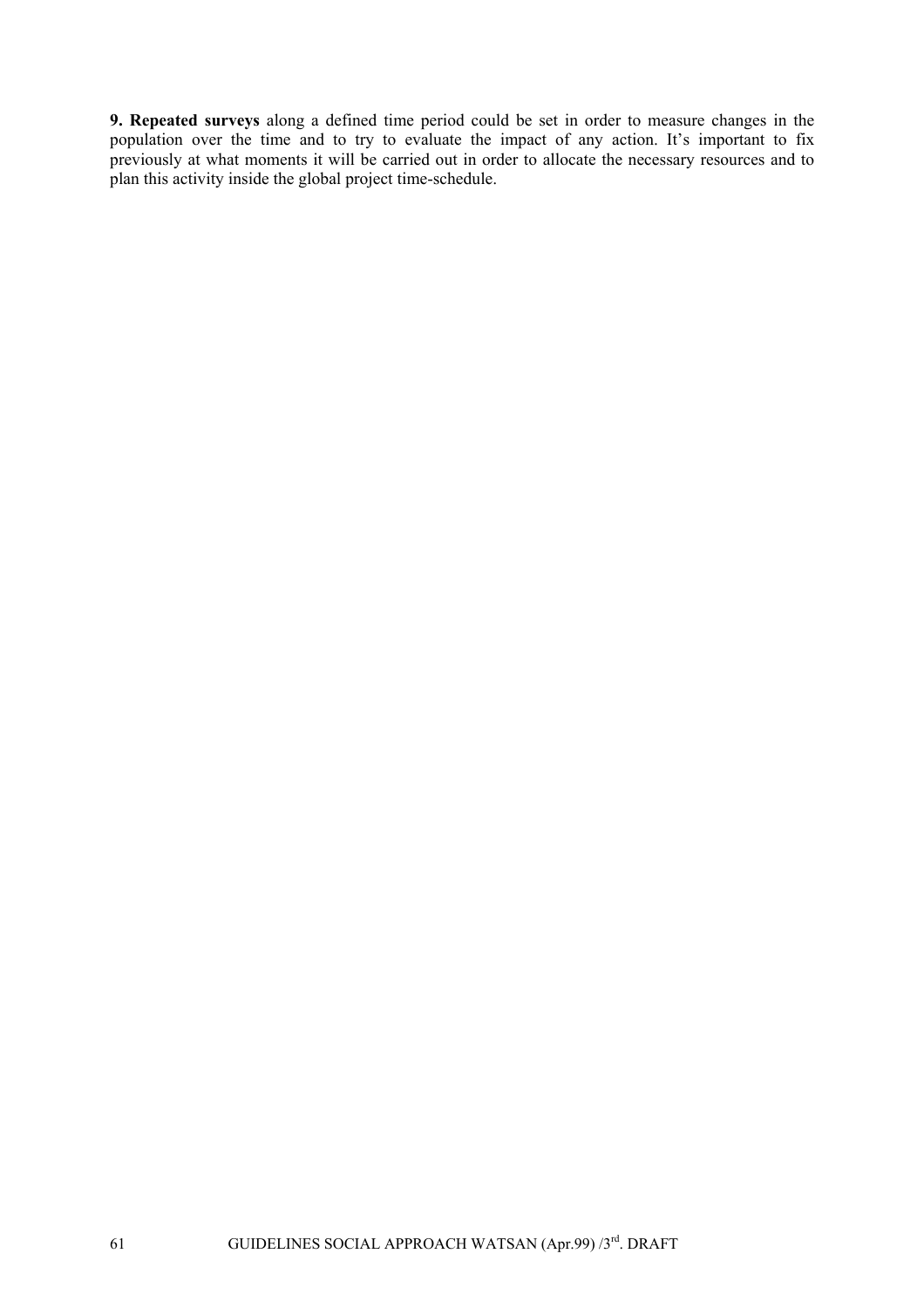**9. Repeated surveys** along a defined time period could be set in order to measure changes in the population over the time and to try to evaluate the impact of any action. It's important to fix previously at what moments it will be carried out in order to allocate the necessary resources and to plan this activity inside the global project time-schedule.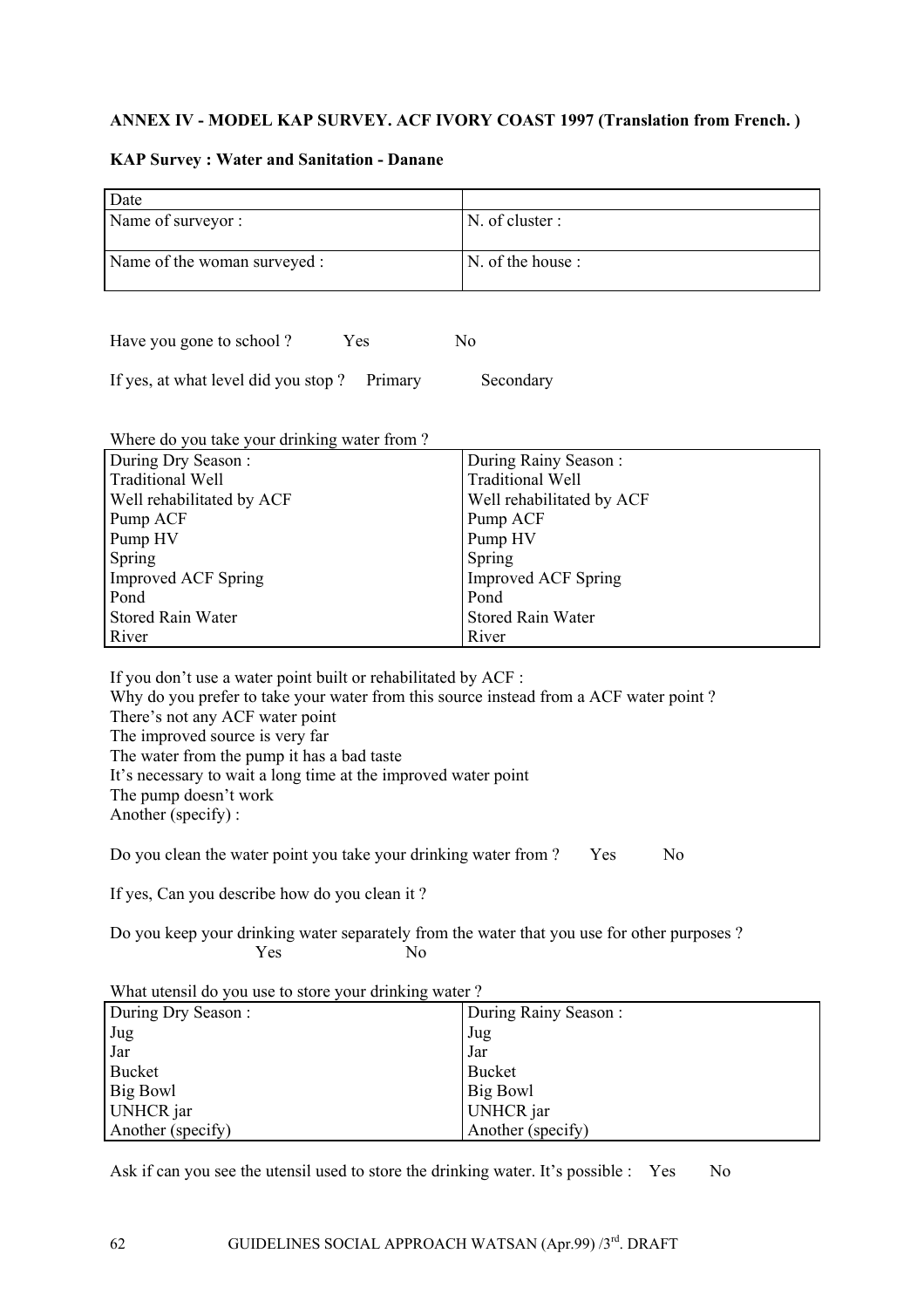## **ANNEX IV - MODEL KAP SURVEY. ACF IVORY COAST 1997 (Translation from French. )**

#### **KAP Survey : Water and Sanitation - Danane**

| Date                         |                   |
|------------------------------|-------------------|
| Name of surveyor :           | N. of cluster :   |
|                              |                   |
| Name of the woman surveyed : | N. of the house : |
|                              |                   |
|                              |                   |
|                              |                   |

| Have you gone to school? | Yes | N <sub>0</sub> |
|--------------------------|-----|----------------|
|--------------------------|-----|----------------|

If yes, at what level did you stop ? Primary Secondary

| Where do you take your drinking water from? |                            |
|---------------------------------------------|----------------------------|
| During Dry Season:                          | During Rainy Season:       |
| <b>Traditional Well</b>                     | <b>Traditional Well</b>    |
| <b>Well rehabilitated by ACF</b>            | Well rehabilitated by ACF  |
| Pump ACF                                    | Pump ACF                   |
| Pump HV                                     | Pump HV                    |
| Spring                                      | Spring                     |
| Improved ACF Spring                         | <b>Improved ACF Spring</b> |
| Pond                                        | Pond                       |
| Stored Rain Water                           | <b>Stored Rain Water</b>   |
| River                                       | River                      |

If you don't use a water point built or rehabilitated by ACF : Why do you prefer to take your water from this source instead from a ACF water point ? There's not any ACF water point The improved source is very far The water from the pump it has a bad taste It's necessary to wait a long time at the improved water point The pump doesn't work Another (specify) :

Do you clean the water point you take your drinking water from ? Yes No

If yes, Can you describe how do you clean it ?

Do you keep your drinking water separately from the water that you use for other purposes ? Yes No

What utensil do you use to store your drinking water ?

| During Dry Season: | During Rainy Season: |
|--------------------|----------------------|
| Jug                | Jug                  |
| Jar                | Jar                  |
| <b>Bucket</b>      | <b>Bucket</b>        |
| Big Bowl           | Big Bowl             |
| UNHCR jar          | <b>UNHCR</b> jar     |
| Another (specify)  | Another (specify)    |

Ask if can you see the utensil used to store the drinking water. It's possible : Yes No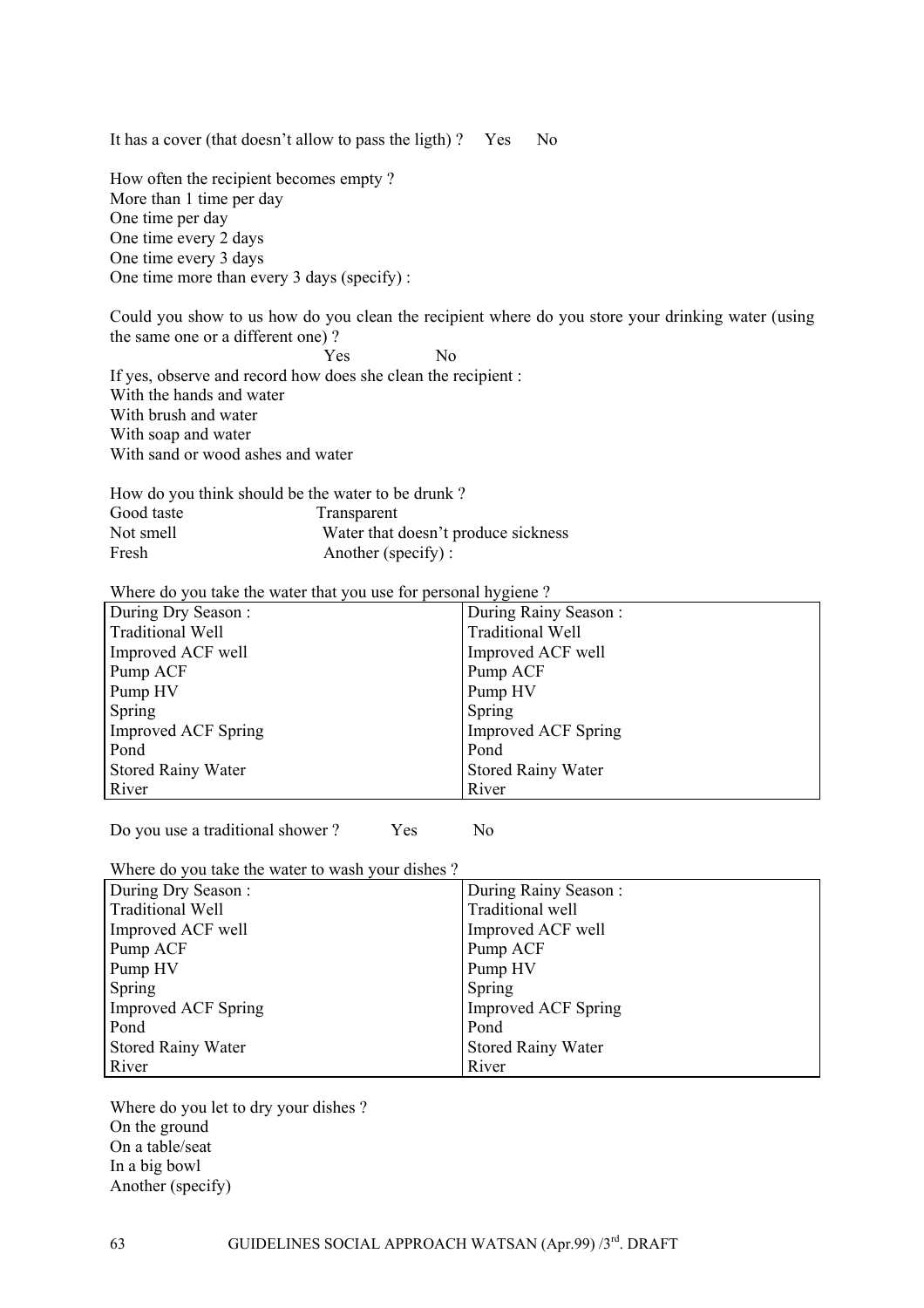It has a cover (that doesn't allow to pass the ligth)? Yes No

How often the recipient becomes empty ? More than 1 time per day One time per day One time every 2 days One time every 3 days One time more than every 3 days (specify) :

Could you show to us how do you clean the recipient where do you store your drinking water (using the same one or a different one) ?

Yes No

If yes, observe and record how does she clean the recipient : With the hands and water With brush and water With soap and water With sand or wood ashes and water

How do you think should be the water to be drunk ? Good taste Transparent Not smell<br>
Water that doesn't produce sickness<br>
Fresh<br>
Another (specify): Another (specify) :

Where do you take the water that you use for personal hygiene?

| During Dry Season:        | During Rainy Season:       |
|---------------------------|----------------------------|
| <b>Traditional Well</b>   | <b>Traditional Well</b>    |
| Improved ACF well         | Improved ACF well          |
| Pump ACF                  | Pump ACF                   |
| Pump HV                   | Pump HV                    |
| Spring                    | Spring                     |
| Improved ACF Spring       | <b>Improved ACF Spring</b> |
| Pond                      | Pond                       |
| <b>Stored Rainy Water</b> | <b>Stored Rainy Water</b>  |
| River                     | River                      |

Do you use a traditional shower ? Yes No

Where do you take the water to wash your dishes ?

| During Dry Season:        | During Rainy Season:       |
|---------------------------|----------------------------|
| <b>Traditional Well</b>   | Traditional well           |
| Improved ACF well         | Improved ACF well          |
| Pump ACF                  | Pump ACF                   |
| Pump HV                   | Pump HV                    |
| Spring                    | Spring                     |
| Improved ACF Spring       | <b>Improved ACF Spring</b> |
| Pond                      | Pond                       |
| <b>Stored Rainy Water</b> | <b>Stored Rainy Water</b>  |
| River                     | River                      |

Where do you let to dry your dishes ? On the ground On a table/seat In a big bowl Another (specify)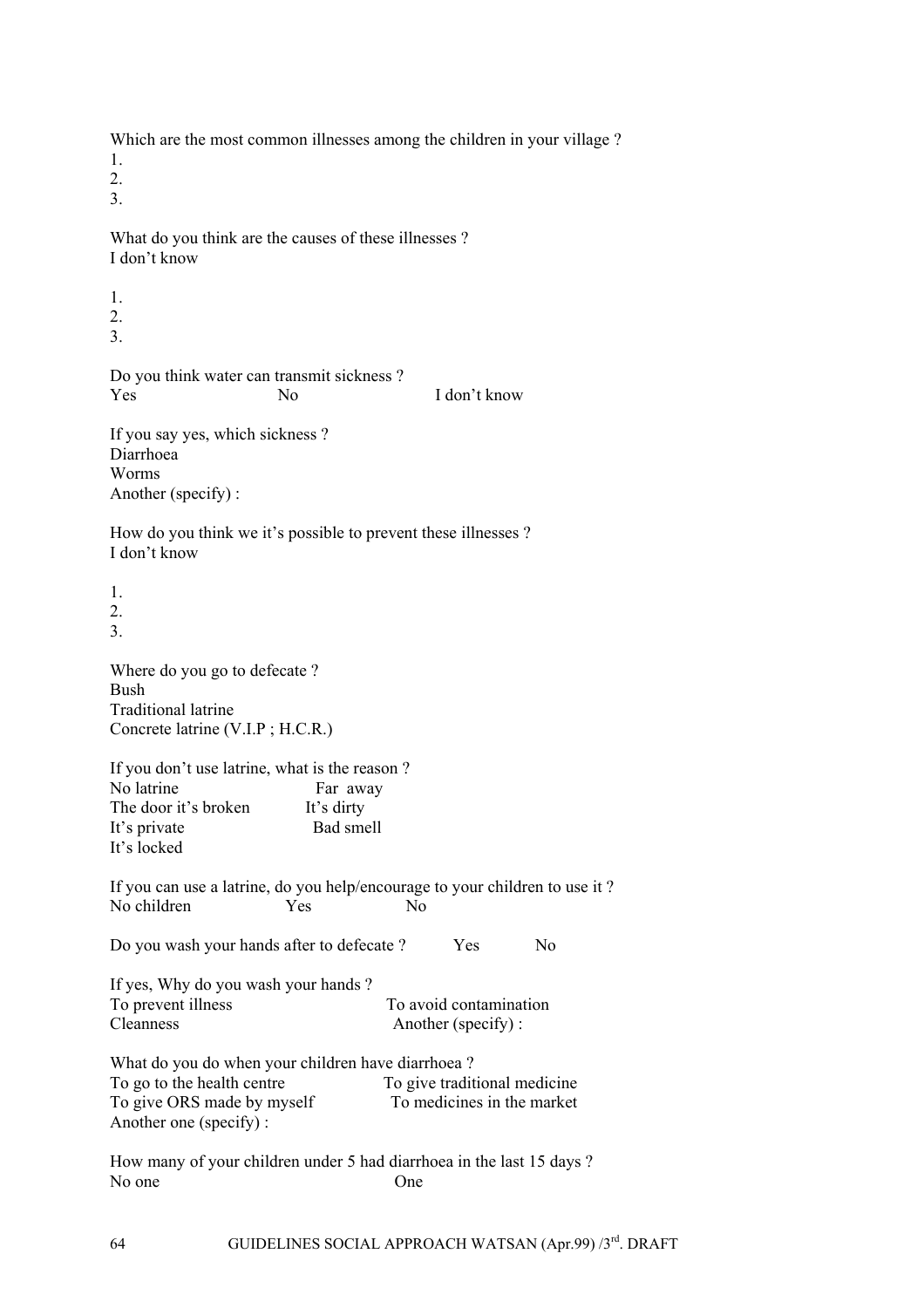Which are the most common illnesses among the children in your village ?

1.

2. 3.

What do you think are the causes of these illnesses ? I don't know

1. 2. 3.

Do you think water can transmit sickness ? Yes No I don't know

If you say yes, which sickness ? Diarrhoea Worms Another (specify) :

How do you think we it's possible to prevent these illnesses ? I don't know

1. 2.

3.

Where do you go to defecate ? Bush Traditional latrine Concrete latrine (V.I.P ; H.C.R.)

If you don't use latrine, what is the reason ? No latrine Far away The door it's broken It's dirty<br>It's private Bad smell It's private It's locked

If you can use a latrine, do you help/encourage to your children to use it ? No children Yes No

Do you wash your hands after to defecate ? Yes No

If yes, Why do you wash your hands ? To prevent illness To avoid contamination Cleanness Another (specify) :

What do you do when your children have diarrhoea ? To go to the health centre To give traditional medicine To give ORS made by myself To medicines in the market Another one (specify) :

How many of your children under 5 had diarrhoea in the last 15 days ? No one One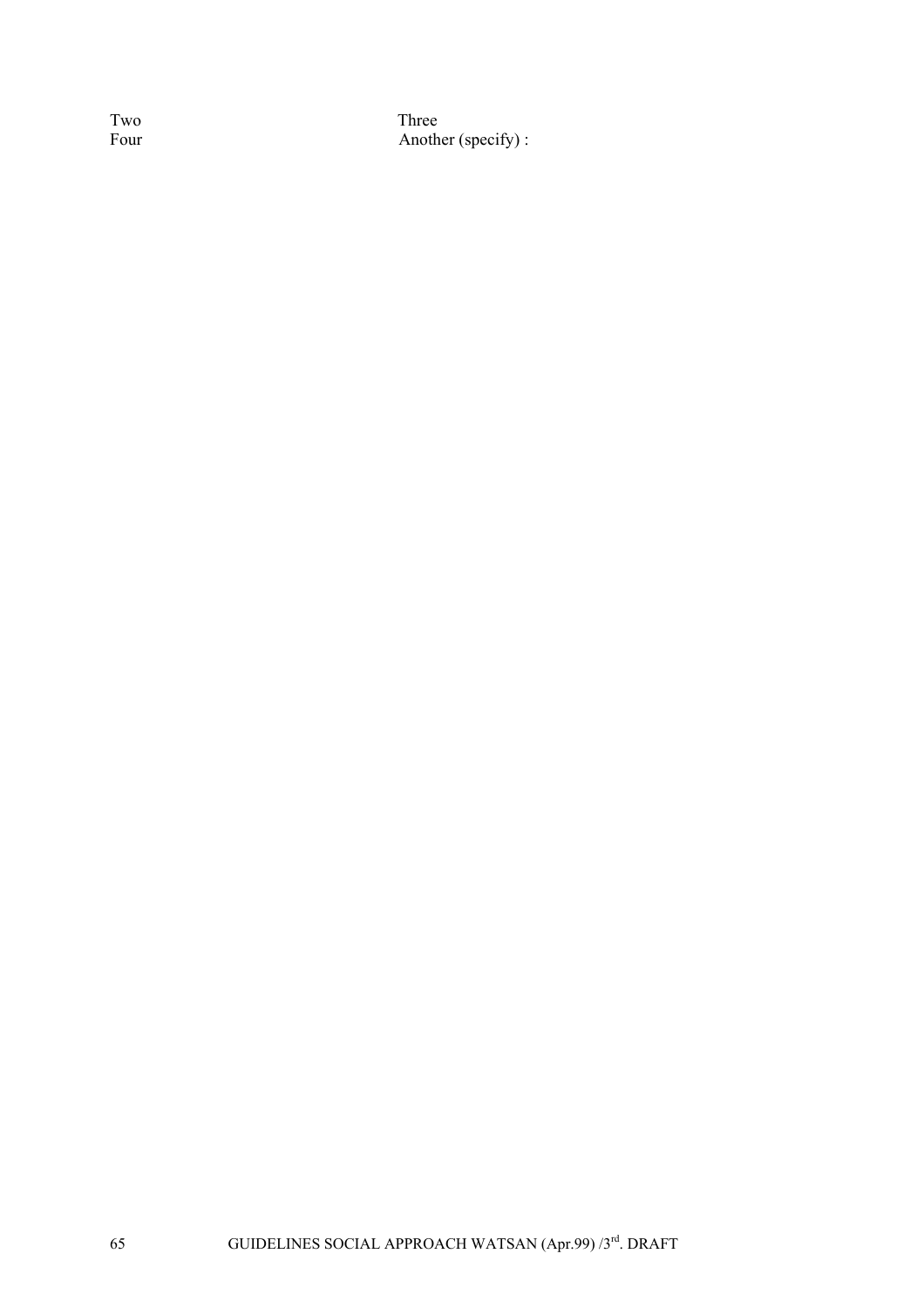Two Three<br>Four Anoth Another (specify) :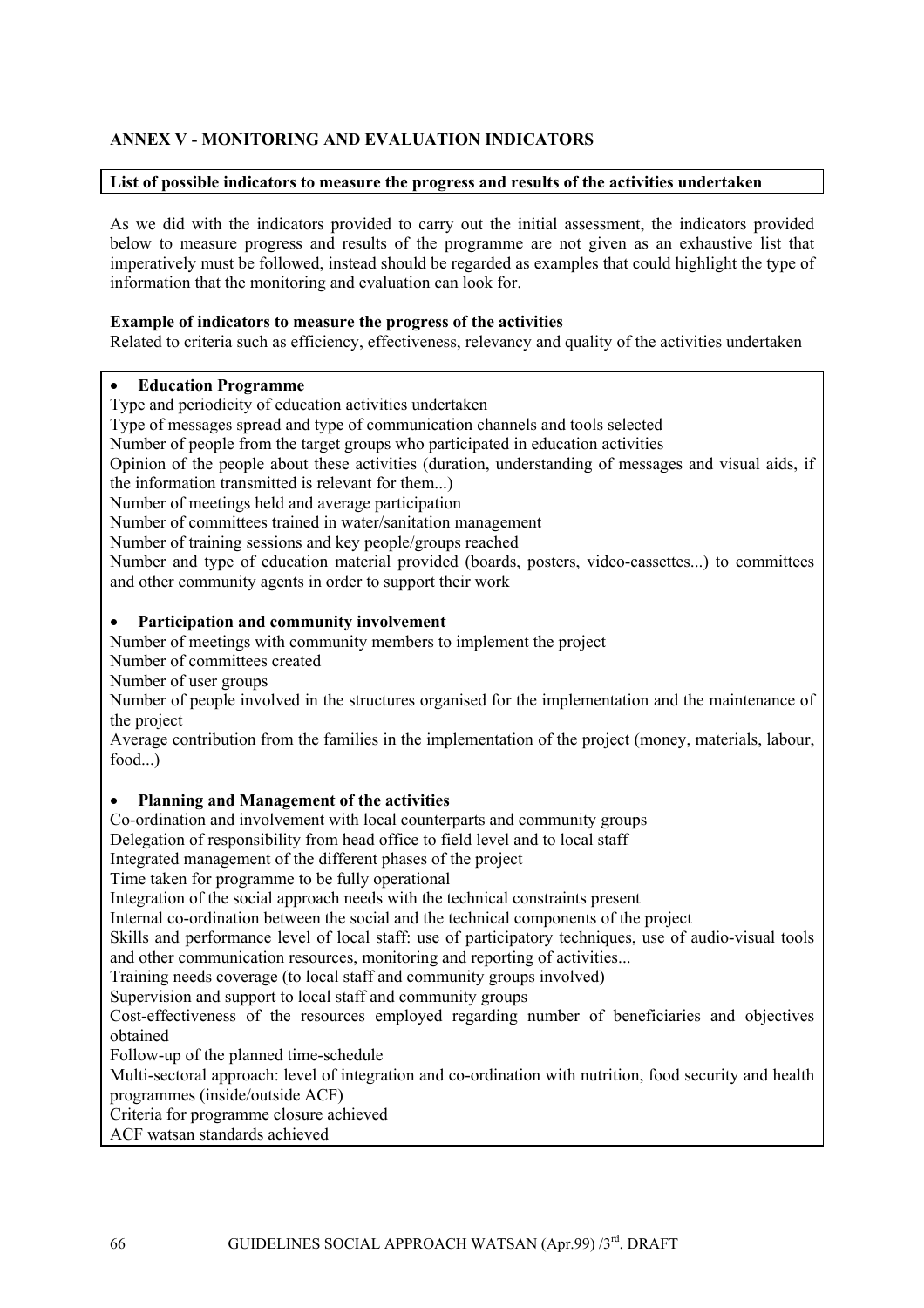## **ANNEX V - MONITORING AND EVALUATION INDICATORS**

#### **List of possible indicators to measure the progress and results of the activities undertaken**

As we did with the indicators provided to carry out the initial assessment, the indicators provided below to measure progress and results of the programme are not given as an exhaustive list that imperatively must be followed, instead should be regarded as examples that could highlight the type of information that the monitoring and evaluation can look for.

#### **Example of indicators to measure the progress of the activities**

Related to criteria such as efficiency, effectiveness, relevancy and quality of the activities undertaken

## • **Education Programme**

Type and periodicity of education activities undertaken

Type of messages spread and type of communication channels and tools selected

Number of people from the target groups who participated in education activities

Opinion of the people about these activities (duration, understanding of messages and visual aids, if the information transmitted is relevant for them...)

Number of meetings held and average participation

Number of committees trained in water/sanitation management

Number of training sessions and key people/groups reached

Number and type of education material provided (boards, posters, video-cassettes...) to committees and other community agents in order to support their work

#### • **Participation and community involvement**

Number of meetings with community members to implement the project

Number of committees created

Number of user groups

Number of people involved in the structures organised for the implementation and the maintenance of the project

Average contribution from the families in the implementation of the project (money, materials, labour, food...)

#### • **Planning and Management of the activities**

Co-ordination and involvement with local counterparts and community groups

Delegation of responsibility from head office to field level and to local staff

Integrated management of the different phases of the project

Time taken for programme to be fully operational

Integration of the social approach needs with the technical constraints present

Internal co-ordination between the social and the technical components of the project

Skills and performance level of local staff: use of participatory techniques, use of audio-visual tools and other communication resources, monitoring and reporting of activities...

Training needs coverage (to local staff and community groups involved)

Supervision and support to local staff and community groups

Cost-effectiveness of the resources employed regarding number of beneficiaries and objectives obtained

Follow-up of the planned time-schedule

Multi-sectoral approach: level of integration and co-ordination with nutrition, food security and health programmes (inside/outside ACF)

Criteria for programme closure achieved

ACF watsan standards achieved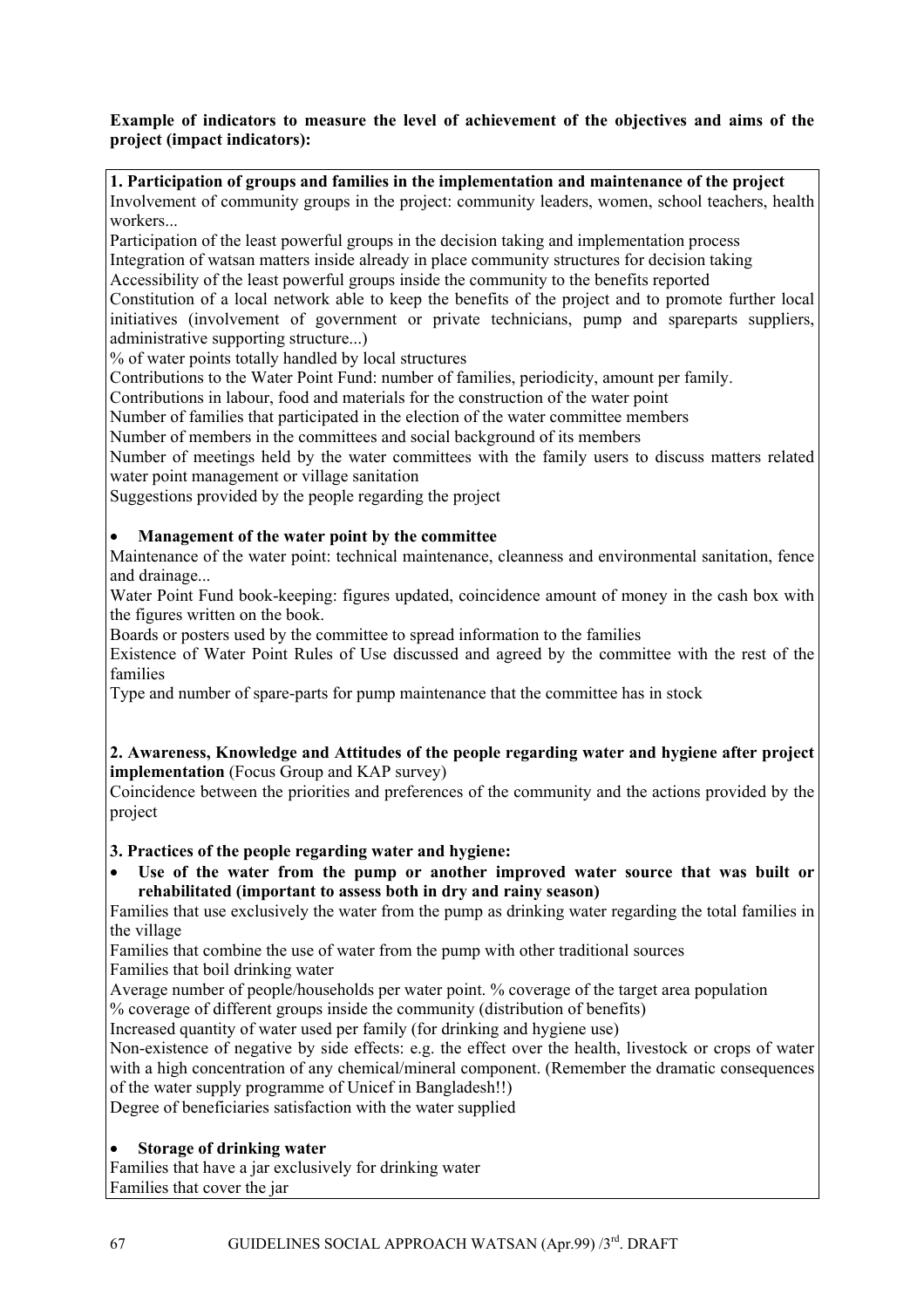## **Example of indicators to measure the level of achievement of the objectives and aims of the project (impact indicators):**

**1. Participation of groups and families in the implementation and maintenance of the project**  Involvement of community groups in the project: community leaders, women, school teachers, health workers...

Participation of the least powerful groups in the decision taking and implementation process Integration of watsan matters inside already in place community structures for decision taking

Accessibility of the least powerful groups inside the community to the benefits reported Constitution of a local network able to keep the benefits of the project and to promote further local initiatives (involvement of government or private technicians, pump and spareparts suppliers, administrative supporting structure...)

% of water points totally handled by local structures

Contributions to the Water Point Fund: number of families, periodicity, amount per family.

Contributions in labour, food and materials for the construction of the water point

Number of families that participated in the election of the water committee members

Number of members in the committees and social background of its members

Number of meetings held by the water committees with the family users to discuss matters related water point management or village sanitation

Suggestions provided by the people regarding the project

## • **Management of the water point by the committee**

Maintenance of the water point: technical maintenance, cleanness and environmental sanitation, fence and drainage...

Water Point Fund book-keeping: figures updated, coincidence amount of money in the cash box with the figures written on the book.

Boards or posters used by the committee to spread information to the families

Existence of Water Point Rules of Use discussed and agreed by the committee with the rest of the families

Type and number of spare-parts for pump maintenance that the committee has in stock

#### **2. Awareness, Knowledge and Attitudes of the people regarding water and hygiene after project implementation** (Focus Group and KAP survey)

Coincidence between the priorities and preferences of the community and the actions provided by the project

**3. Practices of the people regarding water and hygiene:** 

• **Use of the water from the pump or another improved water source that was built or rehabilitated (important to assess both in dry and rainy season)** 

Families that use exclusively the water from the pump as drinking water regarding the total families in the village

Families that combine the use of water from the pump with other traditional sources

Families that boil drinking water

Average number of people/households per water point. % coverage of the target area population

% coverage of different groups inside the community (distribution of benefits)

Increased quantity of water used per family (for drinking and hygiene use)

Non-existence of negative by side effects: e.g. the effect over the health, livestock or crops of water with a high concentration of any chemical/mineral component. (Remember the dramatic consequences of the water supply programme of Unicef in Bangladesh!!)

Degree of beneficiaries satisfaction with the water supplied

## • **Storage of drinking water**

Families that have a jar exclusively for drinking water Families that cover the jar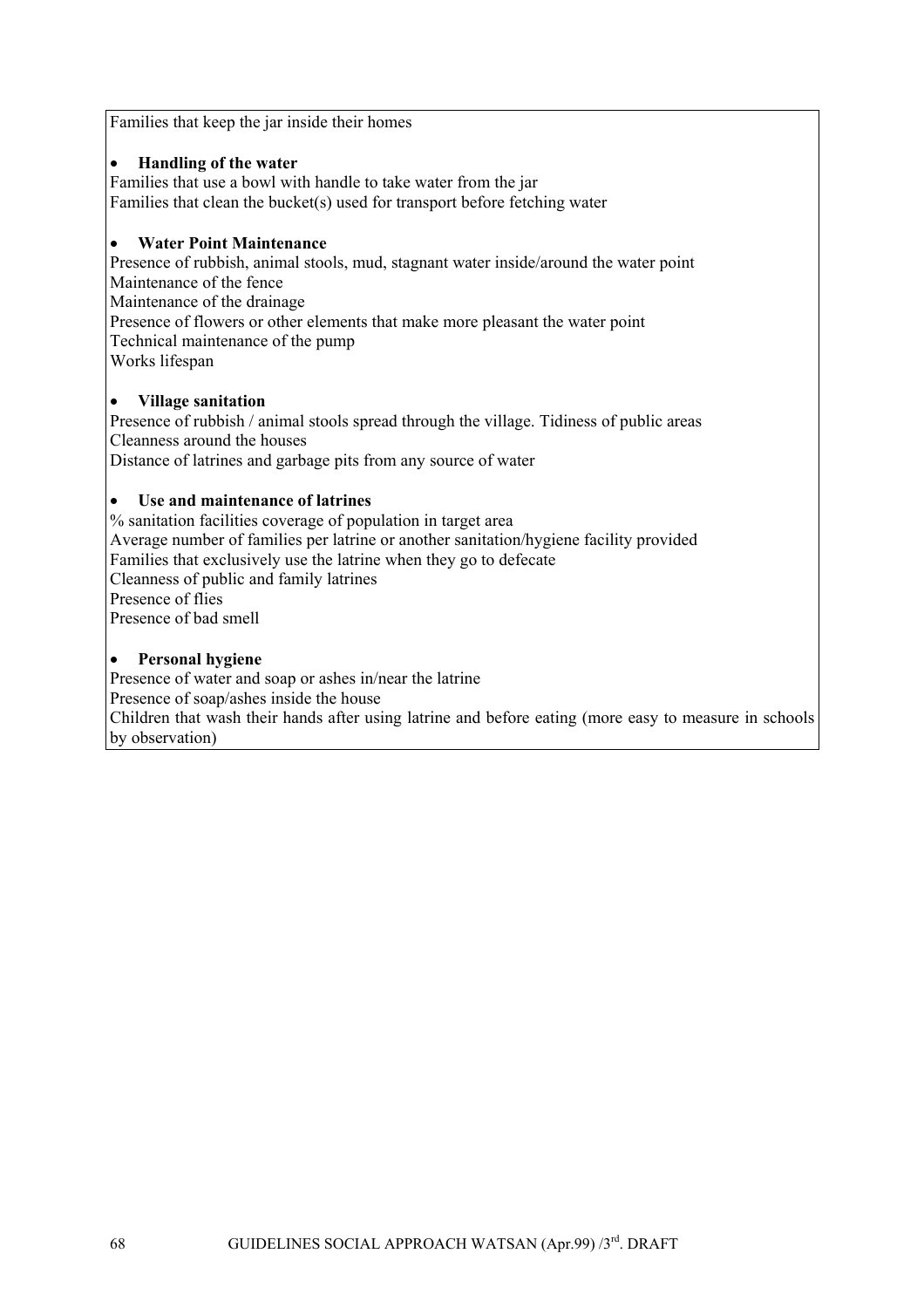Families that keep the jar inside their homes

## • **Handling of the water**

Families that use a bowl with handle to take water from the jar Families that clean the bucket(s) used for transport before fetching water

#### • **Water Point Maintenance**

Presence of rubbish, animal stools, mud, stagnant water inside/around the water point Maintenance of the fence Maintenance of the drainage Presence of flowers or other elements that make more pleasant the water point Technical maintenance of the pump Works lifespan

## • **Village sanitation**

Presence of rubbish / animal stools spread through the village. Tidiness of public areas Cleanness around the houses Distance of latrines and garbage pits from any source of water

## • **Use and maintenance of latrines**

% sanitation facilities coverage of population in target area Average number of families per latrine or another sanitation/hygiene facility provided Families that exclusively use the latrine when they go to defecate Cleanness of public and family latrines Presence of flies Presence of bad smell

## • **Personal hygiene**

Presence of water and soap or ashes in/near the latrine Presence of soap/ashes inside the house Children that wash their hands after using latrine and before eating (more easy to measure in schools by observation)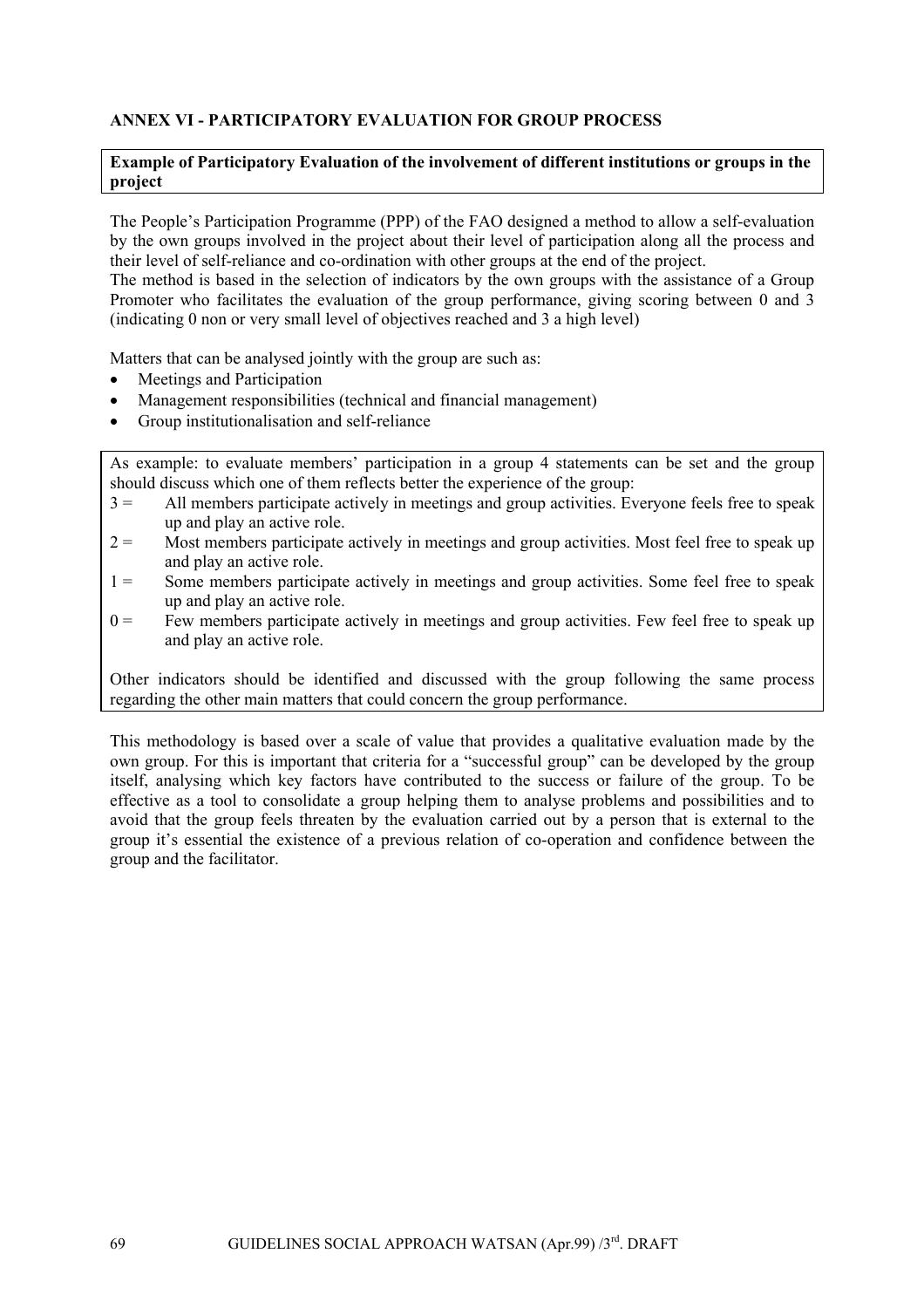## **ANNEX VI - PARTICIPATORY EVALUATION FOR GROUP PROCESS**

#### **Example of Participatory Evaluation of the involvement of different institutions or groups in the project**

The People's Participation Programme (PPP) of the FAO designed a method to allow a self-evaluation by the own groups involved in the project about their level of participation along all the process and their level of self-reliance and co-ordination with other groups at the end of the project.

The method is based in the selection of indicators by the own groups with the assistance of a Group Promoter who facilitates the evaluation of the group performance, giving scoring between 0 and 3 (indicating 0 non or very small level of objectives reached and 3 a high level)

Matters that can be analysed jointly with the group are such as:

- Meetings and Participation
- Management responsibilities (technical and financial management)
- Group institutionalisation and self-reliance

As example: to evaluate members' participation in a group 4 statements can be set and the group should discuss which one of them reflects better the experience of the group:

- 3 = All members participate actively in meetings and group activities. Everyone feels free to speak up and play an active role.
- $2 =$  Most members participate actively in meetings and group activities. Most feel free to speak up and play an active role.
- 1 = Some members participate actively in meetings and group activities. Some feel free to speak up and play an active role.
- $0 =$  Few members participate actively in meetings and group activities. Few feel free to speak up and play an active role.

Other indicators should be identified and discussed with the group following the same process regarding the other main matters that could concern the group performance.

This methodology is based over a scale of value that provides a qualitative evaluation made by the own group. For this is important that criteria for a "successful group" can be developed by the group itself, analysing which key factors have contributed to the success or failure of the group. To be effective as a tool to consolidate a group helping them to analyse problems and possibilities and to avoid that the group feels threaten by the evaluation carried out by a person that is external to the group it's essential the existence of a previous relation of co-operation and confidence between the group and the facilitator.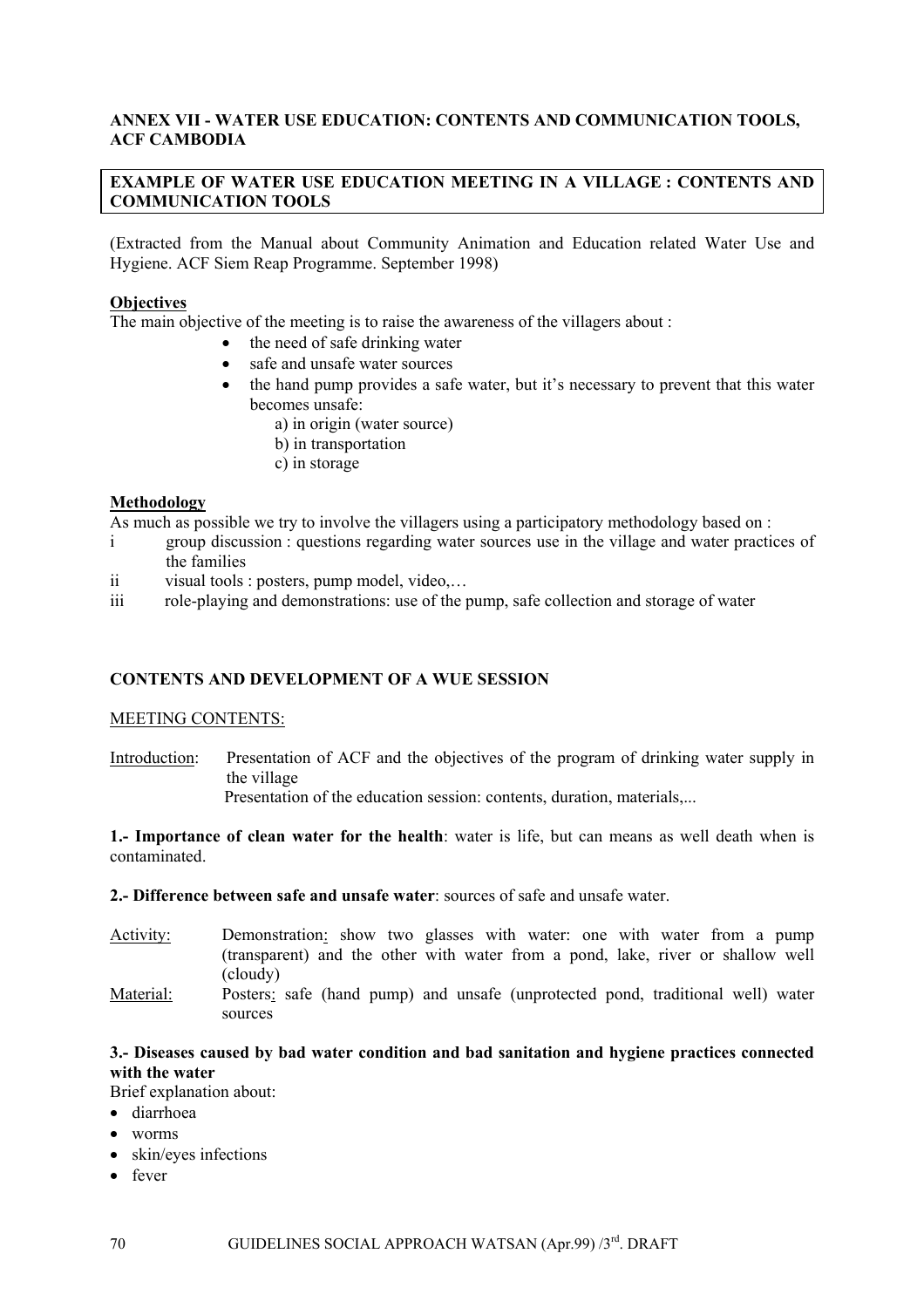## **ANNEX VII - WATER USE EDUCATION: CONTENTS AND COMMUNICATION TOOLS, ACF CAMBODIA**

## **EXAMPLE OF WATER USE EDUCATION MEETING IN A VILLAGE : CONTENTS AND COMMUNICATION TOOLS**

(Extracted from the Manual about Community Animation and Education related Water Use and Hygiene. ACF Siem Reap Programme. September 1998)

#### **Objectives**

The main objective of the meeting is to raise the awareness of the villagers about :

- the need of safe drinking water
- safe and unsafe water sources
- the hand pump provides a safe water, but it's necessary to prevent that this water becomes unsafe:
	- a) in origin (water source)
	- b) in transportation
	- c) in storage

## **Methodology**

As much as possible we try to involve the villagers using a participatory methodology based on :

- i group discussion : questions regarding water sources use in the village and water practices of the families
- ii visual tools : posters, pump model, video,…
- iii role-playing and demonstrations: use of the pump, safe collection and storage of water

#### **CONTENTS AND DEVELOPMENT OF A WUE SESSION**

#### MEETING CONTENTS:

Introduction: Presentation of ACF and the objectives of the program of drinking water supply in the village

Presentation of the education session: contents, duration, materials....

**1.- Importance of clean water for the health**: water is life, but can means as well death when is contaminated.

#### **2.- Difference between safe and unsafe water**: sources of safe and unsafe water.

- Activity: Demonstration: show two glasses with water: one with water from a pump (transparent) and the other with water from a pond, lake, river or shallow well (cloudy)
- Material: Posters: safe (hand pump) and unsafe (unprotected pond, traditional well) water sources

## **3.- Diseases caused by bad water condition and bad sanitation and hygiene practices connected with the water**

Brief explanation about:

- diarrhoea
- worms
- skin/eyes infections
- fever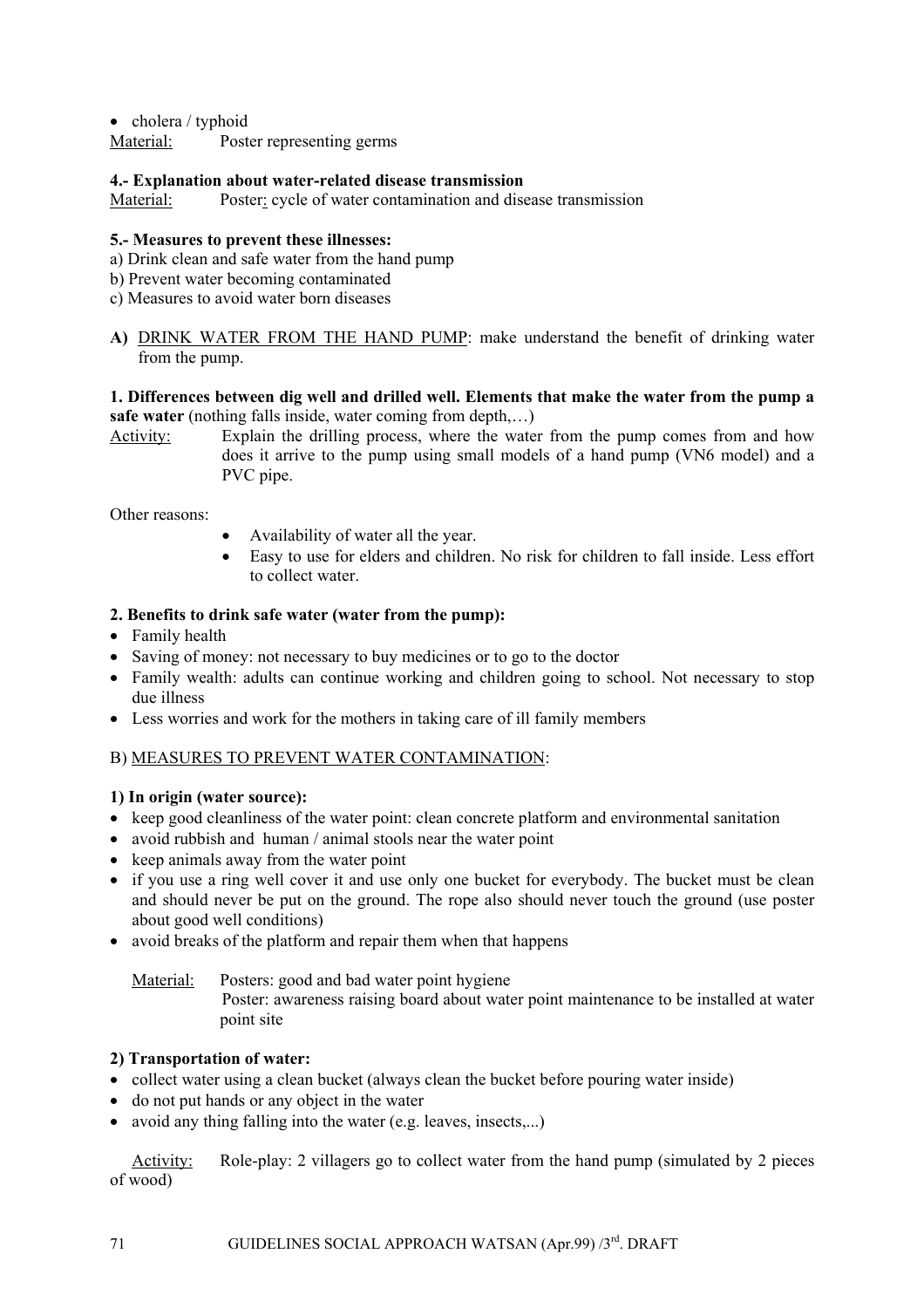• cholera / typhoid

Material: Poster representing germs

#### **4.- Explanation about water-related disease transmission**

Material: Poster: cycle of water contamination and disease transmission

## **5.- Measures to prevent these illnesses:**

- a) Drink clean and safe water from the hand pump
- b) Prevent water becoming contaminated
- c) Measures to avoid water born diseases
- **A)** DRINK WATER FROM THE HAND PUMP: make understand the benefit of drinking water from the pump.

## **1. Differences between dig well and drilled well. Elements that make the water from the pump a safe water** (nothing falls inside, water coming from depth,…)

Activity: Explain the drilling process, where the water from the pump comes from and how does it arrive to the pump using small models of a hand pump (VN6 model) and a PVC pipe.

Other reasons:

- Availability of water all the year.
- Easy to use for elders and children. No risk for children to fall inside. Less effort to collect water.

## **2. Benefits to drink safe water (water from the pump):**

- Family health
- Saving of money: not necessary to buy medicines or to go to the doctor
- Family wealth: adults can continue working and children going to school. Not necessary to stop due illness
- Less worries and work for the mothers in taking care of ill family members

## B) MEASURES TO PREVENT WATER CONTAMINATION:

#### **1) In origin (water source):**

- keep good cleanliness of the water point: clean concrete platform and environmental sanitation
- avoid rubbish and human / animal stools near the water point
- keep animals away from the water point
- if you use a ring well cover it and use only one bucket for everybody. The bucket must be clean and should never be put on the ground. The rope also should never touch the ground (use poster about good well conditions)
- avoid breaks of the platform and repair them when that happens

Material: Posters: good and bad water point hygiene Poster: awareness raising board about water point maintenance to be installed at water point site

## **2) Transportation of water:**

- collect water using a clean bucket (always clean the bucket before pouring water inside)
- do not put hands or any object in the water
- avoid any thing falling into the water (e.g. leaves, insects...)

Activity: Role-play: 2 villagers go to collect water from the hand pump (simulated by 2 pieces of wood)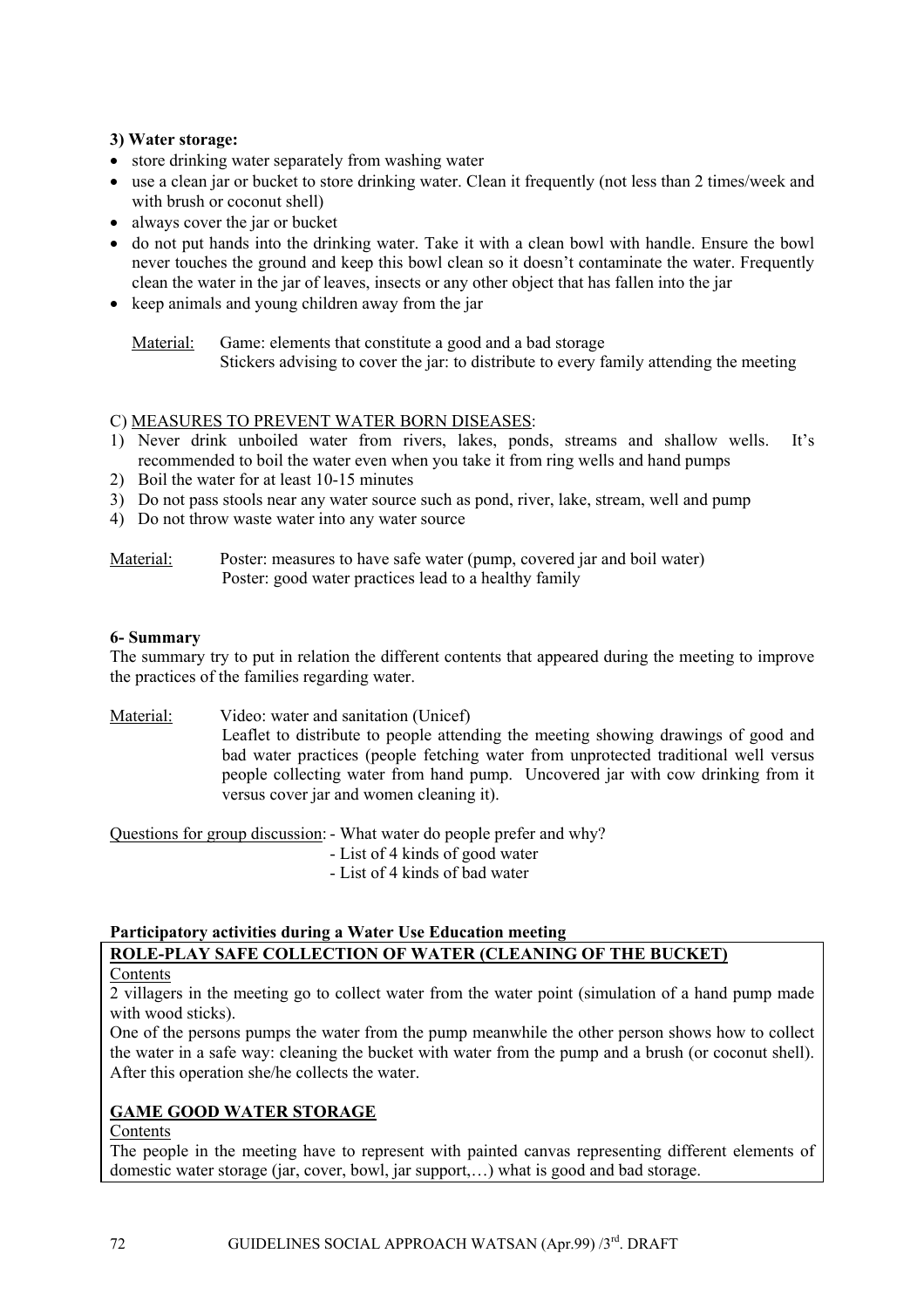## **3) Water storage:**

- store drinking water separately from washing water
- use a clean jar or bucket to store drinking water. Clean it frequently (not less than 2 times/week and with brush or coconut shell)
- always cover the jar or bucket
- do not put hands into the drinking water. Take it with a clean bowl with handle. Ensure the bowl never touches the ground and keep this bowl clean so it doesn't contaminate the water. Frequently clean the water in the jar of leaves, insects or any other object that has fallen into the jar
- keep animals and young children away from the jar

#### C) MEASURES TO PREVENT WATER BORN DISEASES:

- 1) Never drink unboiled water from rivers, lakes, ponds, streams and shallow wells. It's recommended to boil the water even when you take it from ring wells and hand pumps
- 2) Boil the water for at least 10-15 minutes
- 3) Do not pass stools near any water source such as pond, river, lake, stream, well and pump
- 4) Do not throw waste water into any water source

## Material: Poster: measures to have safe water (pump, covered jar and boil water) Poster: good water practices lead to a healthy family

## **6- Summary**

The summary try to put in relation the different contents that appeared during the meeting to improve the practices of the families regarding water.

Material: Video: water and sanitation (Unicef)

Leaflet to distribute to people attending the meeting showing drawings of good and bad water practices (people fetching water from unprotected traditional well versus people collecting water from hand pump. Uncovered jar with cow drinking from it versus cover jar and women cleaning it).

Questions for group discussion: - What water do people prefer and why?

- List of 4 kinds of good water
- List of 4 kinds of bad water

## **Participatory activities during a Water Use Education meeting**

## **ROLE-PLAY SAFE COLLECTION OF WATER (CLEANING OF THE BUCKET)**

Contents

2 villagers in the meeting go to collect water from the water point (simulation of a hand pump made with wood sticks).

One of the persons pumps the water from the pump meanwhile the other person shows how to collect the water in a safe way: cleaning the bucket with water from the pump and a brush (or coconut shell). After this operation she/he collects the water.

## **GAME GOOD WATER STORAGE**

Contents

The people in the meeting have to represent with painted canvas representing different elements of domestic water storage (jar, cover, bowl, jar support,…) what is good and bad storage.

Material: Game: elements that constitute a good and a bad storage Stickers advising to cover the jar: to distribute to every family attending the meeting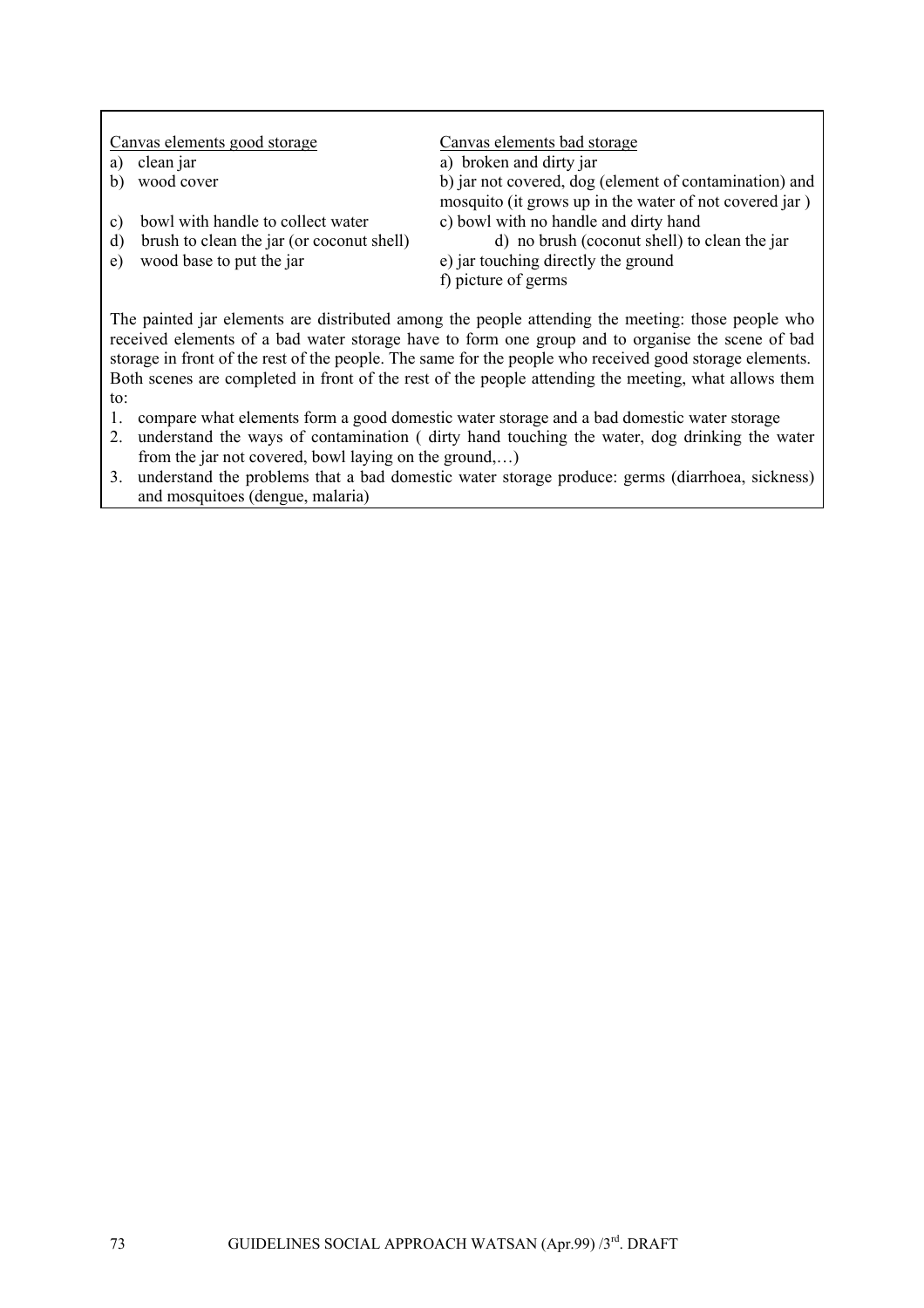| b) jar not covered, dog (element of contamination) and<br>mosquito (it grows up in the water of not covered jar) |
|------------------------------------------------------------------------------------------------------------------|
|                                                                                                                  |
| d) no brush (coconut shell) to clean the jar                                                                     |
|                                                                                                                  |
|                                                                                                                  |
|                                                                                                                  |

The painted jar elements are distributed among the people attending the meeting: those people who received elements of a bad water storage have to form one group and to organise the scene of bad storage in front of the rest of the people. The same for the people who received good storage elements. Both scenes are completed in front of the rest of the people attending the meeting, what allows them to:

- 1. compare what elements form a good domestic water storage and a bad domestic water storage
- 2. understand the ways of contamination ( dirty hand touching the water, dog drinking the water from the jar not covered, bowl laying on the ground,…)
- 3. understand the problems that a bad domestic water storage produce: germs (diarrhoea, sickness) and mosquitoes (dengue, malaria)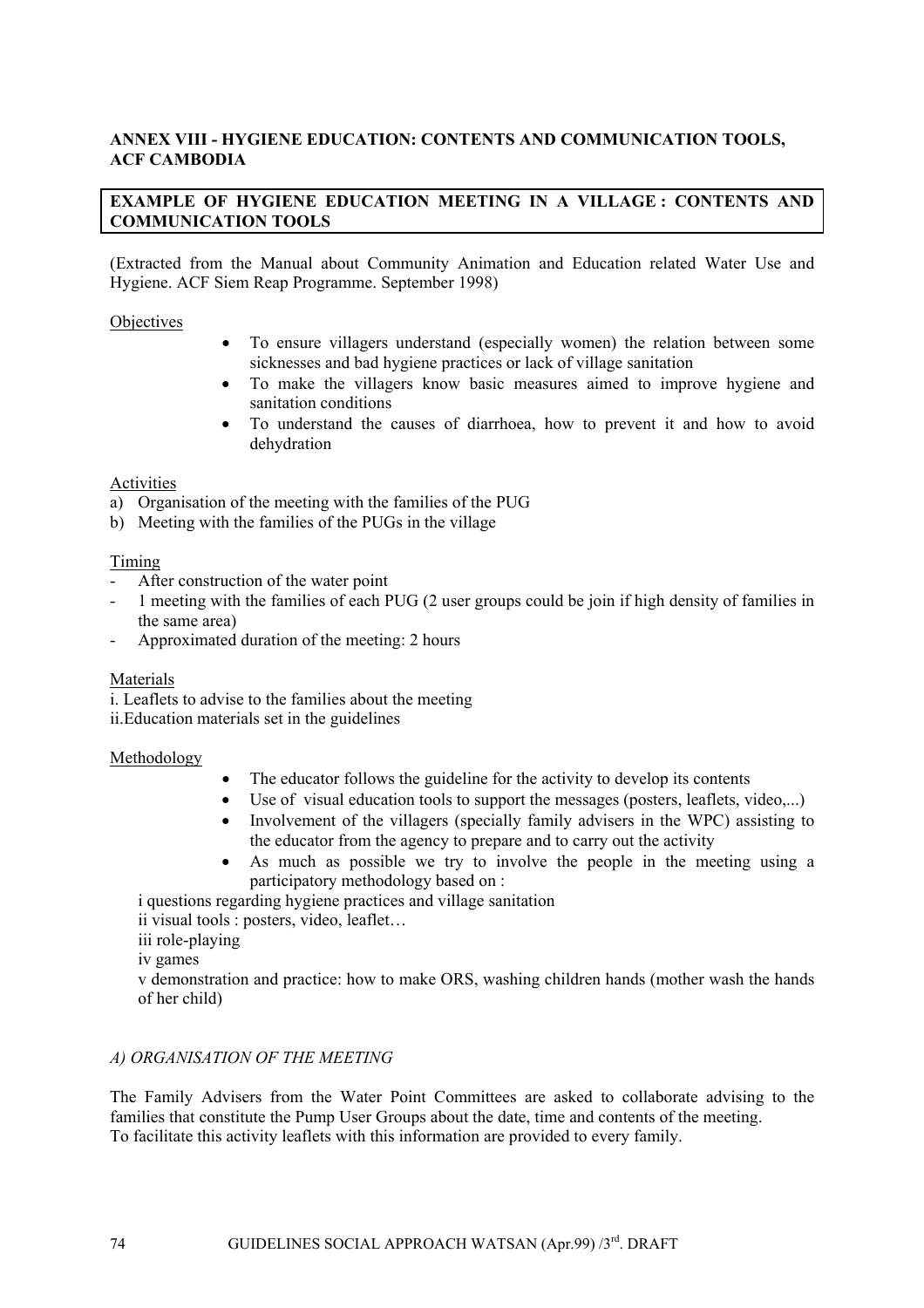## **ANNEX VIII - HYGIENE EDUCATION: CONTENTS AND COMMUNICATION TOOLS, ACF CAMBODIA**

## **EXAMPLE OF HYGIENE EDUCATION MEETING IN A VILLAGE : CONTENTS AND COMMUNICATION TOOLS**

(Extracted from the Manual about Community Animation and Education related Water Use and Hygiene. ACF Siem Reap Programme. September 1998)

**Objectives** 

- To ensure villagers understand (especially women) the relation between some sicknesses and bad hygiene practices or lack of village sanitation
- To make the villagers know basic measures aimed to improve hygiene and sanitation conditions
- To understand the causes of diarrhoea, how to prevent it and how to avoid dehydration

#### Activities

- a) Organisation of the meeting with the families of the PUG
- b) Meeting with the families of the PUGs in the village

#### Timing

- After construction of the water point
- 1 meeting with the families of each PUG (2 user groups could be join if high density of families in the same area)
- Approximated duration of the meeting: 2 hours

#### Materials

i. Leaflets to advise to the families about the meeting

ii.Education materials set in the guidelines

#### Methodology

- The educator follows the guideline for the activity to develop its contents
- Use of visual education tools to support the messages (posters, leaflets, video,...)
- Involvement of the villagers (specially family advisers in the WPC) assisting to the educator from the agency to prepare and to carry out the activity
- As much as possible we try to involve the people in the meeting using a participatory methodology based on :

i questions regarding hygiene practices and village sanitation

ii visual tools : posters, video, leaflet…

iii role-playing

iv games

v demonstration and practice: how to make ORS, washing children hands (mother wash the hands of her child)

#### *A) ORGANISATION OF THE MEETING*

The Family Advisers from the Water Point Committees are asked to collaborate advising to the families that constitute the Pump User Groups about the date, time and contents of the meeting. To facilitate this activity leaflets with this information are provided to every family.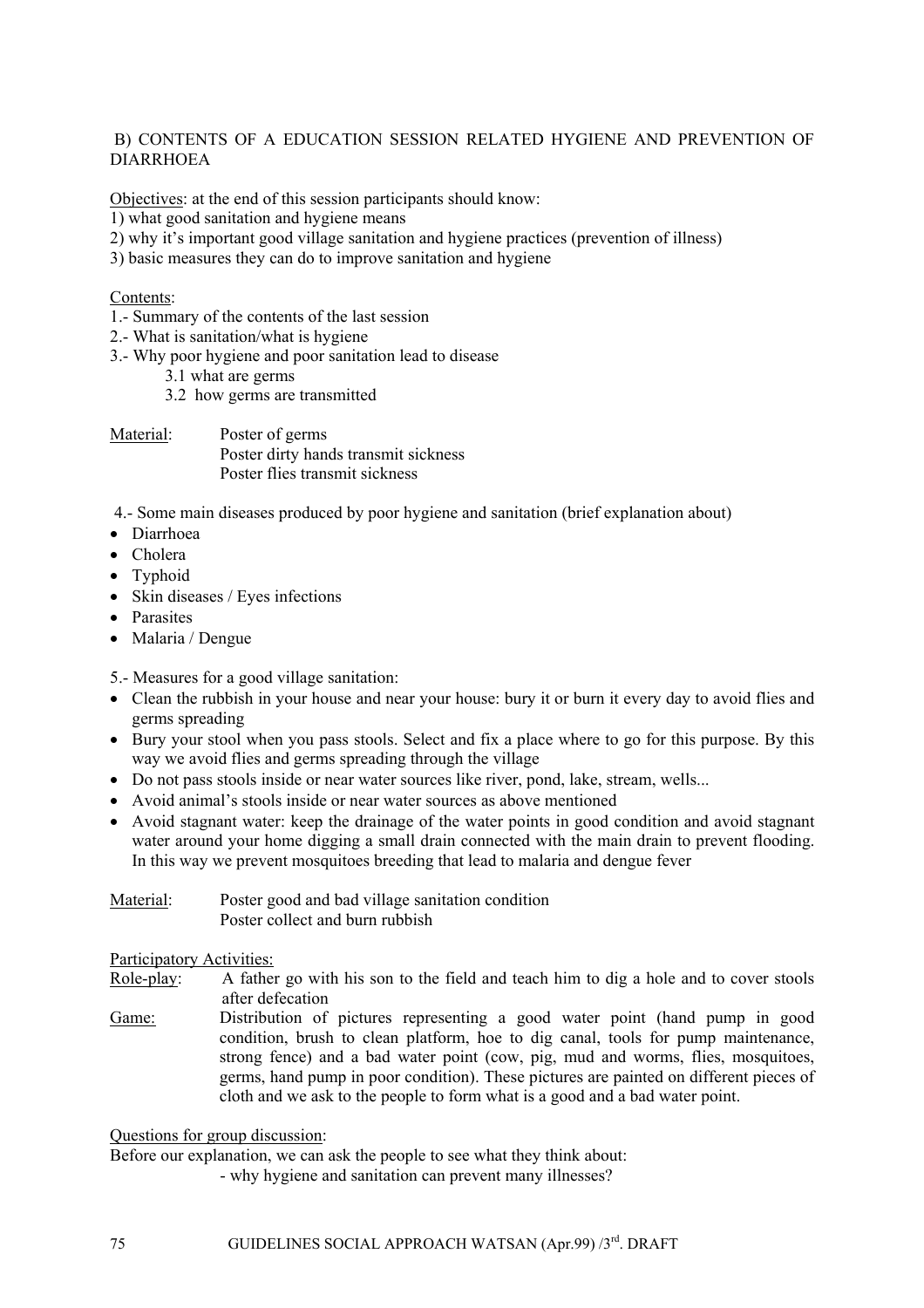### B) CONTENTS OF A EDUCATION SESSION RELATED HYGIENE AND PREVENTION OF DIARRHOEA

Objectives: at the end of this session participants should know:

- 1) what good sanitation and hygiene means
- 2) why it's important good village sanitation and hygiene practices (prevention of illness)
- 3) basic measures they can do to improve sanitation and hygiene

### Contents:

- 1.- Summary of the contents of the last session
- 2.- What is sanitation/what is hygiene
- 3.- Why poor hygiene and poor sanitation lead to disease
	- 3.1 what are germs
	- 3.2 how germs are transmitted

Material: Poster of germs Poster dirty hands transmit sickness Poster flies transmit sickness

4.- Some main diseases produced by poor hygiene and sanitation (brief explanation about)

- Diarrhoea
- Cholera
- Typhoid
- Skin diseases / Eyes infections
- Parasites
- Malaria / Dengue
- 5.- Measures for a good village sanitation:
- Clean the rubbish in your house and near your house: bury it or burn it every day to avoid flies and germs spreading
- Bury your stool when you pass stools. Select and fix a place where to go for this purpose. By this way we avoid flies and germs spreading through the village
- Do not pass stools inside or near water sources like river, pond, lake, stream, wells...
- Avoid animal's stools inside or near water sources as above mentioned
- Avoid stagnant water: keep the drainage of the water points in good condition and avoid stagnant water around your home digging a small drain connected with the main drain to prevent flooding. In this way we prevent mosquitoes breeding that lead to malaria and dengue fever

| Material: | Poster good and bad village sanitation condition |
|-----------|--------------------------------------------------|
|           | Poster collect and burn rubbish                  |

Participatory Activities:

- Role-play: A father go with his son to the field and teach him to dig a hole and to cover stools after defecation
- Game: Distribution of pictures representing a good water point (hand pump in good condition, brush to clean platform, hoe to dig canal, tools for pump maintenance, strong fence) and a bad water point (cow, pig, mud and worms, flies, mosquitoes, germs, hand pump in poor condition). These pictures are painted on different pieces of cloth and we ask to the people to form what is a good and a bad water point.

Questions for group discussion:

Before our explanation, we can ask the people to see what they think about:

- why hygiene and sanitation can prevent many illnesses?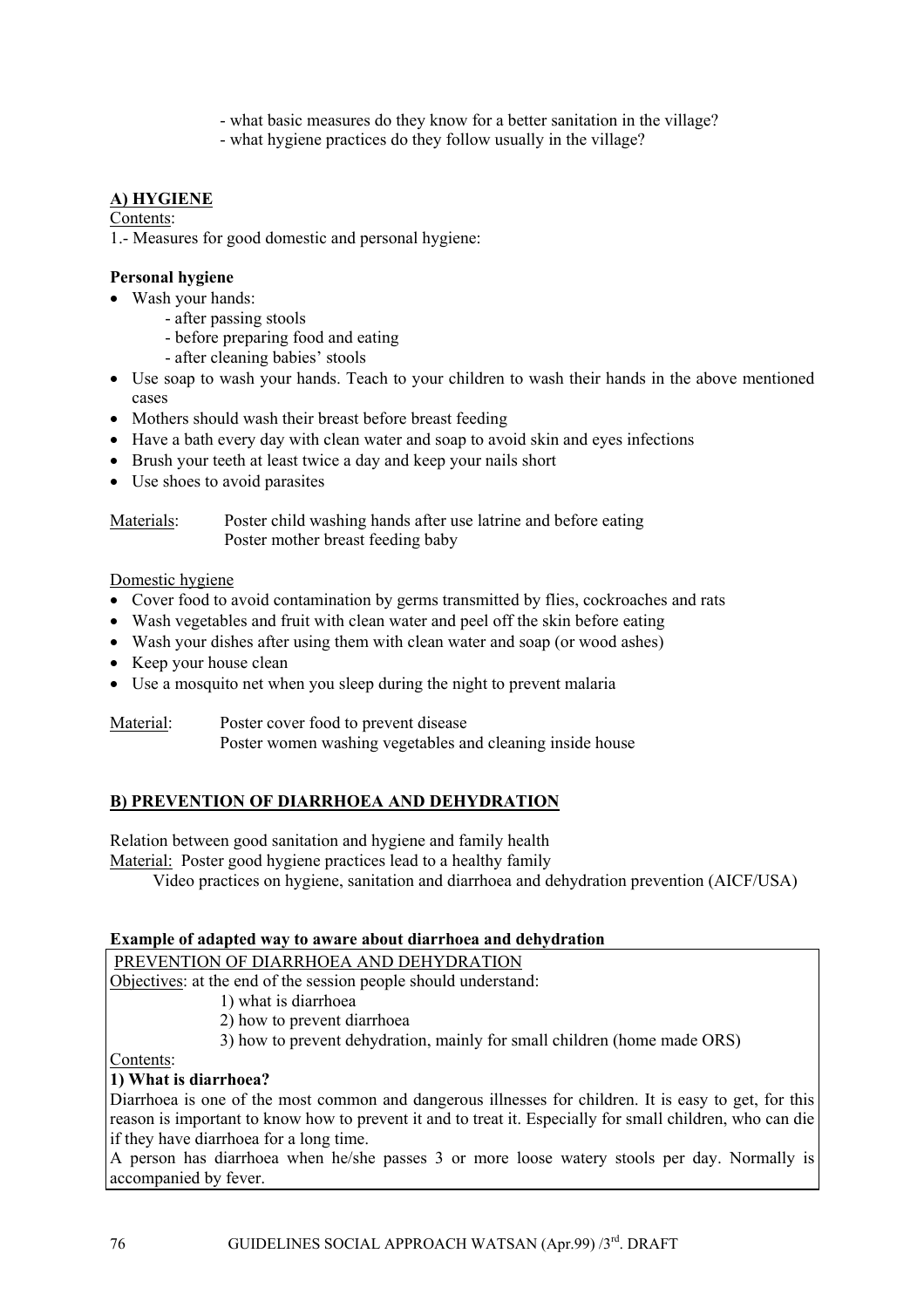- what basic measures do they know for a better sanitation in the village?
- what hygiene practices do they follow usually in the village?

# **A) HYGIENE**

### Contents:

1.- Measures for good domestic and personal hygiene:

### **Personal hygiene**

- Wash your hands:
	- after passing stools
	- before preparing food and eating
	- after cleaning babies' stools
- Use soap to wash your hands. Teach to your children to wash their hands in the above mentioned cases
- Mothers should wash their breast before breast feeding
- Have a bath every day with clean water and soap to avoid skin and eyes infections
- Brush your teeth at least twice a day and keep your nails short
- Use shoes to avoid parasites

Materials: Poster child washing hands after use latrine and before eating Poster mother breast feeding baby

#### Domestic hygiene

- Cover food to avoid contamination by germs transmitted by flies, cockroaches and rats
- Wash vegetables and fruit with clean water and peel off the skin before eating
- Wash your dishes after using them with clean water and soap (or wood ashes)
- Keep your house clean
- Use a mosquito net when you sleep during the night to prevent malaria

Material: Poster cover food to prevent disease

Poster women washing vegetables and cleaning inside house

### **B) PREVENTION OF DIARRHOEA AND DEHYDRATION**

Relation between good sanitation and hygiene and family health

Material: Poster good hygiene practices lead to a healthy family

Video practices on hygiene, sanitation and diarrhoea and dehydration prevention (AICF/USA)

#### **Example of adapted way to aware about diarrhoea and dehydration**

### PREVENTION OF DIARRHOEA AND DEHYDRATION

Objectives: at the end of the session people should understand:

1) what is diarrhoea

- 2) how to prevent diarrhoea
- 3) how to prevent dehydration, mainly for small children (home made ORS)

### Contents:

# **1) What is diarrhoea?**

Diarrhoea is one of the most common and dangerous illnesses for children. It is easy to get, for this reason is important to know how to prevent it and to treat it. Especially for small children, who can die if they have diarrhoea for a long time.

A person has diarrhoea when he/she passes 3 or more loose watery stools per day. Normally is accompanied by fever.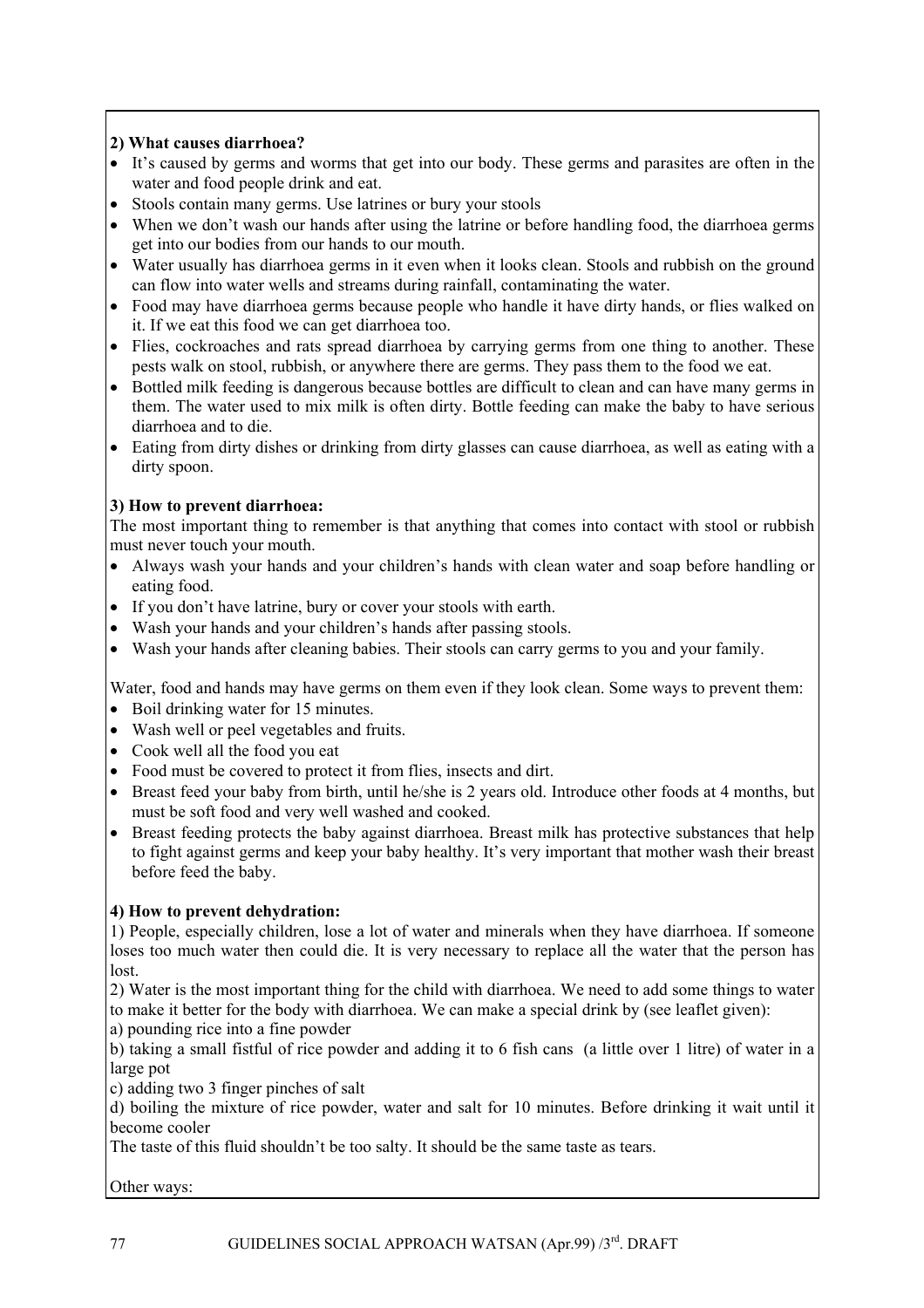### **2) What causes diarrhoea?**

- It's caused by germs and worms that get into our body. These germs and parasites are often in the water and food people drink and eat.
- Stools contain many germs. Use latrines or bury your stools
- When we don't wash our hands after using the latrine or before handling food, the diarrhoea germs get into our bodies from our hands to our mouth.
- Water usually has diarrhoea germs in it even when it looks clean. Stools and rubbish on the ground can flow into water wells and streams during rainfall, contaminating the water.
- Food may have diarrhoea germs because people who handle it have dirty hands, or flies walked on it. If we eat this food we can get diarrhoea too.
- Flies, cockroaches and rats spread diarrhoea by carrying germs from one thing to another. These pests walk on stool, rubbish, or anywhere there are germs. They pass them to the food we eat.
- Bottled milk feeding is dangerous because bottles are difficult to clean and can have many germs in them. The water used to mix milk is often dirty. Bottle feeding can make the baby to have serious diarrhoea and to die.
- Eating from dirty dishes or drinking from dirty glasses can cause diarrhoea, as well as eating with a dirty spoon.

### **3) How to prevent diarrhoea:**

The most important thing to remember is that anything that comes into contact with stool or rubbish must never touch your mouth.

- Always wash your hands and your children's hands with clean water and soap before handling or eating food.
- If you don't have latrine, bury or cover your stools with earth.
- Wash your hands and your children's hands after passing stools.
- Wash your hands after cleaning babies. Their stools can carry germs to you and your family.

Water, food and hands may have germs on them even if they look clean. Some ways to prevent them:

- Boil drinking water for 15 minutes.
- Wash well or peel vegetables and fruits.
- Cook well all the food you eat
- Food must be covered to protect it from flies, insects and dirt.
- Breast feed your baby from birth, until he/she is 2 years old. Introduce other foods at 4 months, but must be soft food and very well washed and cooked.
- Breast feeding protects the baby against diarrhoea. Breast milk has protective substances that help to fight against germs and keep your baby healthy. It's very important that mother wash their breast before feed the baby.

### **4) How to prevent dehydration:**

1) People, especially children, lose a lot of water and minerals when they have diarrhoea. If someone loses too much water then could die. It is very necessary to replace all the water that the person has lost.

2) Water is the most important thing for the child with diarrhoea. We need to add some things to water to make it better for the body with diarrhoea. We can make a special drink by (see leaflet given):

a) pounding rice into a fine powder

b) taking a small fistful of rice powder and adding it to 6 fish cans (a little over 1 litre) of water in a large pot

c) adding two 3 finger pinches of salt

d) boiling the mixture of rice powder, water and salt for 10 minutes. Before drinking it wait until it become cooler

The taste of this fluid shouldn't be too salty. It should be the same taste as tears.

Other ways: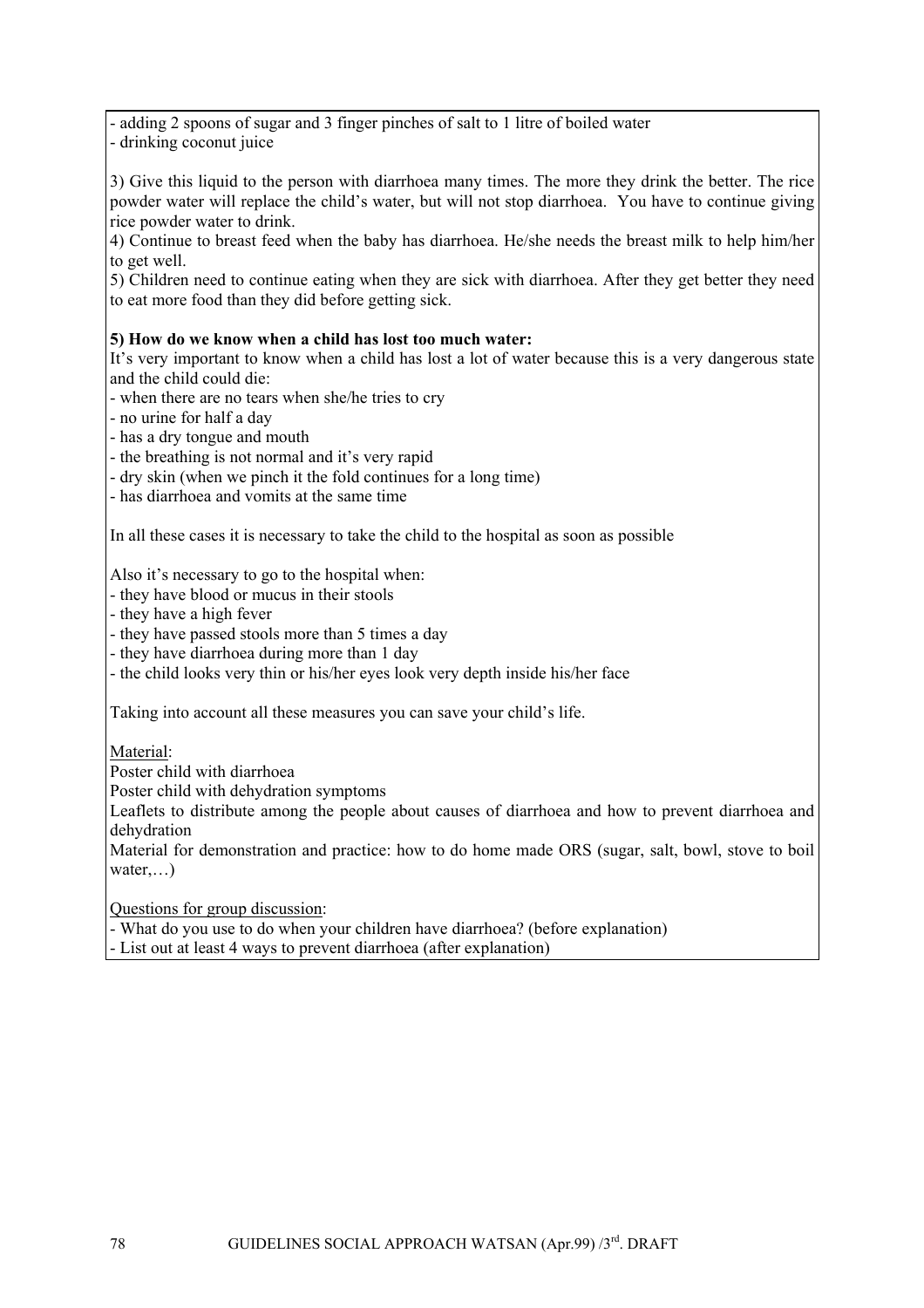- adding 2 spoons of sugar and 3 finger pinches of salt to 1 litre of boiled water - drinking coconut juice

3) Give this liquid to the person with diarrhoea many times. The more they drink the better. The rice powder water will replace the child's water, but will not stop diarrhoea. You have to continue giving rice powder water to drink.

4) Continue to breast feed when the baby has diarrhoea. He/she needs the breast milk to help him/her to get well.

5) Children need to continue eating when they are sick with diarrhoea. After they get better they need to eat more food than they did before getting sick.

### **5) How do we know when a child has lost too much water:**

It's very important to know when a child has lost a lot of water because this is a very dangerous state and the child could die:

- when there are no tears when she/he tries to cry

- no urine for half a day
- has a dry tongue and mouth
- the breathing is not normal and it's very rapid
- dry skin (when we pinch it the fold continues for a long time)

- has diarrhoea and vomits at the same time

In all these cases it is necessary to take the child to the hospital as soon as possible

Also it's necessary to go to the hospital when:

- they have blood or mucus in their stools
- they have a high fever
- they have passed stools more than 5 times a day
- they have diarrhoea during more than 1 day
- the child looks very thin or his/her eyes look very depth inside his/her face

Taking into account all these measures you can save your child's life.

#### Material:

Poster child with diarrhoea

Poster child with dehydration symptoms

Leaflets to distribute among the people about causes of diarrhoea and how to prevent diarrhoea and dehydration

Material for demonstration and practice: how to do home made ORS (sugar, salt, bowl, stove to boil water...

Questions for group discussion:

- What do you use to do when your children have diarrhoea? (before explanation)

- List out at least 4 ways to prevent diarrhoea (after explanation)